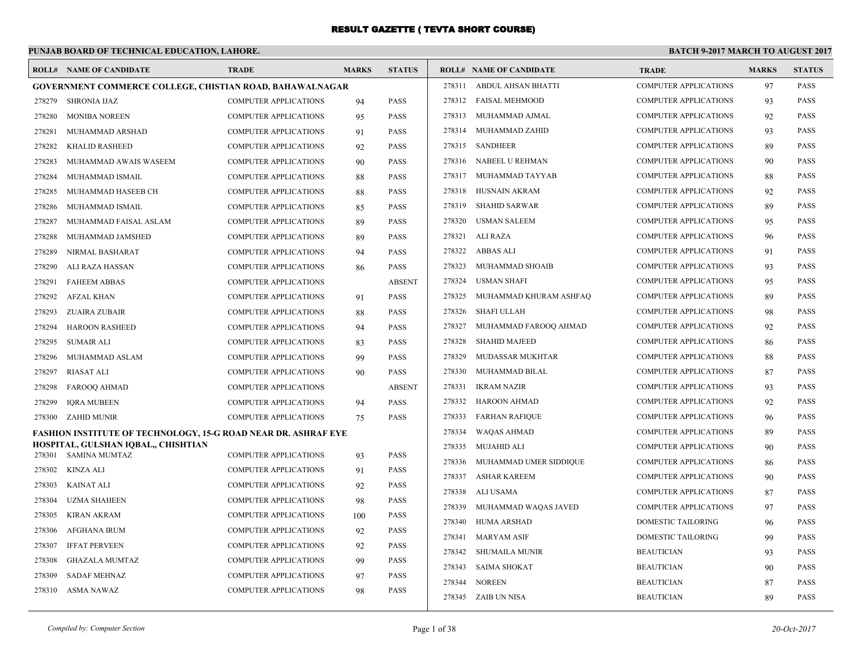|        | PUNJAB BOARD OF TECHNICAL EDUCATION, LAHORE.                          |                              |              |               |        |                                |                              | <b>BATCH 9-2017 MARCH TO AUGUST 2017</b> |               |
|--------|-----------------------------------------------------------------------|------------------------------|--------------|---------------|--------|--------------------------------|------------------------------|------------------------------------------|---------------|
|        | <b>ROLL# NAME OF CANDIDATE</b>                                        | <b>TRADE</b>                 | <b>MARKS</b> | <b>STATUS</b> |        | <b>ROLL# NAME OF CANDIDATE</b> | <b>TRADE</b>                 | <b>MARKS</b>                             | <b>STATUS</b> |
|        | GOVERNMENT COMMERCE COLLEGE, CHISTIAN ROAD, BAHAWALNAGAR              |                              |              |               | 278311 | ABDUL AHSAN BHATTI             | <b>COMPUTER APPLICATIONS</b> | 97                                       | <b>PASS</b>   |
| 278279 | <b>SHRONIA IJAZ</b>                                                   | <b>COMPUTER APPLICATIONS</b> | 94           | <b>PASS</b>   |        | 278312 FAISAL MEHMOOD          | <b>COMPUTER APPLICATIONS</b> | 93                                       | <b>PASS</b>   |
| 278280 | <b>MONIBA NOREEN</b>                                                  | <b>COMPUTER APPLICATIONS</b> | 95           | <b>PASS</b>   | 278313 | MUHAMMAD AJMAL                 | <b>COMPUTER APPLICATIONS</b> | 92                                       | <b>PASS</b>   |
| 278281 | MUHAMMAD ARSHAD                                                       | <b>COMPUTER APPLICATIONS</b> | 91           | PASS          | 278314 | MUHAMMAD ZAHID                 | <b>COMPUTER APPLICATIONS</b> | 93                                       | <b>PASS</b>   |
| 278282 | <b>KHALID RASHEED</b>                                                 | COMPUTER APPLICATIONS        | 92           | PASS          | 278315 | <b>SANDHEER</b>                | COMPUTER APPLICATIONS        | 89                                       | PASS          |
| 278283 | MUHAMMAD AWAIS WASEEM                                                 | <b>COMPUTER APPLICATIONS</b> | 90           | <b>PASS</b>   | 278316 | NABEEL U REHMAN                | <b>COMPUTER APPLICATIONS</b> | 90                                       | <b>PASS</b>   |
| 278284 | MUHAMMAD ISMAIL                                                       | <b>COMPUTER APPLICATIONS</b> | 88           | <b>PASS</b>   | 278317 | MUHAMMAD TAYYAB                | <b>COMPUTER APPLICATIONS</b> | 88                                       | <b>PASS</b>   |
| 278285 | MUHAMMAD HASEEB CH                                                    | COMPUTER APPLICATIONS        | 88           | <b>PASS</b>   | 278318 | <b>HUSNAIN AKRAM</b>           | <b>COMPUTER APPLICATIONS</b> | 92                                       | <b>PASS</b>   |
| 278286 | MUHAMMAD ISMAIL                                                       | <b>COMPUTER APPLICATIONS</b> | 85           | <b>PASS</b>   | 278319 | <b>SHAHID SARWAR</b>           | COMPUTER APPLICATIONS        | 89                                       | PASS          |
| 278287 | MUHAMMAD FAISAL ASLAM                                                 | <b>COMPUTER APPLICATIONS</b> | 89           | <b>PASS</b>   | 278320 | <b>USMAN SALEEM</b>            | <b>COMPUTER APPLICATIONS</b> | 95                                       | <b>PASS</b>   |
| 278288 | MUHAMMAD JAMSHED                                                      | <b>COMPUTER APPLICATIONS</b> | 89           | <b>PASS</b>   | 278321 | ALI RAZA                       | COMPUTER APPLICATIONS        | 96                                       | <b>PASS</b>   |
| 278289 | NIRMAL BASHARAT                                                       | COMPUTER APPLICATIONS        | 94           | PASS          | 278322 | <b>ABBAS ALI</b>               | <b>COMPUTER APPLICATIONS</b> | 91                                       | <b>PASS</b>   |
| 278290 | ALI RAZA HASSAN                                                       | <b>COMPUTER APPLICATIONS</b> | 86           | <b>PASS</b>   | 278323 | MUHAMMAD SHOAIB                | <b>COMPUTER APPLICATIONS</b> | 93                                       | <b>PASS</b>   |
| 278291 | <b>FAHEEM ABBAS</b>                                                   | COMPUTER APPLICATIONS        |              | <b>ABSENT</b> | 278324 | <b>USMAN SHAFI</b>             | <b>COMPUTER APPLICATIONS</b> | 95                                       | <b>PASS</b>   |
| 278292 | <b>AFZAL KHAN</b>                                                     | <b>COMPUTER APPLICATIONS</b> | 91           | <b>PASS</b>   | 278325 | MUHAMMAD KHURAM ASHFAQ         | <b>COMPUTER APPLICATIONS</b> | 89                                       | <b>PASS</b>   |
| 278293 | <b>ZUAIRA ZUBAIR</b>                                                  | <b>COMPUTER APPLICATIONS</b> | 88           | PASS          | 278326 | <b>SHAFI ULLAH</b>             | <b>COMPUTER APPLICATIONS</b> | 98                                       | <b>PASS</b>   |
| 278294 | <b>HAROON RASHEED</b>                                                 | <b>COMPUTER APPLICATIONS</b> | 94           | PASS          | 278327 | MUHAMMAD FAROOQ AHMAD          | <b>COMPUTER APPLICATIONS</b> | 92                                       | <b>PASS</b>   |
| 278295 | <b>SUMAIR ALI</b>                                                     | COMPUTER APPLICATIONS        | 83           | PASS          | 278328 | <b>SHAHID MAJEED</b>           | <b>COMPUTER APPLICATIONS</b> | 86                                       | <b>PASS</b>   |
| 278296 | MUHAMMAD ASLAM                                                        | <b>COMPUTER APPLICATIONS</b> | 99           | <b>PASS</b>   | 278329 | MUDASSAR MUKHTAR               | <b>COMPUTER APPLICATIONS</b> | 88                                       | <b>PASS</b>   |
| 278297 | <b>RIASAT ALI</b>                                                     | <b>COMPUTER APPLICATIONS</b> | 90           | <b>PASS</b>   | 278330 | MUHAMMAD BILAL                 | <b>COMPUTER APPLICATIONS</b> | 87                                       | <b>PASS</b>   |
| 278298 | FAROOQ AHMAD                                                          | <b>COMPUTER APPLICATIONS</b> |              | <b>ABSENT</b> | 278331 | <b>IKRAM NAZIR</b>             | <b>COMPUTER APPLICATIONS</b> | 93                                       | <b>PASS</b>   |
| 278299 | <b>IQRA MUBEEN</b>                                                    | COMPUTER APPLICATIONS        | 94           | PASS          |        | 278332 HAROON AHMAD            | COMPUTER APPLICATIONS        | 92                                       | PASS          |
| 278300 | ZAHID MUNIR                                                           | <b>COMPUTER APPLICATIONS</b> | 75           | <b>PASS</b>   | 278333 | <b>FARHAN RAFIQUE</b>          | <b>COMPUTER APPLICATIONS</b> | 96                                       | <b>PASS</b>   |
|        | <b>FASHION INSTITUTE OF TECHNOLOGY, 15-G ROAD NEAR DR. ASHRAF EYE</b> |                              |              |               | 278334 | <b>WAQAS AHMAD</b>             | COMPUTER APPLICATIONS        | 89                                       | <b>PASS</b>   |
|        | HOSPITAL, GULSHAN IQBAL,, CHISHTIAN                                   |                              |              |               | 278335 | <b>MUJAHID ALI</b>             | <b>COMPUTER APPLICATIONS</b> | 90                                       | <b>PASS</b>   |
| 278301 | <b>SAMINA MUMTAZ</b>                                                  | <b>COMPUTER APPLICATIONS</b> | 93           | PASS          | 278336 | MUHAMMAD UMER SIDDIQUE         | <b>COMPUTER APPLICATIONS</b> | 86                                       | PASS          |
| 278302 | KINZA ALI                                                             | <b>COMPUTER APPLICATIONS</b> | 91           | <b>PASS</b>   | 278337 | ASHAR KAREEM                   | <b>COMPUTER APPLICATIONS</b> | 90                                       | <b>PASS</b>   |
| 278303 | <b>KAINAT ALI</b>                                                     | <b>COMPUTER APPLICATIONS</b> | 92           | PASS          | 278338 | ALI USAMA                      | <b>COMPUTER APPLICATIONS</b> | 87                                       | <b>PASS</b>   |
| 278304 | <b>UZMA SHAHEEN</b>                                                   | <b>COMPUTER APPLICATIONS</b> | 98           | PASS          | 278339 | MUHAMMAD WAQAS JAVED           | <b>COMPUTER APPLICATIONS</b> | 97                                       | <b>PASS</b>   |
| 278305 | <b>KIRAN AKRAM</b>                                                    | <b>COMPUTER APPLICATIONS</b> | 100          | PASS          | 278340 | <b>HUMA ARSHAD</b>             | DOMESTIC TAILORING           | 96                                       | PASS          |
| 278306 | <b>AFGHANA IRUM</b>                                                   | <b>COMPUTER APPLICATIONS</b> | 92           | <b>PASS</b>   | 278341 | <b>MARYAM ASIF</b>             | DOMESTIC TAILORING           | 99                                       | <b>PASS</b>   |
| 278307 | <b>IFFAT PERVEEN</b>                                                  | <b>COMPUTER APPLICATIONS</b> | 92           | PASS          | 278342 | <b>SHUMAILA MUNIR</b>          | <b>BEAUTICIAN</b>            | 93                                       | <b>PASS</b>   |
| 278308 | <b>GHAZALA MUMTAZ</b>                                                 | <b>COMPUTER APPLICATIONS</b> | 99           | PASS          | 278343 | <b>SAIMA SHOKAT</b>            | <b>BEAUTICIAN</b>            | 90                                       | <b>PASS</b>   |
| 278309 | <b>SADAF MEHNAZ</b>                                                   | <b>COMPUTER APPLICATIONS</b> | 97           | PASS          | 278344 | <b>NOREEN</b>                  | <b>BEAUTICIAN</b>            | 87                                       | <b>PASS</b>   |
|        | 278310 ASMA NAWAZ                                                     | <b>COMPUTER APPLICATIONS</b> | 98           | <b>PASS</b>   |        | 278345 ZAIB UN NISA            | <b>BEAUTICIAN</b>            | 89                                       | <b>PASS</b>   |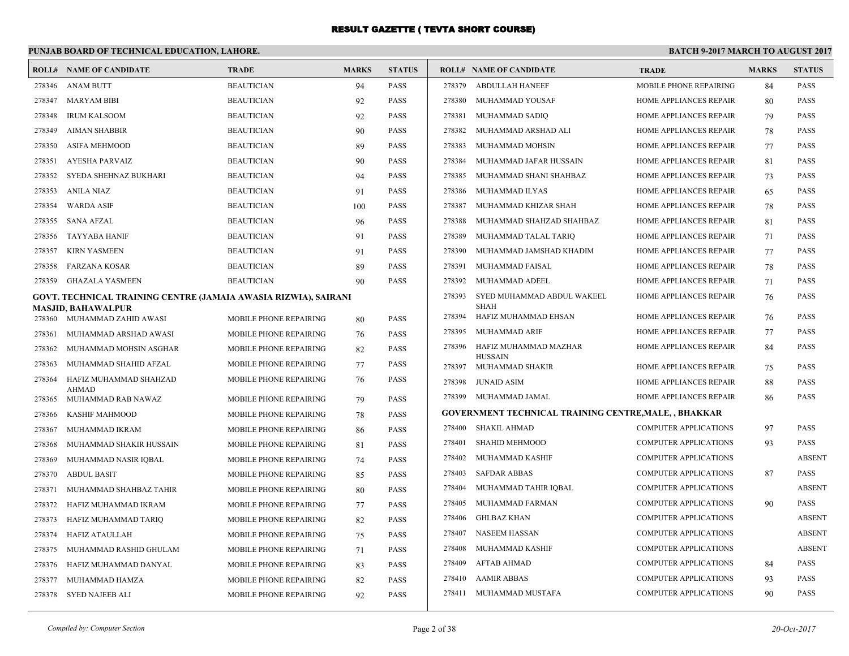|                  | PUNJAB BOARD OF TECHNICAL EDUCATION, LAHORE.                    |                                                         |              |                            |        |                                                      | <b>BATCH 9-2017 MARCH TO AUGUST 2017</b> |              |               |
|------------------|-----------------------------------------------------------------|---------------------------------------------------------|--------------|----------------------------|--------|------------------------------------------------------|------------------------------------------|--------------|---------------|
|                  | <b>ROLL# NAME OF CANDIDATE</b>                                  | <b>TRADE</b>                                            | <b>MARKS</b> | <b>STATUS</b>              |        | <b>ROLL# NAME OF CANDIDATE</b>                       | <b>TRADE</b>                             | <b>MARKS</b> | <b>STATUS</b> |
|                  | 278346 ANAM BUTT                                                | <b>BEAUTICIAN</b>                                       | 94           | <b>PASS</b>                | 278379 | <b>ABDULLAH HANEEF</b>                               | MOBILE PHONE REPAIRING                   | 84           | <b>PASS</b>   |
| 278347           | MARYAM BIBI                                                     | <b>BEAUTICIAN</b>                                       | 92           | <b>PASS</b>                | 278380 | MUHAMMAD YOUSAF                                      | HOME APPLIANCES REPAIR                   | 80           | <b>PASS</b>   |
| 278348           | <b>IRUM KALSOOM</b>                                             | <b>BEAUTICIAN</b>                                       | 92           | <b>PASS</b>                | 278381 | MUHAMMAD SADIQ                                       | HOME APPLIANCES REPAIR                   | 79           | <b>PASS</b>   |
| 278349           | AIMAN SHABBIR                                                   | <b>BEAUTICIAN</b>                                       | 90           | <b>PASS</b>                | 278382 | MUHAMMAD ARSHAD ALI                                  | HOME APPLIANCES REPAIR                   | 78           | <b>PASS</b>   |
| 278350           | ASIFA MEHMOOD                                                   | <b>BEAUTICIAN</b>                                       | 89           | <b>PASS</b>                | 278383 | MUHAMMAD MOHSIN                                      | HOME APPLIANCES REPAIR                   | 77           | <b>PASS</b>   |
| 278351           | <b>AYESHA PARVAIZ</b>                                           | <b>BEAUTICIAN</b>                                       | 90           | <b>PASS</b>                | 278384 | MUHAMMAD JAFAR HUSSAIN                               | HOME APPLIANCES REPAIR                   | 81           | <b>PASS</b>   |
| 278352           | SYEDA SHEHNAZ BUKHARI                                           | <b>BEAUTICIAN</b>                                       | 94           | <b>PASS</b>                | 278385 | MUHAMMAD SHANI SHAHBAZ                               | HOME APPLIANCES REPAIR                   | 73           | <b>PASS</b>   |
| 278353           | ANILA NIAZ                                                      | <b>BEAUTICIAN</b>                                       | 91           | <b>PASS</b>                | 278386 | MUHAMMAD ILYAS                                       | <b>HOME APPLIANCES REPAIR</b>            | 65           | <b>PASS</b>   |
| 278354           | <b>WARDA ASIF</b>                                               | <b>BEAUTICIAN</b>                                       | 100          | <b>PASS</b>                | 278387 | MUHAMMAD KHIZAR SHAH                                 | HOME APPLIANCES REPAIR                   | 78           | <b>PASS</b>   |
| 278355           | SANA AFZAL                                                      | <b>BEAUTICIAN</b>                                       | 96           | <b>PASS</b>                | 278388 | MUHAMMAD SHAHZAD SHAHBAZ                             | HOME APPLIANCES REPAIR                   | 81           | <b>PASS</b>   |
| 278356           | TAYYABA HANIF                                                   | <b>BEAUTICIAN</b>                                       | 91           | <b>PASS</b>                | 278389 | MUHAMMAD TALAL TARIQ                                 | HOME APPLIANCES REPAIR                   | 71           | <b>PASS</b>   |
| 278357           | <b>KIRN YASMEEN</b>                                             | <b>BEAUTICIAN</b>                                       | 91           | <b>PASS</b>                | 278390 | MUHAMMAD JAMSHAD KHADIM                              | HOME APPLIANCES REPAIR                   | 77           | <b>PASS</b>   |
| 278358           | FARZANA KOSAR                                                   | <b>BEAUTICIAN</b>                                       | 89           | <b>PASS</b>                | 278391 | <b>MUHAMMAD FAISAL</b>                               | HOME APPLIANCES REPAIR                   | 78           | <b>PASS</b>   |
| 278359           | <b>GHAZALA YASMEEN</b>                                          | <b>BEAUTICIAN</b>                                       | 90           | <b>PASS</b>                | 278392 | MUHAMMAD ADEEL                                       | HOME APPLIANCES REPAIR                   | 71           | <b>PASS</b>   |
|                  | GOVT. TECHNICAL TRAINING CENTRE (JAMAIA AWASIA RIZWIA), SAIRANI |                                                         |              |                            | 278393 | SYED MUHAMMAD ABDUL WAKEEL                           | HOME APPLIANCES REPAIR                   | 76           | <b>PASS</b>   |
| 278360           | <b>MASJID, BAHAWALPUR</b><br>MUHAMMAD ZAHID AWASI               | <b>MOBILE PHONE REPAIRING</b>                           | 80           | <b>PASS</b>                | 278394 | <b>SHAH</b><br>HAFIZ MUHAMMAD EHSAN                  | HOME APPLIANCES REPAIR                   | 76           | <b>PASS</b>   |
| 278361           | MUHAMMAD ARSHAD AWASI                                           | <b>MOBILE PHONE REPAIRING</b>                           | 76           | <b>PASS</b>                | 278395 | MUHAMMAD ARIF                                        | HOME APPLIANCES REPAIR                   | 77           | <b>PASS</b>   |
| 278362           | MUHAMMAD MOHSIN ASGHAR                                          | MOBILE PHONE REPAIRING                                  | 82           | <b>PASS</b>                | 278396 | HAFIZ MUHAMMAD MAZHAR                                | HOME APPLIANCES REPAIR                   | 84           | <b>PASS</b>   |
| 278363           | MUHAMMAD SHAHID AFZAL                                           | MOBILE PHONE REPAIRING                                  | 77           | <b>PASS</b>                | 278397 | <b>HUSSAIN</b><br>MUHAMMAD SHAKIR                    | HOME APPLIANCES REPAIR                   | 75           | <b>PASS</b>   |
| 278364           | HAFIZ MUHAMMAD SHAHZAD                                          | MOBILE PHONE REPAIRING                                  | 76           | <b>PASS</b>                | 278398 | <b>JUNAID ASIM</b>                                   | <b>HOME APPLIANCES REPAIR</b>            | 88           | <b>PASS</b>   |
|                  | <b>AHMAD</b>                                                    |                                                         |              |                            | 278399 | MUHAMMAD JAMAL                                       | HOME APPLIANCES REPAIR                   | 86           | <b>PASS</b>   |
| 278365           | MUHAMMAD RAB NAWAZ<br>KASHIF MAHMOOD                            | MOBILE PHONE REPAIRING                                  | 79           | <b>PASS</b><br><b>PASS</b> |        | GOVERNMENT TECHNICAL TRAINING CENTRE,MALE, , BHAKKAR |                                          |              |               |
| 278366           |                                                                 | <b>MOBILE PHONE REPAIRING</b>                           | 78           |                            | 278400 | <b>SHAKIL AHMAD</b>                                  | <b>COMPUTER APPLICATIONS</b>             | 97           | <b>PASS</b>   |
| 278367<br>278368 | MUHAMMAD IKRAM<br>MUHAMMAD SHAKIR HUSSAIN                       | MOBILE PHONE REPAIRING<br><b>MOBILE PHONE REPAIRING</b> | 86           | <b>PASS</b><br><b>PASS</b> | 278401 | SHAHID MEHMOOD                                       | COMPUTER APPLICATIONS                    | 93           | <b>PASS</b>   |
| 278369           |                                                                 | MOBILE PHONE REPAIRING                                  | 81           | PASS                       | 278402 | MUHAMMAD KASHIF                                      | <b>COMPUTER APPLICATIONS</b>             |              | <b>ABSENT</b> |
| 278370           | MUHAMMAD NASIR IQBAL<br><b>ABDUL BASIT</b>                      | MOBILE PHONE REPAIRING                                  | 74           | PASS                       | 278403 | <b>SAFDAR ABBAS</b>                                  | COMPUTER APPLICATIONS                    | 87           | <b>PASS</b>   |
| 278371           | MUHAMMAD SHAHBAZ TAHIR                                          | MOBILE PHONE REPAIRING                                  | 85<br>80     | <b>PASS</b>                | 278404 | MUHAMMAD TAHIR IQBAL                                 | <b>COMPUTER APPLICATIONS</b>             |              | <b>ABSENT</b> |
| 278372           | HAFIZ MUHAMMAD IKRAM                                            | MOBILE PHONE REPAIRING                                  | 77           | PASS                       | 278405 | MUHAMMAD FARMAN                                      | <b>COMPUTER APPLICATIONS</b>             | 90           | PASS          |
|                  | 278373 HAFIZ MUHAMMAD TARIQ                                     | MOBILE PHONE REPAIRING                                  | 82           | <b>PASS</b>                |        | 278406 GHLBAZ KHAN                                   | <b>COMPUTER APPLICATIONS</b>             |              | <b>ABSENT</b> |
| 278374           | HAFIZ ATAULLAH                                                  | MOBILE PHONE REPAIRING                                  | 75           | <b>PASS</b>                | 278407 | NASEEM HASSAN                                        | <b>COMPUTER APPLICATIONS</b>             |              | <b>ABSENT</b> |
| 278375           | MUHAMMAD RASHID GHULAM                                          | MOBILE PHONE REPAIRING                                  | 71           | PASS                       | 278408 | MUHAMMAD KASHIF                                      | <b>COMPUTER APPLICATIONS</b>             |              | <b>ABSENT</b> |
| 278376           | HAFIZ MUHAMMAD DANYAL                                           | MOBILE PHONE REPAIRING                                  | 83           | <b>PASS</b>                | 278409 | AFTAB AHMAD                                          | <b>COMPUTER APPLICATIONS</b>             | 84           | <b>PASS</b>   |
| 278377           | MUHAMMAD HAMZA                                                  | <b>MOBILE PHONE REPAIRING</b>                           | 82           | <b>PASS</b>                | 278410 | AAMIR ABBAS                                          | <b>COMPUTER APPLICATIONS</b>             | 93           | PASS          |
| 278378           | SYED NAJEEB ALI                                                 | MOBILE PHONE REPAIRING                                  | 92           | <b>PASS</b>                | 278411 | MUHAMMAD MUSTAFA                                     | COMPUTER APPLICATIONS                    | 90           | PASS          |
|                  |                                                                 |                                                         |              |                            |        |                                                      |                                          |              |               |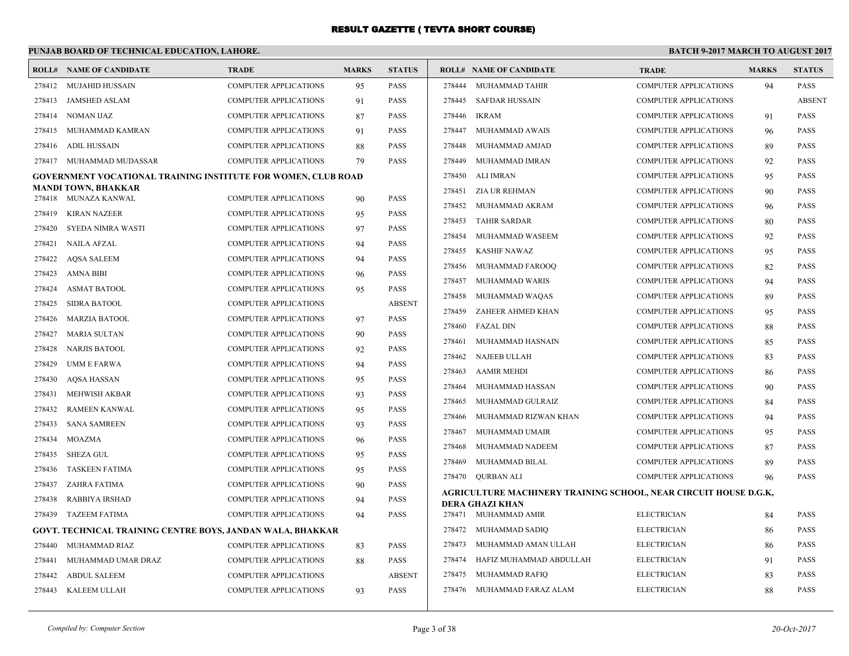## **PUNJAB BOARD OF TECHNICAL EDUCATION, LAHORE.**

|        | <b>ROLL# NAME OF CANDIDATE</b>                                       | <b>TRADE</b>                 | <b>MARKS</b> | <b>STATUS</b> |        | <b>ROLL# NAME OF CANDIDATE</b>                                   | <b>TRADE</b>                 | <b>MARKS</b> | <b>STATUS</b> |
|--------|----------------------------------------------------------------------|------------------------------|--------------|---------------|--------|------------------------------------------------------------------|------------------------------|--------------|---------------|
| 278412 | MUJAHID HUSSAIN                                                      | <b>COMPUTER APPLICATIONS</b> | 95           | <b>PASS</b>   | 278444 | MUHAMMAD TAHIR                                                   | <b>COMPUTER APPLICATIONS</b> | 94           | <b>PASS</b>   |
| 278413 | JAMSHED ASLAM                                                        | <b>COMPUTER APPLICATIONS</b> | 91           | PASS          | 278445 | SAFDAR HUSSAIN                                                   | <b>COMPUTER APPLICATIONS</b> |              | <b>ABSENT</b> |
| 278414 | <b>NOMAN IJAZ</b>                                                    | COMPUTER APPLICATIONS        | 87           | PASS          | 278446 | <b>IKRAM</b>                                                     | <b>COMPUTER APPLICATIONS</b> | 91           | <b>PASS</b>   |
| 278415 | MUHAMMAD KAMRAN                                                      | <b>COMPUTER APPLICATIONS</b> | 91           | PASS          | 278447 | MUHAMMAD AWAIS                                                   | <b>COMPUTER APPLICATIONS</b> | 96           | <b>PASS</b>   |
| 278416 | ADIL HUSSAIN                                                         | <b>COMPUTER APPLICATIONS</b> | 88           | PASS          | 278448 | MUHAMMAD AMJAD                                                   | <b>COMPUTER APPLICATIONS</b> | 89           | <b>PASS</b>   |
| 278417 | MUHAMMAD MUDASSAR                                                    | <b>COMPUTER APPLICATIONS</b> | 79           | <b>PASS</b>   | 278449 | MUHAMMAD IMRAN                                                   | <b>COMPUTER APPLICATIONS</b> | 92           | PASS          |
|        | <b>GOVERNMENT VOCATIONAL TRAINING INSTITUTE FOR WOMEN, CLUB ROAD</b> |                              |              |               | 278450 | ALI IMRAN                                                        | <b>COMPUTER APPLICATIONS</b> | 95           | PASS          |
|        | MANDI TOWN, BHAKKAR                                                  |                              |              |               | 278451 | ZIA UR REHMAN                                                    | <b>COMPUTER APPLICATIONS</b> | 90           | PASS          |
|        | 278418 MUNAZA KANWAL                                                 | <b>COMPUTER APPLICATIONS</b> | 90           | PASS          | 278452 | MUHAMMAD AKRAM                                                   | <b>COMPUTER APPLICATIONS</b> | 96           | PASS          |
| 278419 | <b>KIRAN NAZEER</b>                                                  | COMPUTER APPLICATIONS        | 95           | PASS          | 278453 | <b>TAHIR SARDAR</b>                                              | <b>COMPUTER APPLICATIONS</b> | 80           | PASS          |
| 278420 | SYEDA NIMRA WASTI                                                    | <b>COMPUTER APPLICATIONS</b> | 97           | PASS          | 278454 | MUHAMMAD WASEEM                                                  | <b>COMPUTER APPLICATIONS</b> | 92           | PASS          |
| 278421 | <b>NAILA AFZAL</b>                                                   | COMPUTER APPLICATIONS        | 94           | <b>PASS</b>   | 278455 | <b>KASHIF NAWAZ</b>                                              | <b>COMPUTER APPLICATIONS</b> | 95           | <b>PASS</b>   |
| 278422 | <b>AQSA SALEEM</b>                                                   | <b>COMPUTER APPLICATIONS</b> | 94           | PASS          | 278456 | MUHAMMAD FAROOO                                                  | <b>COMPUTER APPLICATIONS</b> | 82           | <b>PASS</b>   |
| 278423 | AMNA BIBI                                                            | <b>COMPUTER APPLICATIONS</b> | 96           | PASS          | 278457 | MUHAMMAD WARIS                                                   | <b>COMPUTER APPLICATIONS</b> | 94           | PASS          |
| 278424 | <b>ASMAT BATOOL</b>                                                  | COMPUTER APPLICATIONS        | 95           | PASS          | 278458 | MUHAMMAD WAQAS                                                   | <b>COMPUTER APPLICATIONS</b> | 89           | PASS          |
| 278425 | <b>SIDRA BATOOL</b>                                                  | COMPUTER APPLICATIONS        |              | <b>ABSENT</b> | 278459 | ZAHEER AHMED KHAN                                                | <b>COMPUTER APPLICATIONS</b> | 95           | PASS          |
| 278426 | <b>MARZIA BATOOL</b>                                                 | <b>COMPUTER APPLICATIONS</b> | 97           | PASS          | 278460 | <b>FAZAL DIN</b>                                                 | <b>COMPUTER APPLICATIONS</b> | 88           | PASS          |
| 278427 | <b>MARIA SULTAN</b>                                                  | <b>COMPUTER APPLICATIONS</b> | 90           | <b>PASS</b>   | 278461 | MUHAMMAD HASNAIN                                                 | <b>COMPUTER APPLICATIONS</b> | 85           | PASS          |
| 278428 | <b>NARJIS BATOOL</b>                                                 | <b>COMPUTER APPLICATIONS</b> | 92           | <b>PASS</b>   | 278462 | NAJEEB ULLAH                                                     | <b>COMPUTER APPLICATIONS</b> | 83           | PASS          |
| 278429 | UMM E FARWA                                                          | COMPUTER APPLICATIONS        | 94           | <b>PASS</b>   | 278463 | <b>AAMIR MEHDI</b>                                               | <b>COMPUTER APPLICATIONS</b> | 86           | PASS          |
| 278430 | AQSA HASSAN                                                          | COMPUTER APPLICATIONS        | 95           | PASS          | 278464 | MUHAMMAD HASSAN                                                  | <b>COMPUTER APPLICATIONS</b> | 90           | PASS          |
| 278431 | MEHWISH AKBAR                                                        | COMPUTER APPLICATIONS        | 93           | PASS          | 278465 | MUHAMMAD GULRAIZ                                                 | <b>COMPUTER APPLICATIONS</b> | 84           | PASS          |
| 278432 | <b>RAMEEN KANWAL</b>                                                 | COMPUTER APPLICATIONS        | 95           | PASS          | 278466 | MUHAMMAD RIZWAN KHAN                                             | <b>COMPUTER APPLICATIONS</b> | 94           | PASS          |
| 278433 | <b>SANA SAMREEN</b>                                                  | COMPUTER APPLICATIONS        | 93           | PASS          | 278467 | MUHAMMAD UMAIR                                                   | <b>COMPUTER APPLICATIONS</b> | 95           | PASS          |
| 278434 | <b>MOAZMA</b>                                                        | COMPUTER APPLICATIONS        | 96           | PASS          | 278468 | MUHAMMAD NADEEM                                                  | <b>COMPUTER APPLICATIONS</b> | 87           | PASS          |
| 278435 | <b>SHEZA GUL</b>                                                     | <b>COMPUTER APPLICATIONS</b> | 95           | PASS          | 278469 | MUHAMMAD BILAL                                                   | <b>COMPUTER APPLICATIONS</b> | 89           | PASS          |
| 278436 | <b>TASKEEN FATIMA</b>                                                | COMPUTER APPLICATIONS        | 95           | PASS          |        | 278470 QURBAN ALI                                                | <b>COMPUTER APPLICATIONS</b> | 96           | PASS          |
| 278437 | ZAHRA FATIMA                                                         | COMPUTER APPLICATIONS        | 90           | PASS          |        | AGRICULTURE MACHINERY TRAINING SCHOOL, NEAR CIRCUIT HOUSE D.G.K, |                              |              |               |
| 278438 | <b>RABBIYA IRSHAD</b>                                                | <b>COMPUTER APPLICATIONS</b> | 94           | PASS          |        | DERA GHAZI KHAN                                                  |                              |              |               |
| 278439 | <b>TAZEEM FATIMA</b>                                                 | <b>COMPUTER APPLICATIONS</b> | 94           | <b>PASS</b>   |        | 278471 MUHAMMAD AMIR                                             | <b>ELECTRICIAN</b>           | 84           | <b>PASS</b>   |
|        | GOVT. TECHNICAL TRAINING CENTRE BOYS, JANDAN WALA, BHAKKAR           |                              |              |               | 278472 | MUHAMMAD SADIQ                                                   | <b>ELECTRICIAN</b>           | 86           | PASS          |
| 278440 | MUHAMMAD RIAZ                                                        | <b>COMPUTER APPLICATIONS</b> | 83           | PASS          | 278473 | MUHAMMAD AMAN ULLAH                                              | <b>ELECTRICIAN</b>           | 86           | PASS          |
| 278441 | MUHAMMAD UMAR DRAZ                                                   | COMPUTER APPLICATIONS        | 88           | PASS          | 278474 | HAFIZ MUHAMMAD ABDULLAH                                          | <b>ELECTRICIAN</b>           | 91           | PASS          |
| 278442 | <b>ABDUL SALEEM</b>                                                  | <b>COMPUTER APPLICATIONS</b> |              | <b>ABSENT</b> | 278475 | MUHAMMAD RAFIQ                                                   | <b>ELECTRICIAN</b>           | 83           | PASS          |
| 278443 | KALEEM ULLAH                                                         | COMPUTER APPLICATIONS        | 93           | <b>PASS</b>   |        | 278476 MUHAMMAD FARAZ ALAM                                       | <b>ELECTRICIAN</b>           | 88           | PASS          |
|        |                                                                      |                              |              |               |        |                                                                  |                              |              |               |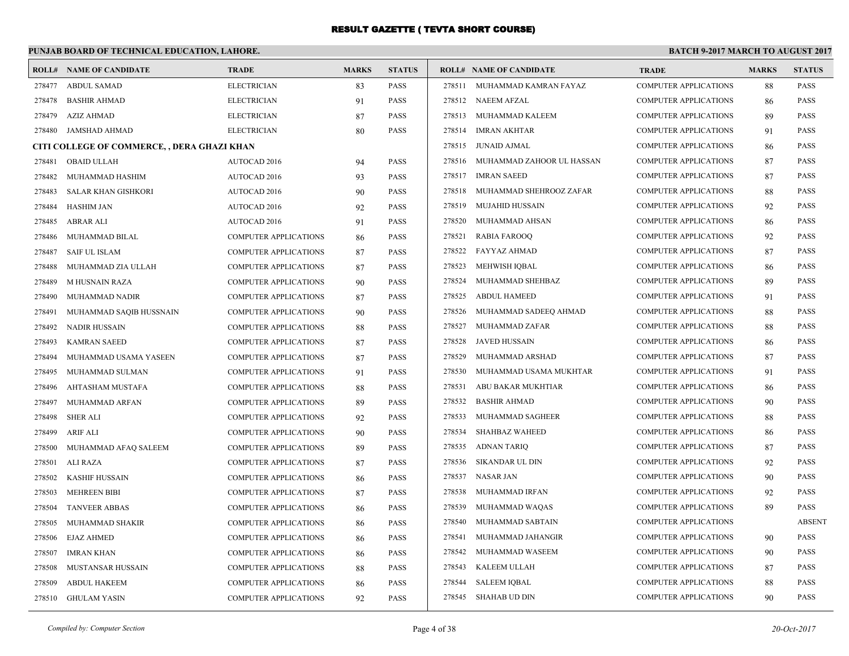#### **PUNJAB BOARD OF TECHNICAL EDUCATION, LAHORE. BATCH 9-2017 MARCH TO AUGUST 2017 ROLL# NAME OF CANDIDATE TRADE MARKS STATUS ROLL# NAME OF CANDIDATE TRADE MARKS STATUS** 278477 ABDUL SAMAD ELECTRICIAN 83 PASS 278478 BASHIR AHMAD ELECTRICIAN 91 PASS 278479 AZIZ AHMAD ELECTRICIAN 87 PASS 278480 JAMSHAD AHMAD ELECTRICIAN 80 PASS **CITI COLLEGE OF COMMERCE, , DERA GHAZI KHAN** 278481 OBAID ULLAH AUTOCAD 2016 94 PASS 278482 MUHAMMAD HASHIM AUTOCAD 2016 93 PASS 278483 SALAR KHAN GISHKORI AUTOCAD 2016 90 PASS 278484 HASHIM JAN AUTOCAD 2016 92 PASS 278485 ABRAR ALI AUTOCAD 2016 91 PASS 278486 MUHAMMAD BILAL COMPUTER APPLICATIONS 86 PASS 278487 SAIF UL ISLAM COMPUTER APPLICATIONS 87 PASS 278488 MUHAMMAD ZIA ULLAH COMPUTER APPLICATIONS 87 PASS 278489 M HUSNAIN RAZA COMPUTER APPLICATIONS 90 PASS 278490 MUHAMMAD NADIR COMPUTER APPLICATIONS 87 PASS 278491 MUHAMMAD SAQIB HUSSNAIN COMPUTER APPLICATIONS 90 PASS 278492 NADIR HUSSAIN COMPUTER APPLICATIONS 88 PASS 278493 KAMRAN SAEED COMPUTER APPLICATIONS 87 PASS 278494 MUHAMMAD USAMA YASEEN COMPUTER APPLICATIONS 87 PASS 278495 MUHAMMAD SULMAN COMPUTER APPLICATIONS 91 PASS 278496 AHTASHAM MUSTAFA COMPUTER APPLICATIONS 88 PASS 278497 MUHAMMAD ARFAN COMPUTER APPLICATIONS 89 PASS 278498 SHER ALI COMPUTER APPLICATIONS 92 PASS 278499 ARIF ALI COMPUTER APPLICATIONS 90 PASS 278500 MUHAMMAD AFAQ SALEEM COMPUTER APPLICATIONS 89 PASS 278501 ALI RAZA COMPUTER APPLICATIONS 87 PASS 278502 KASHIF HUSSAIN COMPUTER APPLICATIONS 86 PASS 278503 MEHREEN BIBI COMPUTER APPLICATIONS 87 PASS 278504 TANVEER ABBAS COMPUTER APPLICATIONS 86 PASS 278505 MUHAMMAD SHAKIR COMPUTER APPLICATIONS 86 PASS 278506 EJAZ AHMED COMPUTER APPLICATIONS 86 PASS 278507 IMRAN KHAN COMPUTER APPLICATIONS 86 PASS 278508 MUSTANSAR HUSSAIN COMPUTER APPLICATIONS 88 PASS 278509 ABDUL HAKEEM COMPUTER APPLICATIONS 86 PASS 278510 GHULAM YASIN COMPUTER APPLICATIONS 92 PASS 278511 MUHAMMAD KAMRAN FAYAZ COMPUTER APPLICATIONS 88 PASS 278512 NAEEM AFZAL COMPUTER APPLICATIONS 86 PASS 278513 MUHAMMAD KALEEM COMPUTER APPLICATIONS 89 PASS 278514 IMRAN AKHTAR COMPUTER APPLICATIONS 91 PASS 278515 JUNAID AJMAL COMPUTER APPLICATIONS 86 PASS 278516 MUHAMMAD ZAHOOR UL HASSAN COMPUTER APPLICATIONS 87 PASS 278517 IMRAN SAEED COMPUTER APPLICATIONS 87 PASS 278518 MUHAMMAD SHEHROOZ ZAFAR COMPUTER APPLICATIONS 88 PASS 278519 MUJAHID HUSSAIN COMPUTER APPLICATIONS 92 PASS 278520 MUHAMMAD AHSAN COMPUTER APPLICATIONS 86 PASS 278521 RABIA FAROOQ COMPUTER APPLICATIONS 92 PASS 278522 FAYYAZ AHMAD COMPUTER APPLICATIONS 87 PASS 278523 MEHWISH IQBAL COMPUTER APPLICATIONS 86 PASS 278524 MUHAMMAD SHEHBAZ COMPUTER APPLICATIONS 89 PASS 278525 ABDUL HAMEED COMPUTER APPLICATIONS 91 PASS 278526 MUHAMMAD SADEEQ AHMAD COMPUTER APPLICATIONS 88 PASS 278527 MUHAMMAD ZAFAR COMPUTER APPLICATIONS 88 PASS 278528 JAVED HUSSAIN COMPUTER APPLICATIONS 86 PASS 278529 MUHAMMAD ARSHAD COMPUTER APPLICATIONS 87 PASS 278530 MUHAMMAD USAMA MUKHTAR COMPUTER APPLICATIONS 91 PASS 278531 ABU BAKAR MUKHTIAR COMPUTER APPLICATIONS 86 PASS 278532 BASHIR AHMAD COMPUTER APPLICATIONS 90 PASS 278533 MUHAMMAD SAGHEER COMPUTER APPLICATIONS 88 PASS 278534 SHAHBAZ WAHEED COMPUTER APPLICATIONS 86 PASS 278535 ADNAN TARIQ COMPUTER APPLICATIONS 87 PASS 278536 SIKANDAR UL DIN COMPUTER APPLICATIONS 92 PASS 278537 NASAR JAN COMPUTER APPLICATIONS 90 PASS 278538 MUHAMMAD IRFAN COMPUTER APPLICATIONS 92 PASS 278539 MUHAMMAD WAQAS COMPUTER APPLICATIONS 89 PASS 278540 MUHAMMAD SABTAIN COMPUTER APPLICATIONS ABSENT 278541 MUHAMMAD JAHANGIR COMPUTER APPLICATIONS 90 PASS 278542 MUHAMMAD WASEEM COMPUTER APPLICATIONS 90 PASS 278543 KALEEM ULLAH COMPUTER APPLICATIONS 87 PASS 278544 SALEEM IQBAL COMPUTER APPLICATIONS 88 PASS 278545 SHAHAB UD DIN COMPUTER APPLICATIONS 90 PASS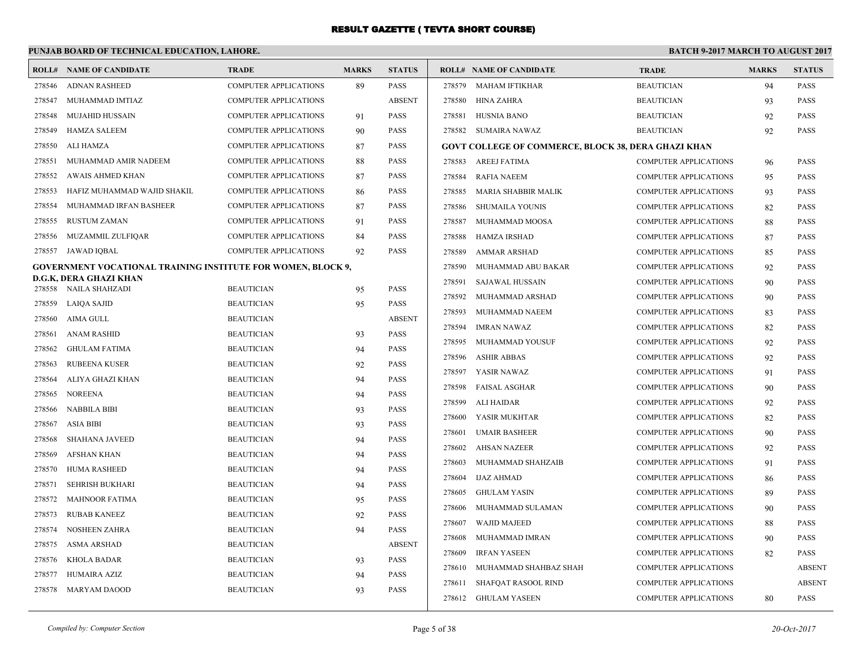#### **PUNJAB BOARD OF TECHNICAL EDUCATION, LAHORE. BATCH 9-2017 MARCH TO AUGUST 2017 ROLL# NAME OF CANDIDATE TRADE MARKS STATUS ROLL# NAME OF CANDIDATE TRADE MARKS STATUS** 278546 ADNAN RASHEED COMPUTER APPLICATIONS 89 PASS 278547 MUHAMMAD IMTIAZ COMPUTER APPLICATIONS ABSENT 278548 MUJAHID HUSSAIN COMPUTER APPLICATIONS 91 PASS 278549 HAMZA SALEEM COMPUTER APPLICATIONS 90 PASS 278550 ALI HAMZA COMPUTER APPLICATIONS 87 PASS 278551 MUHAMMAD AMIR NADEEM COMPUTER APPLICATIONS 88 PASS 278552 AWAIS AHMED KHAN COMPUTER APPLICATIONS 87 PASS 278553 HAFIZ MUHAMMAD WAJID SHAKIL COMPUTER APPLICATIONS 86 PASS 278554 MUHAMMAD IRFAN BASHEER COMPUTER APPLICATIONS 87 PASS 278555 RUSTUM ZAMAN COMPUTER APPLICATIONS 91 PASS 278556 MUZAMMIL ZULFIQAR COMPUTER APPLICATIONS 84 PASS 278557 JAWAD IQBAL COMPUTER APPLICATIONS 92 PASS **GOVERNMENT VOCATIONAL TRAINING INSTITUTE FOR WOMEN, BLOCK 9, D.G.K, DERA GHAZI KHAN** 278558 NAILA SHAHZADI BEAUTICIAN 95 PASS 278559 LAIQA SAJID BEAUTICIAN 95 PASS 278560 AIMA GULL BEAUTICIAN ABSENT 278561 ANAM RASHID BEAUTICIAN 93 PASS 278562 GHULAM FATIMA BEAUTICIAN 94 PASS 278563 RUBEENA KUSER BEAUTICIAN 92 PASS 278564 ALIYA GHAZI KHAN BEAUTICIAN 94 PASS 278565 NOREENA BEAUTICIAN 94 PASS 278566 NABBILA BIBI BEAUTICIAN 93 PASS 278567 ASIA BIBI BEAUTICIAN 93 PASS 278568 SHAHANA JAVEED BEAUTICIAN 94 PASS 278569 AFSHAN KHAN BEAUTICIAN 94 PASS 278570 HUMA RASHEED BEAUTICIAN 94 PASS 278571 SEHRISH BUKHARI BEAUTICIAN 94 PASS 278572 MAHNOOR FATIMA BEAUTICIAN 95 PASS 278573 RUBAB KANEEZ BEAUTICIAN 92 PASS 278574 NOSHEEN ZAHRA BEAUTICIAN 94 PASS 278575 ASMA ARSHAD BEAUTICIAN ABSENT 278576 KHOLA BADAR BEAUTICIAN 93 PASS 278577 HUMAIRA AZIZ BEAUTICIAN 94 PASS 278578 MARYAM DAOOD BEAUTICIAN 93 PASS 278579 MAHAM IFTIKHAR BEAUTICIAN 94 PASS 278580 HINA ZAHRA BEAUTICIAN 93 PASS 278581 HUSNIA BANO BEAUTICIAN 92 PASS 278582 SUMAIRA NAWAZ BEAUTICIAN 92 PASS **GOVT COLLEGE OF COMMERCE, BLOCK 38, DERA GHAZI KHAN** 278583 AREEJ FATIMA COMPUTER APPLICATIONS 96 PASS 278584 RAFIA NAEEM COMPUTER APPLICATIONS 95 PASS 278585 MARIA SHABBIR MALIK COMPUTER APPLICATIONS 93 PASS 278586 SHUMAILA YOUNIS COMPUTER APPLICATIONS 82 PASS 278587 MUHAMMAD MOOSA COMPUTER APPLICATIONS 88 PASS 278588 HAMZA IRSHAD COMPUTER APPLICATIONS 87 PASS 278589 AMMAR ARSHAD COMPUTER APPLICATIONS 85 PASS 278590 MUHAMMAD ABU BAKAR COMPUTER APPLICATIONS 92 PASS 278591 SAJAWAL HUSSAIN COMPUTER APPLICATIONS 90 PASS 278592 MUHAMMAD ARSHAD COMPUTER APPLICATIONS 90 PASS 278593 MUHAMMAD NAEEM COMPUTER APPLICATIONS 83 PASS 278594 IMRAN NAWAZ COMPUTER APPLICATIONS 82 PASS 278595 MUHAMMAD YOUSUF COMPUTER APPLICATIONS 92 PASS 278596 ASHIR ABBAS COMPUTER APPLICATIONS 92 PASS 278597 YASIR NAWAZ COMPUTER APPLICATIONS 91 PASS 278598 FAISAL ASGHAR COMPUTER APPLICATIONS 90 PASS 278599 ALI HAIDAR COMPUTER APPLICATIONS 92 PASS 278600 YASIR MUKHTAR COMPUTER APPLICATIONS 82 PASS 278601 UMAIR BASHEER COMPUTER APPLICATIONS 90 PASS 278602 AHSAN NAZEER COMPUTER APPLICATIONS 92 PASS 278603 MUHAMMAD SHAHZAIB COMPUTER APPLICATIONS 91 PASS 278604 IJAZ AHMAD COMPUTER APPLICATIONS 86 PASS 278605 GHULAM YASIN COMPUTER APPLICATIONS 89 PASS 278606 MUHAMMAD SULAMAN COMPUTER APPLICATIONS 90 PASS 278607 WAJID MAJEED COMPUTER APPLICATIONS 88 PASS 278608 MUHAMMAD IMRAN COMPUTER APPLICATIONS 90 PASS 278609 IRFAN YASEEN COMPUTER APPLICATIONS 82 PASS 278610 MUHAMMAD SHAHBAZ SHAH COMPUTER APPLICATIONS ABSENT 278611 SHAFQAT RASOOL RIND COMPUTER APPLICATIONS ABSENT 278612 GHULAM YASEEN COMPUTER APPLICATIONS 80 PASS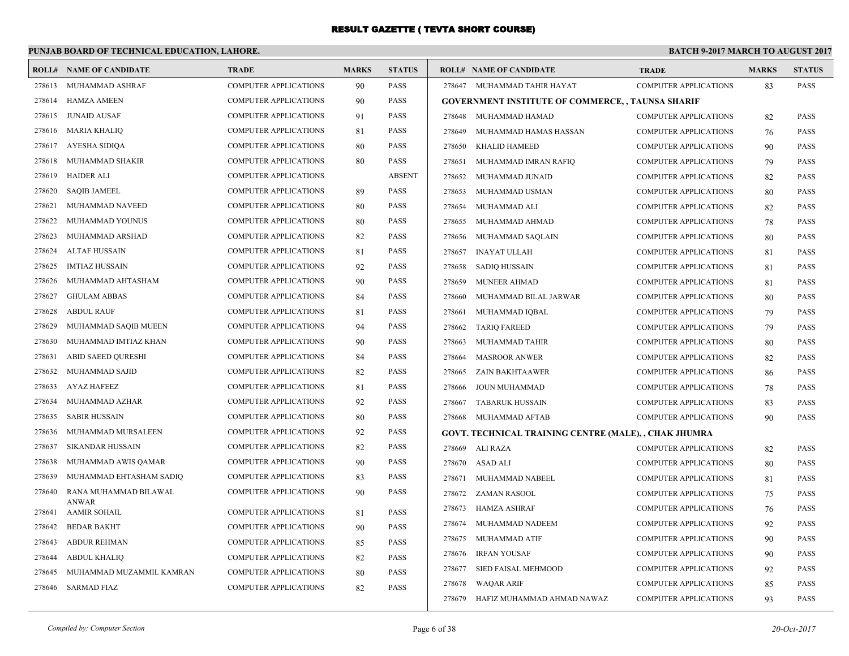## **PUNJAB BOARD OF TECHNICAL EDUCATION, LAHORE.**

#### **BATCH 9-2017 MARCH TO AUGUST 2017**

|        | <b>ROLL# NAME OF CANDIDATE</b>      | <b>TRADE</b>                 | <b>MARKS</b> | <b>STATUS</b> |        | <b>ROLL# NAME OF CANDIDATE</b>                               | <b>TRADE</b>                 | <b>MARKS</b> | <b>STATUS</b> |
|--------|-------------------------------------|------------------------------|--------------|---------------|--------|--------------------------------------------------------------|------------------------------|--------------|---------------|
| 278613 | MUHAMMAD ASHRAF                     | <b>COMPUTER APPLICATIONS</b> | 90           | <b>PASS</b>   |        | 278647 MUHAMMAD TAHIR HAYAT                                  | <b>COMPUTER APPLICATIONS</b> | 83           | <b>PASS</b>   |
| 278614 | <b>HAMZA AMEEN</b>                  | <b>COMPUTER APPLICATIONS</b> | 90           | PASS          |        | <b>GOVERNMENT INSTITUTE OF COMMERCE, , TAUNSA SHARIF</b>     |                              |              |               |
| 278615 | <b>JUNAID AUSAF</b>                 | <b>COMPUTER APPLICATIONS</b> | 91           | <b>PASS</b>   | 278648 | MUHAMMAD HAMAD                                               | <b>COMPUTER APPLICATIONS</b> | 82           | <b>PASS</b>   |
| 278616 | <b>MARIA KHALIQ</b>                 | <b>COMPUTER APPLICATIONS</b> | 81           | PASS          | 278649 | MUHAMMAD HAMAS HASSAN                                        | <b>COMPUTER APPLICATIONS</b> | 76           | <b>PASS</b>   |
| 278617 | <b>AYESHA SIDIOA</b>                | <b>COMPUTER APPLICATIONS</b> | 80           | <b>PASS</b>   | 278650 | <b>KHALID HAMEED</b>                                         | <b>COMPUTER APPLICATIONS</b> | 90           | <b>PASS</b>   |
| 278618 | MUHAMMAD SHAKIR                     | <b>COMPUTER APPLICATIONS</b> | 80           | <b>PASS</b>   | 278651 | MUHAMMAD IMRAN RAFIQ                                         | <b>COMPUTER APPLICATIONS</b> | 79           | PASS          |
| 278619 | <b>HAIDER ALI</b>                   | <b>COMPUTER APPLICATIONS</b> |              | <b>ABSENT</b> | 278652 | MUHAMMAD JUNAID                                              | <b>COMPUTER APPLICATIONS</b> | 82           | <b>PASS</b>   |
| 278620 | <b>SAQIB JAMEEL</b>                 | <b>COMPUTER APPLICATIONS</b> | 89           | <b>PASS</b>   | 278653 | MUHAMMAD USMAN                                               | COMPUTER APPLICATIONS        | 80           | <b>PASS</b>   |
| 278621 | MUHAMMAD NAVEED                     | <b>COMPUTER APPLICATIONS</b> | 80           | <b>PASS</b>   | 278654 | MUHAMMAD ALI                                                 | <b>COMPUTER APPLICATIONS</b> | 82           | <b>PASS</b>   |
| 278622 | MUHAMMAD YOUNUS                     | COMPUTER APPLICATIONS        | 80           | PASS          | 278655 | MUHAMMAD AHMAD                                               | <b>COMPUTER APPLICATIONS</b> | 78           | <b>PASS</b>   |
| 278623 | MUHAMMAD ARSHAD                     | COMPUTER APPLICATIONS        | 82           | <b>PASS</b>   | 278656 | MUHAMMAD SAQLAIN                                             | <b>COMPUTER APPLICATIONS</b> | 80           | <b>PASS</b>   |
| 278624 | <b>ALTAF HUSSAIN</b>                | <b>COMPUTER APPLICATIONS</b> | 81           | <b>PASS</b>   | 278657 | <b>INAYAT ULLAH</b>                                          | <b>COMPUTER APPLICATIONS</b> | 81           | PASS          |
| 278625 | <b>IMTIAZ HUSSAIN</b>               | <b>COMPUTER APPLICATIONS</b> | 92           | PASS          | 278658 | <b>SADIQ HUSSAIN</b>                                         | <b>COMPUTER APPLICATIONS</b> | 81           | <b>PASS</b>   |
| 278626 | MUHAMMAD AHTASHAM                   | COMPUTER APPLICATIONS        | 90           | <b>PASS</b>   | 278659 | <b>MUNEER AHMAD</b>                                          | <b>COMPUTER APPLICATIONS</b> | 81           | <b>PASS</b>   |
| 278627 | <b>GHULAM ABBAS</b>                 | <b>COMPUTER APPLICATIONS</b> | 84           | <b>PASS</b>   | 278660 | MUHAMMAD BILAL JARWAR                                        | <b>COMPUTER APPLICATIONS</b> | 80           | <b>PASS</b>   |
| 278628 | <b>ABDUL RAUF</b>                   | <b>COMPUTER APPLICATIONS</b> | 81           | <b>PASS</b>   | 278661 | MUHAMMAD IQBAL                                               | <b>COMPUTER APPLICATIONS</b> | 79           | <b>PASS</b>   |
| 278629 | MUHAMMAD SAQIB MUEEN                | COMPUTER APPLICATIONS        | 94           | <b>PASS</b>   | 278662 | <b>TARIQ FAREED</b>                                          | <b>COMPUTER APPLICATIONS</b> | 79           | <b>PASS</b>   |
| 278630 | MUHAMMAD IMTIAZ KHAN                | <b>COMPUTER APPLICATIONS</b> | 90           | <b>PASS</b>   | 278663 | MUHAMMAD TAHIR                                               | <b>COMPUTER APPLICATIONS</b> | 80           | <b>PASS</b>   |
| 278631 | <b>ABID SAEED QURESHI</b>           | COMPUTER APPLICATIONS        | 84           | <b>PASS</b>   | 278664 | <b>MASROOR ANWER</b>                                         | <b>COMPUTER APPLICATIONS</b> | 82           | <b>PASS</b>   |
| 278632 | MUHAMMAD SAJID                      | <b>COMPUTER APPLICATIONS</b> | 82           | <b>PASS</b>   | 278665 | ZAIN BAKHTAAWER                                              | <b>COMPUTER APPLICATIONS</b> | 86           | <b>PASS</b>   |
| 278633 | <b>AYAZ HAFEEZ</b>                  | <b>COMPUTER APPLICATIONS</b> | 81           | <b>PASS</b>   | 278666 | JOUN MUHAMMAD                                                | <b>COMPUTER APPLICATIONS</b> | 78           | <b>PASS</b>   |
| 278634 | MUHAMMAD AZHAR                      | <b>COMPUTER APPLICATIONS</b> | 92           | PASS          | 278667 | <b>TABARUK HUSSAIN</b>                                       | <b>COMPUTER APPLICATIONS</b> | 83           | <b>PASS</b>   |
| 278635 | <b>SABIR HUSSAIN</b>                | <b>COMPUTER APPLICATIONS</b> | 80           | PASS          | 278668 | MUHAMMAD AFTAB                                               | <b>COMPUTER APPLICATIONS</b> | 90           | <b>PASS</b>   |
| 278636 | MUHAMMAD MURSALEEN                  | <b>COMPUTER APPLICATIONS</b> | 92           | <b>PASS</b>   |        | <b>GOVT. TECHNICAL TRAINING CENTRE (MALE), , CHAK JHUMRA</b> |                              |              |               |
| 278637 | <b>SIKANDAR HUSSAIN</b>             | COMPUTER APPLICATIONS        | 82           | <b>PASS</b>   |        | 278669 ALI RAZA                                              | COMPUTER APPLICATIONS        | 82           | <b>PASS</b>   |
| 278638 | MUHAMMAD AWIS QAMAR                 | COMPUTER APPLICATIONS        | 90           | <b>PASS</b>   |        | 278670 ASAD ALI                                              | <b>COMPUTER APPLICATIONS</b> | 80           | <b>PASS</b>   |
| 278639 | MUHAMMAD EHTASHAM SADIQ             | <b>COMPUTER APPLICATIONS</b> | 83           | <b>PASS</b>   | 278671 | MUHAMMAD NABEEL                                              | <b>COMPUTER APPLICATIONS</b> | 81           | <b>PASS</b>   |
| 278640 | RANA MUHAMMAD BILAWAL               | COMPUTER APPLICATIONS        | 90           | <b>PASS</b>   | 278672 | <b>ZAMAN RASOOL</b>                                          | <b>COMPUTER APPLICATIONS</b> | 75           | <b>PASS</b>   |
| 278641 | <b>ANWAR</b><br><b>AAMIR SOHAIL</b> | <b>COMPUTER APPLICATIONS</b> | 81           | <b>PASS</b>   | 278673 | <b>HAMZA ASHRAF</b>                                          | <b>COMPUTER APPLICATIONS</b> | 76           | <b>PASS</b>   |
| 278642 | <b>BEDAR BAKHT</b>                  | <b>COMPUTER APPLICATIONS</b> | 90           | <b>PASS</b>   | 278674 | MUHAMMAD NADEEM                                              | <b>COMPUTER APPLICATIONS</b> | 92           | <b>PASS</b>   |
| 278643 | <b>ABDUR REHMAN</b>                 | <b>COMPUTER APPLICATIONS</b> | 85           | <b>PASS</b>   | 278675 | MUHAMMAD ATIF                                                | <b>COMPUTER APPLICATIONS</b> | 90           | <b>PASS</b>   |
| 278644 | <b>ABDUL KHALIQ</b>                 | <b>COMPUTER APPLICATIONS</b> | 82           | <b>PASS</b>   | 278676 | IRFAN YOUSAF                                                 | <b>COMPUTER APPLICATIONS</b> | 90           | <b>PASS</b>   |
| 278645 | MUHAMMAD MUZAMMIL KAMRAN            | <b>COMPUTER APPLICATIONS</b> | 80           | PASS          | 278677 | SIED FAISAL MEHMOOD                                          | COMPUTER APPLICATIONS        | 92           | <b>PASS</b>   |
| 278646 | <b>SARMAD FIAZ</b>                  | <b>COMPUTER APPLICATIONS</b> | 82           | <b>PASS</b>   | 278678 | <b>WAQAR ARIF</b>                                            | <b>COMPUTER APPLICATIONS</b> | 85           | <b>PASS</b>   |
|        |                                     |                              |              |               | 278679 | HAFIZ MUHAMMAD AHMAD NAWAZ                                   | <b>COMPUTER APPLICATIONS</b> | 93           | <b>PASS</b>   |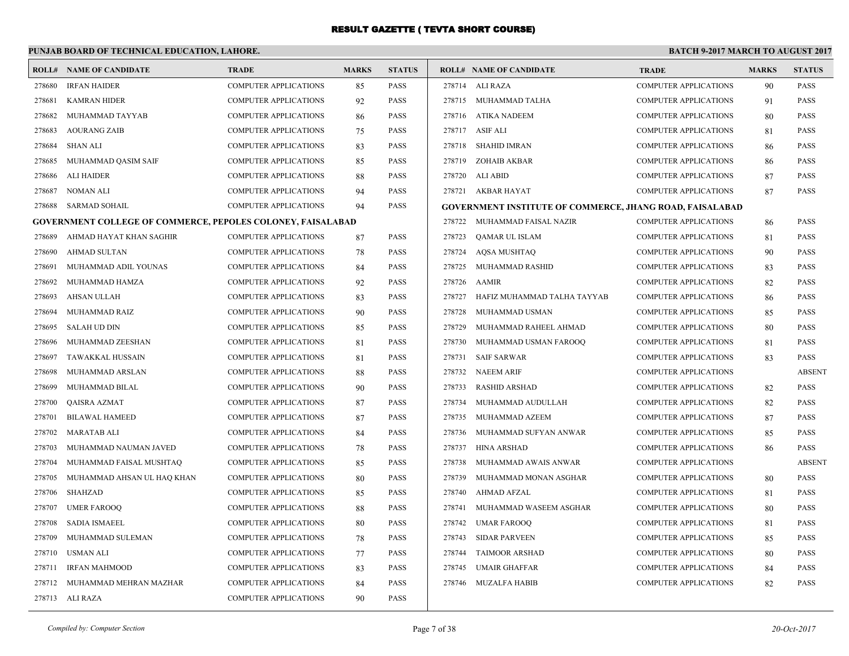## **PUNJAB BOARD OF TECHNICAL EDUCATION, LAHORE.**

|        | <b>ROLL# NAME OF CANDIDATE</b>                                     | <b>TRADE</b>                 | <b>MARKS</b> | <b>STATUS</b> |        | <b>ROLL# NAME OF CANDIDATE</b>                                  | <b>TRADE</b>                 | <b>MARKS</b> | <b>STATUS</b> |
|--------|--------------------------------------------------------------------|------------------------------|--------------|---------------|--------|-----------------------------------------------------------------|------------------------------|--------------|---------------|
| 278680 | <b>IRFAN HAIDER</b>                                                | COMPUTER APPLICATIONS        | 85           | <b>PASS</b>   |        | 278714 ALI RAZA                                                 | COMPUTER APPLICATIONS        | 90           | PASS          |
| 278681 | <b>KAMRAN HIDER</b>                                                | COMPUTER APPLICATIONS        | 92           | <b>PASS</b>   |        | 278715 MUHAMMAD TALHA                                           | <b>COMPUTER APPLICATIONS</b> | 91           | PASS          |
| 278682 | MUHAMMAD TAYYAB                                                    | <b>COMPUTER APPLICATIONS</b> | 86           | <b>PASS</b>   |        | 278716 ATIKA NADEEM                                             | <b>COMPUTER APPLICATIONS</b> | 80           | PASS          |
| 278683 | <b>AOURANG ZAIB</b>                                                | COMPUTER APPLICATIONS        | 75           | <b>PASS</b>   |        | 278717 ASIF ALI                                                 | <b>COMPUTER APPLICATIONS</b> | 81           | PASS          |
| 278684 | <b>SHAN ALI</b>                                                    | COMPUTER APPLICATIONS        | 83           | <b>PASS</b>   | 278718 | <b>SHAHID IMRAN</b>                                             | <b>COMPUTER APPLICATIONS</b> | 86           | PASS          |
| 278685 | MUHAMMAD QASIM SAIF                                                | COMPUTER APPLICATIONS        | 85           | <b>PASS</b>   | 278719 | ZOHAIB AKBAR                                                    | COMPUTER APPLICATIONS        | 86           | PASS          |
| 278686 | ALI HAIDER                                                         | COMPUTER APPLICATIONS        | 88           | <b>PASS</b>   | 278720 | ALI ABID                                                        | <b>COMPUTER APPLICATIONS</b> | 87           | PASS          |
| 278687 | <b>NOMAN ALI</b>                                                   | <b>COMPUTER APPLICATIONS</b> | 94           | <b>PASS</b>   |        | 278721 AKBAR HAYAT                                              | <b>COMPUTER APPLICATIONS</b> | 87           | PASS          |
| 278688 | SARMAD SOHAIL                                                      | <b>COMPUTER APPLICATIONS</b> | 94           | <b>PASS</b>   |        | <b>GOVERNMENT INSTITUTE OF COMMERCE, JHANG ROAD, FAISALABAD</b> |                              |              |               |
|        | <b>GOVERNMENT COLLEGE OF COMMERCE, PEPOLES COLONEY, FAISALABAD</b> |                              |              |               | 278722 | MUHAMMAD FAISAL NAZIR                                           | <b>COMPUTER APPLICATIONS</b> | 86           | <b>PASS</b>   |
| 278689 | AHMAD HAYAT KHAN SAGHIR                                            | <b>COMPUTER APPLICATIONS</b> | 87           | <b>PASS</b>   | 278723 | <b>OAMAR UL ISLAM</b>                                           | <b>COMPUTER APPLICATIONS</b> | 81           | PASS          |
| 278690 | <b>AHMAD SULTAN</b>                                                | <b>COMPUTER APPLICATIONS</b> | 78           | <b>PASS</b>   | 278724 | <b>AQSA MUSHTAQ</b>                                             | <b>COMPUTER APPLICATIONS</b> | 90           | PASS          |
| 278691 | MUHAMMAD ADIL YOUNAS                                               | <b>COMPUTER APPLICATIONS</b> | 84           | <b>PASS</b>   | 278725 | MUHAMMAD RASHID                                                 | <b>COMPUTER APPLICATIONS</b> | 83           | PASS          |
| 278692 | MUHAMMAD HAMZA                                                     | <b>COMPUTER APPLICATIONS</b> | 92           | <b>PASS</b>   | 278726 | <b>AAMIR</b>                                                    | <b>COMPUTER APPLICATIONS</b> | 82           | PASS          |
| 278693 | <b>AHSAN ULLAH</b>                                                 | COMPUTER APPLICATIONS        | 83           | <b>PASS</b>   | 278727 | HAFIZ MUHAMMAD TALHA TAYYAB                                     | COMPUTER APPLICATIONS        | 86           | PASS          |
| 278694 | MUHAMMAD RAIZ                                                      | <b>COMPUTER APPLICATIONS</b> | 90           | <b>PASS</b>   | 278728 | MUHAMMAD USMAN                                                  | <b>COMPUTER APPLICATIONS</b> | 85           | PASS          |
| 278695 | <b>SALAH UD DIN</b>                                                | <b>COMPUTER APPLICATIONS</b> | 85           | <b>PASS</b>   | 278729 | MUHAMMAD RAHEEL AHMAD                                           | <b>COMPUTER APPLICATIONS</b> | 80           | PASS          |
| 278696 | MUHAMMAD ZEESHAN                                                   | <b>COMPUTER APPLICATIONS</b> | 81           | <b>PASS</b>   | 278730 | MUHAMMAD USMAN FAROOQ                                           | <b>COMPUTER APPLICATIONS</b> | 81           | PASS          |
| 278697 | <b>TAWAKKAL HUSSAIN</b>                                            | <b>COMPUTER APPLICATIONS</b> | 81           | <b>PASS</b>   | 278731 | <b>SAIF SARWAR</b>                                              | COMPUTER APPLICATIONS        | 83           | <b>PASS</b>   |
| 278698 | MUHAMMAD ARSLAN                                                    | COMPUTER APPLICATIONS        | 88           | <b>PASS</b>   |        | 278732 NAEEM ARIF                                               | <b>COMPUTER APPLICATIONS</b> |              | <b>ABSENT</b> |
| 278699 | MUHAMMAD BILAL                                                     | COMPUTER APPLICATIONS        | 90           | <b>PASS</b>   | 278733 | <b>RASHID ARSHAD</b>                                            | COMPUTER APPLICATIONS        | 82           | PASS          |
| 278700 | <b>QAISRA AZMAT</b>                                                | <b>COMPUTER APPLICATIONS</b> | 87           | <b>PASS</b>   | 278734 | MUHAMMAD AUDULLAH                                               | <b>COMPUTER APPLICATIONS</b> | 82           | PASS          |
| 278701 | <b>BILAWAL HAMEED</b>                                              | COMPUTER APPLICATIONS        | 87           | <b>PASS</b>   | 278735 | MUHAMMAD AZEEM                                                  | <b>COMPUTER APPLICATIONS</b> | 87           | PASS          |
| 278702 | <b>MARATAB ALI</b>                                                 | COMPUTER APPLICATIONS        | 84           | <b>PASS</b>   | 278736 | MUHAMMAD SUFYAN ANWAR                                           | <b>COMPUTER APPLICATIONS</b> | 85           | PASS          |
| 278703 | MUHAMMAD NAUMAN JAVED                                              | <b>COMPUTER APPLICATIONS</b> | 78           | <b>PASS</b>   | 278737 | <b>HINA ARSHAD</b>                                              | <b>COMPUTER APPLICATIONS</b> | 86           | PASS          |
| 278704 | MUHAMMAD FAISAL MUSHTAQ                                            | COMPUTER APPLICATIONS        | 85           | <b>PASS</b>   | 278738 | MUHAMMAD AWAIS ANWAR                                            | <b>COMPUTER APPLICATIONS</b> |              | <b>ABSENT</b> |
| 278705 | MUHAMMAD AHSAN UL HAQ KHAN                                         | COMPUTER APPLICATIONS        | 80           | <b>PASS</b>   | 278739 | MUHAMMAD MONAN ASGHAR                                           | <b>COMPUTER APPLICATIONS</b> | 80           | PASS          |
| 278706 | <b>SHAHZAD</b>                                                     | COMPUTER APPLICATIONS        | 85           | <b>PASS</b>   | 278740 | AHMAD AFZAL                                                     | <b>COMPUTER APPLICATIONS</b> | 81           | PASS          |
| 278707 | <b>UMER FAROOQ</b>                                                 | COMPUTER APPLICATIONS        | 88           | <b>PASS</b>   | 278741 | MUHAMMAD WASEEM ASGHAR                                          | <b>COMPUTER APPLICATIONS</b> | 80           | PASS          |
| 278708 | <b>SADIA ISMAEEL</b>                                               | <b>COMPUTER APPLICATIONS</b> | 80           | <b>PASS</b>   | 278742 | <b>UMAR FAROOO</b>                                              | <b>COMPUTER APPLICATIONS</b> | 81           | PASS          |
| 278709 | MUHAMMAD SULEMAN                                                   | COMPUTER APPLICATIONS        | 78           | <b>PASS</b>   | 278743 | <b>SIDAR PARVEEN</b>                                            | <b>COMPUTER APPLICATIONS</b> | 85           | PASS          |
| 278710 | <b>USMAN ALI</b>                                                   | <b>COMPUTER APPLICATIONS</b> | 77           | <b>PASS</b>   | 278744 | <b>TAIMOOR ARSHAD</b>                                           | <b>COMPUTER APPLICATIONS</b> | 80           | PASS          |
| 278711 | IRFAN MAHMOOD                                                      | COMPUTER APPLICATIONS        | 83           | <b>PASS</b>   | 278745 | <b>UMAIR GHAFFAR</b>                                            | <b>COMPUTER APPLICATIONS</b> | 84           | PASS          |
| 278712 | MUHAMMAD MEHRAN MAZHAR                                             | <b>COMPUTER APPLICATIONS</b> | 84           | <b>PASS</b>   | 278746 | <b>MUZALFA HABIB</b>                                            | <b>COMPUTER APPLICATIONS</b> | 82           | PASS          |
|        | 278713 ALI RAZA                                                    | COMPUTER APPLICATIONS        | 90           | <b>PASS</b>   |        |                                                                 |                              |              |               |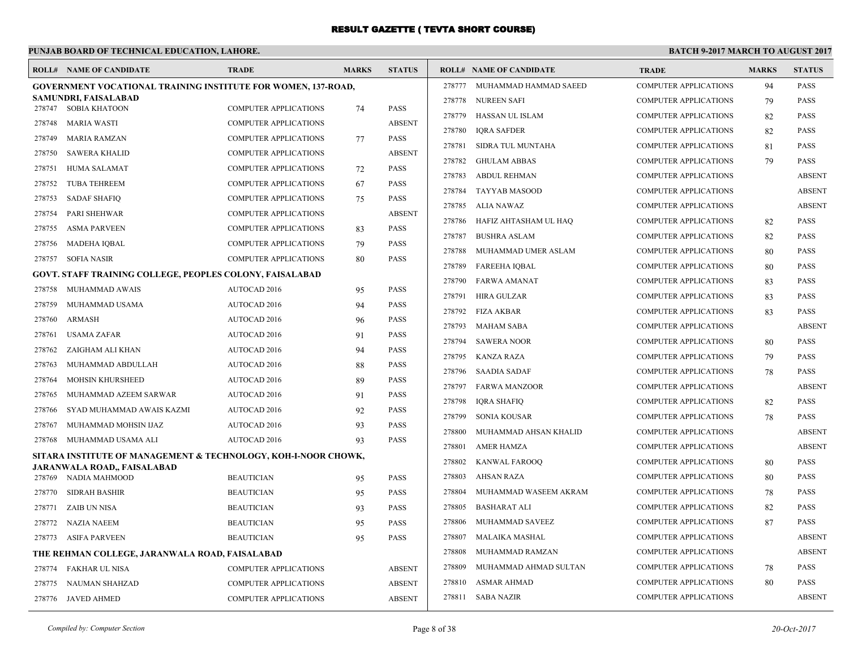#### **PUNJAB BOARD OF TECHNICAL EDUCATION, LAHORE. BATCH 9-2017 MARCH TO AUGUST 2017 ROLL# NAME OF CANDIDATE TRADE MARKS STATUS ROLL# NAME OF CANDIDATE TRADE MARKS STATUS GOVERNMENT VOCATIONAL TRAINING INSTITUTE FOR WOMEN, 137-ROAD, SAMUNDRI, FAISALABAD** 278747 SOBIA KHATOON COMPUTER APPLICATIONS 74 PASS 278748 MARIA WASTI COMPUTER APPLICATIONS ABSENT 278749 MARIA RAMZAN COMPUTER APPLICATIONS 77 PASS 278750 SAWERA KHALID COMPUTER APPLICATIONS ABSENT 278751 HUMA SALAMAT COMPUTER APPLICATIONS 72 PASS 278752 TUBA TEHREEM COMPUTER APPLICATIONS 67 PASS 278753 SADAF SHAFIQ COMPUTER APPLICATIONS 75 PASS 278754 PARI SHEHWAR COMPUTER APPLICATIONS ABSENT 278755 ASMA PARVEEN COMPUTER APPLICATIONS 83 PASS 278756 MADEHA IQBAL COMPUTER APPLICATIONS 79 PASS 278757 SOFIA NASIR COMPUTER APPLICATIONS 80 PASS **GOVT. STAFF TRAINING COLLEGE, PEOPLES COLONY, FAISALABAD** 278758 MUHAMMAD AWAIS AUTOCAD 2016 95 PASS 278759 MUHAMMAD USAMA AUTOCAD 2016 94 PASS 278760 ARMASH AUTOCAD 2016 96 PASS 278761 USAMA ZAFAR AUTOCAD 2016 91 PASS 278762 ZAIGHAM ALI KHAN AUTOCAD 2016 94 PASS 278763 MUHAMMAD ABDULLAH AUTOCAD 2016 88 PASS 278764 MOHSIN KHURSHEED AUTOCAD 2016 89 PASS 278765 MUHAMMAD AZEEM SARWAR AUTOCAD 2016 91 PASS 278766 SYAD MUHAMMAD AWAIS KAZMI AUTOCAD 2016 92 PASS 278767 MUHAMMAD MOHSIN IJAZ AUTOCAD 2016 93 PASS 278768 MUHAMMAD USAMA ALI AUTOCAD 2016 93 PASS **SITARA INSTITUTE OF MANAGEMENT & TECHNOLOGY, KOH-I-NOOR CHOWK, JARANWALA ROAD,, FAISALABAD** 278769 NADIA MAHMOOD BEAUTICIAN 95 PASS 278770 SIDRAH BASHIR BEAUTICIAN 95 PASS 278771 ZAIB UN NISA BEAUTICIAN 93 PASS 278772 NAZIA NAEEM BEAUTICIAN 95 PASS 278773 ASIFA PARVEEN BEAUTICIAN 95 PASS **THE REHMAN COLLEGE, JARANWALA ROAD, FAISALABAD** 278774 FAKHAR UL NISA COMPUTER APPLICATIONS ABSENT 278775 NAUMAN SHAHZAD COMPUTER APPLICATIONS ABSENT 278776 JAVED AHMED COMPUTER APPLICATIONS ABSENT 278777 MUHAMMAD HAMMAD SAEED COMPUTER APPLICATIONS 94 PASS 278778 NUREEN SAFI COMPUTER APPLICATIONS 79 PASS 278779 HASSAN UL ISLAM COMPUTER APPLICATIONS 82 PASS 278780 IQRA SAFDER COMPUTER APPLICATIONS 82 PASS 278781 SIDRA TUL MUNTAHA COMPUTER APPLICATIONS 81 PASS 278782 GHULAM ABBAS COMPUTER APPLICATIONS 79 PASS 278783 ABDUL REHMAN COMPUTER APPLICATIONS ABSENT 278784 TAYYAB MASOOD COMPUTER APPLICATIONS ABSENT 278785 ALIA NAWAZ COMPUTER APPLICATIONS ABSENT 278786 HAFIZ AHTASHAM UL HAQ COMPUTER APPLICATIONS 82 PASS 278787 BUSHRA ASLAM COMPUTER APPLICATIONS 82 PASS 278788 MUHAMMAD UMER ASLAM COMPUTER APPLICATIONS 80 PASS 278789 FAREEHA IQBAL COMPUTER APPLICATIONS 80 PASS 278790 FARWA AMANAT COMPUTER APPLICATIONS 83 PASS 278791 HIRA GULZAR COMPUTER APPLICATIONS 83 PASS 278792 FIZA AKBAR COMPUTER APPLICATIONS 83 PASS 278793 MAHAM SABA COMPUTER APPLICATIONS ABSENT 278794 SAWERA NOOR COMPUTER APPLICATIONS 80 PASS 278795 KANZA RAZA COMPUTER APPLICATIONS 79 PASS 278796 SAADIA SADAF COMPUTER APPLICATIONS 78 PASS 278797 FARWA MANZOOR COMPUTER APPLICATIONS ABSENT 278798 IQRA SHAFIQ COMPUTER APPLICATIONS 82 PASS 278799 SONIA KOUSAR COMPUTER APPLICATIONS 78 PASS 278800 MUHAMMAD AHSAN KHALID COMPUTER APPLICATIONS ABSENT 278801 AMER HAMZA COMPUTER APPLICATIONS ABSENT 278802 KANWAL FAROOQ COMPUTER APPLICATIONS 80 PASS 278803 AHSAN RAZA COMPUTER APPLICATIONS 80 PASS 278804 MUHAMMAD WASEEM AKRAM COMPUTER APPLICATIONS 78 PASS 278805 BASHARAT ALI COMPUTER APPLICATIONS 82 PASS 278806 MUHAMMAD SAVEEZ COMPUTER APPLICATIONS 87 PASS 278807 MALAIKA MASHAL COMPUTER APPLICATIONS ABSENT 278808 MUHAMMAD RAMZAN COMPUTER APPLICATIONS ABSENT 278809 MUHAMMAD AHMAD SULTAN COMPUTER APPLICATIONS 78 PASS 278810 ASMAR AHMAD COMPUTER APPLICATIONS 80 PASS 278811 SABA NAZIR COMPUTER APPLICATIONS ABSENT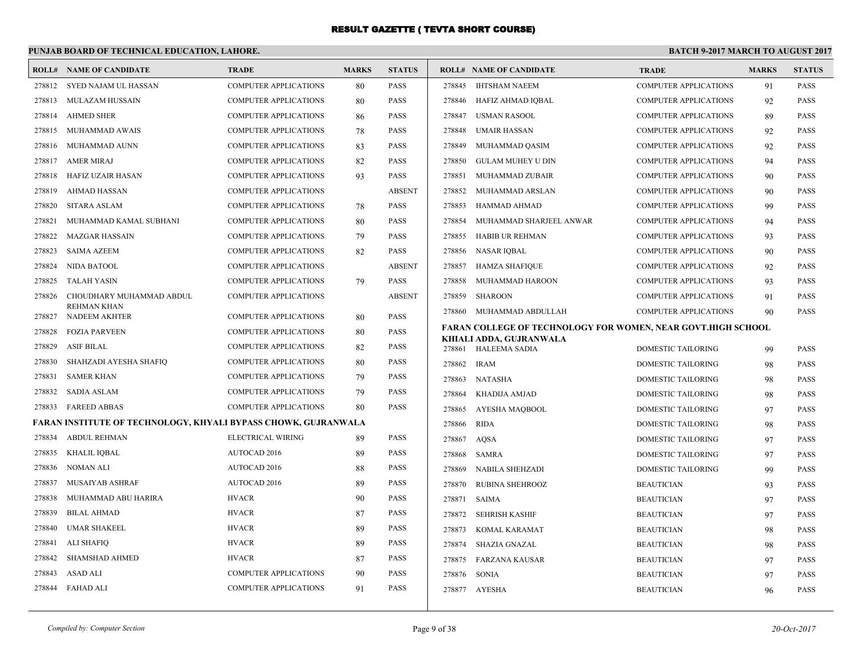#### **PUNJAB BOARD OF TECHNICAL EDUCATION, LAHORE. BATCH 9-2017 MARCH TO AUGUST 2017 ROLL# NAME OF CANDIDATE TRADE MARKS STATUS ROLL# NAME OF CANDIDATE TRADE MARKS STATUS** 278812 SYED NAJAM UL HASSAN COMPUTER APPLICATIONS 80 PASS 278813 MULAZAM HUSSAIN COMPUTER APPLICATIONS 80 PASS 278814 AHMED SHER COMPUTER APPLICATIONS 86 PASS 278815 MUHAMMAD AWAIS COMPUTER APPLICATIONS 78 PASS 278816 MUHAMMAD AUNN COMPUTER APPLICATIONS 83 PASS 278817 AMER MIRAJ COMPUTER APPLICATIONS 82 PASS 278818 HAFIZ UZAIR HASAN COMPUTER APPLICATIONS 93 PASS 278819 AHMAD HASSAN COMPUTER APPLICATIONS ABSENT 278820 SITARA ASLAM COMPUTER APPLICATIONS 78 PASS 278821 MUHAMMAD KAMAL SUBHANI COMPUTER APPLICATIONS 80 PASS 278822 MAZGAR HASSAIN COMPUTER APPLICATIONS 79 PASS 278823 SAIMA AZEEM COMPUTER APPLICATIONS 82 PASS 278824 NIDA BATOOL COMPUTER APPLICATIONS ABSENT 278825 TALAH YASIN COMPUTER APPLICATIONS 79 PASS CHOUDHARY MUHAMMAD ABDUL COMPUTER APPLICATIONS ABSENT REHMAN KHAN 278826 278827 NADEEM AKHTER COMPUTER APPLICATIONS 80 PASS 278828 FOZIA PARVEEN COMPUTER APPLICATIONS 80 PASS 278829 ASIF BILAL COMPUTER APPLICATIONS 82 PASS 278830 SHAHZADI AYESHA SHAFIQ COMPUTER APPLICATIONS 80 PASS 278831 SAMER KHAN COMPUTER APPLICATIONS 79 PASS 278832 SADIA ASLAM COMPUTER APPLICATIONS 79 PASS 278833 FAREED ABBAS COMPUTER APPLICATIONS 80 PASS **FARAN INSTITUTE OF TECHNOLOGY, KHYALI BYPASS CHOWK, GUJRANWALA** 278834 ABDUL REHMAN ELECTRICAL WIRING 89 PASS 278835 KHALIL IQBAL AUTOCAD 2016 89 PASS 278836 NOMAN ALI AUTOCAD 2016 88 PASS 278837 MUSAIYAB ASHRAF AUTOCAD 2016 89 PASS 278838 MUHAMMAD ABU HARIRA HVACR 90 PASS 278839 BILAL AHMAD HVACR 87 PASS 278840 UMAR SHAKEEL BEEN BY ACRES HYACR SO BASS 278841 ALI SHAFIQ HVACR 89 PASS 278842 SHAMSHAD AHMED HVACR 87 PASS 278843 ASAD ALI COMPUTER APPLICATIONS 90 PASS 278844 FAHAD ALI COMPUTER APPLICATIONS 91 PASS 278845 IHTSHAM NAEEM COMPUTER APPLICATIONS 91 PASS 278846 HAFIZ AHMAD IQBAL COMPUTER APPLICATIONS 92 PASS 278847 USMAN RASOOL COMPUTER APPLICATIONS 89 PASS 278848 UMAIR HASSAN COMPUTER APPLICATIONS 92 PASS 278849 MUHAMMAD QASIM COMPUTER APPLICATIONS 92 PASS 278850 GULAM MUHEY U DIN COMPUTER APPLICATIONS 94 PASS 278851 MUHAMMAD ZUBAIR COMPUTER APPLICATIONS 90 PASS 278852 MUHAMMAD ARSLAN COMPUTER APPLICATIONS 90 PASS 278853 HAMMAD AHMAD COMPUTER APPLICATIONS 99 PASS 278854 MUHAMMAD SHARJEEL ANWAR COMPUTER APPLICATIONS 94 PASS 278855 HABIB UR REHMAN COMPUTER APPLICATIONS 93 PASS 278856 NASAR IQBAL COMPUTER APPLICATIONS 90 PASS 278857 HAMZA SHAFIQUE COMPUTER APPLICATIONS 92 PASS 278858 MUHAMMAD HAROON COMPUTER APPLICATIONS 93 PASS 278859 SHAROON COMPUTER APPLICATIONS 91 PASS 278860 MUHAMMAD ABDULLAH COMPUTER APPLICATIONS 90 PASS **FARAN COLLEGE OF TECHNOLOGY FOR WOMEN, NEAR GOVT.HIGH SCHOOL KHIALI ADDA, GUJRANWALA** 278861 HALEEMA SADIA DOMESTIC TAILORING 99 PASS 278862 IRAM DOMESTIC TAILORING 98 PASS 278863 NATASHA DOMESTIC TAILORING 98 PASS 278864 KHADIJA AMJAD DOMESTIC TAILORING 98 PASS 278865 AYESHA MAQBOOL DOMESTIC TAILORING 97 PASS 278866 RIDA DOMESTIC TAILORING 98 PASS 278867 AQSA DOMESTIC TAILORING 97 PASS 278868 SAMRA DOMESTIC TAILORING 97 PASS 278869 NABILA SHEHZADI DOMESTIC TAILORING 99 PASS 278870 RUBINA SHEHROOZ BEAUTICIAN 93 PASS 278871 SAIMA BEAUTICIAN 97 PASS 278872 SEHRISH KASHIF BEAUTICIAN 97 PASS 278873 KOMAL KARAMAT BEAUTICIAN 98 PASS 278874 SHAZIA GNAZAL BEAUTICIAN 98 PASS 278875 FARZANA KAUSAR BEAUTICIAN 97 PASS 278876 SONIA BEAUTICIAN 97 PASS 278877 AYESHA BEAUTICIAN 96 PASS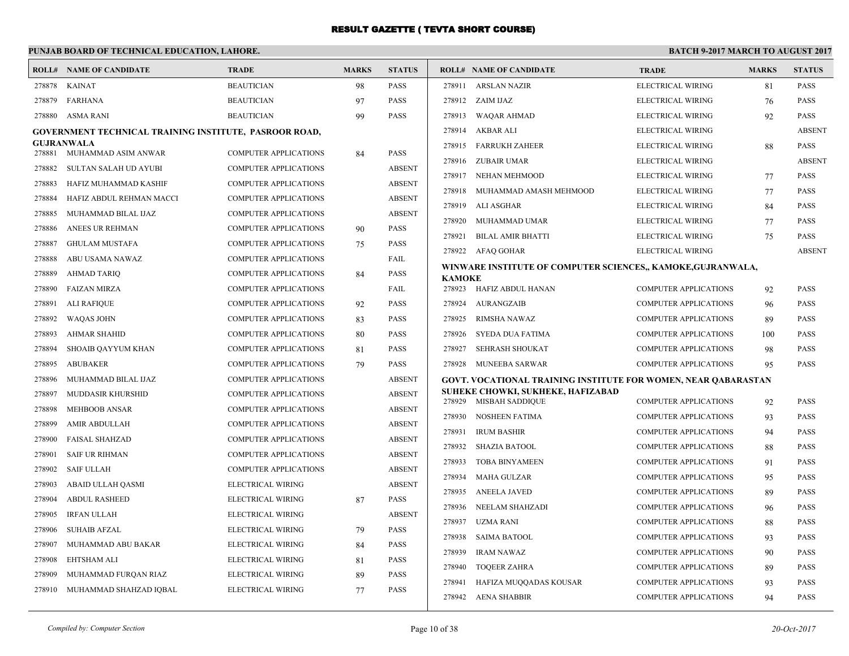#### **PUNJAB BOARD OF TECHNICAL EDUCATION, LAHORE. BATCH 9-2017 MARCH TO AUGUST 2017 ROLL# NAME OF CANDIDATE TRADE MARKS STATUS ROLL# NAME OF CANDIDATE TRADE MARKS STATUS** 278878 KAINAT BEAUTICIAN 98 PASS 278879 FARHANA BEAUTICIAN 97 PASS 278880 ASMA RANI BEAUTICIAN 99 PASS **GOVERNMENT TECHNICAL TRAINING INSTITUTE, PASROOR ROAD, GUJRANWALA** 278881 MUHAMMAD ASIM ANWAR COMPUTER APPLICATIONS 84 PASS 278882 SULTAN SALAH UD AYUBI COMPUTER APPLICATIONS ABSENT 278883 HAFIZ MUHAMMAD KASHIF COMPUTER APPLICATIONS ABSENT 278884 HAFIZ ABDUL REHMAN MACCI COMPUTER APPLICATIONS ABSENT 278885 MUHAMMAD BILAL IJAZ COMPUTER APPLICATIONS ABSENT 278886 ANEES UR REHMAN COMPUTER APPLICATIONS 90 PASS 278887 GHULAM MUSTAFA COMPUTER APPLICATIONS 75 PASS 278888 ABU USAMA NAWAZ COMPUTER APPLICATIONS FAIL 278889 AHMAD TARIQ COMPUTER APPLICATIONS 84 PASS 278890 FAIZAN MIRZA COMPUTER APPLICATIONS FAIL 278891 ALI RAFIQUE COMPUTER APPLICATIONS 92 PASS 278892 WAQAS JOHN COMPUTER APPLICATIONS 83 PASS 278893 AHMAR SHAHID COMPUTER APPLICATIONS 80 PASS 278894 SHOAIB QAYYUM KHAN COMPUTER APPLICATIONS 81 PASS 278895 ABUBAKER COMPUTER APPLICATIONS 79 PASS 278896 MUHAMMAD BILAL IJAZ COMPUTER APPLICATIONS ABSENT 278897 MUDDASIR KHURSHID COMPUTER APPLICATIONS ABSENT 278898 MEHBOOB ANSAR COMPUTER APPLICATIONS ABSENT 278899 AMIR ABDULLAH COMPUTER APPLICATIONS ABSENT 278900 FAISAL SHAHZAD COMPUTER APPLICATIONS ABSENT 278901 SAIF UR RIHMAN COMPUTER APPLICATIONS ABSENT 278902 SAIF ULLAH COMPUTER APPLICATIONS ABSENT 278903 ABAID ULLAH QASMI ELECTRICAL WIRING ABSENT 278904 ABDUL RASHEED ELECTRICAL WIRING 87 PASS 278905 IRFAN ULLAH ELECTRICAL WIRING ABSENT 278906 SUHAIB AFZAL ELECTRICAL WIRING 79 PASS 278907 MUHAMMAD ABU BAKAR ELECTRICAL WIRING 84 PASS 278908 EHTSHAM ALI ELECTRICAL WIRING 81 PASS 278909 MUHAMMAD FURQAN RIAZ ELECTRICAL WIRING 89 PASS 278910 MUHAMMAD SHAHZAD IQBAL ELECTRICAL WIRING 77 PASS 278911 ARSLAN NAZIR ELECTRICAL WIRING 81 PASS 278912 ZAIM IJAZ ELECTRICAL WIRING 76 PASS 278913 WAQAR AHMAD ELECTRICAL WIRING 92 PASS 278914 AKBAR ALI ELECTRICAL WIRING ABSENT 278915 FARRUKH ZAHEER ELECTRICAL WIRING 88 PASS 278916 ZUBAIR UMAR ELECTRICAL WIRING ABSENT 278917 NEHAN MEHMOOD ELECTRICAL WIRING 77 PASS 278918 MUHAMMAD AMASH MEHMOOD ELECTRICAL WIRING 77 PASS 278919 ALI ASGHAR ELECTRICAL WIRING 84 PASS 278920 MUHAMMAD UMAR ELECTRICAL WIRING 77 PASS 278921 BILAL AMIR BHATTI ELECTRICAL WIRING 75 PASS 278922 AFAQ GOHAR ELECTRICAL WIRING ABSENT **WINWARE INSTITUTE OF COMPUTER SCIENCES,, KAMOKE,GUJRANWALA, KAMOKE** 278923 HAFIZ ABDUL HANAN COMPUTER APPLICATIONS 92 PASS 278924 AURANGZAIB COMPUTER APPLICATIONS 96 PASS 278925 RIMSHA NAWAZ COMPUTER APPLICATIONS 89 PASS 278926 SYEDA DUA FATIMA COMPUTER APPLICATIONS 100 PASS 278927 SEHRASH SHOUKAT COMPUTER APPLICATIONS 98 PASS 278928 MUNEEBA SARWAR COMPUTER APPLICATIONS 95 PASS **GOVT. VOCATIONAL TRAINING INSTITUTE FOR WOMEN, NEAR QABARASTAN SUHEKE CHOWKI, SUKHEKE, HAFIZABAD** 278929 MISBAH SADDIQUE COMPUTER APPLICATIONS 92 PASS 278930 NOSHEEN FATIMA COMPUTER APPLICATIONS 93 PASS 278931 IRUM BASHIR COMPUTER APPLICATIONS 94 PASS 278932 SHAZIA BATOOL COMPUTER APPLICATIONS 88 PASS 278933 TOBA BINYAMEEN COMPUTER APPLICATIONS 91 PASS 278934 MAHA GULZAR COMPUTER APPLICATIONS 95 PASS 278935 ANEELA JAVED COMPUTER APPLICATIONS 89 PASS 278936 NEELAM SHAHZADI COMPUTER APPLICATIONS 96 PASS 278937 UZMA RANI COMPUTER APPLICATIONS 88 PASS 278938 SAIMA BATOOL COMPUTER APPLICATIONS 93 PASS 278939 IRAM NAWAZ COMPUTER APPLICATIONS 90 PASS 278940 TOQEER ZAHRA COMPUTER APPLICATIONS 89 PASS 278941 HAFIZA MUQQADAS KOUSAR COMPUTER APPLICATIONS 93 PASS 278942 AENA SHABBIR COMPUTER APPLICATIONS 94 PASS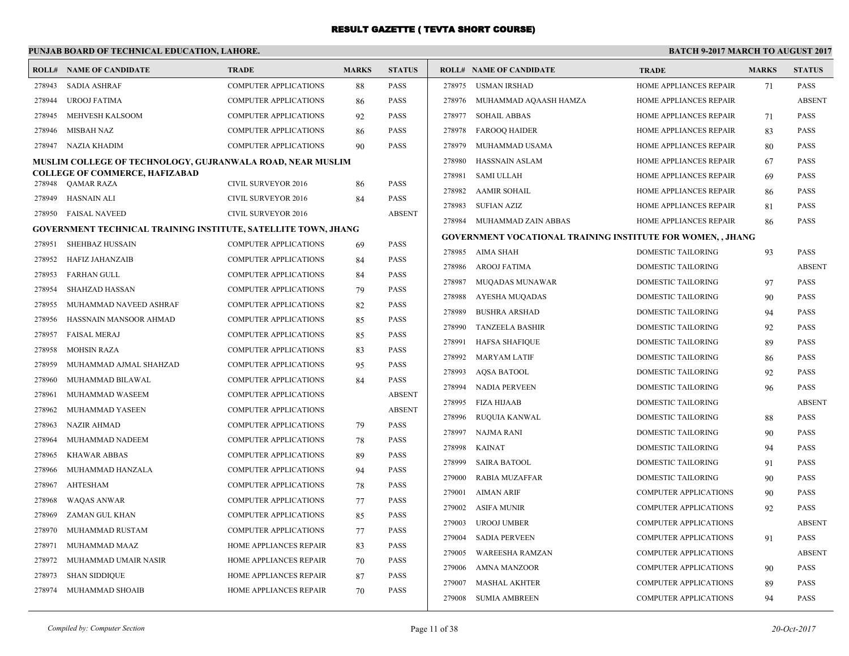## **PUNJAB BOARD OF TECHNICAL EDUCATION, LAHORE.**

| <b>SADIA ASHRAF</b><br><b>COMPUTER APPLICATIONS</b><br>88<br><b>PASS</b><br>278975<br>USMAN IRSHAD<br>HOME APPLIANCES REPAIR<br>71<br><b>PASS</b><br>278943<br>278944<br><b>UROOJ FATIMA</b><br><b>COMPUTER APPLICATIONS</b><br>PASS<br>278976<br>MUHAMMAD AQAASH HAMZA<br>HOME APPLIANCES REPAIR<br><b>ABSENT</b><br>86<br><b>COMPUTER APPLICATIONS</b><br><b>PASS</b><br>278977<br><b>SOHAIL ABBAS</b><br>PASS<br>278945<br>MEHVESH KALSOOM<br>92<br>HOME APPLIANCES REPAIR<br>71<br><b>COMPUTER APPLICATIONS</b><br>PASS<br>278978<br><b>FAROOO HAIDER</b><br>HOME APPLIANCES REPAIR<br>PASS<br>278946<br>MISBAH NAZ<br>86<br>83<br>NAZIA KHADIM<br><b>COMPUTER APPLICATIONS</b><br>90<br>PASS<br>278979<br>MUHAMMAD USAMA<br>HOME APPLIANCES REPAIR<br>80<br>PASS<br>278947<br><b>HASSNAIN ASLAM</b><br>HOME APPLIANCES REPAIR<br>MUSLIM COLLEGE OF TECHNOLOGY, GUJRANWALA ROAD, NEAR MUSLIM<br>278980<br>PASS<br>67<br><b>COLLEGE OF COMMERCE, HAFIZABAD</b><br>278981<br><b>SAMI ULLAH</b><br>HOME APPLIANCES REPAIR<br>PASS<br>69<br>PASS<br>278948<br>QAMAR RAZA<br>CIVIL SURVEYOR 2016<br>86<br>278982<br><b>AAMIR SOHAIL</b><br>HOME APPLIANCES REPAIR<br>PASS<br>86<br><b>PASS</b><br>278949<br>HASNAIN ALI<br><b>CIVIL SURVEYOR 2016</b><br>84<br><b>SUFIAN AZIZ</b><br>HOME APPLIANCES REPAIR<br>278983<br>PASS<br>81<br><b>FAISAL NAVEED</b><br><b>CIVIL SURVEYOR 2016</b><br><b>ABSENT</b><br>278950<br>278984 MUHAMMAD ZAIN ABBAS<br>HOME APPLIANCES REPAIR<br>86<br>PASS<br><b>GOVERNMENT TECHNICAL TRAINING INSTITUTE, SATELLITE TOWN, JHANG</b><br>GOVERNMENT VOCATIONAL TRAINING INSTITUTE FOR WOMEN, , JHANG<br><b>SHEHBAZ HUSSAIN</b><br>COMPUTER APPLICATIONS<br>PASS<br>278951<br>69<br>DOMESTIC TAILORING<br>93<br>278985<br>AIMA SHAH<br>PASS<br>PASS<br>278952<br><b>HAFIZ JAHANZAIB</b><br>COMPUTER APPLICATIONS<br>84<br>278986<br><b>AROOJ FATIMA</b><br><b>DOMESTIC TAILORING</b><br><b>ABSENT</b><br>278953<br><b>FARHAN GULL</b><br>PASS<br><b>COMPUTER APPLICATIONS</b><br>84<br>278987<br>MUQADAS MUNAWAR<br><b>DOMESTIC TAILORING</b><br>PASS<br>97<br>278954<br><b>SHAHZAD HASSAN</b><br>PASS<br><b>COMPUTER APPLICATIONS</b><br>79<br>278988<br>AYESHA MUQADAS<br>DOMESTIC TAILORING<br>PASS<br>90<br>PASS<br>278955<br>MUHAMMAD NAVEED ASHRAF<br><b>COMPUTER APPLICATIONS</b><br>82<br>278989<br><b>BUSHRA ARSHAD</b><br>DOMESTIC TAILORING<br>PASS<br>94<br>HASSNAIN MANSOOR AHMAD<br><b>COMPUTER APPLICATIONS</b><br>PASS<br>278956<br>85<br>278990<br><b>TANZEELA BASHIR</b><br>DOMESTIC TAILORING<br>PASS<br>92<br><b>PASS</b><br>278957<br><b>FAISAL MERAJ</b><br><b>COMPUTER APPLICATIONS</b><br>85<br>278991<br><b>HAFSA SHAFIOUE</b><br>DOMESTIC TAILORING<br>89<br><b>PASS</b><br><b>PASS</b><br>278958<br><b>MOHSIN RAZA</b><br><b>COMPUTER APPLICATIONS</b><br>83<br>278992<br><b>MARYAM LATIF</b><br>DOMESTIC TAILORING<br><b>PASS</b><br>86<br>MUHAMMAD AJMAL SHAHZAD<br>COMPUTER APPLICATIONS<br>PASS<br>278959<br>95<br>278993<br><b>AQSA BATOOL</b><br>DOMESTIC TAILORING<br>PASS<br>92<br><b>PASS</b><br>278960<br>MUHAMMAD BILAWAL<br>COMPUTER APPLICATIONS<br>84<br>278994<br><b>DOMESTIC TAILORING</b><br>PASS<br>NADIA PERVEEN<br>96<br><b>COMPUTER APPLICATIONS</b><br><b>ABSENT</b><br>278961<br>MUHAMMAD WASEEM<br>278995<br>FIZA HIJAAB<br>DOMESTIC TAILORING<br><b>ABSENT</b><br><b>ABSENT</b><br>MUHAMMAD YASEEN<br>COMPUTER APPLICATIONS<br>278962<br>RUQUIA KANWAL<br>DOMESTIC TAILORING<br>PASS<br>278996<br>88<br><b>NAZIR AHMAD</b><br>COMPUTER APPLICATIONS<br><b>PASS</b><br>278963<br>79<br>278997<br><b>NAJMA RANI</b><br><b>DOMESTIC TAILORING</b><br>PASS<br>90<br>MUHAMMAD NADEEM<br>COMPUTER APPLICATIONS<br>PASS<br>278964<br>78<br>278998<br><b>KAINAT</b><br>DOMESTIC TAILORING<br>PASS<br>94<br>278965<br><b>KHAWAR ABBAS</b><br><b>COMPUTER APPLICATIONS</b><br>89<br>PASS<br>278999<br><b>SAIRA BATOOL</b><br>DOMESTIC TAILORING<br><b>PASS</b><br>91<br>MUHAMMAD HANZALA<br><b>COMPUTER APPLICATIONS</b><br>PASS<br>278966<br>94<br>279000<br><b>RABIA MUZAFFAR</b><br>DOMESTIC TAILORING<br>90<br>PASS<br><b>AHTESHAM</b><br>PASS<br>278967<br>COMPUTER APPLICATIONS<br>78<br>279001<br>AIMAN ARIF<br><b>COMPUTER APPLICATIONS</b><br>PASS<br>90<br><b>WAQAS ANWAR</b><br><b>PASS</b><br>278968<br><b>COMPUTER APPLICATIONS</b><br>77<br>279002<br><b>COMPUTER APPLICATIONS</b><br>ASIFA MUNIR<br>92<br>PASS<br>ZAMAN GUL KHAN<br><b>COMPUTER APPLICATIONS</b><br>PASS<br>278969<br>85<br>279003<br><b>UROOJ UMBER</b><br><b>COMPUTER APPLICATIONS</b><br><b>ABSENT</b><br>PASS<br>278970<br>MUHAMMAD RUSTAM<br>COMPUTER APPLICATIONS<br>77<br>279004<br><b>SADIA PERVEEN</b><br><b>COMPUTER APPLICATIONS</b><br>PASS<br>91<br>MUHAMMAD MAAZ<br>HOME APPLIANCES REPAIR<br><b>PASS</b><br>278971<br>83<br>279005<br><b>WAREESHA RAMZAN</b><br><b>COMPUTER APPLICATIONS</b><br><b>ABSENT</b><br>HOME APPLIANCES REPAIR<br>PASS<br>278972<br>MUHAMMAD UMAIR NASIR<br>70<br>279006<br>AMNA MANZOOR<br><b>COMPUTER APPLICATIONS</b><br>90<br><b>PASS</b> |        | <b>ROLL# NAME OF CANDIDATE</b> | <b>TRADE</b>           | <b>MARKS</b> | <b>STATUS</b> | <b>ROLL# NAME OF CANDIDATE</b> | <b>TRADE</b> | <b>MARKS</b> | <b>STATUS</b> |
|--------------------------------------------------------------------------------------------------------------------------------------------------------------------------------------------------------------------------------------------------------------------------------------------------------------------------------------------------------------------------------------------------------------------------------------------------------------------------------------------------------------------------------------------------------------------------------------------------------------------------------------------------------------------------------------------------------------------------------------------------------------------------------------------------------------------------------------------------------------------------------------------------------------------------------------------------------------------------------------------------------------------------------------------------------------------------------------------------------------------------------------------------------------------------------------------------------------------------------------------------------------------------------------------------------------------------------------------------------------------------------------------------------------------------------------------------------------------------------------------------------------------------------------------------------------------------------------------------------------------------------------------------------------------------------------------------------------------------------------------------------------------------------------------------------------------------------------------------------------------------------------------------------------------------------------------------------------------------------------------------------------------------------------------------------------------------------------------------------------------------------------------------------------------------------------------------------------------------------------------------------------------------------------------------------------------------------------------------------------------------------------------------------------------------------------------------------------------------------------------------------------------------------------------------------------------------------------------------------------------------------------------------------------------------------------------------------------------------------------------------------------------------------------------------------------------------------------------------------------------------------------------------------------------------------------------------------------------------------------------------------------------------------------------------------------------------------------------------------------------------------------------------------------------------------------------------------------------------------------------------------------------------------------------------------------------------------------------------------------------------------------------------------------------------------------------------------------------------------------------------------------------------------------------------------------------------------------------------------------------------------------------------------------------------------------------------------------------------------------------------------------------------------------------------------------------------------------------------------------------------------------------------------------------------------------------------------------------------------------------------------------------------------------------------------------------------------------------------------------------------------------------------------------------------------------------------------------------------------------------------------------------------------------------------------------------------------------------------------------------------------------------------------------------------------------------------------------------------------------------------------------------------------------------------------------------------------------------------------------------------------------------------------------------------------------------------------------------------------------------------------------------------------------------------------------------------------------------------------------------------------------------------------------------------------------------------------------------------------------------------------------------------------------------|--------|--------------------------------|------------------------|--------------|---------------|--------------------------------|--------------|--------------|---------------|
|                                                                                                                                                                                                                                                                                                                                                                                                                                                                                                                                                                                                                                                                                                                                                                                                                                                                                                                                                                                                                                                                                                                                                                                                                                                                                                                                                                                                                                                                                                                                                                                                                                                                                                                                                                                                                                                                                                                                                                                                                                                                                                                                                                                                                                                                                                                                                                                                                                                                                                                                                                                                                                                                                                                                                                                                                                                                                                                                                                                                                                                                                                                                                                                                                                                                                                                                                                                                                                                                                                                                                                                                                                                                                                                                                                                                                                                                                                                                                                                                                                                                                                                                                                                                                                                                                                                                                                                                                                                                                                                                                                                                                                                                                                                                                                                                                                                                                                                                                                                                                                            |        |                                |                        |              |               |                                |              |              |               |
|                                                                                                                                                                                                                                                                                                                                                                                                                                                                                                                                                                                                                                                                                                                                                                                                                                                                                                                                                                                                                                                                                                                                                                                                                                                                                                                                                                                                                                                                                                                                                                                                                                                                                                                                                                                                                                                                                                                                                                                                                                                                                                                                                                                                                                                                                                                                                                                                                                                                                                                                                                                                                                                                                                                                                                                                                                                                                                                                                                                                                                                                                                                                                                                                                                                                                                                                                                                                                                                                                                                                                                                                                                                                                                                                                                                                                                                                                                                                                                                                                                                                                                                                                                                                                                                                                                                                                                                                                                                                                                                                                                                                                                                                                                                                                                                                                                                                                                                                                                                                                                            |        |                                |                        |              |               |                                |              |              |               |
|                                                                                                                                                                                                                                                                                                                                                                                                                                                                                                                                                                                                                                                                                                                                                                                                                                                                                                                                                                                                                                                                                                                                                                                                                                                                                                                                                                                                                                                                                                                                                                                                                                                                                                                                                                                                                                                                                                                                                                                                                                                                                                                                                                                                                                                                                                                                                                                                                                                                                                                                                                                                                                                                                                                                                                                                                                                                                                                                                                                                                                                                                                                                                                                                                                                                                                                                                                                                                                                                                                                                                                                                                                                                                                                                                                                                                                                                                                                                                                                                                                                                                                                                                                                                                                                                                                                                                                                                                                                                                                                                                                                                                                                                                                                                                                                                                                                                                                                                                                                                                                            |        |                                |                        |              |               |                                |              |              |               |
|                                                                                                                                                                                                                                                                                                                                                                                                                                                                                                                                                                                                                                                                                                                                                                                                                                                                                                                                                                                                                                                                                                                                                                                                                                                                                                                                                                                                                                                                                                                                                                                                                                                                                                                                                                                                                                                                                                                                                                                                                                                                                                                                                                                                                                                                                                                                                                                                                                                                                                                                                                                                                                                                                                                                                                                                                                                                                                                                                                                                                                                                                                                                                                                                                                                                                                                                                                                                                                                                                                                                                                                                                                                                                                                                                                                                                                                                                                                                                                                                                                                                                                                                                                                                                                                                                                                                                                                                                                                                                                                                                                                                                                                                                                                                                                                                                                                                                                                                                                                                                                            |        |                                |                        |              |               |                                |              |              |               |
|                                                                                                                                                                                                                                                                                                                                                                                                                                                                                                                                                                                                                                                                                                                                                                                                                                                                                                                                                                                                                                                                                                                                                                                                                                                                                                                                                                                                                                                                                                                                                                                                                                                                                                                                                                                                                                                                                                                                                                                                                                                                                                                                                                                                                                                                                                                                                                                                                                                                                                                                                                                                                                                                                                                                                                                                                                                                                                                                                                                                                                                                                                                                                                                                                                                                                                                                                                                                                                                                                                                                                                                                                                                                                                                                                                                                                                                                                                                                                                                                                                                                                                                                                                                                                                                                                                                                                                                                                                                                                                                                                                                                                                                                                                                                                                                                                                                                                                                                                                                                                                            |        |                                |                        |              |               |                                |              |              |               |
|                                                                                                                                                                                                                                                                                                                                                                                                                                                                                                                                                                                                                                                                                                                                                                                                                                                                                                                                                                                                                                                                                                                                                                                                                                                                                                                                                                                                                                                                                                                                                                                                                                                                                                                                                                                                                                                                                                                                                                                                                                                                                                                                                                                                                                                                                                                                                                                                                                                                                                                                                                                                                                                                                                                                                                                                                                                                                                                                                                                                                                                                                                                                                                                                                                                                                                                                                                                                                                                                                                                                                                                                                                                                                                                                                                                                                                                                                                                                                                                                                                                                                                                                                                                                                                                                                                                                                                                                                                                                                                                                                                                                                                                                                                                                                                                                                                                                                                                                                                                                                                            |        |                                |                        |              |               |                                |              |              |               |
|                                                                                                                                                                                                                                                                                                                                                                                                                                                                                                                                                                                                                                                                                                                                                                                                                                                                                                                                                                                                                                                                                                                                                                                                                                                                                                                                                                                                                                                                                                                                                                                                                                                                                                                                                                                                                                                                                                                                                                                                                                                                                                                                                                                                                                                                                                                                                                                                                                                                                                                                                                                                                                                                                                                                                                                                                                                                                                                                                                                                                                                                                                                                                                                                                                                                                                                                                                                                                                                                                                                                                                                                                                                                                                                                                                                                                                                                                                                                                                                                                                                                                                                                                                                                                                                                                                                                                                                                                                                                                                                                                                                                                                                                                                                                                                                                                                                                                                                                                                                                                                            |        |                                |                        |              |               |                                |              |              |               |
|                                                                                                                                                                                                                                                                                                                                                                                                                                                                                                                                                                                                                                                                                                                                                                                                                                                                                                                                                                                                                                                                                                                                                                                                                                                                                                                                                                                                                                                                                                                                                                                                                                                                                                                                                                                                                                                                                                                                                                                                                                                                                                                                                                                                                                                                                                                                                                                                                                                                                                                                                                                                                                                                                                                                                                                                                                                                                                                                                                                                                                                                                                                                                                                                                                                                                                                                                                                                                                                                                                                                                                                                                                                                                                                                                                                                                                                                                                                                                                                                                                                                                                                                                                                                                                                                                                                                                                                                                                                                                                                                                                                                                                                                                                                                                                                                                                                                                                                                                                                                                                            |        |                                |                        |              |               |                                |              |              |               |
|                                                                                                                                                                                                                                                                                                                                                                                                                                                                                                                                                                                                                                                                                                                                                                                                                                                                                                                                                                                                                                                                                                                                                                                                                                                                                                                                                                                                                                                                                                                                                                                                                                                                                                                                                                                                                                                                                                                                                                                                                                                                                                                                                                                                                                                                                                                                                                                                                                                                                                                                                                                                                                                                                                                                                                                                                                                                                                                                                                                                                                                                                                                                                                                                                                                                                                                                                                                                                                                                                                                                                                                                                                                                                                                                                                                                                                                                                                                                                                                                                                                                                                                                                                                                                                                                                                                                                                                                                                                                                                                                                                                                                                                                                                                                                                                                                                                                                                                                                                                                                                            |        |                                |                        |              |               |                                |              |              |               |
|                                                                                                                                                                                                                                                                                                                                                                                                                                                                                                                                                                                                                                                                                                                                                                                                                                                                                                                                                                                                                                                                                                                                                                                                                                                                                                                                                                                                                                                                                                                                                                                                                                                                                                                                                                                                                                                                                                                                                                                                                                                                                                                                                                                                                                                                                                                                                                                                                                                                                                                                                                                                                                                                                                                                                                                                                                                                                                                                                                                                                                                                                                                                                                                                                                                                                                                                                                                                                                                                                                                                                                                                                                                                                                                                                                                                                                                                                                                                                                                                                                                                                                                                                                                                                                                                                                                                                                                                                                                                                                                                                                                                                                                                                                                                                                                                                                                                                                                                                                                                                                            |        |                                |                        |              |               |                                |              |              |               |
|                                                                                                                                                                                                                                                                                                                                                                                                                                                                                                                                                                                                                                                                                                                                                                                                                                                                                                                                                                                                                                                                                                                                                                                                                                                                                                                                                                                                                                                                                                                                                                                                                                                                                                                                                                                                                                                                                                                                                                                                                                                                                                                                                                                                                                                                                                                                                                                                                                                                                                                                                                                                                                                                                                                                                                                                                                                                                                                                                                                                                                                                                                                                                                                                                                                                                                                                                                                                                                                                                                                                                                                                                                                                                                                                                                                                                                                                                                                                                                                                                                                                                                                                                                                                                                                                                                                                                                                                                                                                                                                                                                                                                                                                                                                                                                                                                                                                                                                                                                                                                                            |        |                                |                        |              |               |                                |              |              |               |
|                                                                                                                                                                                                                                                                                                                                                                                                                                                                                                                                                                                                                                                                                                                                                                                                                                                                                                                                                                                                                                                                                                                                                                                                                                                                                                                                                                                                                                                                                                                                                                                                                                                                                                                                                                                                                                                                                                                                                                                                                                                                                                                                                                                                                                                                                                                                                                                                                                                                                                                                                                                                                                                                                                                                                                                                                                                                                                                                                                                                                                                                                                                                                                                                                                                                                                                                                                                                                                                                                                                                                                                                                                                                                                                                                                                                                                                                                                                                                                                                                                                                                                                                                                                                                                                                                                                                                                                                                                                                                                                                                                                                                                                                                                                                                                                                                                                                                                                                                                                                                                            |        |                                |                        |              |               |                                |              |              |               |
|                                                                                                                                                                                                                                                                                                                                                                                                                                                                                                                                                                                                                                                                                                                                                                                                                                                                                                                                                                                                                                                                                                                                                                                                                                                                                                                                                                                                                                                                                                                                                                                                                                                                                                                                                                                                                                                                                                                                                                                                                                                                                                                                                                                                                                                                                                                                                                                                                                                                                                                                                                                                                                                                                                                                                                                                                                                                                                                                                                                                                                                                                                                                                                                                                                                                                                                                                                                                                                                                                                                                                                                                                                                                                                                                                                                                                                                                                                                                                                                                                                                                                                                                                                                                                                                                                                                                                                                                                                                                                                                                                                                                                                                                                                                                                                                                                                                                                                                                                                                                                                            |        |                                |                        |              |               |                                |              |              |               |
|                                                                                                                                                                                                                                                                                                                                                                                                                                                                                                                                                                                                                                                                                                                                                                                                                                                                                                                                                                                                                                                                                                                                                                                                                                                                                                                                                                                                                                                                                                                                                                                                                                                                                                                                                                                                                                                                                                                                                                                                                                                                                                                                                                                                                                                                                                                                                                                                                                                                                                                                                                                                                                                                                                                                                                                                                                                                                                                                                                                                                                                                                                                                                                                                                                                                                                                                                                                                                                                                                                                                                                                                                                                                                                                                                                                                                                                                                                                                                                                                                                                                                                                                                                                                                                                                                                                                                                                                                                                                                                                                                                                                                                                                                                                                                                                                                                                                                                                                                                                                                                            |        |                                |                        |              |               |                                |              |              |               |
|                                                                                                                                                                                                                                                                                                                                                                                                                                                                                                                                                                                                                                                                                                                                                                                                                                                                                                                                                                                                                                                                                                                                                                                                                                                                                                                                                                                                                                                                                                                                                                                                                                                                                                                                                                                                                                                                                                                                                                                                                                                                                                                                                                                                                                                                                                                                                                                                                                                                                                                                                                                                                                                                                                                                                                                                                                                                                                                                                                                                                                                                                                                                                                                                                                                                                                                                                                                                                                                                                                                                                                                                                                                                                                                                                                                                                                                                                                                                                                                                                                                                                                                                                                                                                                                                                                                                                                                                                                                                                                                                                                                                                                                                                                                                                                                                                                                                                                                                                                                                                                            |        |                                |                        |              |               |                                |              |              |               |
|                                                                                                                                                                                                                                                                                                                                                                                                                                                                                                                                                                                                                                                                                                                                                                                                                                                                                                                                                                                                                                                                                                                                                                                                                                                                                                                                                                                                                                                                                                                                                                                                                                                                                                                                                                                                                                                                                                                                                                                                                                                                                                                                                                                                                                                                                                                                                                                                                                                                                                                                                                                                                                                                                                                                                                                                                                                                                                                                                                                                                                                                                                                                                                                                                                                                                                                                                                                                                                                                                                                                                                                                                                                                                                                                                                                                                                                                                                                                                                                                                                                                                                                                                                                                                                                                                                                                                                                                                                                                                                                                                                                                                                                                                                                                                                                                                                                                                                                                                                                                                                            |        |                                |                        |              |               |                                |              |              |               |
|                                                                                                                                                                                                                                                                                                                                                                                                                                                                                                                                                                                                                                                                                                                                                                                                                                                                                                                                                                                                                                                                                                                                                                                                                                                                                                                                                                                                                                                                                                                                                                                                                                                                                                                                                                                                                                                                                                                                                                                                                                                                                                                                                                                                                                                                                                                                                                                                                                                                                                                                                                                                                                                                                                                                                                                                                                                                                                                                                                                                                                                                                                                                                                                                                                                                                                                                                                                                                                                                                                                                                                                                                                                                                                                                                                                                                                                                                                                                                                                                                                                                                                                                                                                                                                                                                                                                                                                                                                                                                                                                                                                                                                                                                                                                                                                                                                                                                                                                                                                                                                            |        |                                |                        |              |               |                                |              |              |               |
|                                                                                                                                                                                                                                                                                                                                                                                                                                                                                                                                                                                                                                                                                                                                                                                                                                                                                                                                                                                                                                                                                                                                                                                                                                                                                                                                                                                                                                                                                                                                                                                                                                                                                                                                                                                                                                                                                                                                                                                                                                                                                                                                                                                                                                                                                                                                                                                                                                                                                                                                                                                                                                                                                                                                                                                                                                                                                                                                                                                                                                                                                                                                                                                                                                                                                                                                                                                                                                                                                                                                                                                                                                                                                                                                                                                                                                                                                                                                                                                                                                                                                                                                                                                                                                                                                                                                                                                                                                                                                                                                                                                                                                                                                                                                                                                                                                                                                                                                                                                                                                            |        |                                |                        |              |               |                                |              |              |               |
|                                                                                                                                                                                                                                                                                                                                                                                                                                                                                                                                                                                                                                                                                                                                                                                                                                                                                                                                                                                                                                                                                                                                                                                                                                                                                                                                                                                                                                                                                                                                                                                                                                                                                                                                                                                                                                                                                                                                                                                                                                                                                                                                                                                                                                                                                                                                                                                                                                                                                                                                                                                                                                                                                                                                                                                                                                                                                                                                                                                                                                                                                                                                                                                                                                                                                                                                                                                                                                                                                                                                                                                                                                                                                                                                                                                                                                                                                                                                                                                                                                                                                                                                                                                                                                                                                                                                                                                                                                                                                                                                                                                                                                                                                                                                                                                                                                                                                                                                                                                                                                            |        |                                |                        |              |               |                                |              |              |               |
|                                                                                                                                                                                                                                                                                                                                                                                                                                                                                                                                                                                                                                                                                                                                                                                                                                                                                                                                                                                                                                                                                                                                                                                                                                                                                                                                                                                                                                                                                                                                                                                                                                                                                                                                                                                                                                                                                                                                                                                                                                                                                                                                                                                                                                                                                                                                                                                                                                                                                                                                                                                                                                                                                                                                                                                                                                                                                                                                                                                                                                                                                                                                                                                                                                                                                                                                                                                                                                                                                                                                                                                                                                                                                                                                                                                                                                                                                                                                                                                                                                                                                                                                                                                                                                                                                                                                                                                                                                                                                                                                                                                                                                                                                                                                                                                                                                                                                                                                                                                                                                            |        |                                |                        |              |               |                                |              |              |               |
|                                                                                                                                                                                                                                                                                                                                                                                                                                                                                                                                                                                                                                                                                                                                                                                                                                                                                                                                                                                                                                                                                                                                                                                                                                                                                                                                                                                                                                                                                                                                                                                                                                                                                                                                                                                                                                                                                                                                                                                                                                                                                                                                                                                                                                                                                                                                                                                                                                                                                                                                                                                                                                                                                                                                                                                                                                                                                                                                                                                                                                                                                                                                                                                                                                                                                                                                                                                                                                                                                                                                                                                                                                                                                                                                                                                                                                                                                                                                                                                                                                                                                                                                                                                                                                                                                                                                                                                                                                                                                                                                                                                                                                                                                                                                                                                                                                                                                                                                                                                                                                            |        |                                |                        |              |               |                                |              |              |               |
|                                                                                                                                                                                                                                                                                                                                                                                                                                                                                                                                                                                                                                                                                                                                                                                                                                                                                                                                                                                                                                                                                                                                                                                                                                                                                                                                                                                                                                                                                                                                                                                                                                                                                                                                                                                                                                                                                                                                                                                                                                                                                                                                                                                                                                                                                                                                                                                                                                                                                                                                                                                                                                                                                                                                                                                                                                                                                                                                                                                                                                                                                                                                                                                                                                                                                                                                                                                                                                                                                                                                                                                                                                                                                                                                                                                                                                                                                                                                                                                                                                                                                                                                                                                                                                                                                                                                                                                                                                                                                                                                                                                                                                                                                                                                                                                                                                                                                                                                                                                                                                            |        |                                |                        |              |               |                                |              |              |               |
|                                                                                                                                                                                                                                                                                                                                                                                                                                                                                                                                                                                                                                                                                                                                                                                                                                                                                                                                                                                                                                                                                                                                                                                                                                                                                                                                                                                                                                                                                                                                                                                                                                                                                                                                                                                                                                                                                                                                                                                                                                                                                                                                                                                                                                                                                                                                                                                                                                                                                                                                                                                                                                                                                                                                                                                                                                                                                                                                                                                                                                                                                                                                                                                                                                                                                                                                                                                                                                                                                                                                                                                                                                                                                                                                                                                                                                                                                                                                                                                                                                                                                                                                                                                                                                                                                                                                                                                                                                                                                                                                                                                                                                                                                                                                                                                                                                                                                                                                                                                                                                            |        |                                |                        |              |               |                                |              |              |               |
|                                                                                                                                                                                                                                                                                                                                                                                                                                                                                                                                                                                                                                                                                                                                                                                                                                                                                                                                                                                                                                                                                                                                                                                                                                                                                                                                                                                                                                                                                                                                                                                                                                                                                                                                                                                                                                                                                                                                                                                                                                                                                                                                                                                                                                                                                                                                                                                                                                                                                                                                                                                                                                                                                                                                                                                                                                                                                                                                                                                                                                                                                                                                                                                                                                                                                                                                                                                                                                                                                                                                                                                                                                                                                                                                                                                                                                                                                                                                                                                                                                                                                                                                                                                                                                                                                                                                                                                                                                                                                                                                                                                                                                                                                                                                                                                                                                                                                                                                                                                                                                            |        |                                |                        |              |               |                                |              |              |               |
|                                                                                                                                                                                                                                                                                                                                                                                                                                                                                                                                                                                                                                                                                                                                                                                                                                                                                                                                                                                                                                                                                                                                                                                                                                                                                                                                                                                                                                                                                                                                                                                                                                                                                                                                                                                                                                                                                                                                                                                                                                                                                                                                                                                                                                                                                                                                                                                                                                                                                                                                                                                                                                                                                                                                                                                                                                                                                                                                                                                                                                                                                                                                                                                                                                                                                                                                                                                                                                                                                                                                                                                                                                                                                                                                                                                                                                                                                                                                                                                                                                                                                                                                                                                                                                                                                                                                                                                                                                                                                                                                                                                                                                                                                                                                                                                                                                                                                                                                                                                                                                            |        |                                |                        |              |               |                                |              |              |               |
|                                                                                                                                                                                                                                                                                                                                                                                                                                                                                                                                                                                                                                                                                                                                                                                                                                                                                                                                                                                                                                                                                                                                                                                                                                                                                                                                                                                                                                                                                                                                                                                                                                                                                                                                                                                                                                                                                                                                                                                                                                                                                                                                                                                                                                                                                                                                                                                                                                                                                                                                                                                                                                                                                                                                                                                                                                                                                                                                                                                                                                                                                                                                                                                                                                                                                                                                                                                                                                                                                                                                                                                                                                                                                                                                                                                                                                                                                                                                                                                                                                                                                                                                                                                                                                                                                                                                                                                                                                                                                                                                                                                                                                                                                                                                                                                                                                                                                                                                                                                                                                            |        |                                |                        |              |               |                                |              |              |               |
|                                                                                                                                                                                                                                                                                                                                                                                                                                                                                                                                                                                                                                                                                                                                                                                                                                                                                                                                                                                                                                                                                                                                                                                                                                                                                                                                                                                                                                                                                                                                                                                                                                                                                                                                                                                                                                                                                                                                                                                                                                                                                                                                                                                                                                                                                                                                                                                                                                                                                                                                                                                                                                                                                                                                                                                                                                                                                                                                                                                                                                                                                                                                                                                                                                                                                                                                                                                                                                                                                                                                                                                                                                                                                                                                                                                                                                                                                                                                                                                                                                                                                                                                                                                                                                                                                                                                                                                                                                                                                                                                                                                                                                                                                                                                                                                                                                                                                                                                                                                                                                            |        |                                |                        |              |               |                                |              |              |               |
|                                                                                                                                                                                                                                                                                                                                                                                                                                                                                                                                                                                                                                                                                                                                                                                                                                                                                                                                                                                                                                                                                                                                                                                                                                                                                                                                                                                                                                                                                                                                                                                                                                                                                                                                                                                                                                                                                                                                                                                                                                                                                                                                                                                                                                                                                                                                                                                                                                                                                                                                                                                                                                                                                                                                                                                                                                                                                                                                                                                                                                                                                                                                                                                                                                                                                                                                                                                                                                                                                                                                                                                                                                                                                                                                                                                                                                                                                                                                                                                                                                                                                                                                                                                                                                                                                                                                                                                                                                                                                                                                                                                                                                                                                                                                                                                                                                                                                                                                                                                                                                            |        |                                |                        |              |               |                                |              |              |               |
|                                                                                                                                                                                                                                                                                                                                                                                                                                                                                                                                                                                                                                                                                                                                                                                                                                                                                                                                                                                                                                                                                                                                                                                                                                                                                                                                                                                                                                                                                                                                                                                                                                                                                                                                                                                                                                                                                                                                                                                                                                                                                                                                                                                                                                                                                                                                                                                                                                                                                                                                                                                                                                                                                                                                                                                                                                                                                                                                                                                                                                                                                                                                                                                                                                                                                                                                                                                                                                                                                                                                                                                                                                                                                                                                                                                                                                                                                                                                                                                                                                                                                                                                                                                                                                                                                                                                                                                                                                                                                                                                                                                                                                                                                                                                                                                                                                                                                                                                                                                                                                            |        |                                |                        |              |               |                                |              |              |               |
|                                                                                                                                                                                                                                                                                                                                                                                                                                                                                                                                                                                                                                                                                                                                                                                                                                                                                                                                                                                                                                                                                                                                                                                                                                                                                                                                                                                                                                                                                                                                                                                                                                                                                                                                                                                                                                                                                                                                                                                                                                                                                                                                                                                                                                                                                                                                                                                                                                                                                                                                                                                                                                                                                                                                                                                                                                                                                                                                                                                                                                                                                                                                                                                                                                                                                                                                                                                                                                                                                                                                                                                                                                                                                                                                                                                                                                                                                                                                                                                                                                                                                                                                                                                                                                                                                                                                                                                                                                                                                                                                                                                                                                                                                                                                                                                                                                                                                                                                                                                                                                            |        |                                |                        |              |               |                                |              |              |               |
|                                                                                                                                                                                                                                                                                                                                                                                                                                                                                                                                                                                                                                                                                                                                                                                                                                                                                                                                                                                                                                                                                                                                                                                                                                                                                                                                                                                                                                                                                                                                                                                                                                                                                                                                                                                                                                                                                                                                                                                                                                                                                                                                                                                                                                                                                                                                                                                                                                                                                                                                                                                                                                                                                                                                                                                                                                                                                                                                                                                                                                                                                                                                                                                                                                                                                                                                                                                                                                                                                                                                                                                                                                                                                                                                                                                                                                                                                                                                                                                                                                                                                                                                                                                                                                                                                                                                                                                                                                                                                                                                                                                                                                                                                                                                                                                                                                                                                                                                                                                                                                            |        |                                |                        |              |               |                                |              |              |               |
|                                                                                                                                                                                                                                                                                                                                                                                                                                                                                                                                                                                                                                                                                                                                                                                                                                                                                                                                                                                                                                                                                                                                                                                                                                                                                                                                                                                                                                                                                                                                                                                                                                                                                                                                                                                                                                                                                                                                                                                                                                                                                                                                                                                                                                                                                                                                                                                                                                                                                                                                                                                                                                                                                                                                                                                                                                                                                                                                                                                                                                                                                                                                                                                                                                                                                                                                                                                                                                                                                                                                                                                                                                                                                                                                                                                                                                                                                                                                                                                                                                                                                                                                                                                                                                                                                                                                                                                                                                                                                                                                                                                                                                                                                                                                                                                                                                                                                                                                                                                                                                            |        |                                |                        |              |               |                                |              |              |               |
|                                                                                                                                                                                                                                                                                                                                                                                                                                                                                                                                                                                                                                                                                                                                                                                                                                                                                                                                                                                                                                                                                                                                                                                                                                                                                                                                                                                                                                                                                                                                                                                                                                                                                                                                                                                                                                                                                                                                                                                                                                                                                                                                                                                                                                                                                                                                                                                                                                                                                                                                                                                                                                                                                                                                                                                                                                                                                                                                                                                                                                                                                                                                                                                                                                                                                                                                                                                                                                                                                                                                                                                                                                                                                                                                                                                                                                                                                                                                                                                                                                                                                                                                                                                                                                                                                                                                                                                                                                                                                                                                                                                                                                                                                                                                                                                                                                                                                                                                                                                                                                            |        |                                |                        |              |               |                                |              |              |               |
| <b>COMPUTER APPLICATIONS</b><br>PASS<br>279007<br><b>MASHAL AKHTER</b>                                                                                                                                                                                                                                                                                                                                                                                                                                                                                                                                                                                                                                                                                                                                                                                                                                                                                                                                                                                                                                                                                                                                                                                                                                                                                                                                                                                                                                                                                                                                                                                                                                                                                                                                                                                                                                                                                                                                                                                                                                                                                                                                                                                                                                                                                                                                                                                                                                                                                                                                                                                                                                                                                                                                                                                                                                                                                                                                                                                                                                                                                                                                                                                                                                                                                                                                                                                                                                                                                                                                                                                                                                                                                                                                                                                                                                                                                                                                                                                                                                                                                                                                                                                                                                                                                                                                                                                                                                                                                                                                                                                                                                                                                                                                                                                                                                                                                                                                                                     | 278973 | <b>SHAN SIDDIQUE</b>           | HOME APPLIANCES REPAIR | 87           | PASS          |                                |              |              |               |
| 89<br>278974<br>MUHAMMAD SHOAIB<br>HOME APPLIANCES REPAIR<br>70<br>PASS<br>279008 SUMIA AMBREEN<br><b>COMPUTER APPLICATIONS</b><br>94<br>PASS                                                                                                                                                                                                                                                                                                                                                                                                                                                                                                                                                                                                                                                                                                                                                                                                                                                                                                                                                                                                                                                                                                                                                                                                                                                                                                                                                                                                                                                                                                                                                                                                                                                                                                                                                                                                                                                                                                                                                                                                                                                                                                                                                                                                                                                                                                                                                                                                                                                                                                                                                                                                                                                                                                                                                                                                                                                                                                                                                                                                                                                                                                                                                                                                                                                                                                                                                                                                                                                                                                                                                                                                                                                                                                                                                                                                                                                                                                                                                                                                                                                                                                                                                                                                                                                                                                                                                                                                                                                                                                                                                                                                                                                                                                                                                                                                                                                                                              |        |                                |                        |              |               |                                |              |              |               |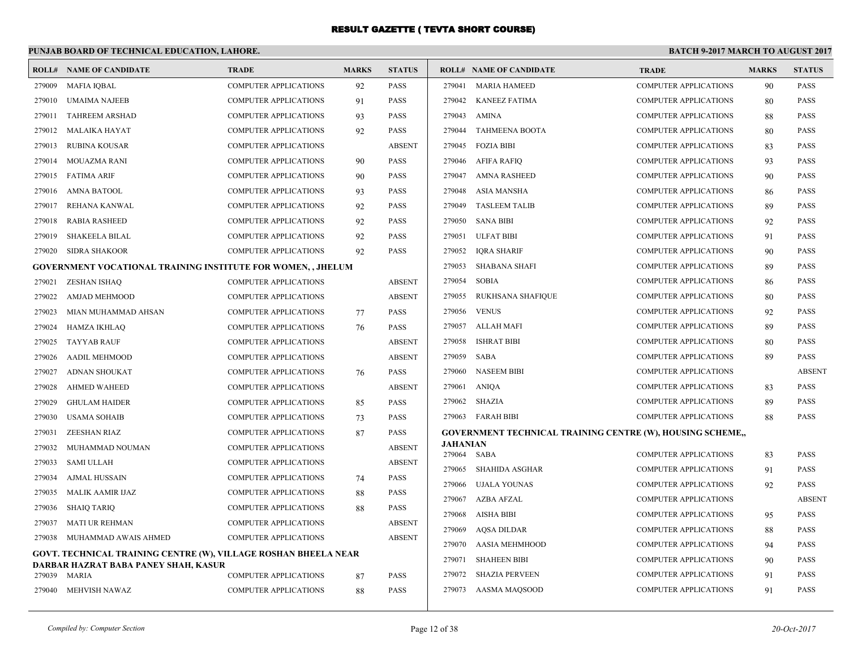#### **PUNJAB BOARD OF TECHNICAL EDUCATION, LAHORE. BATCH 9-2017 MARCH TO AUGUST 2017 ROLL# NAME OF CANDIDATE TRADE MARKS STATUS ROLL# NAME OF CANDIDATE TRADE MARKS STATUS** 279009 MAFIA IQBAL COMPUTER APPLICATIONS 92 PASS 279010 UMAIMA NAJEEB COMPUTER APPLICATIONS 91 PASS 279011 TAHREEM ARSHAD COMPUTER APPLICATIONS 93 PASS 279012 MALAIKA HAYAT COMPUTER APPLICATIONS 92 PASS 279013 RUBINA KOUSAR COMPUTER APPLICATIONS ABSENT 279014 MOUAZMA RANI COMPUTER APPLICATIONS 90 PASS 279015 FATIMA ARIF COMPUTER APPLICATIONS 90 PASS 279016 AMNA BATOOL COMPUTER APPLICATIONS 93 PASS 279017 REHANA KANWAL COMPUTER APPLICATIONS 92 PASS 279018 RABIA RASHEED COMPUTER APPLICATIONS 92 PASS 279019 SHAKEELA BILAL COMPUTER APPLICATIONS 92 PASS 279020 SIDRA SHAKOOR COMPUTER APPLICATIONS 92 PASS **GOVERNMENT VOCATIONAL TRAINING INSTITUTE FOR WOMEN, , JHELUM** 279021 ZESHAN ISHAQ COMPUTER APPLICATIONS ABSENT 279022 AMJAD MEHMOOD COMPUTER APPLICATIONS ABSENT 279023 MIAN MUHAMMAD AHSAN COMPUTER APPLICATIONS 77 PASS 279024 HAMZA IKHLAQ COMPUTER APPLICATIONS 76 PASS 279025 TAYYAB RAUF COMPUTER APPLICATIONS ABSENT 279026 AADIL MEHMOOD COMPUTER APPLICATIONS ABSENT 279027 ADNAN SHOUKAT COMPUTER APPLICATIONS 76 PASS 279028 AHMED WAHEED COMPUTER APPLICATIONS ABSENT 279029 GHULAM HAIDER COMPUTER APPLICATIONS 85 PASS 279030 USAMA SOHAIB COMPUTER APPLICATIONS 73 PASS 279031 ZEESHAN RIAZ COMPUTER APPLICATIONS 87 PASS 279032 MUHAMMAD NOUMAN COMPUTER APPLICATIONS ABSENT 279033 SAMI ULLAH COMPUTER APPLICATIONS ABSENT 279034 AJMAL HUSSAIN COMPUTER APPLICATIONS 74 PASS 279035 MALIK AAMIR IJAZ COMPUTER APPLICATIONS 88 PASS 279036 SHAIQ TARIQ COMPUTER APPLICATIONS 88 PASS 279037 MATI UR REHMAN COMPUTER APPLICATIONS ABSENT 279038 MUHAMMAD AWAIS AHMED COMPUTER APPLICATIONS ABSENT **GOVT. TECHNICAL TRAINING CENTRE (W), VILLAGE ROSHAN BHEELA NEAR DARBAR HAZRAT BABA PANEY SHAH, KASUR** 279039 MARIA COMPUTER APPLICATIONS 87 PASS 279040 MEHVISH NAWAZ COMPUTER APPLICATIONS 88 PASS 279041 MARIA HAMEED COMPUTER APPLICATIONS 90 PASS 279042 KANEEZ FATIMA COMPUTER APPLICATIONS 80 PASS 279043 AMINA COMPUTER APPLICATIONS 88 PASS 279044 TAHMEENA BOOTA COMPUTER APPLICATIONS 80 PASS 279045 FOZIA BIBI COMPUTER APPLICATIONS 83 PASS 279046 AFIFA RAFIQ COMPUTER APPLICATIONS 93 PASS 279047 AMNA RASHEED COMPUTER APPLICATIONS 90 PASS 279048 ASIA MANSHA COMPUTER APPLICATIONS 86 PASS 279049 TASLEEM TALIB COMPUTER APPLICATIONS 89 PASS 279050 SANA BIBI COMPUTER APPLICATIONS 92 PASS 279051 ULFAT BIBI COMPUTER APPLICATIONS 91 PASS 279052 IQRA SHARIF COMPUTER APPLICATIONS 90 PASS 279053 SHABANA SHAFI COMPUTER APPLICATIONS 89 PASS 279054 SOBIA COMPUTER APPLICATIONS 86 PASS 279055 RUKHSANA SHAFIQUE COMPUTER APPLICATIONS 80 PASS 279056 VENUS COMPUTER APPLICATIONS 92 PASS 279057 ALLAH MAFI COMPUTER APPLICATIONS 89 PASS 279058 ISHRAT BIBI COMPUTER APPLICATIONS 80 PASS 279059 SABA COMPUTER APPLICATIONS 89 PASS 279060 NASEEM BIBI COMPUTER APPLICATIONS ABSENT 279061 ANIQA COMPUTER APPLICATIONS 83 PASS 279062 SHAZIA COMPUTER APPLICATIONS 89 PASS 279063 FARAH BIBI COMPUTER APPLICATIONS 88 PASS **GOVERNMENT TECHNICAL TRAINING CENTRE (W), HOUSING SCHEME,, JAHANIAN** 279064 SABA COMPUTER APPLICATIONS 83 PASS 279065 SHAHIDA ASGHAR COMPUTER APPLICATIONS 91 PASS 279066 UJALA YOUNAS COMPUTER APPLICATIONS 92 PASS 279067 AZBA AFZAL COMPUTER APPLICATIONS ABSENT 279068 AISHA BIBI COMPUTER APPLICATIONS 95 PASS 279069 AQSA DILDAR COMPUTER APPLICATIONS 88 PASS 279070 AASIA MEHMHOOD COMPUTER APPLICATIONS 94 PASS 279071 SHAHEEN BIBI COMPUTER APPLICATIONS 90 PASS 279072 SHAZIA PERVEEN COMPUTER APPLICATIONS 91 PASS 279073 AASMA MAQSOOD COMPUTER APPLICATIONS 91 PASS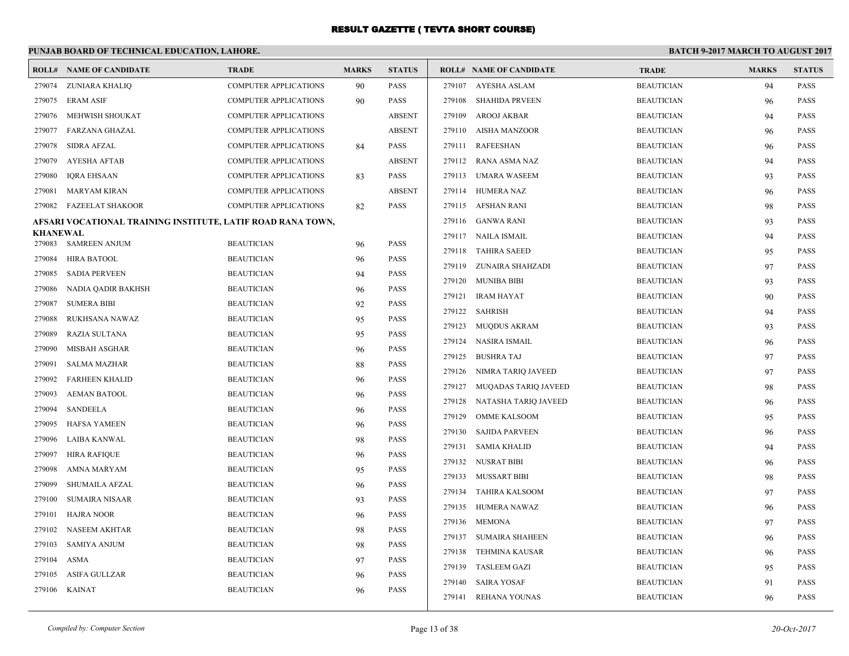|                           | PUNJAB BOARD OF TECHNICAL EDUCATION, LAHORE.                |                                        |              |                            | <b>BATCH 9-2017 MARCH TO AUGUST 2017</b> |                                |                   |              |               |
|---------------------------|-------------------------------------------------------------|----------------------------------------|--------------|----------------------------|------------------------------------------|--------------------------------|-------------------|--------------|---------------|
|                           | <b>ROLL# NAME OF CANDIDATE</b>                              | <b>TRADE</b>                           | <b>MARKS</b> | <b>STATUS</b>              |                                          | <b>ROLL# NAME OF CANDIDATE</b> | <b>TRADE</b>      | <b>MARKS</b> | <b>STATUS</b> |
| 279074                    | ZUNIARA KHALIQ                                              | <b>COMPUTER APPLICATIONS</b>           | 90           | <b>PASS</b>                | 279107                                   | AYESHA ASLAM                   | <b>BEAUTICIAN</b> | 94           | <b>PASS</b>   |
| 279075                    | <b>ERAM ASIF</b>                                            | <b>COMPUTER APPLICATIONS</b>           | 90           | <b>PASS</b>                | 279108                                   | <b>SHAHIDA PRVEEN</b>          | <b>BEAUTICIAN</b> | 96           | <b>PASS</b>   |
| 279076                    | MEHWISH SHOUKAT                                             | COMPUTER APPLICATIONS                  |              | <b>ABSENT</b>              | 279109                                   | <b>AROOJ AKBAR</b>             | <b>BEAUTICIAN</b> | 94           | <b>PASS</b>   |
| 279077                    | FARZANA GHAZAL                                              | COMPUTER APPLICATIONS                  |              | <b>ABSENT</b>              | 279110                                   | AISHA MANZOOR                  | <b>BEAUTICIAN</b> | 96           | <b>PASS</b>   |
| 279078                    | <b>SIDRA AFZAL</b>                                          | <b>COMPUTER APPLICATIONS</b>           | 84           | <b>PASS</b>                | 279111                                   | <b>RAFEESHAN</b>               | <b>BEAUTICIAN</b> | 96           | <b>PASS</b>   |
| 279079                    | <b>AYESHA AFTAB</b>                                         | <b>COMPUTER APPLICATIONS</b>           |              | <b>ABSENT</b>              |                                          | 279112 RANA ASMA NAZ           | <b>BEAUTICIAN</b> | 94           | <b>PASS</b>   |
| 279080                    | <b>IORA EHSAAN</b>                                          | <b>COMPUTER APPLICATIONS</b>           | 83           | <b>PASS</b>                |                                          | 279113 UMARA WASEEM            | <b>BEAUTICIAN</b> | 93           | <b>PASS</b>   |
| 279081                    | <b>MARYAM KIRAN</b>                                         | COMPUTER APPLICATIONS                  |              | <b>ABSENT</b>              |                                          | 279114 HUMERA NAZ              | <b>BEAUTICIAN</b> | 96           | <b>PASS</b>   |
| 279082                    | <b>FAZEELAT SHAKOOR</b>                                     | COMPUTER APPLICATIONS                  | 82           | <b>PASS</b>                |                                          | 279115 AFSHAN RANI             | <b>BEAUTICIAN</b> | 98           | <b>PASS</b>   |
|                           | AFSARI VOCATIONAL TRAINING INSTITUTE, LATIF ROAD RANA TOWN, |                                        |              |                            |                                          | 279116 GANWA RANI              | <b>BEAUTICIAN</b> | 93           | <b>PASS</b>   |
| <b>KHANEWAL</b><br>279083 | <b>SAMREEN ANJUM</b>                                        | <b>BEAUTICIAN</b>                      |              | <b>PASS</b>                |                                          | 279117 NAILA ISMAIL            | <b>BEAUTICIAN</b> | 94           | <b>PASS</b>   |
| 279084                    |                                                             | <b>BEAUTICIAN</b>                      | 96           | <b>PASS</b>                | 279118                                   | <b>TAHIRA SAEED</b>            | <b>BEAUTICIAN</b> | 95           | <b>PASS</b>   |
| 279085                    | <b>HIRA BATOOL</b><br><b>SADIA PERVEEN</b>                  | <b>BEAUTICIAN</b>                      | 96<br>94     | <b>PASS</b>                |                                          | 279119 ZUNAIRA SHAHZADI        | <b>BEAUTICIAN</b> | 97           | <b>PASS</b>   |
| 279086                    |                                                             | <b>BEAUTICIAN</b>                      |              | <b>PASS</b>                |                                          | 279120 MUNIBA BIBI             | <b>BEAUTICIAN</b> | 93           | <b>PASS</b>   |
| 279087                    | NADIA QADIR BAKHSH<br><b>SUMERA BIBI</b>                    | <b>BEAUTICIAN</b>                      | 96           | <b>PASS</b>                | 279121                                   | <b>IRAM HAYAT</b>              | <b>BEAUTICIAN</b> | 90           | <b>PASS</b>   |
| 279088                    |                                                             | <b>BEAUTICIAN</b>                      | 92           | <b>PASS</b>                | 279122                                   | <b>SAHRISH</b>                 | <b>BEAUTICIAN</b> | 94           | <b>PASS</b>   |
| 279089                    | RUKHSANA NAWAZ<br>RAZIA SULTANA                             | <b>BEAUTICIAN</b>                      | 95           | <b>PASS</b>                | 279123                                   | <b>MUQDUS AKRAM</b>            | <b>BEAUTICIAN</b> | 93           | <b>PASS</b>   |
| 279090                    | MISBAH ASGHAR                                               | <b>BEAUTICIAN</b>                      | 95           | <b>PASS</b>                | 279124                                   | NASIRA ISMAIL                  | <b>BEAUTICIAN</b> | 96           | <b>PASS</b>   |
| 279091                    | <b>SALMA MAZHAR</b>                                         | <b>BEAUTICIAN</b>                      | 96           | <b>PASS</b>                | 279125                                   | <b>BUSHRA TAJ</b>              | <b>BEAUTICIAN</b> | 97           | <b>PASS</b>   |
| 279092                    | <b>FARHEEN KHALID</b>                                       | <b>BEAUTICIAN</b>                      | 88           | <b>PASS</b>                | 279126                                   | NIMRA TARIQ JAVEED             | <b>BEAUTICIAN</b> | 97           | <b>PASS</b>   |
|                           | <b>AEMAN BATOOL</b>                                         | <b>BEAUTICIAN</b>                      | 96           | <b>PASS</b>                |                                          | 279127 MUQADAS TARIQ JAVEED    | <b>BEAUTICIAN</b> | 98           | <b>PASS</b>   |
| 279093<br>279094          | <b>SANDEELA</b>                                             | <b>BEAUTICIAN</b>                      | 96           | <b>PASS</b>                | 279128                                   | NATASHA TARIQ JAVEED           | <b>BEAUTICIAN</b> | 96           | <b>PASS</b>   |
| 279095                    | <b>HAFSA YAMEEN</b>                                         | <b>BEAUTICIAN</b>                      | 96           | <b>PASS</b>                | 279129                                   | <b>OMME KALSOOM</b>            | <b>BEAUTICIAN</b> | 95           | <b>PASS</b>   |
| 279096                    | LAIBA KANWAL                                                | <b>BEAUTICIAN</b>                      | 96           | <b>PASS</b>                | 279130                                   | <b>SAJIDA PARVEEN</b>          | <b>BEAUTICIAN</b> | 96           | PASS          |
| 279097                    | <b>HIRA RAFIQUE</b>                                         | <b>BEAUTICIAN</b>                      | 98<br>96     | <b>PASS</b>                | 279131                                   | <b>SAMIA KHALID</b>            | <b>BEAUTICIAN</b> | 94           | <b>PASS</b>   |
| 279098                    | AMNA MARYAM                                                 | <b>BEAUTICIAN</b>                      |              | <b>PASS</b>                |                                          | 279132 NUSRAT BIBI             | <b>BEAUTICIAN</b> | 96           | <b>PASS</b>   |
| 279099                    | <b>SHUMAILA AFZAL</b>                                       | <b>BEAUTICIAN</b>                      | 95           | <b>PASS</b>                |                                          | 279133 MUSSART BIBI            | <b>BEAUTICIAN</b> | 98           | <b>PASS</b>   |
| 279100                    | <b>SUMAIRA NISAAR</b>                                       | <b>BEAUTICIAN</b>                      | 96           | <b>PASS</b>                | 279134                                   | <b>TAHIRA KALSOOM</b>          | <b>BEAUTICIAN</b> | 97           | <b>PASS</b>   |
| 279101                    | <b>HAJRA NOOR</b>                                           | <b>BEAUTICIAN</b>                      | 93           | <b>PASS</b>                |                                          | 279135 HUMERA NAWAZ            | <b>BEAUTICIAN</b> | 96           | <b>PASS</b>   |
| 279102                    | <b>NASEEM AKHTAR</b>                                        | <b>BEAUTICIAN</b>                      | 96           | <b>PASS</b>                | 279136                                   | MEMONA                         | <b>BEAUTICIAN</b> | 97           | <b>PASS</b>   |
|                           |                                                             |                                        | 98           |                            | 279137                                   | <b>SUMAIRA SHAHEEN</b>         | <b>BEAUTICIAN</b> | 96           | <b>PASS</b>   |
| 279103<br>279104          | <b>SAMIYA ANJUM</b>                                         | <b>BEAUTICIAN</b><br><b>BEAUTICIAN</b> | 98           | <b>PASS</b><br><b>PASS</b> | 279138                                   | <b>TEHMINA KAUSAR</b>          | <b>BEAUTICIAN</b> | 96           | <b>PASS</b>   |
| 279105                    | ASMA<br><b>ASIFA GULLZAR</b>                                | <b>BEAUTICIAN</b>                      | 97           | <b>PASS</b>                | 279139                                   | <b>TASLEEM GAZI</b>            | <b>BEAUTICIAN</b> | 95           | <b>PASS</b>   |
| 279106                    | <b>KAINAT</b>                                               | <b>BEAUTICIAN</b>                      | 96<br>96     | <b>PASS</b>                | 279140                                   | <b>SAIRA YOSAF</b>             | <b>BEAUTICIAN</b> | 91           | <b>PASS</b>   |
|                           |                                                             |                                        |              |                            |                                          | 279141 REHANA YOUNAS           | <b>BEAUTICIAN</b> | 96           | <b>PASS</b>   |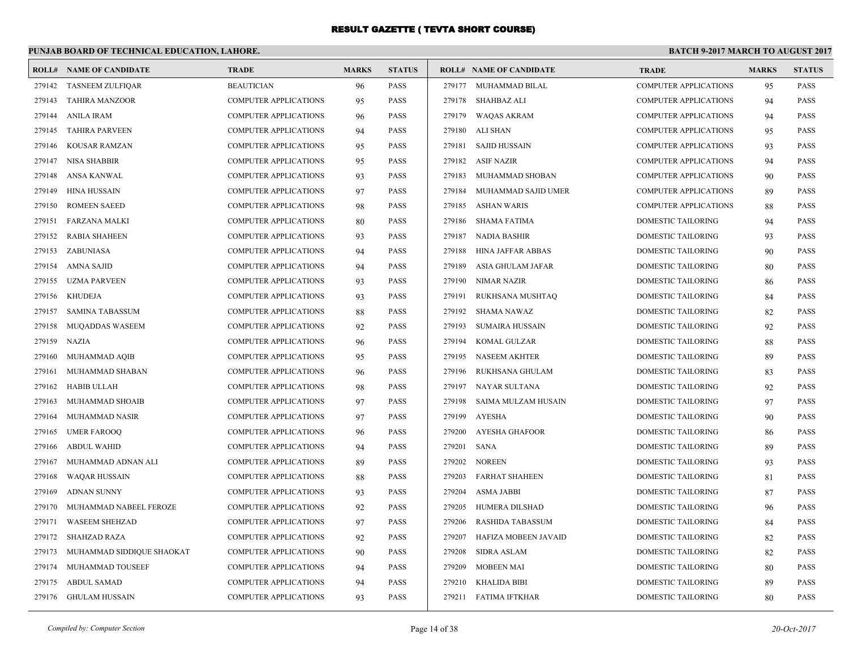# **PUNJAB BOARD OF TECHNICAL EDUCATION, LAHORE.**

|        | <b>ROLL# NAME OF CANDIDATE</b> | <b>TRADE</b>                 | <b>MARKS</b> | <b>STATUS</b> |        | <b>ROLL# NAME OF CANDIDATE</b> | <b>TRADE</b>                 | <b>MARKS</b> | <b>STATUS</b> |
|--------|--------------------------------|------------------------------|--------------|---------------|--------|--------------------------------|------------------------------|--------------|---------------|
|        | 279142 TASNEEM ZULFIQAR        | <b>BEAUTICIAN</b>            | 96           | <b>PASS</b>   |        | 279177 MUHAMMAD BILAL          | <b>COMPUTER APPLICATIONS</b> | 95           | <b>PASS</b>   |
| 279143 | <b>TAHIRA MANZOOR</b>          | <b>COMPUTER APPLICATIONS</b> | 95           | <b>PASS</b>   |        | 279178 SHAHBAZ ALI             | <b>COMPUTER APPLICATIONS</b> | 94           | <b>PASS</b>   |
| 279144 | <b>ANILA IRAM</b>              | <b>COMPUTER APPLICATIONS</b> | 96           | <b>PASS</b>   | 279179 | WAQAS AKRAM                    | <b>COMPUTER APPLICATIONS</b> | 94           | <b>PASS</b>   |
| 279145 | <b>TAHIRA PARVEEN</b>          | <b>COMPUTER APPLICATIONS</b> | 94           | <b>PASS</b>   | 279180 | ALI SHAN                       | <b>COMPUTER APPLICATIONS</b> | 95           | <b>PASS</b>   |
| 279146 | KOUSAR RAMZAN                  | COMPUTER APPLICATIONS        | 95           | <b>PASS</b>   |        | 279181 SAJID HUSSAIN           | <b>COMPUTER APPLICATIONS</b> | 93           | <b>PASS</b>   |
| 279147 | <b>NISA SHABBIR</b>            | <b>COMPUTER APPLICATIONS</b> | 95           | <b>PASS</b>   |        | 279182 ASIF NAZIR              | <b>COMPUTER APPLICATIONS</b> | 94           | <b>PASS</b>   |
| 279148 | ANSA KANWAL                    | COMPUTER APPLICATIONS        | 93           | <b>PASS</b>   | 279183 | MUHAMMAD SHOBAN                | <b>COMPUTER APPLICATIONS</b> | 90           | <b>PASS</b>   |
| 279149 | <b>HINA HUSSAIN</b>            | COMPUTER APPLICATIONS        | 97           | <b>PASS</b>   | 279184 | MUHAMMAD SAJID UMER            | <b>COMPUTER APPLICATIONS</b> | 89           | <b>PASS</b>   |
| 279150 | <b>ROMEEN SAEED</b>            | COMPUTER APPLICATIONS        | 98           | <b>PASS</b>   | 279185 | <b>ASHAN WARIS</b>             | <b>COMPUTER APPLICATIONS</b> | 88           | PASS          |
| 279151 | <b>FARZANA MALKI</b>           | <b>COMPUTER APPLICATIONS</b> | 80           | <b>PASS</b>   | 279186 | SHAMA FATIMA                   | <b>DOMESTIC TAILORING</b>    | 94           | <b>PASS</b>   |
| 279152 | <b>RABIA SHAHEEN</b>           | COMPUTER APPLICATIONS        | 93           | <b>PASS</b>   | 279187 | NADIA BASHIR                   | DOMESTIC TAILORING           | 93           | <b>PASS</b>   |
|        | 279153 ZABUNIASA               | COMPUTER APPLICATIONS        | 94           | <b>PASS</b>   | 279188 | HINA JAFFAR ABBAS              | DOMESTIC TAILORING           | 90           | PASS          |
| 279154 | AMNA SAJID                     | <b>COMPUTER APPLICATIONS</b> | 94           | <b>PASS</b>   | 279189 | ASIA GHULAM JAFAR              | <b>DOMESTIC TAILORING</b>    | 80           | <b>PASS</b>   |
| 279155 | UZMA PARVEEN                   | COMPUTER APPLICATIONS        | 93           | <b>PASS</b>   | 279190 | NIMAR NAZIR                    | DOMESTIC TAILORING           | 86           | <b>PASS</b>   |
| 279156 | <b>KHUDEJA</b>                 | COMPUTER APPLICATIONS        | 93           | <b>PASS</b>   | 279191 | RUKHSANA MUSHTAQ               | DOMESTIC TAILORING           | 84           | <b>PASS</b>   |
| 279157 | <b>SAMINA TABASSUM</b>         | <b>COMPUTER APPLICATIONS</b> | 88           | <b>PASS</b>   | 279192 | <b>SHAMA NAWAZ</b>             | DOMESTIC TAILORING           | 82           | <b>PASS</b>   |
| 279158 | <b>MUOADDAS WASEEM</b>         | <b>COMPUTER APPLICATIONS</b> | 92           | <b>PASS</b>   | 279193 | <b>SUMAIRA HUSSAIN</b>         | DOMESTIC TAILORING           | 92           | <b>PASS</b>   |
| 279159 | <b>NAZIA</b>                   | COMPUTER APPLICATIONS        | 96           | <b>PASS</b>   | 279194 | KOMAL GULZAR                   | DOMESTIC TAILORING           | 88           | <b>PASS</b>   |
| 279160 | MUHAMMAD AQIB                  | COMPUTER APPLICATIONS        | 95           | <b>PASS</b>   | 279195 | <b>NASEEM AKHTER</b>           | DOMESTIC TAILORING           | 89           | PASS          |
| 279161 | MUHAMMAD SHABAN                | <b>COMPUTER APPLICATIONS</b> | 96           | <b>PASS</b>   | 279196 | RUKHSANA GHULAM                | DOMESTIC TAILORING           | 83           | <b>PASS</b>   |
| 279162 | HABIB ULLAH                    | COMPUTER APPLICATIONS        | 98           | <b>PASS</b>   | 279197 | NAYAR SULTANA                  | DOMESTIC TAILORING           | 92           | <b>PASS</b>   |
| 279163 | MUHAMMAD SHOAIB                | COMPUTER APPLICATIONS        | 97           | <b>PASS</b>   | 279198 | SAIMA MULZAM HUSAIN            | DOMESTIC TAILORING           | 97           | PASS          |
| 279164 | MUHAMMAD NASIR                 | COMPUTER APPLICATIONS        | 97           | <b>PASS</b>   | 279199 | <b>AYESHA</b>                  | DOMESTIC TAILORING           | 90           | <b>PASS</b>   |
| 279165 | <b>UMER FAROOO</b>             | <b>COMPUTER APPLICATIONS</b> | 96           | <b>PASS</b>   | 279200 | AYESHA GHAFOOR                 | DOMESTIC TAILORING           | 86           | <b>PASS</b>   |
| 279166 | <b>ABDUL WAHID</b>             | COMPUTER APPLICATIONS        | 94           | <b>PASS</b>   | 279201 | SANA                           | DOMESTIC TAILORING           | 89           | <b>PASS</b>   |
| 279167 | MUHAMMAD ADNAN ALI             | COMPUTER APPLICATIONS        | 89           | <b>PASS</b>   | 279202 | <b>NOREEN</b>                  | DOMESTIC TAILORING           | 93           | PASS          |
| 279168 | <b>WAQAR HUSSAIN</b>           | <b>COMPUTER APPLICATIONS</b> | 88           | <b>PASS</b>   | 279203 | <b>FARHAT SHAHEEN</b>          | <b>DOMESTIC TAILORING</b>    | 81           | <b>PASS</b>   |
| 279169 | <b>ADNAN SUNNY</b>             | COMPUTER APPLICATIONS        | 93           | <b>PASS</b>   | 279204 | ASMA JABBI                     | DOMESTIC TAILORING           | 87           | <b>PASS</b>   |
| 279170 | MUHAMMAD NABEEL FEROZE         | COMPUTER APPLICATIONS        | 92           | <b>PASS</b>   | 279205 | HUMERA DILSHAD                 | DOMESTIC TAILORING           | 96           | <b>PASS</b>   |
| 279171 | <b>WASEEM SHEHZAD</b>          | <b>COMPUTER APPLICATIONS</b> | 97           | <b>PASS</b>   | 279206 | <b>RASHIDA TABASSUM</b>        | DOMESTIC TAILORING           | 84           | <b>PASS</b>   |
| 279172 | <b>SHAHZAD RAZA</b>            | <b>COMPUTER APPLICATIONS</b> | 92           | <b>PASS</b>   | 279207 | HAFIZA MOBEEN JAVAID           | DOMESTIC TAILORING           | 82           | <b>PASS</b>   |
| 279173 | MUHAMMAD SIDDIQUE SHAOKAT      | COMPUTER APPLICATIONS        | 90           | <b>PASS</b>   | 279208 | <b>SIDRA ASLAM</b>             | DOMESTIC TAILORING           | 82           | <b>PASS</b>   |
| 279174 | MUHAMMAD TOUSEEF               | <b>COMPUTER APPLICATIONS</b> | 94           | <b>PASS</b>   | 279209 | <b>MOBEEN MAI</b>              | DOMESTIC TAILORING           | 80           | <b>PASS</b>   |
| 279175 | ABDUL SAMAD                    | <b>COMPUTER APPLICATIONS</b> | 94           | <b>PASS</b>   | 279210 | <b>KHALIDA BIBI</b>            | DOMESTIC TAILORING           | 89           | <b>PASS</b>   |
|        | 279176 GHULAM HUSSAIN          | COMPUTER APPLICATIONS        | 93           | <b>PASS</b>   |        | 279211 FATIMA IFTKHAR          | DOMESTIC TAILORING           | 80           | <b>PASS</b>   |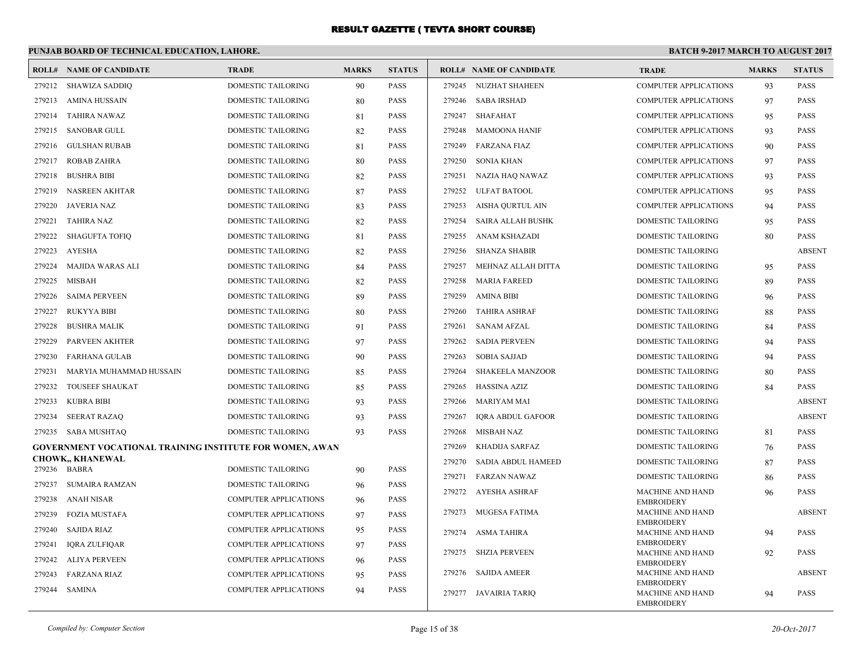### **PUNJAB BOARD OF TECHNICAL EDUCATION, LAHORE.**

|        | <b>ROLL# NAME OF CANDIDATE</b>                                  | <b>TRADE</b>                                   | <b>MARKS</b> | <b>STATUS</b>              |        | <b>ROLL# NAME OF CANDIDATE</b> | <b>TRADE</b>                                 | <b>MARKS</b> | <b>STATUS</b> |
|--------|-----------------------------------------------------------------|------------------------------------------------|--------------|----------------------------|--------|--------------------------------|----------------------------------------------|--------------|---------------|
| 279212 | <b>SHAWIZA SADDIQ</b>                                           | <b>DOMESTIC TAILORING</b>                      | 90           | <b>PASS</b>                | 279245 | NUZHAT SHAHEEN                 | <b>COMPUTER APPLICATIONS</b>                 | 93           | <b>PASS</b>   |
| 279213 | AMINA HUSSAIN                                                   | <b>DOMESTIC TAILORING</b>                      | 80           | <b>PASS</b>                | 279246 | <b>SABA IRSHAD</b>             | <b>COMPUTER APPLICATIONS</b>                 | 97           | <b>PASS</b>   |
| 279214 | TAHIRA NAWAZ                                                    | DOMESTIC TAILORING                             | 81           | <b>PASS</b>                | 279247 | SHAFAHAT                       | COMPUTER APPLICATIONS                        | 95           | <b>PASS</b>   |
| 279215 | <b>SANOBAR GULL</b>                                             | DOMESTIC TAILORING                             | 82           | <b>PASS</b>                | 279248 | <b>MAMOONA HANIF</b>           | <b>COMPUTER APPLICATIONS</b>                 | 93           | <b>PASS</b>   |
| 279216 | <b>GULSHAN RUBAB</b>                                            | DOMESTIC TAILORING                             | 81           | <b>PASS</b>                | 279249 | <b>FARZANA FIAZ</b>            | <b>COMPUTER APPLICATIONS</b>                 | 90           | <b>PASS</b>   |
| 279217 | <b>ROBAB ZAHRA</b>                                              | DOMESTIC TAILORING                             | 80           | <b>PASS</b>                | 279250 | <b>SONIA KHAN</b>              | <b>COMPUTER APPLICATIONS</b>                 | 97           | <b>PASS</b>   |
| 279218 | <b>BUSHRA BIBI</b>                                              | DOMESTIC TAILORING                             | 82           | <b>PASS</b>                | 279251 | NAZIA HAQ NAWAZ                | COMPUTER APPLICATIONS                        | 93           | <b>PASS</b>   |
| 279219 | <b>NASREEN AKHTAR</b>                                           | DOMESTIC TAILORING                             | 87           | <b>PASS</b>                | 279252 | ULFAT BATOOL                   | COMPUTER APPLICATIONS                        | 95           | <b>PASS</b>   |
| 279220 | JAVERIA NAZ                                                     | DOMESTIC TAILORING                             | 83           | <b>PASS</b>                | 279253 | AISHA QURTUL AIN               | COMPUTER APPLICATIONS                        | 94           | <b>PASS</b>   |
| 279221 | <b>TAHIRA NAZ</b>                                               | <b>DOMESTIC TAILORING</b>                      | 82           | <b>PASS</b>                | 279254 | SAIRA ALLAH BUSHK              | <b>DOMESTIC TAILORING</b>                    | 95           | <b>PASS</b>   |
| 279222 | <b>SHAGUFTA TOFIQ</b>                                           | DOMESTIC TAILORING                             | 81           | <b>PASS</b>                | 279255 | ANAM KSHAZADI                  | DOMESTIC TAILORING                           | 80           | <b>PASS</b>   |
| 279223 | AYESHA                                                          | DOMESTIC TAILORING                             | 82           | <b>PASS</b>                | 279256 | <b>SHANZA SHABIR</b>           | DOMESTIC TAILORING                           |              | <b>ABSENT</b> |
| 279224 | <b>MAJIDA WARAS ALI</b>                                         | DOMESTIC TAILORING                             | 84           | <b>PASS</b>                | 279257 | MEHNAZ ALLAH DITTA             | DOMESTIC TAILORING                           | 95           | <b>PASS</b>   |
| 279225 | <b>MISBAH</b>                                                   | <b>DOMESTIC TAILORING</b>                      | 82           | <b>PASS</b>                | 279258 | <b>MARIA FAREED</b>            | DOMESTIC TAILORING                           | 89           | <b>PASS</b>   |
| 279226 | <b>SAIMA PERVEEN</b>                                            | <b>DOMESTIC TAILORING</b>                      | 89           | <b>PASS</b>                | 279259 | <b>AMINA BIBI</b>              | <b>DOMESTIC TAILORING</b>                    | 96           | <b>PASS</b>   |
| 279227 | <b>RUKYYA BIBI</b>                                              | <b>DOMESTIC TAILORING</b>                      | 80           | <b>PASS</b>                | 279260 | <b>TAHIRA ASHRAF</b>           | DOMESTIC TAILORING                           | 88           | <b>PASS</b>   |
| 279228 | <b>BUSHRA MALIK</b>                                             | DOMESTIC TAILORING                             | 91           | <b>PASS</b>                | 279261 | <b>SANAM AFZAL</b>             | DOMESTIC TAILORING                           | 84           | <b>PASS</b>   |
| 279229 | <b>PARVEEN AKHTER</b>                                           | <b>DOMESTIC TAILORING</b>                      | 97           | <b>PASS</b>                | 279262 | <b>SADIA PERVEEN</b>           | DOMESTIC TAILORING                           | 94           | <b>PASS</b>   |
| 279230 | <b>FARHANA GULAB</b>                                            | DOMESTIC TAILORING                             | 90           | <b>PASS</b>                | 279263 | <b>SOBIA SAJJAD</b>            | <b>DOMESTIC TAILORING</b>                    | 94           | <b>PASS</b>   |
| 279231 | MARYIA MUHAMMAD HUSSAIN                                         | <b>DOMESTIC TAILORING</b>                      | 85           | <b>PASS</b>                | 279264 | <b>SHAKEELA MANZOOR</b>        | DOMESTIC TAILORING                           | 80           | <b>PASS</b>   |
| 279232 | <b>TOUSEEF SHAUKAT</b>                                          | DOMESTIC TAILORING                             | 85           | <b>PASS</b>                | 279265 | HASSINA AZIZ                   | DOMESTIC TAILORING                           | 84           | <b>PASS</b>   |
| 279233 | <b>KUBRA BIBI</b>                                               | DOMESTIC TAILORING                             | 93           | <b>PASS</b>                | 279266 | <b>MARIYAM MAI</b>             | <b>DOMESTIC TAILORING</b>                    |              | <b>ABSENT</b> |
| 279234 | <b>SEERAT RAZAQ</b>                                             | DOMESTIC TAILORING                             | 93           | <b>PASS</b>                | 279267 | <b>IQRA ABDUL GAFOOR</b>       | <b>DOMESTIC TAILORING</b>                    |              | <b>ABSENT</b> |
|        | 279235 SABA MUSHTAQ                                             | <b>DOMESTIC TAILORING</b>                      | 93           | <b>PASS</b>                | 279268 | <b>MISBAH NAZ</b>              | DOMESTIC TAILORING                           | 81           | <b>PASS</b>   |
|        | <b>GOVERNMENT VOCATIONAL TRAINING INSTITUTE FOR WOMEN, AWAN</b> |                                                |              |                            | 279269 | KHADIJA SARFAZ                 | DOMESTIC TAILORING                           | 76           | <b>PASS</b>   |
| 279236 | <b>CHOWK, KHANEWAL</b><br><b>BABRA</b>                          | DOMESTIC TAILORING                             |              | <b>PASS</b>                | 279270 | SADIA ABDUL HAMEED             | DOMESTIC TAILORING                           | 87           | <b>PASS</b>   |
| 279237 | <b>SUMAIRA RAMZAN</b>                                           | <b>DOMESTIC TAILORING</b>                      | 90<br>96     | <b>PASS</b>                | 279271 | <b>FARZAN NAWAZ</b>            | DOMESTIC TAILORING                           | 86           | <b>PASS</b>   |
| 279238 | ANAH NISAR                                                      | <b>COMPUTER APPLICATIONS</b>                   | 96           | <b>PASS</b>                | 279272 | AYESHA ASHRAF                  | <b>MACHINE AND HAND</b>                      | 96           | <b>PASS</b>   |
| 279239 | <b>FOZIA MUSTAFA</b>                                            | <b>COMPUTER APPLICATIONS</b>                   | 97           | <b>PASS</b>                | 279273 | <b>MUGESA FATIMA</b>           | <b>EMBROIDERY</b><br><b>MACHINE AND HAND</b> |              | <b>ABSENT</b> |
| 279240 | <b>SAJIDA RIAZ</b>                                              | <b>COMPUTER APPLICATIONS</b>                   | 95           | <b>PASS</b>                |        |                                | <b>EMBROIDERY</b>                            |              |               |
| 279241 |                                                                 |                                                |              |                            | 279274 | <b>ASMA TAHIRA</b>             | <b>MACHINE AND HAND</b><br><b>EMBROIDERY</b> | 94           | <b>PASS</b>   |
| 279242 | <b>IQRA ZULFIQAR</b><br><b>ALIYA PERVEEN</b>                    | COMPUTER APPLICATIONS<br>COMPUTER APPLICATIONS | 97           | <b>PASS</b><br><b>PASS</b> | 279275 | <b>SHZIA PERVEEN</b>           | <b>MACHINE AND HAND</b>                      | 92           | <b>PASS</b>   |
| 279243 | <b>FARZANA RIAZ</b>                                             | COMPUTER APPLICATIONS                          | 96<br>95     | <b>PASS</b>                | 279276 | <b>SAJIDA AMEER</b>            | <b>EMBROIDERY</b><br><b>MACHINE AND HAND</b> |              | <b>ABSENT</b> |
| 279244 | <b>SAMINA</b>                                                   | <b>COMPUTER APPLICATIONS</b>                   | 94           | <b>PASS</b>                |        |                                | <b>EMBROIDERY</b>                            |              |               |
|        |                                                                 |                                                |              |                            |        | 279277 JAVAIRIA TARIO          | <b>MACHINE AND HAND</b><br><b>EMBROIDERY</b> | 94           | <b>PASS</b>   |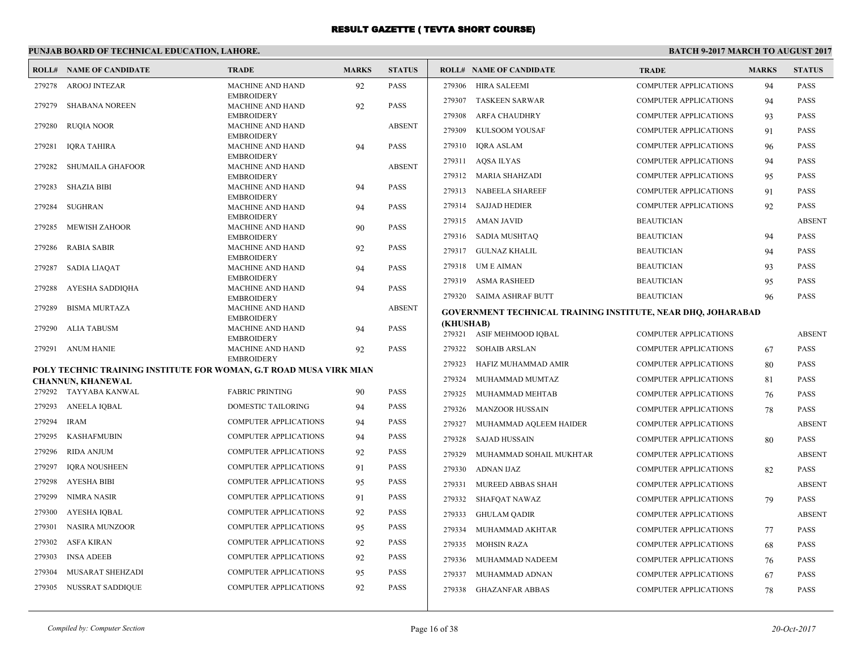# **PUNJAB BOARD OF TECHNICAL EDUCATION, LAHORE.**

|        | <b>ROLL# NAME OF CANDIDATE</b>                                     | <b>TRADE</b>                                 | <b>MARKS</b> | <b>STATUS</b> |                     | <b>ROLL# NAME OF CANDIDATE</b>                                      | <b>TRADE</b>                 | <b>MARKS</b> | <b>STATUS</b> |
|--------|--------------------------------------------------------------------|----------------------------------------------|--------------|---------------|---------------------|---------------------------------------------------------------------|------------------------------|--------------|---------------|
| 279278 | <b>AROOJ INTEZAR</b>                                               | <b>MACHINE AND HAND</b>                      | 92           | <b>PASS</b>   |                     | 279306 HIRA SALEEMI                                                 | <b>COMPUTER APPLICATIONS</b> | 94           | <b>PASS</b>   |
| 279279 | <b>SHABANA NOREEN</b>                                              | <b>EMBROIDERY</b><br><b>MACHINE AND HAND</b> |              | <b>PASS</b>   | 279307              | <b>TASKEEN SARWAR</b>                                               | <b>COMPUTER APPLICATIONS</b> | 94           | <b>PASS</b>   |
|        |                                                                    | <b>EMBROIDERY</b>                            | 92           |               | 279308              | <b>ARFA CHAUDHRY</b>                                                | <b>COMPUTER APPLICATIONS</b> | 93           | <b>PASS</b>   |
| 279280 | <b>RUQIA NOOR</b>                                                  | MACHINE AND HAND                             |              | <b>ABSENT</b> | 279309              | KULSOOM YOUSAF                                                      | <b>COMPUTER APPLICATIONS</b> | 91           | <b>PASS</b>   |
| 279281 | <b>IQRA TAHIRA</b>                                                 | <b>EMBROIDERY</b><br>MACHINE AND HAND        | 94           | <b>PASS</b>   | 279310              | IQRA ASLAM                                                          | <b>COMPUTER APPLICATIONS</b> | 96           | <b>PASS</b>   |
|        |                                                                    | <b>EMBROIDERY</b>                            |              |               | 279311              | AQSA ILYAS                                                          | <b>COMPUTER APPLICATIONS</b> | 94           | <b>PASS</b>   |
| 279282 | <b>SHUMAILA GHAFOOR</b>                                            | <b>MACHINE AND HAND</b><br><b>EMBROIDERY</b> |              | <b>ABSENT</b> |                     | 279312 MARIA SHAHZADI                                               | <b>COMPUTER APPLICATIONS</b> | 95           | <b>PASS</b>   |
| 279283 | <b>SHAZIA BIBI</b>                                                 | <b>MACHINE AND HAND</b>                      | 94           | <b>PASS</b>   | 279313              | NABEELA SHAREEF                                                     | <b>COMPUTER APPLICATIONS</b> | 91           | <b>PASS</b>   |
| 279284 | <b>SUGHRAN</b>                                                     | <b>EMBROIDERY</b><br>MACHINE AND HAND        |              | <b>PASS</b>   | 279314              | <b>SAJJAD HEDIER</b>                                                | <b>COMPUTER APPLICATIONS</b> | 92           | <b>PASS</b>   |
|        |                                                                    | <b>EMBROIDERY</b>                            | 94           |               | 279315              | AMAN JAVID                                                          | <b>BEAUTICIAN</b>            |              | <b>ABSENT</b> |
| 279285 | <b>MEWISH ZAHOOR</b>                                               | MACHINE AND HAND                             | 90           | PASS          |                     |                                                                     |                              |              |               |
| 279286 | RABIA SABIR                                                        | <b>EMBROIDERY</b><br><b>MACHINE AND HAND</b> | 92           | <b>PASS</b>   |                     | 279316 SADIA MUSHTAQ                                                | <b>BEAUTICIAN</b>            | 94           | <b>PASS</b>   |
|        |                                                                    | <b>EMBROIDERY</b>                            |              |               |                     | 279317 GULNAZ KHALIL                                                | <b>BEAUTICIAN</b>            | 94           | <b>PASS</b>   |
| 279287 | <b>SADIA LIAQAT</b>                                                | MACHINE AND HAND<br><b>EMBROIDERY</b>        | 94           | <b>PASS</b>   | 279318              | UM E AIMAN                                                          | <b>BEAUTICIAN</b>            | 93           | <b>PASS</b>   |
| 279288 | AYESHA SADDIQHA                                                    | MACHINE AND HAND                             | 94           | <b>PASS</b>   | 279319              | <b>ASMA RASHEED</b>                                                 | <b>BEAUTICIAN</b>            | 95           | <b>PASS</b>   |
|        |                                                                    | <b>EMBROIDERY</b>                            |              |               | 279320              | SAIMA ASHRAF BUTT                                                   | <b>BEAUTICIAN</b>            | 96           | <b>PASS</b>   |
| 279289 | <b>BISMA MURTAZA</b>                                               | MACHINE AND HAND<br><b>EMBROIDERY</b>        |              | <b>ABSENT</b> |                     | <b>GOVERNMENT TECHNICAL TRAINING INSTITUTE, NEAR DHQ, JOHARABAD</b> |                              |              |               |
| 279290 | ALIA TABUSM                                                        | <b>MACHINE AND HAND</b>                      | 94           | <b>PASS</b>   | (KHUSHAB)<br>279321 | ASIF MEHMOOD IQBAL                                                  | <b>COMPUTER APPLICATIONS</b> |              | <b>ABSENT</b> |
| 279291 | ANUM HANIE                                                         | <b>EMBROIDERY</b><br>MACHINE AND HAND        | 92           | <b>PASS</b>   | 279322              | <b>SOHAIB ARSLAN</b>                                                | <b>COMPUTER APPLICATIONS</b> | 67           | <b>PASS</b>   |
|        |                                                                    | <b>EMBROIDERY</b>                            |              |               | 279323              |                                                                     |                              |              |               |
|        | POLY TECHNIC TRAINING INSTITUTE FOR WOMAN, G.T ROAD MUSA VIRK MIAN |                                              |              |               |                     | HAFIZ MUHAMMAD AMIR                                                 | <b>COMPUTER APPLICATIONS</b> | 80           | <b>PASS</b>   |
|        | <b>CHANNUN, KHANEWAL</b><br>279292 TAYYABA KANWAL                  | <b>FABRIC PRINTING</b>                       | 90           | <b>PASS</b>   | 279324              | MUHAMMAD MUMTAZ                                                     | <b>COMPUTER APPLICATIONS</b> | 81           | <b>PASS</b>   |
| 279293 | <b>ANEELA IQBAL</b>                                                | DOMESTIC TAILORING                           |              | PASS          | 279325              | MUHAMMAD MEHTAB                                                     | <b>COMPUTER APPLICATIONS</b> | 76           | <b>PASS</b>   |
|        |                                                                    |                                              | 94           |               | 279326              | <b>MANZOOR HUSSAIN</b>                                              | <b>COMPUTER APPLICATIONS</b> | 78           | <b>PASS</b>   |
| 279294 | <b>IRAM</b>                                                        | COMPUTER APPLICATIONS                        | 94           | <b>PASS</b>   | 279327              | MUHAMMAD AQLEEM HAIDER                                              | <b>COMPUTER APPLICATIONS</b> |              | <b>ABSENT</b> |
| 279295 | <b>KASHAFMUBIN</b>                                                 | <b>COMPUTER APPLICATIONS</b>                 | 94           | <b>PASS</b>   | 279328              | <b>SAJAD HUSSAIN</b>                                                | <b>COMPUTER APPLICATIONS</b> | 80           | <b>PASS</b>   |
| 279296 | <b>RIDA ANJUM</b>                                                  | <b>COMPUTER APPLICATIONS</b>                 | 92           | <b>PASS</b>   | 279329              | MUHAMMAD SOHAIL MUKHTAR                                             | <b>COMPUTER APPLICATIONS</b> |              | <b>ABSENT</b> |
| 279297 | <b>IORA NOUSHEEN</b>                                               | <b>COMPUTER APPLICATIONS</b>                 | 91           | <b>PASS</b>   | 279330              | ADNAN IJAZ                                                          | <b>COMPUTER APPLICATIONS</b> | 82           | <b>PASS</b>   |
| 279298 | <b>AYESHA BIBI</b>                                                 | <b>COMPUTER APPLICATIONS</b>                 | 95           | PASS          | 279331              | MUREED ABBAS SHAH                                                   | <b>COMPUTER APPLICATIONS</b> |              | <b>ABSENT</b> |
| 279299 | <b>NIMRA NASIR</b>                                                 | <b>COMPUTER APPLICATIONS</b>                 | 91           | <b>PASS</b>   | 279332              | SHAFQAT NAWAZ                                                       | <b>COMPUTER APPLICATIONS</b> | 79           | <b>PASS</b>   |
| 279300 | <b>AYESHA IQBAL</b>                                                | <b>COMPUTER APPLICATIONS</b>                 | 92           | <b>PASS</b>   | 279333              | <b>GHULAM QADIR</b>                                                 | <b>COMPUTER APPLICATIONS</b> |              | <b>ABSENT</b> |
| 279301 | <b>NASIRA MUNZOOR</b>                                              | COMPUTER APPLICATIONS                        | 95           | PASS          | 279334              | MUHAMMAD AKHTAR                                                     | <b>COMPUTER APPLICATIONS</b> | 77           | <b>PASS</b>   |
| 279302 | <b>ASFA KIRAN</b>                                                  | COMPUTER APPLICATIONS                        | 92           | <b>PASS</b>   | 279335              | <b>MOHSIN RAZA</b>                                                  | <b>COMPUTER APPLICATIONS</b> | 68           | <b>PASS</b>   |
| 279303 | <b>INSA ADEEB</b>                                                  | COMPUTER APPLICATIONS                        | 92           | PASS          | 279336              | MUHAMMAD NADEEM                                                     | <b>COMPUTER APPLICATIONS</b> | 76           | <b>PASS</b>   |
| 279304 | MUSARAT SHEHZADI                                                   | COMPUTER APPLICATIONS                        | 95           | <b>PASS</b>   | 279337              | MUHAMMAD ADNAN                                                      | <b>COMPUTER APPLICATIONS</b> | 67           | <b>PASS</b>   |
| 279305 | NUSSRAT SADDIQUE                                                   | <b>COMPUTER APPLICATIONS</b>                 | 92           | <b>PASS</b>   |                     | 279338 GHAZANFAR ABBAS                                              | <b>COMPUTER APPLICATIONS</b> | 78           | <b>PASS</b>   |
|        |                                                                    |                                              |              |               |                     |                                                                     |                              |              |               |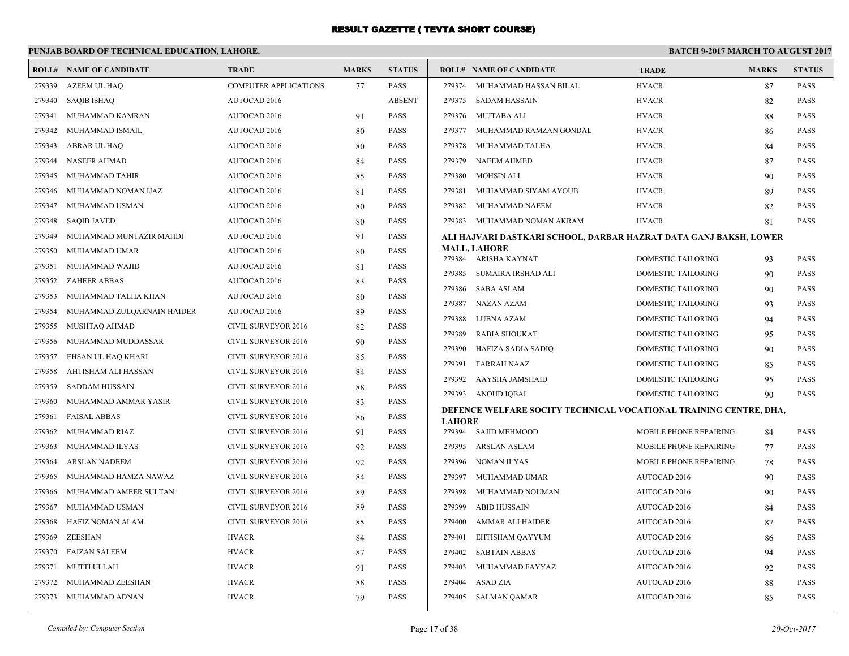|                            | <b>TRADE</b>                                     | <b>MARKS</b>                                 | <b>STATUS</b> |               |                            | <b>TRADE</b>                                                                                                                                                                                                                                                                                                                                                                                                                                                                                                                                                                                                                                                                                                                                                                                            | <b>MARKS</b>                                                                                                                                                                                                                           | <b>STATUS</b>                                                                                                                                                                                                                                  |
|----------------------------|--------------------------------------------------|----------------------------------------------|---------------|---------------|----------------------------|---------------------------------------------------------------------------------------------------------------------------------------------------------------------------------------------------------------------------------------------------------------------------------------------------------------------------------------------------------------------------------------------------------------------------------------------------------------------------------------------------------------------------------------------------------------------------------------------------------------------------------------------------------------------------------------------------------------------------------------------------------------------------------------------------------|----------------------------------------------------------------------------------------------------------------------------------------------------------------------------------------------------------------------------------------|------------------------------------------------------------------------------------------------------------------------------------------------------------------------------------------------------------------------------------------------|
| AZEEM UL HAQ               | <b>COMPUTER APPLICATIONS</b>                     | 77                                           | <b>PASS</b>   |               |                            | <b>HVACR</b>                                                                                                                                                                                                                                                                                                                                                                                                                                                                                                                                                                                                                                                                                                                                                                                            | 87                                                                                                                                                                                                                                     | <b>PASS</b>                                                                                                                                                                                                                                    |
| <b>SAQIB ISHAQ</b>         | <b>AUTOCAD 2016</b>                              |                                              | <b>ABSENT</b> |               |                            | <b>HVACR</b>                                                                                                                                                                                                                                                                                                                                                                                                                                                                                                                                                                                                                                                                                                                                                                                            | 82                                                                                                                                                                                                                                     | <b>PASS</b>                                                                                                                                                                                                                                    |
| MUHAMMAD KAMRAN            | <b>AUTOCAD 2016</b>                              | 91                                           | PASS          |               |                            | <b>HVACR</b>                                                                                                                                                                                                                                                                                                                                                                                                                                                                                                                                                                                                                                                                                                                                                                                            | 88                                                                                                                                                                                                                                     | PASS                                                                                                                                                                                                                                           |
| MUHAMMAD ISMAIL            | <b>AUTOCAD 2016</b>                              | 80                                           | PASS          |               |                            | <b>HVACR</b>                                                                                                                                                                                                                                                                                                                                                                                                                                                                                                                                                                                                                                                                                                                                                                                            | 86                                                                                                                                                                                                                                     | <b>PASS</b>                                                                                                                                                                                                                                    |
| ABRAR UL HAQ               | <b>AUTOCAD 2016</b>                              | 80                                           | <b>PASS</b>   | 279378        |                            | <b>HVACR</b>                                                                                                                                                                                                                                                                                                                                                                                                                                                                                                                                                                                                                                                                                                                                                                                            | 84                                                                                                                                                                                                                                     | <b>PASS</b>                                                                                                                                                                                                                                    |
| <b>NASEER AHMAD</b>        | <b>AUTOCAD 2016</b>                              | 84                                           | PASS          |               |                            | <b>HVACR</b>                                                                                                                                                                                                                                                                                                                                                                                                                                                                                                                                                                                                                                                                                                                                                                                            | 87                                                                                                                                                                                                                                     | PASS                                                                                                                                                                                                                                           |
| MUHAMMAD TAHIR             | <b>AUTOCAD 2016</b>                              | 85                                           | <b>PASS</b>   |               |                            | <b>HVACR</b>                                                                                                                                                                                                                                                                                                                                                                                                                                                                                                                                                                                                                                                                                                                                                                                            | 90                                                                                                                                                                                                                                     | <b>PASS</b>                                                                                                                                                                                                                                    |
| MUHAMMAD NOMAN IJAZ        | <b>AUTOCAD 2016</b>                              | 81                                           | PASS          | 279381        |                            | <b>HVACR</b>                                                                                                                                                                                                                                                                                                                                                                                                                                                                                                                                                                                                                                                                                                                                                                                            | 89                                                                                                                                                                                                                                     | <b>PASS</b>                                                                                                                                                                                                                                    |
| MUHAMMAD USMAN             | <b>AUTOCAD 2016</b>                              | 80                                           | PASS          | 279382        |                            | <b>HVACR</b>                                                                                                                                                                                                                                                                                                                                                                                                                                                                                                                                                                                                                                                                                                                                                                                            | 82                                                                                                                                                                                                                                     | PASS                                                                                                                                                                                                                                           |
| <b>SAQIB JAVED</b>         | <b>AUTOCAD 2016</b>                              | 80                                           | <b>PASS</b>   |               |                            | <b>HVACR</b>                                                                                                                                                                                                                                                                                                                                                                                                                                                                                                                                                                                                                                                                                                                                                                                            | 81                                                                                                                                                                                                                                     | <b>PASS</b>                                                                                                                                                                                                                                    |
| MUHAMMAD MUNTAZIR MAHDI    | <b>AUTOCAD 2016</b>                              | 91                                           | PASS          |               |                            |                                                                                                                                                                                                                                                                                                                                                                                                                                                                                                                                                                                                                                                                                                                                                                                                         |                                                                                                                                                                                                                                        |                                                                                                                                                                                                                                                |
| MUHAMMAD UMAR              | AUTOCAD 2016                                     | 80                                           | PASS          |               |                            |                                                                                                                                                                                                                                                                                                                                                                                                                                                                                                                                                                                                                                                                                                                                                                                                         |                                                                                                                                                                                                                                        | <b>PASS</b>                                                                                                                                                                                                                                    |
| MUHAMMAD WAJID             | <b>AUTOCAD 2016</b>                              | 81                                           | <b>PASS</b>   |               |                            |                                                                                                                                                                                                                                                                                                                                                                                                                                                                                                                                                                                                                                                                                                                                                                                                         |                                                                                                                                                                                                                                        | <b>PASS</b>                                                                                                                                                                                                                                    |
| <b>ZAHEER ABBAS</b>        | <b>AUTOCAD 2016</b>                              | 83                                           | PASS          |               |                            |                                                                                                                                                                                                                                                                                                                                                                                                                                                                                                                                                                                                                                                                                                                                                                                                         |                                                                                                                                                                                                                                        | <b>PASS</b>                                                                                                                                                                                                                                    |
| MUHAMMAD TALHA KHAN        | AUTOCAD 2016                                     | 80                                           | PASS          |               |                            |                                                                                                                                                                                                                                                                                                                                                                                                                                                                                                                                                                                                                                                                                                                                                                                                         |                                                                                                                                                                                                                                        | <b>PASS</b>                                                                                                                                                                                                                                    |
| MUHAMMAD ZULQARNAIN HAIDER | AUTOCAD 2016                                     | 89                                           | <b>PASS</b>   |               |                            |                                                                                                                                                                                                                                                                                                                                                                                                                                                                                                                                                                                                                                                                                                                                                                                                         |                                                                                                                                                                                                                                        | <b>PASS</b>                                                                                                                                                                                                                                    |
| MUSHTAQ AHMAD              | <b>CIVIL SURVEYOR 2016</b>                       | 82                                           | PASS          |               |                            |                                                                                                                                                                                                                                                                                                                                                                                                                                                                                                                                                                                                                                                                                                                                                                                                         |                                                                                                                                                                                                                                        | <b>PASS</b>                                                                                                                                                                                                                                    |
| MUHAMMAD MUDDASSAR         | <b>CIVIL SURVEYOR 2016</b>                       | 90                                           | <b>PASS</b>   |               |                            |                                                                                                                                                                                                                                                                                                                                                                                                                                                                                                                                                                                                                                                                                                                                                                                                         |                                                                                                                                                                                                                                        | <b>PASS</b>                                                                                                                                                                                                                                    |
| EHSAN UL HAQ KHARI         | <b>CIVIL SURVEYOR 2016</b>                       | 85                                           | PASS          |               |                            |                                                                                                                                                                                                                                                                                                                                                                                                                                                                                                                                                                                                                                                                                                                                                                                                         |                                                                                                                                                                                                                                        | <b>PASS</b>                                                                                                                                                                                                                                    |
| AHTISHAM ALI HASSAN        | <b>CIVIL SURVEYOR 2016</b>                       | 84                                           | PASS          |               |                            |                                                                                                                                                                                                                                                                                                                                                                                                                                                                                                                                                                                                                                                                                                                                                                                                         |                                                                                                                                                                                                                                        | <b>PASS</b>                                                                                                                                                                                                                                    |
| <b>SADDAM HUSSAIN</b>      | <b>CIVIL SURVEYOR 2016</b>                       | 88                                           | <b>PASS</b>   |               |                            |                                                                                                                                                                                                                                                                                                                                                                                                                                                                                                                                                                                                                                                                                                                                                                                                         |                                                                                                                                                                                                                                        | <b>PASS</b>                                                                                                                                                                                                                                    |
| MUHAMMAD AMMAR YASIR       | <b>CIVIL SURVEYOR 2016</b>                       | 83                                           | PASS          |               |                            |                                                                                                                                                                                                                                                                                                                                                                                                                                                                                                                                                                                                                                                                                                                                                                                                         |                                                                                                                                                                                                                                        |                                                                                                                                                                                                                                                |
| <b>FAISAL ABBAS</b>        | CIVIL SURVEYOR 2016                              | 86                                           | PASS          | <b>LAHORE</b> |                            |                                                                                                                                                                                                                                                                                                                                                                                                                                                                                                                                                                                                                                                                                                                                                                                                         |                                                                                                                                                                                                                                        |                                                                                                                                                                                                                                                |
| MUHAMMAD RIAZ              | CIVIL SURVEYOR 2016                              | 91                                           | <b>PASS</b>   |               |                            | <b>MOBILE PHONE REPAIRING</b>                                                                                                                                                                                                                                                                                                                                                                                                                                                                                                                                                                                                                                                                                                                                                                           | 84                                                                                                                                                                                                                                     | <b>PASS</b>                                                                                                                                                                                                                                    |
| MUHAMMAD ILYAS             | <b>CIVIL SURVEYOR 2016</b>                       | 92                                           | PASS          |               |                            | MOBILE PHONE REPAIRING                                                                                                                                                                                                                                                                                                                                                                                                                                                                                                                                                                                                                                                                                                                                                                                  | 77                                                                                                                                                                                                                                     | <b>PASS</b>                                                                                                                                                                                                                                    |
| <b>ARSLAN NADEEM</b>       | <b>CIVIL SURVEYOR 2016</b>                       | 92                                           | PASS          |               |                            | MOBILE PHONE REPAIRING                                                                                                                                                                                                                                                                                                                                                                                                                                                                                                                                                                                                                                                                                                                                                                                  | 78                                                                                                                                                                                                                                     | <b>PASS</b>                                                                                                                                                                                                                                    |
| MUHAMMAD HAMZA NAWAZ       | CIVIL SURVEYOR 2016                              | 84                                           | <b>PASS</b>   | 279397        |                            | AUTOCAD 2016                                                                                                                                                                                                                                                                                                                                                                                                                                                                                                                                                                                                                                                                                                                                                                                            | 90                                                                                                                                                                                                                                     | <b>PASS</b>                                                                                                                                                                                                                                    |
| MUHAMMAD AMEER SULTAN      | <b>CIVIL SURVEYOR 2016</b>                       | 89                                           | PASS          | 279398        |                            | <b>AUTOCAD 2016</b>                                                                                                                                                                                                                                                                                                                                                                                                                                                                                                                                                                                                                                                                                                                                                                                     | 90                                                                                                                                                                                                                                     | <b>PASS</b>                                                                                                                                                                                                                                    |
|                            | <b>CIVIL SURVEYOR 2016</b>                       | 89                                           | PASS          |               |                            | AUTOCAD 2016                                                                                                                                                                                                                                                                                                                                                                                                                                                                                                                                                                                                                                                                                                                                                                                            | 84                                                                                                                                                                                                                                     | <b>PASS</b>                                                                                                                                                                                                                                    |
| HAFIZ NOMAN ALAM           | CIVIL SURVEYOR 2016                              | 85                                           | PASS          |               |                            | AUTOCAD 2016                                                                                                                                                                                                                                                                                                                                                                                                                                                                                                                                                                                                                                                                                                                                                                                            | 87                                                                                                                                                                                                                                     | PASS                                                                                                                                                                                                                                           |
| <b>ZEESHAN</b>             | <b>HVACR</b>                                     | 84                                           | PASS          | 279401        |                            | AUTOCAD 2016                                                                                                                                                                                                                                                                                                                                                                                                                                                                                                                                                                                                                                                                                                                                                                                            | 86                                                                                                                                                                                                                                     | <b>PASS</b>                                                                                                                                                                                                                                    |
| <b>FAIZAN SALEEM</b>       | <b>HVACR</b>                                     | 87                                           | <b>PASS</b>   | 279402        |                            | AUTOCAD 2016                                                                                                                                                                                                                                                                                                                                                                                                                                                                                                                                                                                                                                                                                                                                                                                            | 94                                                                                                                                                                                                                                     | <b>PASS</b>                                                                                                                                                                                                                                    |
| MUTTI ULLAH                | <b>HVACR</b>                                     | 91                                           | PASS          | 279403        |                            | AUTOCAD 2016                                                                                                                                                                                                                                                                                                                                                                                                                                                                                                                                                                                                                                                                                                                                                                                            | 92                                                                                                                                                                                                                                     | <b>PASS</b>                                                                                                                                                                                                                                    |
| MUHAMMAD ZEESHAN           | <b>HVACR</b>                                     | 88                                           | PASS          | 279404        |                            | AUTOCAD 2016                                                                                                                                                                                                                                                                                                                                                                                                                                                                                                                                                                                                                                                                                                                                                                                            | 88                                                                                                                                                                                                                                     | PASS                                                                                                                                                                                                                                           |
| MUHAMMAD ADNAN             | <b>HVACR</b>                                     | 79                                           | PASS          |               |                            | AUTOCAD 2016                                                                                                                                                                                                                                                                                                                                                                                                                                                                                                                                                                                                                                                                                                                                                                                            | 85                                                                                                                                                                                                                                     | <b>PASS</b>                                                                                                                                                                                                                                    |
|                            | <b>ROLL# NAME OF CANDIDATE</b><br>MUHAMMAD USMAN | PUNJAB BOARD OF TECHNICAL EDUCATION, LAHORE. |               |               | 279388<br>279389<br>279391 | <b>ROLL# NAME OF CANDIDATE</b><br>279374 MUHAMMAD HASSAN BILAL<br>279375 SADAM HASSAIN<br>279376 MUJTABA ALI<br>279377 MUHAMMAD RAMZAN GONDAL<br>MUHAMMAD TALHA<br>279379 NAEEM AHMED<br>279380 MOHSIN ALI<br>MUHAMMAD SIYAM AYOUB<br>MUHAMMAD NAEEM<br>279383 MUHAMMAD NOMAN AKRAM<br><b>MALL, LAHORE</b><br>279384 ARISHA KAYNAT<br>279385 SUMAIRA IRSHAD ALI<br>279386 SABA ASLAM<br>279387 NAZAN AZAM<br>LUBNA AZAM<br>RABIA SHOUKAT<br>279390 HAFIZA SADIA SADIQ<br><b>FARRAH NAAZ</b><br>279392 AAYSHA JAMSHAID<br>279393 ANOUD IQBAL<br>279394 SAJID MEHMOOD<br>279395 ARSLAN ASLAM<br>279396 NOMAN ILYAS<br>MUHAMMAD UMAR<br>MUHAMMAD NOUMAN<br>279399 ABID HUSSAIN<br>279400 AMMAR ALI HAIDER<br>EHTISHAM QAYYUM<br><b>SABTAIN ABBAS</b><br>MUHAMMAD FAYYAZ<br>ASAD ZIA<br>279405 SALMAN QAMAR | DOMESTIC TAILORING<br>DOMESTIC TAILORING<br><b>DOMESTIC TAILORING</b><br>DOMESTIC TAILORING<br>DOMESTIC TAILORING<br><b>DOMESTIC TAILORING</b><br>DOMESTIC TAILORING<br>DOMESTIC TAILORING<br>DOMESTIC TAILORING<br>DOMESTIC TAILORING | <b>BATCH 9-2017 MARCH TO AUGUST 2017</b><br>ALI HAJVARI DASTKARI SCHOOL, DARBAR HAZRAT DATA GANJ BAKSH, LOWER<br>93<br>90<br>90<br>93<br>94<br>95<br>90<br>85<br>95<br>90<br>DEFENCE WELFARE SOCITY TECHNICAL VOCATIONAL TRAINING CENTRE, DHA, |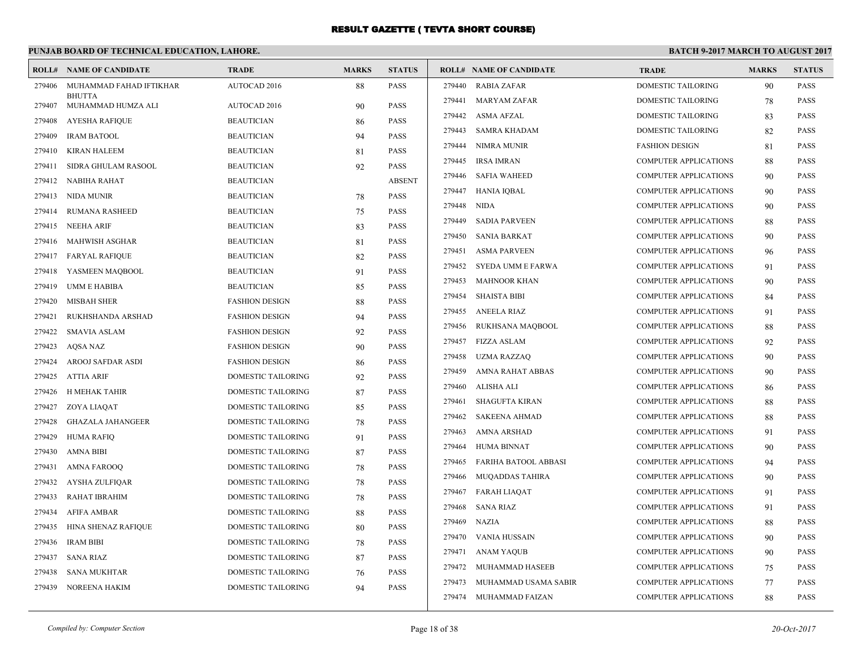|        | PUNJAB BOARD OF TECHNICAL EDUCATION, LAHORE. |                           |              |               | <b>BATCH 9-2017 MARCH TO AUGUST 2017</b> |                                |                              |              |               |
|--------|----------------------------------------------|---------------------------|--------------|---------------|------------------------------------------|--------------------------------|------------------------------|--------------|---------------|
|        | <b>ROLL# NAME OF CANDIDATE</b>               | <b>TRADE</b>              | <b>MARKS</b> | <b>STATUS</b> |                                          | <b>ROLL# NAME OF CANDIDATE</b> | <b>TRADE</b>                 | <b>MARKS</b> | <b>STATUS</b> |
| 279406 | MUHAMMAD FAHAD IFTIKHAR                      | AUTOCAD 2016              | 88           | <b>PASS</b>   | 279440                                   | <b>RABIA ZAFAR</b>             | <b>DOMESTIC TAILORING</b>    | 90           | <b>PASS</b>   |
| 279407 | <b>BHUTTA</b><br>MUHAMMAD HUMZA ALI          | AUTOCAD 2016              | 90           | <b>PASS</b>   | 279441                                   | <b>MARYAM ZAFAR</b>            | DOMESTIC TAILORING           | 78           | <b>PASS</b>   |
| 279408 | <b>AYESHA RAFIQUE</b>                        | <b>BEAUTICIAN</b>         | 86           | <b>PASS</b>   | 279442                                   | ASMA AFZAL                     | DOMESTIC TAILORING           | 83           | <b>PASS</b>   |
| 279409 | <b>IRAM BATOOL</b>                           | <b>BEAUTICIAN</b>         | 94           | <b>PASS</b>   | 279443                                   | <b>SAMRA KHADAM</b>            | DOMESTIC TAILORING           | 82           | <b>PASS</b>   |
| 279410 | <b>KIRAN HALEEM</b>                          | <b>BEAUTICIAN</b>         | 81           | <b>PASS</b>   | 279444                                   | <b>NIMRA MUNIR</b>             | <b>FASHION DESIGN</b>        | 81           | <b>PASS</b>   |
| 279411 | SIDRA GHULAM RASOOL                          | <b>BEAUTICIAN</b>         | 92           | <b>PASS</b>   | 279445                                   | <b>IRSA IMRAN</b>              | <b>COMPUTER APPLICATIONS</b> | 88           | <b>PASS</b>   |
|        | 279412 NABIHA RAHAT                          | <b>BEAUTICIAN</b>         |              | <b>ABSENT</b> | 279446                                   | <b>SAFIA WAHEED</b>            | <b>COMPUTER APPLICATIONS</b> | 90           | PASS          |
| 279413 | NIDA MUNIR                                   | <b>BEAUTICIAN</b>         | 78           | <b>PASS</b>   | 279447                                   | HANIA IQBAL                    | COMPUTER APPLICATIONS        | 90           | <b>PASS</b>   |
| 279414 | <b>RUMANA RASHEED</b>                        | <b>BEAUTICIAN</b>         | 75           | <b>PASS</b>   | 279448                                   | <b>NIDA</b>                    | COMPUTER APPLICATIONS        | 90           | <b>PASS</b>   |
| 279415 | NEEHA ARIF                                   | <b>BEAUTICIAN</b>         | 83           | <b>PASS</b>   | 279449                                   | <b>SADIA PARVEEN</b>           | <b>COMPUTER APPLICATIONS</b> | 88           | <b>PASS</b>   |
| 279416 | <b>MAHWISH ASGHAR</b>                        | <b>BEAUTICIAN</b>         | 81           | <b>PASS</b>   | 279450                                   | <b>SANIA BARKAT</b>            | <b>COMPUTER APPLICATIONS</b> | 90           | <b>PASS</b>   |
| 279417 | <b>FARYAL RAFIQUE</b>                        | <b>BEAUTICIAN</b>         | 82           | <b>PASS</b>   | 279451                                   | <b>ASMA PARVEEN</b>            | COMPUTER APPLICATIONS        | 96           | PASS          |
| 279418 | YASMEEN MAQBOOL                              | <b>BEAUTICIAN</b>         | 91           | PASS          | 279452                                   | SYEDA UMM E FARWA              | <b>COMPUTER APPLICATIONS</b> | 91           | PASS          |
| 279419 | <b>UMM E HABIBA</b>                          | <b>BEAUTICIAN</b>         | 85           | PASS          | 279453                                   | <b>MAHNOOR KHAN</b>            | <b>COMPUTER APPLICATIONS</b> | 90           | <b>PASS</b>   |
| 279420 | <b>MISBAH SHER</b>                           | <b>FASHION DESIGN</b>     | 88           | PASS          | 279454                                   | <b>SHAISTA BIBI</b>            | <b>COMPUTER APPLICATIONS</b> | 84           | <b>PASS</b>   |
| 279421 | RUKHSHANDA ARSHAD                            | <b>FASHION DESIGN</b>     | 94           | <b>PASS</b>   | 279455                                   | <b>ANEELA RIAZ</b>             | <b>COMPUTER APPLICATIONS</b> | 91           | <b>PASS</b>   |
| 279422 | <b>SMAVIA ASLAM</b>                          | <b>FASHION DESIGN</b>     | 92           | <b>PASS</b>   | 279456                                   | RUKHSANA MAQBOOL               | <b>COMPUTER APPLICATIONS</b> | 88           | <b>PASS</b>   |
| 279423 | <b>AOSA NAZ</b>                              | <b>FASHION DESIGN</b>     | 90           | <b>PASS</b>   | 279457                                   | <b>FIZZA ASLAM</b>             | <b>COMPUTER APPLICATIONS</b> | 92           | PASS          |
| 279424 | <b>AROOJ SAFDAR ASDI</b>                     | <b>FASHION DESIGN</b>     | 86           | <b>PASS</b>   | 279458                                   | <b>UZMA RAZZAQ</b>             | <b>COMPUTER APPLICATIONS</b> | 90           | <b>PASS</b>   |
| 279425 | ATTIA ARIF                                   | <b>DOMESTIC TAILORING</b> | 92           | <b>PASS</b>   | 279459                                   | AMNA RAHAT ABBAS               | COMPUTER APPLICATIONS        | 90           | <b>PASS</b>   |
| 279426 | H MEHAK TAHIR                                | <b>DOMESTIC TAILORING</b> | 87           | <b>PASS</b>   | 279460                                   | ALISHA ALI                     | <b>COMPUTER APPLICATIONS</b> | 86           | <b>PASS</b>   |
| 279427 | ZOYA LIAQAT                                  | <b>DOMESTIC TAILORING</b> | 85           | <b>PASS</b>   | 279461                                   | <b>SHAGUFTA KIRAN</b>          | <b>COMPUTER APPLICATIONS</b> | 88           | <b>PASS</b>   |
| 279428 | <b>GHAZALA JAHANGEER</b>                     | <b>DOMESTIC TAILORING</b> | 78           | <b>PASS</b>   | 279462                                   | <b>SAKEENA AHMAD</b>           | <b>COMPUTER APPLICATIONS</b> | 88           | PASS          |
| 279429 | <b>HUMA RAFIQ</b>                            | DOMESTIC TAILORING        | 91           | <b>PASS</b>   | 279463                                   | AMNA ARSHAD                    | <b>COMPUTER APPLICATIONS</b> | 91           | <b>PASS</b>   |
| 279430 | AMNA BIBI                                    | DOMESTIC TAILORING        | 87           | PASS          | 279464                                   | HUMA BINNAT                    | <b>COMPUTER APPLICATIONS</b> | 90           | <b>PASS</b>   |
| 279431 | <b>AMNA FAROOQ</b>                           | DOMESTIC TAILORING        | 78           | <b>PASS</b>   | 279465                                   | FARIHA BATOOL ABBASI           | <b>COMPUTER APPLICATIONS</b> | 94           | <b>PASS</b>   |
| 279432 | AYSHA ZULFIQAR                               | <b>DOMESTIC TAILORING</b> | 78           | <b>PASS</b>   | 279466                                   | <b>MUQADDAS TAHIRA</b>         | <b>COMPUTER APPLICATIONS</b> | 90           | <b>PASS</b>   |
| 279433 | <b>RAHAT IBRAHIM</b>                         | <b>DOMESTIC TAILORING</b> | 78           | <b>PASS</b>   | 279467                                   | <b>FARAH LIAQAT</b>            | <b>COMPUTER APPLICATIONS</b> | 91           | PASS          |
| 279434 | <b>AFIFA AMBAR</b>                           | DOMESTIC TAILORING        | 88           | <b>PASS</b>   | 279468                                   | <b>SANA RIAZ</b>               | <b>COMPUTER APPLICATIONS</b> | 91           | <b>PASS</b>   |
| 279435 | HINA SHENAZ RAFIQUE                          | DOMESTIC TAILORING        | 80           | <b>PASS</b>   | 279469                                   | NAZIA                          | <b>COMPUTER APPLICATIONS</b> | 88           | <b>PASS</b>   |
| 279436 | <b>IRAM BIBI</b>                             | <b>DOMESTIC TAILORING</b> | 78           | <b>PASS</b>   | 279470                                   | VANIA HUSSAIN                  | <b>COMPUTER APPLICATIONS</b> | 90           | <b>PASS</b>   |
| 279437 | SANA RIAZ                                    | <b>DOMESTIC TAILORING</b> | 87           | <b>PASS</b>   | 279471                                   | ANAM YAQUB                     | <b>COMPUTER APPLICATIONS</b> | 90           | <b>PASS</b>   |
| 279438 | <b>SANA MUKHTAR</b>                          | <b>DOMESTIC TAILORING</b> | 76           | <b>PASS</b>   | 279472                                   | MUHAMMAD HASEEB                | <b>COMPUTER APPLICATIONS</b> | 75           | PASS          |
| 279439 | <b>NOREENA HAKIM</b>                         | <b>DOMESTIC TAILORING</b> | 94           | <b>PASS</b>   | 279473                                   | MUHAMMAD USAMA SABIR           | <b>COMPUTER APPLICATIONS</b> | 77           | PASS          |
|        |                                              |                           |              |               |                                          | 279474 MUHAMMAD FAIZAN         | <b>COMPUTER APPLICATIONS</b> | 88           | <b>PASS</b>   |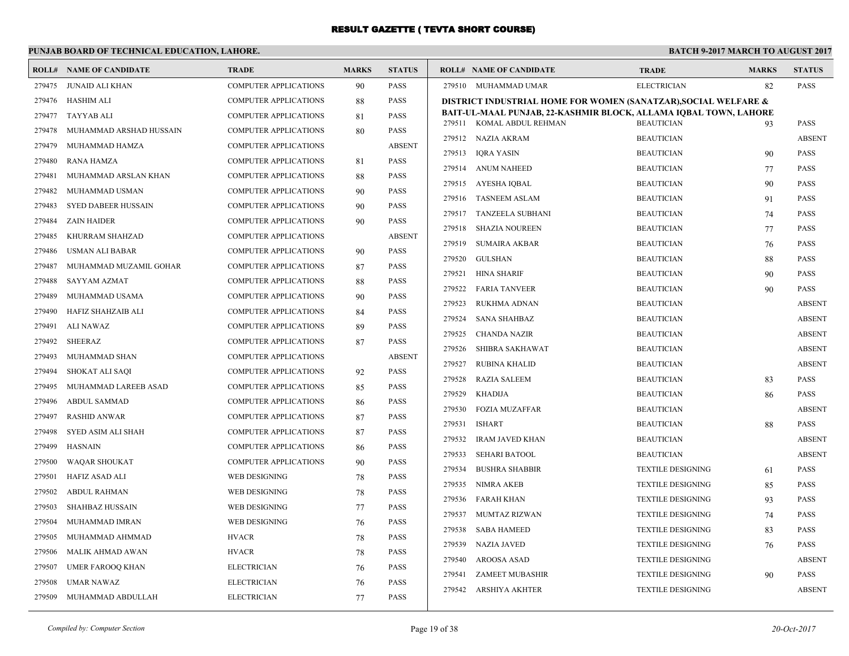# **PUNJAB BOARD OF TECHNICAL EDUCATION, LAHORE.**

| <b>PASS</b><br><b>ELECTRICIAN</b><br>82<br>279475 JUNAID ALI KHAN<br><b>COMPUTER APPLICATIONS</b><br>90<br>279510 MUHAMMAD UMAR<br><b>PASS</b><br>279476 HASHIM ALI<br><b>COMPUTER APPLICATIONS</b><br><b>PASS</b><br>88<br>DISTRICT INDUSTRIAL HOME FOR WOMEN (SANATZAR), SOCIAL WELFARE &<br>BAIT-UL-MAAL PUNJAB, 22-KASHMIR BLOCK, ALLAMA IQBAL TOWN, LAHORE<br>279477<br>TAYYAB ALI<br>COMPUTER APPLICATIONS<br><b>PASS</b><br>81<br>279511 KOMAL ABDUL REHMAN<br><b>BEAUTICIAN</b><br>PASS<br>93<br>279478<br>MUHAMMAD ARSHAD HUSSAIN<br><b>COMPUTER APPLICATIONS</b><br><b>PASS</b><br>80<br><b>BEAUTICIAN</b><br>279512 NAZIA AKRAM<br><b>ABSENT</b><br><b>ABSENT</b><br>279479<br>MUHAMMAD HAMZA<br>COMPUTER APPLICATIONS<br>279513<br>IQRA YASIN<br><b>BEAUTICIAN</b><br>PASS<br>90<br><b>PASS</b><br>279480<br><b>RANA HAMZA</b><br>COMPUTER APPLICATIONS<br>81<br>279514 ANUM NAHEED<br>77<br>PASS<br><b>BEAUTICIAN</b><br><b>PASS</b><br>279481<br>MUHAMMAD ARSLAN KHAN<br><b>COMPUTER APPLICATIONS</b><br>88<br>279515 AYESHA IQBAL<br>PASS<br><b>BEAUTICIAN</b><br>90<br>MUHAMMAD USMAN<br><b>PASS</b><br>279482<br><b>COMPUTER APPLICATIONS</b><br>90<br>279516 TASNEEM ASLAM<br><b>BEAUTICIAN</b><br>PASS<br>91<br>279483<br><b>SYED DABEER HUSSAIN</b><br><b>COMPUTER APPLICATIONS</b><br><b>PASS</b><br>90<br>279517 TANZEELA SUBHANI<br><b>BEAUTICIAN</b><br>PASS<br>74<br><b>ZAIN HAIDER</b><br>COMPUTER APPLICATIONS<br>90<br><b>PASS</b><br>279484<br>279518<br><b>SHAZIA NOUREEN</b><br><b>BEAUTICIAN</b><br>77<br>PASS<br>279485<br>KHURRAM SHAHZAD<br>COMPUTER APPLICATIONS<br><b>ABSENT</b><br><b>SUMAIRA AKBAR</b><br>279519<br><b>BEAUTICIAN</b><br>PASS<br>76<br><b>PASS</b><br>279486<br>USMAN ALI BABAR<br>COMPUTER APPLICATIONS<br>90<br>279520<br><b>GULSHAN</b><br><b>BEAUTICIAN</b><br>88<br><b>PASS</b><br><b>PASS</b><br>279487<br>MUHAMMAD MUZAMIL GOHAR<br><b>COMPUTER APPLICATIONS</b><br>87<br>279521<br><b>HINA SHARIF</b><br><b>BEAUTICIAN</b><br>90<br>PASS<br><b>SAYYAM AZMAT</b><br><b>PASS</b><br>279488<br><b>COMPUTER APPLICATIONS</b><br>88<br>279522<br><b>FARIA TANVEER</b><br><b>BEAUTICIAN</b><br>90<br>PASS<br>279489<br>MUHAMMAD USAMA<br><b>COMPUTER APPLICATIONS</b><br><b>PASS</b><br>90<br>279523<br>RUKHMA ADNAN<br><b>BEAUTICIAN</b><br><b>ABSENT</b><br>279490<br><b>HAFIZ SHAHZAIB ALI</b><br><b>COMPUTER APPLICATIONS</b><br><b>PASS</b><br>84<br>279524<br><b>SANA SHAHBAZ</b><br><b>BEAUTICIAN</b><br><b>ABSENT</b><br>279491<br>ALI NAWAZ<br><b>COMPUTER APPLICATIONS</b><br><b>PASS</b><br>89<br>279525<br><b>CHANDA NAZIR</b><br><b>BEAUTICIAN</b><br><b>ABSENT</b><br><b>PASS</b><br>279492<br><b>SHEERAZ</b><br>COMPUTER APPLICATIONS<br>87<br>279526<br>SHIBRA SAKHAWAT<br><b>BEAUTICIAN</b><br><b>ABSENT</b><br><b>ABSENT</b><br>279493<br><b>MUHAMMAD SHAN</b><br><b>COMPUTER APPLICATIONS</b><br>279527<br><b>RUBINA KHALID</b><br><b>BEAUTICIAN</b><br><b>ABSENT</b><br><b>PASS</b><br>279494<br>SHOKAT ALI SAQI<br>COMPUTER APPLICATIONS<br>92<br>279528<br><b>RAZIA SALEEM</b><br><b>BEAUTICIAN</b><br>PASS<br>83<br><b>PASS</b><br>279495<br>MUHAMMAD LAREEB ASAD<br>COMPUTER APPLICATIONS<br>85<br>279529<br><b>KHADIJA</b><br><b>BEAUTICIAN</b><br>PASS<br>86<br><b>PASS</b><br>279496<br><b>ABDUL SAMMAD</b><br><b>COMPUTER APPLICATIONS</b><br>86<br>279530<br><b>FOZIA MUZAFFAR</b><br><b>BEAUTICIAN</b><br><b>ABSENT</b><br><b>RASHID ANWAR</b><br><b>COMPUTER APPLICATIONS</b><br><b>PASS</b><br>279497<br>87<br>279531<br><b>ISHART</b><br><b>BEAUTICIAN</b><br>88<br>PASS<br>279498<br><b>SYED ASIM ALI SHAH</b><br><b>COMPUTER APPLICATIONS</b><br><b>PASS</b><br>87<br>279532<br><b>IRAM JAVED KHAN</b><br><b>BEAUTICIAN</b><br><b>ABSENT</b><br>279499<br><b>HASNAIN</b><br>COMPUTER APPLICATIONS<br><b>PASS</b><br>86<br><b>ABSENT</b><br>279533<br><b>SEHARI BATOOL</b><br><b>BEAUTICIAN</b><br>279500<br><b>WAQAR SHOUKAT</b><br>COMPUTER APPLICATIONS<br><b>PASS</b><br>90<br>PASS<br>279534<br><b>BUSHRA SHABBIR</b><br><b>TEXTILE DESIGNING</b><br>61<br><b>PASS</b><br>279501<br>HAFIZ ASAD ALI<br>WEB DESIGNING<br>78<br>279535<br><b>NIMRA AKEB</b><br><b>TEXTILE DESIGNING</b><br>85<br>PASS<br><b>PASS</b><br>279502<br><b>ABDUL RAHMAN</b><br>WEB DESIGNING<br>78<br>279536<br><b>FARAH KHAN</b><br>PASS<br><b>TEXTILE DESIGNING</b><br>93<br>279503<br>SHAHBAZ HUSSAIN<br><b>WEB DESIGNING</b><br><b>PASS</b><br>77<br>279537<br>MUMTAZ RIZWAN<br><b>TEXTILE DESIGNING</b><br>PASS<br>74<br>279504<br>WEB DESIGNING<br><b>PASS</b><br>MUHAMMAD IMRAN<br>76<br>279538<br><b>SABA HAMEED</b><br><b>TEXTILE DESIGNING</b><br>PASS<br>83<br>279505<br><b>HVACR</b><br><b>PASS</b><br>MUHAMMAD AHMMAD<br>78<br>279539<br><b>NAZIA JAVED</b><br><b>TEXTILE DESIGNING</b><br><b>PASS</b><br>76<br>MALIK AHMAD AWAN<br><b>HVACR</b><br><b>PASS</b><br>279506<br>78<br>279540<br>AROOSA ASAD<br><b>TEXTILE DESIGNING</b><br><b>ABSENT</b><br><b>PASS</b><br>279507<br><b>UMER FAROOQ KHAN</b><br><b>ELECTRICIAN</b><br>76<br>PASS<br>279541<br><b>ZAMEET MUBASHIR</b><br><b>TEXTILE DESIGNING</b><br>90<br>279508<br><b>UMAR NAWAZ</b><br><b>ELECTRICIAN</b><br><b>PASS</b><br>76 | <b>ROLL# NAME OF CANDIDATE</b> | <b>TRADE</b> | <b>MARKS</b> | <b>STATUS</b> | <b>ROLL# NAME OF CANDIDATE</b> | <b>TRADE</b> | <b>MARKS</b> | <b>STATUS</b> |
|-----------------------------------------------------------------------------------------------------------------------------------------------------------------------------------------------------------------------------------------------------------------------------------------------------------------------------------------------------------------------------------------------------------------------------------------------------------------------------------------------------------------------------------------------------------------------------------------------------------------------------------------------------------------------------------------------------------------------------------------------------------------------------------------------------------------------------------------------------------------------------------------------------------------------------------------------------------------------------------------------------------------------------------------------------------------------------------------------------------------------------------------------------------------------------------------------------------------------------------------------------------------------------------------------------------------------------------------------------------------------------------------------------------------------------------------------------------------------------------------------------------------------------------------------------------------------------------------------------------------------------------------------------------------------------------------------------------------------------------------------------------------------------------------------------------------------------------------------------------------------------------------------------------------------------------------------------------------------------------------------------------------------------------------------------------------------------------------------------------------------------------------------------------------------------------------------------------------------------------------------------------------------------------------------------------------------------------------------------------------------------------------------------------------------------------------------------------------------------------------------------------------------------------------------------------------------------------------------------------------------------------------------------------------------------------------------------------------------------------------------------------------------------------------------------------------------------------------------------------------------------------------------------------------------------------------------------------------------------------------------------------------------------------------------------------------------------------------------------------------------------------------------------------------------------------------------------------------------------------------------------------------------------------------------------------------------------------------------------------------------------------------------------------------------------------------------------------------------------------------------------------------------------------------------------------------------------------------------------------------------------------------------------------------------------------------------------------------------------------------------------------------------------------------------------------------------------------------------------------------------------------------------------------------------------------------------------------------------------------------------------------------------------------------------------------------------------------------------------------------------------------------------------------------------------------------------------------------------------------------------------------------------------------------------------------------------------------------------------------------------------------------------------------------------------------------------------------------------------------------------------------------------------------------------------------------------------------------------------------------------------------------------------------------------------------------------------------------------------------------------------------------------------------------------------------------------------------------------------------------------------------------------------------------------------------------------------------------------------------------------------------------------------------------------------------------------------------------------------------------------------------------------------------------------------------|--------------------------------|--------------|--------------|---------------|--------------------------------|--------------|--------------|---------------|
|                                                                                                                                                                                                                                                                                                                                                                                                                                                                                                                                                                                                                                                                                                                                                                                                                                                                                                                                                                                                                                                                                                                                                                                                                                                                                                                                                                                                                                                                                                                                                                                                                                                                                                                                                                                                                                                                                                                                                                                                                                                                                                                                                                                                                                                                                                                                                                                                                                                                                                                                                                                                                                                                                                                                                                                                                                                                                                                                                                                                                                                                                                                                                                                                                                                                                                                                                                                                                                                                                                                                                                                                                                                                                                                                                                                                                                                                                                                                                                                                                                                                                                                                                                                                                                                                                                                                                                                                                                                                                                                                                                                                                                                                                                                                                                                                                                                                                                                                                                                                                                                                                                                                                                                   |                                |              |              |               |                                |              |              |               |
|                                                                                                                                                                                                                                                                                                                                                                                                                                                                                                                                                                                                                                                                                                                                                                                                                                                                                                                                                                                                                                                                                                                                                                                                                                                                                                                                                                                                                                                                                                                                                                                                                                                                                                                                                                                                                                                                                                                                                                                                                                                                                                                                                                                                                                                                                                                                                                                                                                                                                                                                                                                                                                                                                                                                                                                                                                                                                                                                                                                                                                                                                                                                                                                                                                                                                                                                                                                                                                                                                                                                                                                                                                                                                                                                                                                                                                                                                                                                                                                                                                                                                                                                                                                                                                                                                                                                                                                                                                                                                                                                                                                                                                                                                                                                                                                                                                                                                                                                                                                                                                                                                                                                                                                   |                                |              |              |               |                                |              |              |               |
|                                                                                                                                                                                                                                                                                                                                                                                                                                                                                                                                                                                                                                                                                                                                                                                                                                                                                                                                                                                                                                                                                                                                                                                                                                                                                                                                                                                                                                                                                                                                                                                                                                                                                                                                                                                                                                                                                                                                                                                                                                                                                                                                                                                                                                                                                                                                                                                                                                                                                                                                                                                                                                                                                                                                                                                                                                                                                                                                                                                                                                                                                                                                                                                                                                                                                                                                                                                                                                                                                                                                                                                                                                                                                                                                                                                                                                                                                                                                                                                                                                                                                                                                                                                                                                                                                                                                                                                                                                                                                                                                                                                                                                                                                                                                                                                                                                                                                                                                                                                                                                                                                                                                                                                   |                                |              |              |               |                                |              |              |               |
|                                                                                                                                                                                                                                                                                                                                                                                                                                                                                                                                                                                                                                                                                                                                                                                                                                                                                                                                                                                                                                                                                                                                                                                                                                                                                                                                                                                                                                                                                                                                                                                                                                                                                                                                                                                                                                                                                                                                                                                                                                                                                                                                                                                                                                                                                                                                                                                                                                                                                                                                                                                                                                                                                                                                                                                                                                                                                                                                                                                                                                                                                                                                                                                                                                                                                                                                                                                                                                                                                                                                                                                                                                                                                                                                                                                                                                                                                                                                                                                                                                                                                                                                                                                                                                                                                                                                                                                                                                                                                                                                                                                                                                                                                                                                                                                                                                                                                                                                                                                                                                                                                                                                                                                   |                                |              |              |               |                                |              |              |               |
|                                                                                                                                                                                                                                                                                                                                                                                                                                                                                                                                                                                                                                                                                                                                                                                                                                                                                                                                                                                                                                                                                                                                                                                                                                                                                                                                                                                                                                                                                                                                                                                                                                                                                                                                                                                                                                                                                                                                                                                                                                                                                                                                                                                                                                                                                                                                                                                                                                                                                                                                                                                                                                                                                                                                                                                                                                                                                                                                                                                                                                                                                                                                                                                                                                                                                                                                                                                                                                                                                                                                                                                                                                                                                                                                                                                                                                                                                                                                                                                                                                                                                                                                                                                                                                                                                                                                                                                                                                                                                                                                                                                                                                                                                                                                                                                                                                                                                                                                                                                                                                                                                                                                                                                   |                                |              |              |               |                                |              |              |               |
|                                                                                                                                                                                                                                                                                                                                                                                                                                                                                                                                                                                                                                                                                                                                                                                                                                                                                                                                                                                                                                                                                                                                                                                                                                                                                                                                                                                                                                                                                                                                                                                                                                                                                                                                                                                                                                                                                                                                                                                                                                                                                                                                                                                                                                                                                                                                                                                                                                                                                                                                                                                                                                                                                                                                                                                                                                                                                                                                                                                                                                                                                                                                                                                                                                                                                                                                                                                                                                                                                                                                                                                                                                                                                                                                                                                                                                                                                                                                                                                                                                                                                                                                                                                                                                                                                                                                                                                                                                                                                                                                                                                                                                                                                                                                                                                                                                                                                                                                                                                                                                                                                                                                                                                   |                                |              |              |               |                                |              |              |               |
|                                                                                                                                                                                                                                                                                                                                                                                                                                                                                                                                                                                                                                                                                                                                                                                                                                                                                                                                                                                                                                                                                                                                                                                                                                                                                                                                                                                                                                                                                                                                                                                                                                                                                                                                                                                                                                                                                                                                                                                                                                                                                                                                                                                                                                                                                                                                                                                                                                                                                                                                                                                                                                                                                                                                                                                                                                                                                                                                                                                                                                                                                                                                                                                                                                                                                                                                                                                                                                                                                                                                                                                                                                                                                                                                                                                                                                                                                                                                                                                                                                                                                                                                                                                                                                                                                                                                                                                                                                                                                                                                                                                                                                                                                                                                                                                                                                                                                                                                                                                                                                                                                                                                                                                   |                                |              |              |               |                                |              |              |               |
|                                                                                                                                                                                                                                                                                                                                                                                                                                                                                                                                                                                                                                                                                                                                                                                                                                                                                                                                                                                                                                                                                                                                                                                                                                                                                                                                                                                                                                                                                                                                                                                                                                                                                                                                                                                                                                                                                                                                                                                                                                                                                                                                                                                                                                                                                                                                                                                                                                                                                                                                                                                                                                                                                                                                                                                                                                                                                                                                                                                                                                                                                                                                                                                                                                                                                                                                                                                                                                                                                                                                                                                                                                                                                                                                                                                                                                                                                                                                                                                                                                                                                                                                                                                                                                                                                                                                                                                                                                                                                                                                                                                                                                                                                                                                                                                                                                                                                                                                                                                                                                                                                                                                                                                   |                                |              |              |               |                                |              |              |               |
|                                                                                                                                                                                                                                                                                                                                                                                                                                                                                                                                                                                                                                                                                                                                                                                                                                                                                                                                                                                                                                                                                                                                                                                                                                                                                                                                                                                                                                                                                                                                                                                                                                                                                                                                                                                                                                                                                                                                                                                                                                                                                                                                                                                                                                                                                                                                                                                                                                                                                                                                                                                                                                                                                                                                                                                                                                                                                                                                                                                                                                                                                                                                                                                                                                                                                                                                                                                                                                                                                                                                                                                                                                                                                                                                                                                                                                                                                                                                                                                                                                                                                                                                                                                                                                                                                                                                                                                                                                                                                                                                                                                                                                                                                                                                                                                                                                                                                                                                                                                                                                                                                                                                                                                   |                                |              |              |               |                                |              |              |               |
|                                                                                                                                                                                                                                                                                                                                                                                                                                                                                                                                                                                                                                                                                                                                                                                                                                                                                                                                                                                                                                                                                                                                                                                                                                                                                                                                                                                                                                                                                                                                                                                                                                                                                                                                                                                                                                                                                                                                                                                                                                                                                                                                                                                                                                                                                                                                                                                                                                                                                                                                                                                                                                                                                                                                                                                                                                                                                                                                                                                                                                                                                                                                                                                                                                                                                                                                                                                                                                                                                                                                                                                                                                                                                                                                                                                                                                                                                                                                                                                                                                                                                                                                                                                                                                                                                                                                                                                                                                                                                                                                                                                                                                                                                                                                                                                                                                                                                                                                                                                                                                                                                                                                                                                   |                                |              |              |               |                                |              |              |               |
|                                                                                                                                                                                                                                                                                                                                                                                                                                                                                                                                                                                                                                                                                                                                                                                                                                                                                                                                                                                                                                                                                                                                                                                                                                                                                                                                                                                                                                                                                                                                                                                                                                                                                                                                                                                                                                                                                                                                                                                                                                                                                                                                                                                                                                                                                                                                                                                                                                                                                                                                                                                                                                                                                                                                                                                                                                                                                                                                                                                                                                                                                                                                                                                                                                                                                                                                                                                                                                                                                                                                                                                                                                                                                                                                                                                                                                                                                                                                                                                                                                                                                                                                                                                                                                                                                                                                                                                                                                                                                                                                                                                                                                                                                                                                                                                                                                                                                                                                                                                                                                                                                                                                                                                   |                                |              |              |               |                                |              |              |               |
|                                                                                                                                                                                                                                                                                                                                                                                                                                                                                                                                                                                                                                                                                                                                                                                                                                                                                                                                                                                                                                                                                                                                                                                                                                                                                                                                                                                                                                                                                                                                                                                                                                                                                                                                                                                                                                                                                                                                                                                                                                                                                                                                                                                                                                                                                                                                                                                                                                                                                                                                                                                                                                                                                                                                                                                                                                                                                                                                                                                                                                                                                                                                                                                                                                                                                                                                                                                                                                                                                                                                                                                                                                                                                                                                                                                                                                                                                                                                                                                                                                                                                                                                                                                                                                                                                                                                                                                                                                                                                                                                                                                                                                                                                                                                                                                                                                                                                                                                                                                                                                                                                                                                                                                   |                                |              |              |               |                                |              |              |               |
|                                                                                                                                                                                                                                                                                                                                                                                                                                                                                                                                                                                                                                                                                                                                                                                                                                                                                                                                                                                                                                                                                                                                                                                                                                                                                                                                                                                                                                                                                                                                                                                                                                                                                                                                                                                                                                                                                                                                                                                                                                                                                                                                                                                                                                                                                                                                                                                                                                                                                                                                                                                                                                                                                                                                                                                                                                                                                                                                                                                                                                                                                                                                                                                                                                                                                                                                                                                                                                                                                                                                                                                                                                                                                                                                                                                                                                                                                                                                                                                                                                                                                                                                                                                                                                                                                                                                                                                                                                                                                                                                                                                                                                                                                                                                                                                                                                                                                                                                                                                                                                                                                                                                                                                   |                                |              |              |               |                                |              |              |               |
|                                                                                                                                                                                                                                                                                                                                                                                                                                                                                                                                                                                                                                                                                                                                                                                                                                                                                                                                                                                                                                                                                                                                                                                                                                                                                                                                                                                                                                                                                                                                                                                                                                                                                                                                                                                                                                                                                                                                                                                                                                                                                                                                                                                                                                                                                                                                                                                                                                                                                                                                                                                                                                                                                                                                                                                                                                                                                                                                                                                                                                                                                                                                                                                                                                                                                                                                                                                                                                                                                                                                                                                                                                                                                                                                                                                                                                                                                                                                                                                                                                                                                                                                                                                                                                                                                                                                                                                                                                                                                                                                                                                                                                                                                                                                                                                                                                                                                                                                                                                                                                                                                                                                                                                   |                                |              |              |               |                                |              |              |               |
|                                                                                                                                                                                                                                                                                                                                                                                                                                                                                                                                                                                                                                                                                                                                                                                                                                                                                                                                                                                                                                                                                                                                                                                                                                                                                                                                                                                                                                                                                                                                                                                                                                                                                                                                                                                                                                                                                                                                                                                                                                                                                                                                                                                                                                                                                                                                                                                                                                                                                                                                                                                                                                                                                                                                                                                                                                                                                                                                                                                                                                                                                                                                                                                                                                                                                                                                                                                                                                                                                                                                                                                                                                                                                                                                                                                                                                                                                                                                                                                                                                                                                                                                                                                                                                                                                                                                                                                                                                                                                                                                                                                                                                                                                                                                                                                                                                                                                                                                                                                                                                                                                                                                                                                   |                                |              |              |               |                                |              |              |               |
|                                                                                                                                                                                                                                                                                                                                                                                                                                                                                                                                                                                                                                                                                                                                                                                                                                                                                                                                                                                                                                                                                                                                                                                                                                                                                                                                                                                                                                                                                                                                                                                                                                                                                                                                                                                                                                                                                                                                                                                                                                                                                                                                                                                                                                                                                                                                                                                                                                                                                                                                                                                                                                                                                                                                                                                                                                                                                                                                                                                                                                                                                                                                                                                                                                                                                                                                                                                                                                                                                                                                                                                                                                                                                                                                                                                                                                                                                                                                                                                                                                                                                                                                                                                                                                                                                                                                                                                                                                                                                                                                                                                                                                                                                                                                                                                                                                                                                                                                                                                                                                                                                                                                                                                   |                                |              |              |               |                                |              |              |               |
|                                                                                                                                                                                                                                                                                                                                                                                                                                                                                                                                                                                                                                                                                                                                                                                                                                                                                                                                                                                                                                                                                                                                                                                                                                                                                                                                                                                                                                                                                                                                                                                                                                                                                                                                                                                                                                                                                                                                                                                                                                                                                                                                                                                                                                                                                                                                                                                                                                                                                                                                                                                                                                                                                                                                                                                                                                                                                                                                                                                                                                                                                                                                                                                                                                                                                                                                                                                                                                                                                                                                                                                                                                                                                                                                                                                                                                                                                                                                                                                                                                                                                                                                                                                                                                                                                                                                                                                                                                                                                                                                                                                                                                                                                                                                                                                                                                                                                                                                                                                                                                                                                                                                                                                   |                                |              |              |               |                                |              |              |               |
|                                                                                                                                                                                                                                                                                                                                                                                                                                                                                                                                                                                                                                                                                                                                                                                                                                                                                                                                                                                                                                                                                                                                                                                                                                                                                                                                                                                                                                                                                                                                                                                                                                                                                                                                                                                                                                                                                                                                                                                                                                                                                                                                                                                                                                                                                                                                                                                                                                                                                                                                                                                                                                                                                                                                                                                                                                                                                                                                                                                                                                                                                                                                                                                                                                                                                                                                                                                                                                                                                                                                                                                                                                                                                                                                                                                                                                                                                                                                                                                                                                                                                                                                                                                                                                                                                                                                                                                                                                                                                                                                                                                                                                                                                                                                                                                                                                                                                                                                                                                                                                                                                                                                                                                   |                                |              |              |               |                                |              |              |               |
|                                                                                                                                                                                                                                                                                                                                                                                                                                                                                                                                                                                                                                                                                                                                                                                                                                                                                                                                                                                                                                                                                                                                                                                                                                                                                                                                                                                                                                                                                                                                                                                                                                                                                                                                                                                                                                                                                                                                                                                                                                                                                                                                                                                                                                                                                                                                                                                                                                                                                                                                                                                                                                                                                                                                                                                                                                                                                                                                                                                                                                                                                                                                                                                                                                                                                                                                                                                                                                                                                                                                                                                                                                                                                                                                                                                                                                                                                                                                                                                                                                                                                                                                                                                                                                                                                                                                                                                                                                                                                                                                                                                                                                                                                                                                                                                                                                                                                                                                                                                                                                                                                                                                                                                   |                                |              |              |               |                                |              |              |               |
|                                                                                                                                                                                                                                                                                                                                                                                                                                                                                                                                                                                                                                                                                                                                                                                                                                                                                                                                                                                                                                                                                                                                                                                                                                                                                                                                                                                                                                                                                                                                                                                                                                                                                                                                                                                                                                                                                                                                                                                                                                                                                                                                                                                                                                                                                                                                                                                                                                                                                                                                                                                                                                                                                                                                                                                                                                                                                                                                                                                                                                                                                                                                                                                                                                                                                                                                                                                                                                                                                                                                                                                                                                                                                                                                                                                                                                                                                                                                                                                                                                                                                                                                                                                                                                                                                                                                                                                                                                                                                                                                                                                                                                                                                                                                                                                                                                                                                                                                                                                                                                                                                                                                                                                   |                                |              |              |               |                                |              |              |               |
|                                                                                                                                                                                                                                                                                                                                                                                                                                                                                                                                                                                                                                                                                                                                                                                                                                                                                                                                                                                                                                                                                                                                                                                                                                                                                                                                                                                                                                                                                                                                                                                                                                                                                                                                                                                                                                                                                                                                                                                                                                                                                                                                                                                                                                                                                                                                                                                                                                                                                                                                                                                                                                                                                                                                                                                                                                                                                                                                                                                                                                                                                                                                                                                                                                                                                                                                                                                                                                                                                                                                                                                                                                                                                                                                                                                                                                                                                                                                                                                                                                                                                                                                                                                                                                                                                                                                                                                                                                                                                                                                                                                                                                                                                                                                                                                                                                                                                                                                                                                                                                                                                                                                                                                   |                                |              |              |               |                                |              |              |               |
|                                                                                                                                                                                                                                                                                                                                                                                                                                                                                                                                                                                                                                                                                                                                                                                                                                                                                                                                                                                                                                                                                                                                                                                                                                                                                                                                                                                                                                                                                                                                                                                                                                                                                                                                                                                                                                                                                                                                                                                                                                                                                                                                                                                                                                                                                                                                                                                                                                                                                                                                                                                                                                                                                                                                                                                                                                                                                                                                                                                                                                                                                                                                                                                                                                                                                                                                                                                                                                                                                                                                                                                                                                                                                                                                                                                                                                                                                                                                                                                                                                                                                                                                                                                                                                                                                                                                                                                                                                                                                                                                                                                                                                                                                                                                                                                                                                                                                                                                                                                                                                                                                                                                                                                   |                                |              |              |               |                                |              |              |               |
|                                                                                                                                                                                                                                                                                                                                                                                                                                                                                                                                                                                                                                                                                                                                                                                                                                                                                                                                                                                                                                                                                                                                                                                                                                                                                                                                                                                                                                                                                                                                                                                                                                                                                                                                                                                                                                                                                                                                                                                                                                                                                                                                                                                                                                                                                                                                                                                                                                                                                                                                                                                                                                                                                                                                                                                                                                                                                                                                                                                                                                                                                                                                                                                                                                                                                                                                                                                                                                                                                                                                                                                                                                                                                                                                                                                                                                                                                                                                                                                                                                                                                                                                                                                                                                                                                                                                                                                                                                                                                                                                                                                                                                                                                                                                                                                                                                                                                                                                                                                                                                                                                                                                                                                   |                                |              |              |               |                                |              |              |               |
|                                                                                                                                                                                                                                                                                                                                                                                                                                                                                                                                                                                                                                                                                                                                                                                                                                                                                                                                                                                                                                                                                                                                                                                                                                                                                                                                                                                                                                                                                                                                                                                                                                                                                                                                                                                                                                                                                                                                                                                                                                                                                                                                                                                                                                                                                                                                                                                                                                                                                                                                                                                                                                                                                                                                                                                                                                                                                                                                                                                                                                                                                                                                                                                                                                                                                                                                                                                                                                                                                                                                                                                                                                                                                                                                                                                                                                                                                                                                                                                                                                                                                                                                                                                                                                                                                                                                                                                                                                                                                                                                                                                                                                                                                                                                                                                                                                                                                                                                                                                                                                                                                                                                                                                   |                                |              |              |               |                                |              |              |               |
|                                                                                                                                                                                                                                                                                                                                                                                                                                                                                                                                                                                                                                                                                                                                                                                                                                                                                                                                                                                                                                                                                                                                                                                                                                                                                                                                                                                                                                                                                                                                                                                                                                                                                                                                                                                                                                                                                                                                                                                                                                                                                                                                                                                                                                                                                                                                                                                                                                                                                                                                                                                                                                                                                                                                                                                                                                                                                                                                                                                                                                                                                                                                                                                                                                                                                                                                                                                                                                                                                                                                                                                                                                                                                                                                                                                                                                                                                                                                                                                                                                                                                                                                                                                                                                                                                                                                                                                                                                                                                                                                                                                                                                                                                                                                                                                                                                                                                                                                                                                                                                                                                                                                                                                   |                                |              |              |               |                                |              |              |               |
|                                                                                                                                                                                                                                                                                                                                                                                                                                                                                                                                                                                                                                                                                                                                                                                                                                                                                                                                                                                                                                                                                                                                                                                                                                                                                                                                                                                                                                                                                                                                                                                                                                                                                                                                                                                                                                                                                                                                                                                                                                                                                                                                                                                                                                                                                                                                                                                                                                                                                                                                                                                                                                                                                                                                                                                                                                                                                                                                                                                                                                                                                                                                                                                                                                                                                                                                                                                                                                                                                                                                                                                                                                                                                                                                                                                                                                                                                                                                                                                                                                                                                                                                                                                                                                                                                                                                                                                                                                                                                                                                                                                                                                                                                                                                                                                                                                                                                                                                                                                                                                                                                                                                                                                   |                                |              |              |               |                                |              |              |               |
|                                                                                                                                                                                                                                                                                                                                                                                                                                                                                                                                                                                                                                                                                                                                                                                                                                                                                                                                                                                                                                                                                                                                                                                                                                                                                                                                                                                                                                                                                                                                                                                                                                                                                                                                                                                                                                                                                                                                                                                                                                                                                                                                                                                                                                                                                                                                                                                                                                                                                                                                                                                                                                                                                                                                                                                                                                                                                                                                                                                                                                                                                                                                                                                                                                                                                                                                                                                                                                                                                                                                                                                                                                                                                                                                                                                                                                                                                                                                                                                                                                                                                                                                                                                                                                                                                                                                                                                                                                                                                                                                                                                                                                                                                                                                                                                                                                                                                                                                                                                                                                                                                                                                                                                   |                                |              |              |               |                                |              |              |               |
|                                                                                                                                                                                                                                                                                                                                                                                                                                                                                                                                                                                                                                                                                                                                                                                                                                                                                                                                                                                                                                                                                                                                                                                                                                                                                                                                                                                                                                                                                                                                                                                                                                                                                                                                                                                                                                                                                                                                                                                                                                                                                                                                                                                                                                                                                                                                                                                                                                                                                                                                                                                                                                                                                                                                                                                                                                                                                                                                                                                                                                                                                                                                                                                                                                                                                                                                                                                                                                                                                                                                                                                                                                                                                                                                                                                                                                                                                                                                                                                                                                                                                                                                                                                                                                                                                                                                                                                                                                                                                                                                                                                                                                                                                                                                                                                                                                                                                                                                                                                                                                                                                                                                                                                   |                                |              |              |               |                                |              |              |               |
|                                                                                                                                                                                                                                                                                                                                                                                                                                                                                                                                                                                                                                                                                                                                                                                                                                                                                                                                                                                                                                                                                                                                                                                                                                                                                                                                                                                                                                                                                                                                                                                                                                                                                                                                                                                                                                                                                                                                                                                                                                                                                                                                                                                                                                                                                                                                                                                                                                                                                                                                                                                                                                                                                                                                                                                                                                                                                                                                                                                                                                                                                                                                                                                                                                                                                                                                                                                                                                                                                                                                                                                                                                                                                                                                                                                                                                                                                                                                                                                                                                                                                                                                                                                                                                                                                                                                                                                                                                                                                                                                                                                                                                                                                                                                                                                                                                                                                                                                                                                                                                                                                                                                                                                   |                                |              |              |               |                                |              |              |               |
|                                                                                                                                                                                                                                                                                                                                                                                                                                                                                                                                                                                                                                                                                                                                                                                                                                                                                                                                                                                                                                                                                                                                                                                                                                                                                                                                                                                                                                                                                                                                                                                                                                                                                                                                                                                                                                                                                                                                                                                                                                                                                                                                                                                                                                                                                                                                                                                                                                                                                                                                                                                                                                                                                                                                                                                                                                                                                                                                                                                                                                                                                                                                                                                                                                                                                                                                                                                                                                                                                                                                                                                                                                                                                                                                                                                                                                                                                                                                                                                                                                                                                                                                                                                                                                                                                                                                                                                                                                                                                                                                                                                                                                                                                                                                                                                                                                                                                                                                                                                                                                                                                                                                                                                   |                                |              |              |               |                                |              |              |               |
|                                                                                                                                                                                                                                                                                                                                                                                                                                                                                                                                                                                                                                                                                                                                                                                                                                                                                                                                                                                                                                                                                                                                                                                                                                                                                                                                                                                                                                                                                                                                                                                                                                                                                                                                                                                                                                                                                                                                                                                                                                                                                                                                                                                                                                                                                                                                                                                                                                                                                                                                                                                                                                                                                                                                                                                                                                                                                                                                                                                                                                                                                                                                                                                                                                                                                                                                                                                                                                                                                                                                                                                                                                                                                                                                                                                                                                                                                                                                                                                                                                                                                                                                                                                                                                                                                                                                                                                                                                                                                                                                                                                                                                                                                                                                                                                                                                                                                                                                                                                                                                                                                                                                                                                   |                                |              |              |               |                                |              |              |               |
|                                                                                                                                                                                                                                                                                                                                                                                                                                                                                                                                                                                                                                                                                                                                                                                                                                                                                                                                                                                                                                                                                                                                                                                                                                                                                                                                                                                                                                                                                                                                                                                                                                                                                                                                                                                                                                                                                                                                                                                                                                                                                                                                                                                                                                                                                                                                                                                                                                                                                                                                                                                                                                                                                                                                                                                                                                                                                                                                                                                                                                                                                                                                                                                                                                                                                                                                                                                                                                                                                                                                                                                                                                                                                                                                                                                                                                                                                                                                                                                                                                                                                                                                                                                                                                                                                                                                                                                                                                                                                                                                                                                                                                                                                                                                                                                                                                                                                                                                                                                                                                                                                                                                                                                   |                                |              |              |               |                                |              |              |               |
|                                                                                                                                                                                                                                                                                                                                                                                                                                                                                                                                                                                                                                                                                                                                                                                                                                                                                                                                                                                                                                                                                                                                                                                                                                                                                                                                                                                                                                                                                                                                                                                                                                                                                                                                                                                                                                                                                                                                                                                                                                                                                                                                                                                                                                                                                                                                                                                                                                                                                                                                                                                                                                                                                                                                                                                                                                                                                                                                                                                                                                                                                                                                                                                                                                                                                                                                                                                                                                                                                                                                                                                                                                                                                                                                                                                                                                                                                                                                                                                                                                                                                                                                                                                                                                                                                                                                                                                                                                                                                                                                                                                                                                                                                                                                                                                                                                                                                                                                                                                                                                                                                                                                                                                   |                                |              |              |               |                                |              |              |               |
|                                                                                                                                                                                                                                                                                                                                                                                                                                                                                                                                                                                                                                                                                                                                                                                                                                                                                                                                                                                                                                                                                                                                                                                                                                                                                                                                                                                                                                                                                                                                                                                                                                                                                                                                                                                                                                                                                                                                                                                                                                                                                                                                                                                                                                                                                                                                                                                                                                                                                                                                                                                                                                                                                                                                                                                                                                                                                                                                                                                                                                                                                                                                                                                                                                                                                                                                                                                                                                                                                                                                                                                                                                                                                                                                                                                                                                                                                                                                                                                                                                                                                                                                                                                                                                                                                                                                                                                                                                                                                                                                                                                                                                                                                                                                                                                                                                                                                                                                                                                                                                                                                                                                                                                   |                                |              |              |               |                                |              |              |               |
| 279542 ARSHIYA AKHTER<br><b>TEXTILE DESIGNING</b><br><b>ABSENT</b><br>279509<br><b>ELECTRICIAN</b><br><b>PASS</b><br>MUHAMMAD ABDULLAH<br>77                                                                                                                                                                                                                                                                                                                                                                                                                                                                                                                                                                                                                                                                                                                                                                                                                                                                                                                                                                                                                                                                                                                                                                                                                                                                                                                                                                                                                                                                                                                                                                                                                                                                                                                                                                                                                                                                                                                                                                                                                                                                                                                                                                                                                                                                                                                                                                                                                                                                                                                                                                                                                                                                                                                                                                                                                                                                                                                                                                                                                                                                                                                                                                                                                                                                                                                                                                                                                                                                                                                                                                                                                                                                                                                                                                                                                                                                                                                                                                                                                                                                                                                                                                                                                                                                                                                                                                                                                                                                                                                                                                                                                                                                                                                                                                                                                                                                                                                                                                                                                                      |                                |              |              |               |                                |              |              |               |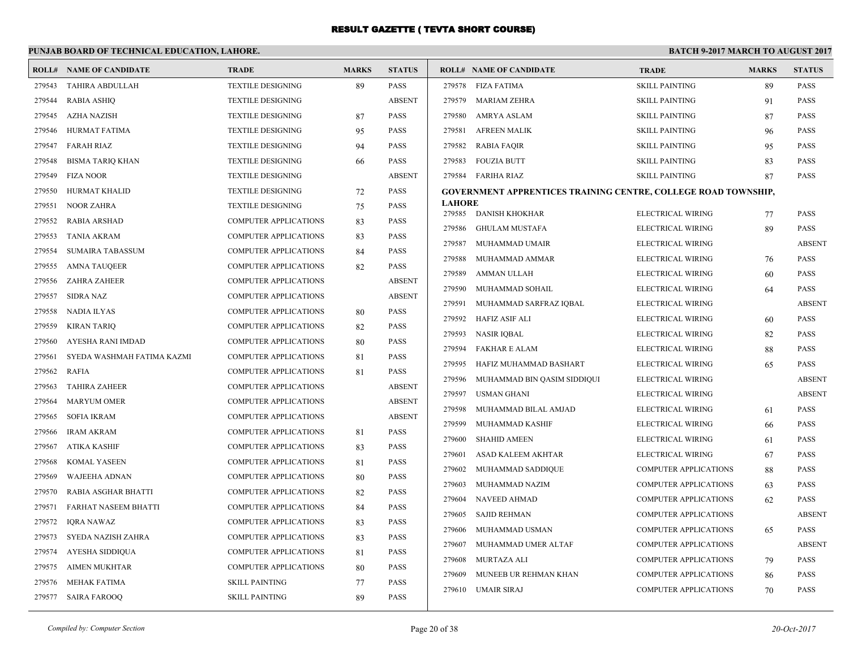|        | PUNJAB BOARD OF TECHNICAL EDUCATION, LAHORE. |                              |              |               | <b>BATCH 9-2017 MARCH TO AUGUST 2017</b> |                                                                       |                              |              |               |
|--------|----------------------------------------------|------------------------------|--------------|---------------|------------------------------------------|-----------------------------------------------------------------------|------------------------------|--------------|---------------|
| ROLL#  | <b>NAME OF CANDIDATE</b>                     | <b>TRADE</b>                 | <b>MARKS</b> | <b>STATUS</b> |                                          | <b>ROLL# NAME OF CANDIDATE</b>                                        | <b>TRADE</b>                 | <b>MARKS</b> | <b>STATUS</b> |
| 279543 | <b>TAHIRA ABDULLAH</b>                       | <b>TEXTILE DESIGNING</b>     | 89           | <b>PASS</b>   | 279578                                   | FIZA FATIMA                                                           | <b>SKILL PAINTING</b>        | 89           | <b>PASS</b>   |
| 279544 | <b>RABIA ASHIQ</b>                           | <b>TEXTILE DESIGNING</b>     |              | <b>ABSENT</b> | 279579                                   | <b>MARIAM ZEHRA</b>                                                   | <b>SKILL PAINTING</b>        | 91           | <b>PASS</b>   |
| 279545 | <b>AZHA NAZISH</b>                           | <b>TEXTILE DESIGNING</b>     | 87           | PASS          | 279580                                   | AMRYA ASLAM                                                           | <b>SKILL PAINTING</b>        | 87           | PASS          |
| 279546 | HURMAT FATIMA                                | <b>TEXTILE DESIGNING</b>     | 95           | <b>PASS</b>   | 279581                                   | <b>AFREEN MALIK</b>                                                   | <b>SKILL PAINTING</b>        | 96           | <b>PASS</b>   |
| 279547 | <b>FARAH RIAZ</b>                            | <b>TEXTILE DESIGNING</b>     | 94           | <b>PASS</b>   | 279582                                   | <b>RABIA FAQIR</b>                                                    | <b>SKILL PAINTING</b>        | 95           | <b>PASS</b>   |
| 279548 | <b>BISMA TARIQ KHAN</b>                      | <b>TEXTILE DESIGNING</b>     | 66           | PASS          | 279583                                   | <b>FOUZIA BUTT</b>                                                    | <b>SKILL PAINTING</b>        | 83           | <b>PASS</b>   |
| 279549 | <b>FIZA NOOR</b>                             | <b>TEXTILE DESIGNING</b>     |              | <b>ABSENT</b> | 279584                                   | FARIHA RIAZ                                                           | <b>SKILL PAINTING</b>        | 87           | <b>PASS</b>   |
| 279550 | <b>HURMAT KHALID</b>                         | <b>TEXTILE DESIGNING</b>     | 72           | <b>PASS</b>   |                                          | <b>GOVERNMENT APPRENTICES TRAINING CENTRE, COLLEGE ROAD TOWNSHIP,</b> |                              |              |               |
| 279551 | <b>NOOR ZAHRA</b>                            | <b>TEXTILE DESIGNING</b>     | 75           | PASS          | <b>LAHORE</b>                            |                                                                       |                              |              |               |
| 279552 | <b>RABIA ARSHAD</b>                          | <b>COMPUTER APPLICATIONS</b> | 83           | <b>PASS</b>   | 279585                                   | DANISH KHOKHAR                                                        | ELECTRICAL WIRING            | 77           | <b>PASS</b>   |
| 279553 | <b>TANIA AKRAM</b>                           | <b>COMPUTER APPLICATIONS</b> | 83           | <b>PASS</b>   | 279586                                   | <b>GHULAM MUSTAFA</b>                                                 | ELECTRICAL WIRING            | 89           | <b>PASS</b>   |
| 279554 | SUMAIRA TABASSUM                             | <b>COMPUTER APPLICATIONS</b> | 84           | PASS          | 279587                                   | MUHAMMAD UMAIR                                                        | ELECTRICAL WIRING            |              | <b>ABSENT</b> |
| 279555 | <b>AMNA TAUQEER</b>                          | COMPUTER APPLICATIONS        | 82           | <b>PASS</b>   | 279588                                   | MUHAMMAD AMMAR                                                        | ELECTRICAL WIRING            | 76           | <b>PASS</b>   |
| 279556 | <b>ZAHRA ZAHEER</b>                          | <b>COMPUTER APPLICATIONS</b> |              | <b>ABSENT</b> | 279589                                   | AMMAN ULLAH                                                           | ELECTRICAL WIRING            | 60           | PASS          |
| 279557 | <b>SIDRA NAZ</b>                             | <b>COMPUTER APPLICATIONS</b> |              | <b>ABSENT</b> | 279590                                   | MUHAMMAD SOHAIL                                                       | ELECTRICAL WIRING            | 64           | <b>PASS</b>   |
| 279558 | <b>NADIA ILYAS</b>                           | <b>COMPUTER APPLICATIONS</b> | 80           | <b>PASS</b>   | 279591                                   | MUHAMMAD SARFRAZ IQBAL                                                | ELECTRICAL WIRING            |              | <b>ABSENT</b> |
| 279559 | <b>KIRAN TARIQ</b>                           | <b>COMPUTER APPLICATIONS</b> | 82           | PASS          | 279592                                   | HAFIZ ASIF ALI                                                        | ELECTRICAL WIRING            | 60           | <b>PASS</b>   |
| 279560 | AYESHA RANI IMDAD                            | <b>COMPUTER APPLICATIONS</b> | 80           | <b>PASS</b>   | 279593                                   | <b>NASIR IQBAL</b>                                                    | ELECTRICAL WIRING            | 82           | <b>PASS</b>   |
| 279561 | SYEDA WASHMAH FATIMA KAZMI                   | COMPUTER APPLICATIONS        | 81           | <b>PASS</b>   | 279594                                   | <b>FAKHAR E ALAM</b>                                                  | ELECTRICAL WIRING            | 88           | <b>PASS</b>   |
| 279562 | <b>RAFIA</b>                                 | COMPUTER APPLICATIONS        | 81           | PASS          | 279595                                   | HAFIZ MUHAMMAD BASHART                                                | ELECTRICAL WIRING            | 65           | <b>PASS</b>   |
| 279563 | <b>TAHIRA ZAHEER</b>                         | <b>COMPUTER APPLICATIONS</b> |              | <b>ABSENT</b> | 279596                                   | MUHAMMAD BIN QASIM SIDDIQUI                                           | ELECTRICAL WIRING            |              | <b>ABSENT</b> |
| 279564 | <b>MARYUM OMER</b>                           | <b>COMPUTER APPLICATIONS</b> |              | <b>ABSENT</b> | 279597                                   | <b>USMAN GHANI</b>                                                    | ELECTRICAL WIRING            |              | <b>ABSENT</b> |
| 279565 | <b>SOFIA IKRAM</b>                           | COMPUTER APPLICATIONS        |              | <b>ABSENT</b> | 279598                                   | MUHAMMAD BILAL AMJAD                                                  | ELECTRICAL WIRING            | 61           | <b>PASS</b>   |
| 279566 | <b>IRAM AKRAM</b>                            | <b>COMPUTER APPLICATIONS</b> | 81           | <b>PASS</b>   | 279599                                   | MUHAMMAD KASHIF                                                       | ELECTRICAL WIRING            | 66           | <b>PASS</b>   |
| 279567 | <b>ATIKA KASHIF</b>                          | <b>COMPUTER APPLICATIONS</b> | 83           | <b>PASS</b>   | 279600                                   | <b>SHAHID AMEEN</b>                                                   | ELECTRICAL WIRING            | 61           | PASS          |
| 279568 | KOMAL YASEEN                                 | <b>COMPUTER APPLICATIONS</b> | 81           | PASS          | 279601                                   | ASAD KALEEM AKHTAR                                                    | ELECTRICAL WIRING            | 67           | <b>PASS</b>   |
| 279569 | WAJEEHA ADNAN                                | <b>COMPUTER APPLICATIONS</b> | 80           | <b>PASS</b>   | 279602                                   | MUHAMMAD SADDIQUE                                                     | <b>COMPUTER APPLICATIONS</b> | 88           | <b>PASS</b>   |
| 279570 | RABIA ASGHAR BHATTI                          | <b>COMPUTER APPLICATIONS</b> | 82           | <b>PASS</b>   | 279603                                   | MUHAMMAD NAZIM                                                        | <b>COMPUTER APPLICATIONS</b> | 63           | <b>PASS</b>   |
| 279571 | <b>FARHAT NASEEM BHATTI</b>                  | <b>COMPUTER APPLICATIONS</b> | 84           | PASS          | 279604                                   | <b>NAVEED AHMAD</b>                                                   | <b>COMPUTER APPLICATIONS</b> | 62           | <b>PASS</b>   |
| 279572 | IQRA NAWAZ                                   | <b>COMPUTER APPLICATIONS</b> | 83           | <b>PASS</b>   | 279605                                   | <b>SAJID REHMAN</b>                                                   | <b>COMPUTER APPLICATIONS</b> |              | <b>ABSENT</b> |
| 279573 | SYEDA NAZISH ZAHRA                           | <b>COMPUTER APPLICATIONS</b> | 83           | <b>PASS</b>   | 279606                                   | MUHAMMAD USMAN                                                        | <b>COMPUTER APPLICATIONS</b> | 65           | <b>PASS</b>   |
| 279574 | AYESHA SIDDIQUA                              | <b>COMPUTER APPLICATIONS</b> | 81           | PASS          | 279607                                   | MUHAMMAD UMER ALTAF                                                   | <b>COMPUTER APPLICATIONS</b> |              | <b>ABSENT</b> |
| 279575 | <b>AIMEN MUKHTAR</b>                         | <b>COMPUTER APPLICATIONS</b> | 80           | <b>PASS</b>   | 279608                                   | <b>MURTAZA ALI</b>                                                    | <b>COMPUTER APPLICATIONS</b> | 79           | <b>PASS</b>   |
| 279576 | MEHAK FATIMA                                 | <b>SKILL PAINTING</b>        | 77           | <b>PASS</b>   | 279609                                   | MUNEEB UR REHMAN KHAN                                                 | <b>COMPUTER APPLICATIONS</b> | 86           | <b>PASS</b>   |
|        | 279577 SAIRA FAROOQ                          | <b>SKILL PAINTING</b>        | 89           | <b>PASS</b>   | 279610                                   | UMAIR SIRAJ                                                           | <b>COMPUTER APPLICATIONS</b> | 70           | <b>PASS</b>   |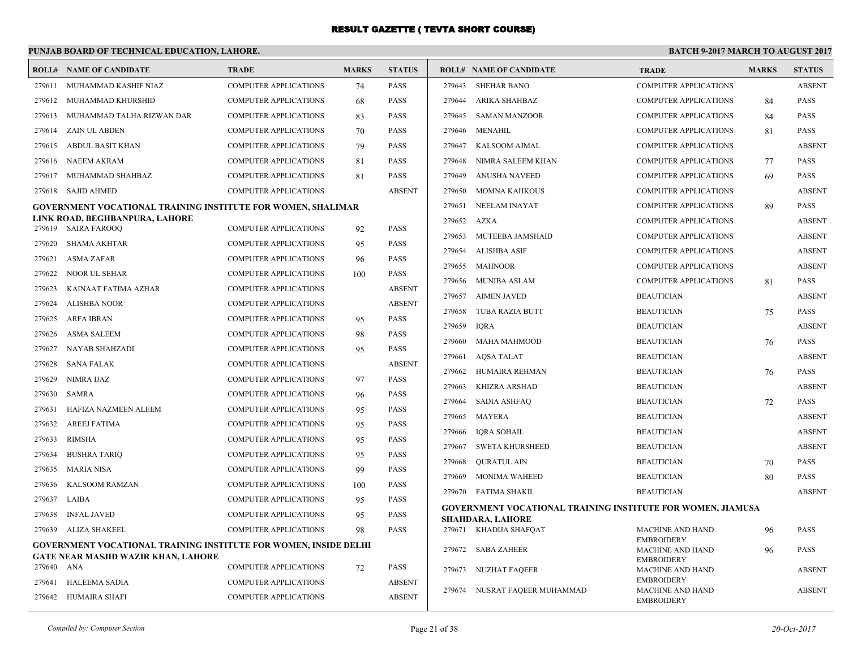# **PUNJAB BOARD OF TECHNICAL EDUCATION, LAHORE.**

|                  | <b>ROLL# NAME OF CANDIDATE</b>                                                                                        | <b>TRADE</b>                                          | <b>MARKS</b> | <b>STATUS</b>                |        | <b>ROLL# NAME OF CANDIDATE</b>                                     | <b>TRADE</b>                                 | <b>MARKS</b> | <b>STATUS</b> |
|------------------|-----------------------------------------------------------------------------------------------------------------------|-------------------------------------------------------|--------------|------------------------------|--------|--------------------------------------------------------------------|----------------------------------------------|--------------|---------------|
| 279611           | MUHAMMAD KASHIF NIAZ                                                                                                  | <b>COMPUTER APPLICATIONS</b>                          | 74           | <b>PASS</b>                  | 279643 | <b>SHEHAR BANO</b>                                                 | <b>COMPUTER APPLICATIONS</b>                 |              | <b>ABSENT</b> |
| 279612           | MUHAMMAD KHURSHID                                                                                                     | COMPUTER APPLICATIONS                                 | 68           | <b>PASS</b>                  | 279644 | ARIKA SHAHBAZ                                                      | <b>COMPUTER APPLICATIONS</b>                 | 84           | <b>PASS</b>   |
| 279613           | MUHAMMAD TALHA RIZWAN DAR                                                                                             | <b>COMPUTER APPLICATIONS</b>                          | 83           | <b>PASS</b>                  | 279645 | <b>SAMAN MANZOOR</b>                                               | <b>COMPUTER APPLICATIONS</b>                 | 84           | <b>PASS</b>   |
| 279614           | <b>ZAIN UL ABDEN</b>                                                                                                  | <b>COMPUTER APPLICATIONS</b>                          | 70           | <b>PASS</b>                  | 279646 | MENAHIL                                                            | <b>COMPUTER APPLICATIONS</b>                 | 81           | <b>PASS</b>   |
| 279615           | ABDUL BASIT KHAN                                                                                                      | COMPUTER APPLICATIONS                                 | 79           | <b>PASS</b>                  | 279647 | KALSOOM AJMAL                                                      | <b>COMPUTER APPLICATIONS</b>                 |              | <b>ABSENT</b> |
| 279616           | <b>NAEEM AKRAM</b>                                                                                                    | <b>COMPUTER APPLICATIONS</b>                          | 81           | <b>PASS</b>                  | 279648 | NIMRA SALEEM KHAN                                                  | <b>COMPUTER APPLICATIONS</b>                 | 77           | <b>PASS</b>   |
| 279617           | MUHAMMAD SHAHBAZ                                                                                                      | <b>COMPUTER APPLICATIONS</b>                          | 81           | <b>PASS</b>                  | 279649 | <b>ANUSHA NAVEED</b>                                               | <b>COMPUTER APPLICATIONS</b>                 | 69           | <b>PASS</b>   |
|                  | 279618 SAJID AHMED                                                                                                    | <b>COMPUTER APPLICATIONS</b>                          |              | <b>ABSENT</b>                | 279650 | <b>MOMNA KAHKOUS</b>                                               | <b>COMPUTER APPLICATIONS</b>                 |              | <b>ABSENT</b> |
|                  | <b>GOVERNMENT VOCATIONAL TRAINING INSTITUTE FOR WOMEN, SHALIMAR</b>                                                   |                                                       |              |                              | 279651 | <b>NEELAM INAYAT</b>                                               | <b>COMPUTER APPLICATIONS</b>                 | 89           | <b>PASS</b>   |
|                  | LINK ROAD, BEGHBANPURA, LAHORE                                                                                        |                                                       |              | <b>PASS</b>                  | 279652 | AZKA                                                               | <b>COMPUTER APPLICATIONS</b>                 |              | <b>ABSENT</b> |
| 279619           | <b>SAIRA FAROOQ</b>                                                                                                   | <b>COMPUTER APPLICATIONS</b>                          | 92           |                              | 279653 | MUTEEBA JAMSHAID                                                   | <b>COMPUTER APPLICATIONS</b>                 |              | <b>ABSENT</b> |
| 279620           | SHAMA AKHTAR                                                                                                          | <b>COMPUTER APPLICATIONS</b>                          | 95           | <b>PASS</b>                  | 279654 | <b>ALISHBA ASIF</b>                                                | <b>COMPUTER APPLICATIONS</b>                 |              | <b>ABSENT</b> |
| 279621<br>279622 | <b>ASMA ZAFAR</b><br><b>NOOR UL SEHAR</b>                                                                             | COMPUTER APPLICATIONS                                 | 96           | <b>PASS</b><br><b>PASS</b>   | 279655 | <b>MAHNOOR</b>                                                     | <b>COMPUTER APPLICATIONS</b>                 |              | <b>ABSENT</b> |
|                  |                                                                                                                       | <b>COMPUTER APPLICATIONS</b>                          | 100          |                              | 279656 | <b>MUNIBA ASLAM</b>                                                | <b>COMPUTER APPLICATIONS</b>                 | 81           | <b>PASS</b>   |
| 279623           | KAINAAT FATIMA AZHAR<br><b>ALISHBA NOOR</b>                                                                           | COMPUTER APPLICATIONS                                 |              | <b>ABSENT</b>                | 279657 | <b>AIMEN JAVED</b>                                                 | <b>BEAUTICIAN</b>                            |              | <b>ABSENT</b> |
| 279624<br>279625 |                                                                                                                       | COMPUTER APPLICATIONS                                 |              | <b>ABSENT</b>                | 279658 | <b>TUBA RAZIA BUTT</b>                                             | <b>BEAUTICIAN</b>                            | 75           | <b>PASS</b>   |
| 279626           | <b>ARFA IBRAN</b><br><b>ASMA SALEEM</b>                                                                               | COMPUTER APPLICATIONS<br><b>COMPUTER APPLICATIONS</b> | 95           | <b>PASS</b><br><b>PASS</b>   | 279659 | <b>IQRA</b>                                                        | <b>BEAUTICIAN</b>                            |              | <b>ABSENT</b> |
| 279627           | NAYAB SHAHZADI                                                                                                        | <b>COMPUTER APPLICATIONS</b>                          | 98           | <b>PASS</b>                  | 279660 | <b>MAHA MAHMOOD</b>                                                | <b>BEAUTICIAN</b>                            | 76           | <b>PASS</b>   |
|                  |                                                                                                                       |                                                       | 95           |                              | 279661 | <b>AQSA TALAT</b>                                                  | <b>BEAUTICIAN</b>                            |              | <b>ABSENT</b> |
| 279628           | <b>SANA FALAK</b><br><b>NIMRA IJAZ</b>                                                                                | COMPUTER APPLICATIONS<br><b>COMPUTER APPLICATIONS</b> |              | <b>ABSENT</b><br><b>PASS</b> | 279662 | HUMAIRA REHMAN                                                     | <b>BEAUTICIAN</b>                            | 76           | <b>PASS</b>   |
| 279629           |                                                                                                                       |                                                       | 97           |                              | 279663 | <b>KHIZRA ARSHAD</b>                                               | <b>BEAUTICIAN</b>                            |              | <b>ABSENT</b> |
| 279630           | SAMRA                                                                                                                 | <b>COMPUTER APPLICATIONS</b>                          | 96           | <b>PASS</b>                  | 279664 | <b>SADIA ASHFAQ</b>                                                | <b>BEAUTICIAN</b>                            | 72           | <b>PASS</b>   |
| 279631           | HAFIZA NAZMEEN ALEEM                                                                                                  | <b>COMPUTER APPLICATIONS</b>                          | 95           | <b>PASS</b>                  | 279665 | <b>MAYERA</b>                                                      | <b>BEAUTICIAN</b>                            |              | <b>ABSENT</b> |
| 279632           | <b>AREEJ FATIMA</b>                                                                                                   | <b>COMPUTER APPLICATIONS</b>                          | 95           | <b>PASS</b>                  | 279666 | <b>IQRA SOHAIL</b>                                                 | <b>BEAUTICIAN</b>                            |              | <b>ABSENT</b> |
| 279633           | <b>RIMSHA</b>                                                                                                         | COMPUTER APPLICATIONS                                 | 95           | <b>PASS</b>                  | 279667 | <b>SWETA KHURSHEED</b>                                             | <b>BEAUTICIAN</b>                            |              | <b>ABSENT</b> |
| 279634           | <b>BUSHRA TARIO</b>                                                                                                   | <b>COMPUTER APPLICATIONS</b>                          | 95           | <b>PASS</b>                  | 279668 | <b>OURATUL AIN</b>                                                 | <b>BEAUTICIAN</b>                            | 70           | <b>PASS</b>   |
| 279635           | <b>MARIA NISA</b>                                                                                                     | COMPUTER APPLICATIONS                                 | 99           | <b>PASS</b>                  | 279669 | MONIMA WAHEED                                                      | <b>BEAUTICIAN</b>                            | 80           | <b>PASS</b>   |
| 279636           | <b>KALSOOM RAMZAN</b>                                                                                                 | <b>COMPUTER APPLICATIONS</b>                          | 100          | <b>PASS</b>                  |        | 279670 FATIMA SHAKIL                                               | <b>BEAUTICIAN</b>                            |              | <b>ABSENT</b> |
| 279637           | LAIBA                                                                                                                 | <b>COMPUTER APPLICATIONS</b>                          | 95           | <b>PASS</b>                  |        | <b>GOVERNMENT VOCATIONAL TRAINING INSTITUTE FOR WOMEN, JIAMUSA</b> |                                              |              |               |
| 279638           | <b>INFAL JAVED</b>                                                                                                    | <b>COMPUTER APPLICATIONS</b>                          | 95           | <b>PASS</b>                  |        | <b>SHAHDARA, LAHORE</b>                                            |                                              |              |               |
| 279639           | ALIZA SHAKEEL                                                                                                         | <b>COMPUTER APPLICATIONS</b>                          | 98           | <b>PASS</b>                  |        | 279671 KHADIJA SHAFQAT                                             | <b>MACHINE AND HAND</b><br><b>EMBROIDERY</b> | 96           | <b>PASS</b>   |
|                  | <b>GOVERNMENT VOCATIONAL TRAINING INSTITUTE FOR WOMEN, INSIDE DELHI</b><br><b>GATE NEAR MASJID WAZIR KHAN, LAHORE</b> |                                                       |              |                              | 279672 | <b>SABA ZAHEER</b>                                                 | <b>MACHINE AND HAND</b>                      | 96           | <b>PASS</b>   |
| 279640           | ANA                                                                                                                   | <b>COMPUTER APPLICATIONS</b>                          | 72           | <b>PASS</b>                  | 279673 | <b>NUZHAT FAQEER</b>                                               | <b>EMBROIDERY</b><br><b>MACHINE AND HAND</b> |              | <b>ABSENT</b> |
| 279641           | <b>HALEEMA SADIA</b>                                                                                                  | <b>COMPUTER APPLICATIONS</b>                          |              | <b>ABSENT</b>                |        |                                                                    | <b>EMBROIDERY</b>                            |              |               |
|                  | 279642 HUMAIRA SHAFI                                                                                                  | <b>COMPUTER APPLICATIONS</b>                          |              | <b>ABSENT</b>                |        | 279674 NUSRAT FAQEER MUHAMMAD                                      | <b>MACHINE AND HAND</b><br><b>EMBROIDERY</b> |              | <b>ABSENT</b> |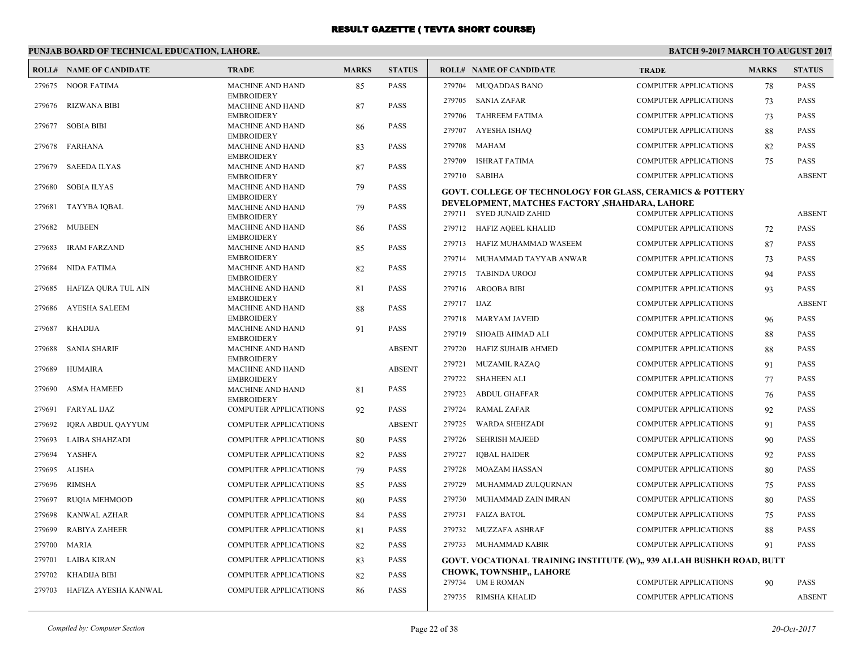### **PUNJAB BOARD OF TECHNICAL EDUCATION, LAHORE.**

|        | <b>ROLL# NAME OF CANDIDATE</b> | <b>TRADE</b>                                 | <b>MARKS</b> | <b>STATUS</b> |             | <b>ROLL# NAME OF CANDIDATE</b>                                                                           | <b>TRADE</b>                 | <b>MARKS</b> | <b>STATUS</b> |
|--------|--------------------------------|----------------------------------------------|--------------|---------------|-------------|----------------------------------------------------------------------------------------------------------|------------------------------|--------------|---------------|
|        | 279675 NOOR FATIMA             | <b>MACHINE AND HAND</b>                      | 85           | <b>PASS</b>   | 279704      | <b>MUOADDAS BANO</b>                                                                                     | <b>COMPUTER APPLICATIONS</b> | 78           | PASS          |
| 279676 | <b>RIZWANA BIBI</b>            | <b>EMBROIDERY</b><br>MACHINE AND HAND        | 87           | <b>PASS</b>   | 279705      | SANIA ZAFAR                                                                                              | <b>COMPUTER APPLICATIONS</b> | 73           | <b>PASS</b>   |
|        |                                | <b>EMBROIDERY</b>                            |              |               | 279706      | <b>TAHREEM FATIMA</b>                                                                                    | <b>COMPUTER APPLICATIONS</b> | 73           | PASS          |
| 279677 | <b>SOBIA BIBI</b>              | <b>MACHINE AND HAND</b>                      | 86           | <b>PASS</b>   | 279707      | <b>AYESHA ISHAQ</b>                                                                                      | <b>COMPUTER APPLICATIONS</b> | 88           | PASS          |
| 279678 | FARHANA                        | <b>EMBROIDERY</b><br>MACHINE AND HAND        | 83           | <b>PASS</b>   | 279708      | MAHAM                                                                                                    | <b>COMPUTER APPLICATIONS</b> | 82           | PASS          |
|        |                                | <b>EMBROIDERY</b>                            |              |               | 279709      | <b>ISHRAT FATIMA</b>                                                                                     | <b>COMPUTER APPLICATIONS</b> | 75           | PASS          |
| 279679 | <b>SAEEDA ILYAS</b>            | MACHINE AND HAND<br><b>EMBROIDERY</b>        | 87           | <b>PASS</b>   |             | 279710 SABIHA                                                                                            | <b>COMPUTER APPLICATIONS</b> |              | <b>ABSENT</b> |
| 279680 | <b>SOBIA ILYAS</b>             | <b>MACHINE AND HAND</b>                      | 79           | <b>PASS</b>   |             | <b>GOVT. COLLEGE OF TECHNOLOGY FOR GLASS, CERAMICS &amp; POTTERY</b>                                     |                              |              |               |
| 279681 | <b>TAYYBA IQBAL</b>            | <b>EMBROIDERY</b><br>MACHINE AND HAND        | 79           | <b>PASS</b>   |             | DEVELOPMENT, MATCHES FACTORY , SHAHDARA, LAHORE                                                          |                              |              |               |
|        |                                | <b>EMBROIDERY</b>                            |              |               |             | 279711 SYED JUNAID ZAHID                                                                                 | <b>COMPUTER APPLICATIONS</b> |              | <b>ABSENT</b> |
| 279682 | MUBEEN                         | <b>MACHINE AND HAND</b><br><b>EMBROIDERY</b> | 86           | <b>PASS</b>   |             | 279712 HAFIZ AQEEL KHALID                                                                                | <b>COMPUTER APPLICATIONS</b> | 72           | <b>PASS</b>   |
| 279683 | <b>IRAM FARZAND</b>            | MACHINE AND HAND                             | 85           | <b>PASS</b>   | 279713      | HAFIZ MUHAMMAD WASEEM                                                                                    | <b>COMPUTER APPLICATIONS</b> | 87           | PASS          |
|        |                                | <b>EMBROIDERY</b>                            |              |               | 279714      | MUHAMMAD TAYYAB ANWAR                                                                                    | COMPUTER APPLICATIONS        | 73           | PASS          |
| 279684 | <b>NIDA FATIMA</b>             | <b>MACHINE AND HAND</b><br><b>EMBROIDERY</b> | 82           | <b>PASS</b>   | 279715      | <b>TABINDA UROOJ</b>                                                                                     | <b>COMPUTER APPLICATIONS</b> | 94           | <b>PASS</b>   |
| 279685 | HAFIZA QURA TUL AIN            | <b>MACHINE AND HAND</b>                      | 81           | <b>PASS</b>   | 279716      | <b>AROOBA BIBI</b>                                                                                       | <b>COMPUTER APPLICATIONS</b> | 93           | PASS          |
| 279686 | <b>AYESHA SALEEM</b>           | <b>EMBROIDERY</b><br><b>MACHINE AND HAND</b> | 88           | <b>PASS</b>   | 279717 IJAZ |                                                                                                          | <b>COMPUTER APPLICATIONS</b> |              | <b>ABSENT</b> |
|        |                                | <b>EMBROIDERY</b>                            |              |               | 279718      | <b>MARYAM JAVEID</b>                                                                                     | <b>COMPUTER APPLICATIONS</b> | 96           | <b>PASS</b>   |
| 279687 | <b>KHADIJA</b>                 | <b>MACHINE AND HAND</b><br><b>EMBROIDERY</b> | 91           | <b>PASS</b>   | 279719      | SHOAIB AHMAD ALI                                                                                         | <b>COMPUTER APPLICATIONS</b> | 88           | PASS          |
| 279688 | <b>SANIA SHARIF</b>            | MACHINE AND HAND                             |              | <b>ABSENT</b> | 279720      | HAFIZ SUHAIB AHMED                                                                                       | <b>COMPUTER APPLICATIONS</b> | 88           | PASS          |
|        |                                | <b>EMBROIDERY</b>                            |              |               | 279721      | <b>MUZAMIL RAZAQ</b>                                                                                     | <b>COMPUTER APPLICATIONS</b> | 91           | <b>PASS</b>   |
| 279689 | <b>HUMAIRA</b>                 | <b>MACHINE AND HAND</b><br><b>EMBROIDERY</b> |              | <b>ABSENT</b> | 279722      | SHAHEEN ALI                                                                                              | <b>COMPUTER APPLICATIONS</b> | 77           | PASS          |
| 279690 | <b>ASMA HAMEED</b>             | MACHINE AND HAND                             | 81           | <b>PASS</b>   | 279723      | <b>ABDUL GHAFFAR</b>                                                                                     | <b>COMPUTER APPLICATIONS</b> | 76           | PASS          |
| 279691 | <b>FARYAL IJAZ</b>             | <b>EMBROIDERY</b><br>COMPUTER APPLICATIONS   | 92           | <b>PASS</b>   | 279724      | <b>RAMAL ZAFAR</b>                                                                                       | <b>COMPUTER APPLICATIONS</b> | 92           | <b>PASS</b>   |
| 279692 | IQRA ABDUL QAYYUM              | <b>COMPUTER APPLICATIONS</b>                 |              | <b>ABSENT</b> | 279725      | <b>WARDA SHEHZADI</b>                                                                                    | <b>COMPUTER APPLICATIONS</b> | 91           | <b>PASS</b>   |
| 279693 | LAIBA SHAHZADI                 | COMPUTER APPLICATIONS                        | 80           | <b>PASS</b>   | 279726      | <b>SEHRISH MAJEED</b>                                                                                    | <b>COMPUTER APPLICATIONS</b> | 90           | <b>PASS</b>   |
| 279694 | YASHFA                         | <b>COMPUTER APPLICATIONS</b>                 | 82           | <b>PASS</b>   | 279727      | <b>IQBAL HAIDER</b>                                                                                      | <b>COMPUTER APPLICATIONS</b> | 92           | PASS          |
| 279695 | <b>ALISHA</b>                  | COMPUTER APPLICATIONS                        | 79           | <b>PASS</b>   | 279728      | MOAZAM HASSAN                                                                                            | <b>COMPUTER APPLICATIONS</b> | 80           | PASS          |
| 279696 | <b>RIMSHA</b>                  | COMPUTER APPLICATIONS                        | 85           | <b>PASS</b>   | 279729      | MUHAMMAD ZULQURNAN                                                                                       | COMPUTER APPLICATIONS        | 75           | PASS          |
| 279697 | <b>RUQIA MEHMOOD</b>           | <b>COMPUTER APPLICATIONS</b>                 | 80           | <b>PASS</b>   | 279730      | MUHAMMAD ZAIN IMRAN                                                                                      | <b>COMPUTER APPLICATIONS</b> | 80           | PASS          |
| 279698 | <b>KANWAL AZHAR</b>            | <b>COMPUTER APPLICATIONS</b>                 | 84           | <b>PASS</b>   | 279731      | <b>FAIZA BATOL</b>                                                                                       | <b>COMPUTER APPLICATIONS</b> | 75           | PASS          |
| 279699 | <b>RABIYA ZAHEER</b>           | <b>COMPUTER APPLICATIONS</b>                 |              | <b>PASS</b>   | 279732      | MUZZAFA ASHRAF                                                                                           | <b>COMPUTER APPLICATIONS</b> | 88           | PASS          |
|        |                                |                                              | 81           |               |             |                                                                                                          |                              |              |               |
| 279700 | <b>MARIA</b>                   | <b>COMPUTER APPLICATIONS</b>                 | 82           | <b>PASS</b>   |             | 279733 MUHAMMAD KABIR                                                                                    | <b>COMPUTER APPLICATIONS</b> | 91           | <b>PASS</b>   |
| 279701 | LAIBA KIRAN                    | COMPUTER APPLICATIONS                        | 83           | <b>PASS</b>   |             | GOVT. VOCATIONAL TRAINING INSTITUTE (W),, 939 ALLAH BUSHKH ROAD, BUTT<br><b>CHOWK, TOWNSHIP,, LAHORE</b> |                              |              |               |
| 279702 | <b>KHADIJA BIBI</b>            | <b>COMPUTER APPLICATIONS</b>                 | 82           | <b>PASS</b>   |             | 279734 UM E ROMAN                                                                                        | <b>COMPUTER APPLICATIONS</b> | 90           | PASS          |
| 279703 | HAFIZA AYESHA KANWAL           | <b>COMPUTER APPLICATIONS</b>                 | 86           | <b>PASS</b>   |             | 279735 RIMSHA KHALID                                                                                     | <b>COMPUTER APPLICATIONS</b> |              | <b>ABSENT</b> |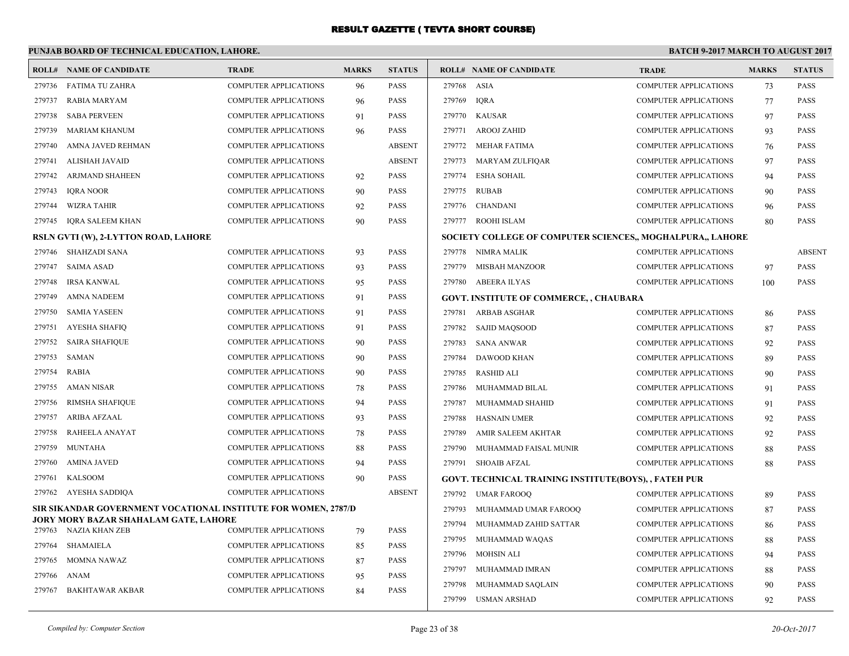|        | PUNJAB BOARD OF TECHNICAL EDUCATION, LAHORE.                   |                              |              |               | <b>BATCH 9-2017 MARCH TO AUGUST 2017</b> |                                                            |                              |              |               |
|--------|----------------------------------------------------------------|------------------------------|--------------|---------------|------------------------------------------|------------------------------------------------------------|------------------------------|--------------|---------------|
|        | <b>ROLL# NAME OF CANDIDATE</b>                                 | <b>TRADE</b>                 | <b>MARKS</b> | <b>STATUS</b> |                                          | <b>ROLL# NAME OF CANDIDATE</b>                             | <b>TRADE</b>                 | <b>MARKS</b> | <b>STATUS</b> |
| 279736 | FATIMA TU ZAHRA                                                | COMPUTER APPLICATIONS        | 96           | <b>PASS</b>   | 279768                                   | ASIA                                                       | COMPUTER APPLICATIONS        | 73           | <b>PASS</b>   |
| 279737 | RABIA MARYAM                                                   | <b>COMPUTER APPLICATIONS</b> | 96           | <b>PASS</b>   | 279769                                   | <b>IQRA</b>                                                | <b>COMPUTER APPLICATIONS</b> | 77           | <b>PASS</b>   |
| 279738 | <b>SABA PERVEEN</b>                                            | <b>COMPUTER APPLICATIONS</b> | 91           | <b>PASS</b>   |                                          | 279770 KAUSAR                                              | <b>COMPUTER APPLICATIONS</b> | 97           | <b>PASS</b>   |
| 279739 | <b>MARIAM KHANUM</b>                                           | <b>COMPUTER APPLICATIONS</b> | 96           | <b>PASS</b>   | 279771                                   | <b>AROOJ ZAHID</b>                                         | <b>COMPUTER APPLICATIONS</b> | 93           | <b>PASS</b>   |
| 279740 | AMNA JAVED REHMAN                                              | <b>COMPUTER APPLICATIONS</b> |              | <b>ABSENT</b> |                                          | 279772 MEHAR FATIMA                                        | COMPUTER APPLICATIONS        | 76           | <b>PASS</b>   |
| 279741 | ALISHAH JAVAID                                                 | <b>COMPUTER APPLICATIONS</b> |              | <b>ABSENT</b> | 279773                                   | MARYAM ZULFIQAR                                            | COMPUTER APPLICATIONS        | 97           | <b>PASS</b>   |
| 279742 | ARJMAND SHAHEEN                                                | COMPUTER APPLICATIONS        | 92           | <b>PASS</b>   | 279774                                   | <b>ESHA SOHAIL</b>                                         | COMPUTER APPLICATIONS        | 94           | <b>PASS</b>   |
| 279743 | <b>IORA NOOR</b>                                               | <b>COMPUTER APPLICATIONS</b> | 90           | <b>PASS</b>   | 279775                                   | <b>RUBAB</b>                                               | <b>COMPUTER APPLICATIONS</b> | 90           | <b>PASS</b>   |
| 279744 | <b>WIZRA TAHIR</b>                                             | <b>COMPUTER APPLICATIONS</b> | 92           | <b>PASS</b>   |                                          | 279776 CHANDANI                                            | <b>COMPUTER APPLICATIONS</b> | 96           | <b>PASS</b>   |
| 279745 | <b>IQRA SALEEM KHAN</b>                                        | <b>COMPUTER APPLICATIONS</b> | 90           | <b>PASS</b>   |                                          | 279777 ROOHI ISLAM                                         | <b>COMPUTER APPLICATIONS</b> | 80           | <b>PASS</b>   |
|        | RSLN GVTI (W), 2-LYTTON ROAD, LAHORE                           |                              |              |               |                                          | SOCIETY COLLEGE OF COMPUTER SCIENCES,, MOGHALPURA,, LAHORE |                              |              |               |
| 279746 | <b>SHAHZADI SANA</b>                                           | <b>COMPUTER APPLICATIONS</b> | 93           | <b>PASS</b>   |                                          | 279778 NIMRA MALIK                                         | <b>COMPUTER APPLICATIONS</b> |              | <b>ABSENT</b> |
| 279747 | <b>SAIMA ASAD</b>                                              | <b>COMPUTER APPLICATIONS</b> | 93           | <b>PASS</b>   | 279779                                   | <b>MISBAH MANZOOR</b>                                      | <b>COMPUTER APPLICATIONS</b> | 97           | <b>PASS</b>   |
| 279748 | <b>IRSA KANWAL</b>                                             | <b>COMPUTER APPLICATIONS</b> | 95           | <b>PASS</b>   |                                          | 279780 ABEERA ILYAS                                        | <b>COMPUTER APPLICATIONS</b> | 100          | <b>PASS</b>   |
| 279749 | <b>AMNA NADEEM</b>                                             | <b>COMPUTER APPLICATIONS</b> | 91           | <b>PASS</b>   |                                          | <b>GOVT. INSTITUTE OF COMMERCE, , CHAUBARA</b>             |                              |              |               |
| 279750 | <b>SAMIA YASEEN</b>                                            | <b>COMPUTER APPLICATIONS</b> | 91           | PASS          |                                          | 279781 ARBAB ASGHAR                                        | <b>COMPUTER APPLICATIONS</b> | 86           | <b>PASS</b>   |
| 279751 | <b>AYESHA SHAFIQ</b>                                           | <b>COMPUTER APPLICATIONS</b> | 91           | <b>PASS</b>   | 279782                                   | SAJID MAQSOOD                                              | <b>COMPUTER APPLICATIONS</b> | 87           | <b>PASS</b>   |
| 279752 | <b>SAIRA SHAFIQUE</b>                                          | COMPUTER APPLICATIONS        | 90           | <b>PASS</b>   | 279783                                   | <b>SANA ANWAR</b>                                          | COMPUTER APPLICATIONS        | 92           | <b>PASS</b>   |
| 279753 | SAMAN                                                          | COMPUTER APPLICATIONS        | 90           | <b>PASS</b>   | 279784                                   | DAWOOD KHAN                                                | <b>COMPUTER APPLICATIONS</b> | 89           | <b>PASS</b>   |
| 279754 | <b>RABIA</b>                                                   | COMPUTER APPLICATIONS        | 90           | <b>PASS</b>   | 279785                                   | <b>RASHID ALI</b>                                          | <b>COMPUTER APPLICATIONS</b> | 90           | <b>PASS</b>   |
| 279755 | <b>AMAN NISAR</b>                                              | <b>COMPUTER APPLICATIONS</b> | 78           | <b>PASS</b>   | 279786                                   | MUHAMMAD BILAL                                             | COMPUTER APPLICATIONS        | 91           | <b>PASS</b>   |
| 279756 | RIMSHA SHAFIQUE                                                | <b>COMPUTER APPLICATIONS</b> | 94           | <b>PASS</b>   | 279787                                   | MUHAMMAD SHAHID                                            | COMPUTER APPLICATIONS        | 91           | <b>PASS</b>   |
| 279757 | ARIBA AFZAAL                                                   | COMPUTER APPLICATIONS        | 93           | <b>PASS</b>   | 279788                                   | <b>HASNAIN UMER</b>                                        | <b>COMPUTER APPLICATIONS</b> | 92           | <b>PASS</b>   |
| 279758 | RAHEELA ANAYAT                                                 | COMPUTER APPLICATIONS        | 78           | <b>PASS</b>   | 279789                                   | AMIR SALEEM AKHTAR                                         | <b>COMPUTER APPLICATIONS</b> | 92           | <b>PASS</b>   |
| 279759 | <b>MUNTAHA</b>                                                 | <b>COMPUTER APPLICATIONS</b> | 88           | <b>PASS</b>   | 279790                                   | MUHAMMAD FAISAL MUNIR                                      | <b>COMPUTER APPLICATIONS</b> | 88           | <b>PASS</b>   |
| 279760 | <b>AMINA JAVED</b>                                             | <b>COMPUTER APPLICATIONS</b> | 94           | <b>PASS</b>   |                                          | 279791 SHOAIB AFZAL                                        | <b>COMPUTER APPLICATIONS</b> | 88           | PASS          |
| 279761 | <b>KALSOOM</b>                                                 | COMPUTER APPLICATIONS        | 90           | <b>PASS</b>   |                                          | GOVT. TECHNICAL TRAINING INSTITUTE(BOYS), , FATEH PUR      |                              |              |               |
|        | 279762 AYESHA SADDIQA                                          | <b>COMPUTER APPLICATIONS</b> |              | <b>ABSENT</b> |                                          | 279792 UMAR FAROOQ                                         | <b>COMPUTER APPLICATIONS</b> | 89           | <b>PASS</b>   |
|        | SIR SIKANDAR GOVERNMENT VOCATIONAL INSTITUTE FOR WOMEN, 2787/D |                              |              |               | 279793                                   | MUHAMMAD UMAR FAROOQ                                       | <b>COMPUTER APPLICATIONS</b> | 87           | <b>PASS</b>   |
|        | JORY MORY BAZAR SHAHALAM GATE, LAHORE<br>279763 NAZIA KHAN ZEB | <b>COMPUTER APPLICATIONS</b> | 79           | <b>PASS</b>   | 279794                                   | MUHAMMAD ZAHID SATTAR                                      | COMPUTER APPLICATIONS        | 86           | <b>PASS</b>   |
| 279764 | SHAMAIELA                                                      | <b>COMPUTER APPLICATIONS</b> | 85           | <b>PASS</b>   | 279795                                   | MUHAMMAD WAQAS                                             | <b>COMPUTER APPLICATIONS</b> | 88           | <b>PASS</b>   |
| 279765 | MOMNA NAWAZ                                                    | <b>COMPUTER APPLICATIONS</b> | 87           | <b>PASS</b>   | 279796                                   | MOHSIN ALI                                                 | <b>COMPUTER APPLICATIONS</b> | 94           | <b>PASS</b>   |
| 279766 | ANAM                                                           | <b>COMPUTER APPLICATIONS</b> | 95           | <b>PASS</b>   | 279797                                   | MUHAMMAD IMRAN                                             | <b>COMPUTER APPLICATIONS</b> | 88           | <b>PASS</b>   |
| 279767 | <b>BAKHTAWAR AKBAR</b>                                         | COMPUTER APPLICATIONS        | 84           | <b>PASS</b>   | 279798                                   | MUHAMMAD SAQLAIN                                           | COMPUTER APPLICATIONS        | 90           | <b>PASS</b>   |
|        |                                                                |                              |              |               |                                          | 279799 USMAN ARSHAD                                        | <b>COMPUTER APPLICATIONS</b> | 92           | <b>PASS</b>   |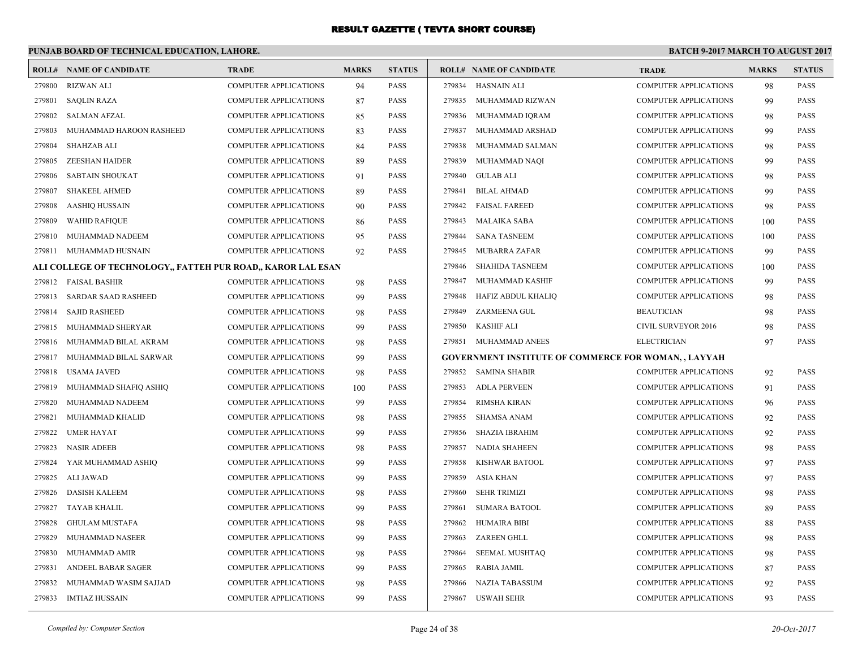## **PUNJAB BOARD OF TECHNICAL EDUCATION, LAHORE.**

|        | <b>ROLL# NAME OF CANDIDATE</b>                               | <b>TRADE</b>                 | <b>MARKS</b> | <b>STATUS</b> |        | <b>ROLL# NAME OF CANDIDATE</b>                              | <b>TRADE</b>                 | <b>MARKS</b> | <b>STATUS</b> |
|--------|--------------------------------------------------------------|------------------------------|--------------|---------------|--------|-------------------------------------------------------------|------------------------------|--------------|---------------|
| 279800 | <b>RIZWAN ALI</b>                                            | <b>COMPUTER APPLICATIONS</b> | 94           | <b>PASS</b>   |        | 279834 HASNAIN ALI                                          | <b>COMPUTER APPLICATIONS</b> | 98           | PASS          |
| 279801 | <b>SAQLIN RAZA</b>                                           | COMPUTER APPLICATIONS        | 87           | <b>PASS</b>   |        | 279835 MUHAMMAD RIZWAN                                      | <b>COMPUTER APPLICATIONS</b> | 99           | PASS          |
| 279802 | <b>SALMAN AFZAL</b>                                          | <b>COMPUTER APPLICATIONS</b> | 85           | <b>PASS</b>   | 279836 | MUHAMMAD IQRAM                                              | <b>COMPUTER APPLICATIONS</b> | 98           | <b>PASS</b>   |
| 279803 | MUHAMMAD HAROON RASHEED                                      | <b>COMPUTER APPLICATIONS</b> | 83           | <b>PASS</b>   | 279837 | MUHAMMAD ARSHAD                                             | <b>COMPUTER APPLICATIONS</b> | 99           | PASS          |
| 279804 | <b>SHAHZAB ALI</b>                                           | COMPUTER APPLICATIONS        | 84           | PASS          | 279838 | MUHAMMAD SALMAN                                             | <b>COMPUTER APPLICATIONS</b> | 98           | PASS          |
| 279805 | <b>ZEESHAN HAIDER</b>                                        | <b>COMPUTER APPLICATIONS</b> | 89           | <b>PASS</b>   | 279839 | MUHAMMAD NAOI                                               | <b>COMPUTER APPLICATIONS</b> | 99           | <b>PASS</b>   |
| 279806 | <b>SABTAIN SHOUKAT</b>                                       | COMPUTER APPLICATIONS        | 91           | <b>PASS</b>   | 279840 | <b>GULAB ALI</b>                                            | <b>COMPUTER APPLICATIONS</b> | 98           | PASS          |
| 279807 | <b>SHAKEEL AHMED</b>                                         | COMPUTER APPLICATIONS        | 89           | <b>PASS</b>   | 279841 | <b>BILAL AHMAD</b>                                          | <b>COMPUTER APPLICATIONS</b> | 99           | PASS          |
| 279808 | AASHIQ HUSSAIN                                               | <b>COMPUTER APPLICATIONS</b> | 90           | <b>PASS</b>   | 279842 | <b>FAISAL FAREED</b>                                        | <b>COMPUTER APPLICATIONS</b> | 98           | PASS          |
| 279809 | <b>WAHID RAFIQUE</b>                                         | <b>COMPUTER APPLICATIONS</b> | 86           | <b>PASS</b>   | 279843 | <b>MALAIKA SABA</b>                                         | <b>COMPUTER APPLICATIONS</b> | 100          | <b>PASS</b>   |
| 279810 | MUHAMMAD NADEEM                                              | <b>COMPUTER APPLICATIONS</b> | 95           | <b>PASS</b>   | 279844 | <b>SANA TASNEEM</b>                                         | <b>COMPUTER APPLICATIONS</b> | 100          | PASS          |
| 279811 | MUHAMMAD HUSNAIN                                             | <b>COMPUTER APPLICATIONS</b> | 92           | PASS          | 279845 | <b>MUBARRA ZAFAR</b>                                        | COMPUTER APPLICATIONS        | 99           | PASS          |
|        | ALI COLLEGE OF TECHNOLOGY,, FATTEH PUR ROAD,, KAROR LAL ESAN |                              |              |               | 279846 | <b>SHAHIDA TASNEEM</b>                                      | <b>COMPUTER APPLICATIONS</b> | 100          | <b>PASS</b>   |
| 279812 | <b>FAISAL BASHIR</b>                                         | <b>COMPUTER APPLICATIONS</b> | 98           | <b>PASS</b>   | 279847 | MUHAMMAD KASHIF                                             | <b>COMPUTER APPLICATIONS</b> | 99           | PASS          |
| 279813 | <b>SARDAR SAAD RASHEED</b>                                   | <b>COMPUTER APPLICATIONS</b> | 99           | <b>PASS</b>   | 279848 | HAFIZ ABDUL KHALIQ                                          | <b>COMPUTER APPLICATIONS</b> | 98           | PASS          |
| 279814 | <b>SAJID RASHEED</b>                                         | <b>COMPUTER APPLICATIONS</b> | 98           | <b>PASS</b>   | 279849 | <b>ZARMEENA GUL</b>                                         | <b>BEAUTICIAN</b>            | 98           | PASS          |
| 279815 | MUHAMMAD SHERYAR                                             | <b>COMPUTER APPLICATIONS</b> | 99           | <b>PASS</b>   | 279850 | <b>KASHIF ALI</b>                                           | <b>CIVIL SURVEYOR 2016</b>   | 98           | PASS          |
| 279816 | MUHAMMAD BILAL AKRAM                                         | <b>COMPUTER APPLICATIONS</b> | 98           | <b>PASS</b>   | 279851 | MUHAMMAD ANEES                                              | <b>ELECTRICIAN</b>           | 97           | PASS          |
| 279817 | MUHAMMAD BILAL SARWAR                                        | <b>COMPUTER APPLICATIONS</b> | 99           | <b>PASS</b>   |        | <b>GOVERNMENT INSTITUTE OF COMMERCE FOR WOMAN, , LAYYAH</b> |                              |              |               |
| 279818 | <b>USAMA JAVED</b>                                           | <b>COMPUTER APPLICATIONS</b> | 98           | PASS          |        | 279852 SAMINA SHABIR                                        | <b>COMPUTER APPLICATIONS</b> | 92           | PASS          |
| 279819 | MUHAMMAD SHAFIQ ASHIQ                                        | <b>COMPUTER APPLICATIONS</b> | 100          | <b>PASS</b>   | 279853 | <b>ADLA PERVEEN</b>                                         | <b>COMPUTER APPLICATIONS</b> | 91           | PASS          |
| 279820 | MUHAMMAD NADEEM                                              | <b>COMPUTER APPLICATIONS</b> | 99           | <b>PASS</b>   | 279854 | <b>RIMSHA KIRAN</b>                                         | <b>COMPUTER APPLICATIONS</b> | 96           | PASS          |
| 279821 | MUHAMMAD KHALID                                              | <b>COMPUTER APPLICATIONS</b> | 98           | <b>PASS</b>   | 279855 | SHAMSA ANAM                                                 | <b>COMPUTER APPLICATIONS</b> | 92           | PASS          |
| 279822 | <b>UMER HAYAT</b>                                            | <b>COMPUTER APPLICATIONS</b> | 99           | <b>PASS</b>   | 279856 | SHAZIA IBRAHIM                                              | <b>COMPUTER APPLICATIONS</b> | 92           | PASS          |
| 279823 | <b>NASIR ADEEB</b>                                           | <b>COMPUTER APPLICATIONS</b> | 98           | <b>PASS</b>   | 279857 | <b>NADIA SHAHEEN</b>                                        | <b>COMPUTER APPLICATIONS</b> | 98           | PASS          |
| 279824 | YAR MUHAMMAD ASHIQ                                           | <b>COMPUTER APPLICATIONS</b> | 99           | <b>PASS</b>   | 279858 | KISHWAR BATOOL                                              | <b>COMPUTER APPLICATIONS</b> | 97           | PASS          |
| 279825 | ALI JAWAD                                                    | <b>COMPUTER APPLICATIONS</b> | 99           | <b>PASS</b>   | 279859 | <b>ASIA KHAN</b>                                            | <b>COMPUTER APPLICATIONS</b> | 97           | PASS          |
| 279826 | <b>DASISH KALEEM</b>                                         | <b>COMPUTER APPLICATIONS</b> | 98           | <b>PASS</b>   | 279860 | <b>SEHR TRIMIZI</b>                                         | <b>COMPUTER APPLICATIONS</b> | 98           | PASS          |
| 279827 | <b>TAYAB KHALIL</b>                                          | <b>COMPUTER APPLICATIONS</b> | 99           | <b>PASS</b>   | 279861 | <b>SUMARA BATOOL</b>                                        | <b>COMPUTER APPLICATIONS</b> | 89           | <b>PASS</b>   |
| 279828 | <b>GHULAM MUSTAFA</b>                                        | <b>COMPUTER APPLICATIONS</b> | 98           | <b>PASS</b>   | 279862 | <b>HUMAIRA BIBI</b>                                         | <b>COMPUTER APPLICATIONS</b> | 88           | PASS          |
| 279829 | MUHAMMAD NASEER                                              | <b>COMPUTER APPLICATIONS</b> | 99           | <b>PASS</b>   | 279863 | ZAREEN GHLL                                                 | <b>COMPUTER APPLICATIONS</b> | 98           | PASS          |
| 279830 | MUHAMMAD AMIR                                                | <b>COMPUTER APPLICATIONS</b> | 98           | <b>PASS</b>   | 279864 | SEEMAL MUSHTAQ                                              | <b>COMPUTER APPLICATIONS</b> | 98           | PASS          |
| 279831 | ANDEEL BABAR SAGER                                           | <b>COMPUTER APPLICATIONS</b> | 99           | <b>PASS</b>   | 279865 | <b>RABIA JAMIL</b>                                          | <b>COMPUTER APPLICATIONS</b> | 87           | PASS          |
| 279832 | MUHAMMAD WASIM SAJJAD                                        | <b>COMPUTER APPLICATIONS</b> | 98           | <b>PASS</b>   | 279866 | <b>NAZIA TABASSUM</b>                                       | <b>COMPUTER APPLICATIONS</b> | 92           | <b>PASS</b>   |
|        | 279833 IMTIAZ HUSSAIN                                        | <b>COMPUTER APPLICATIONS</b> | 99           | <b>PASS</b>   |        | 279867 USWAH SEHR                                           | <b>COMPUTER APPLICATIONS</b> | 93           | PASS          |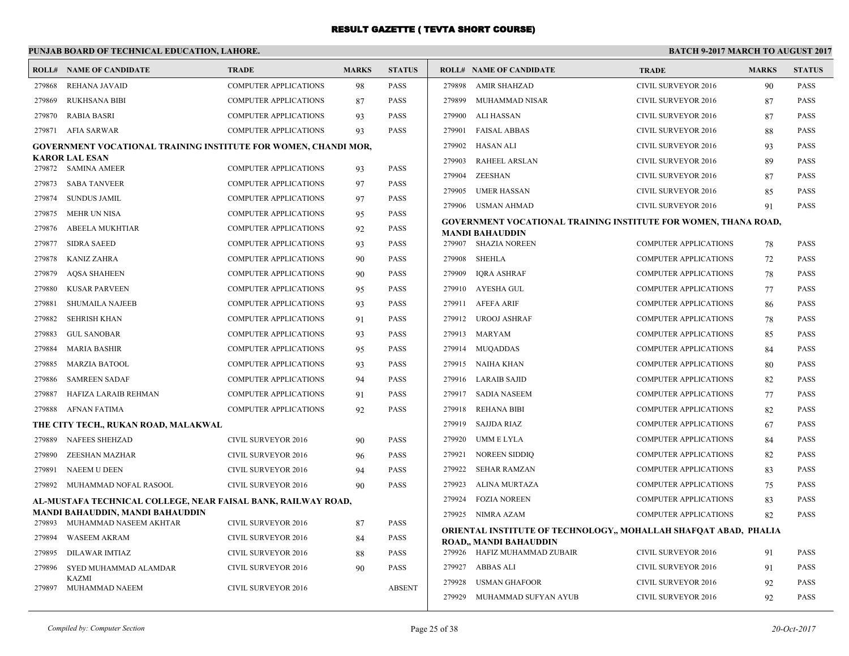# **PUNJAB BOARD OF TECHNICAL EDUCATION, LAHORE.**

|                  | <b>ROLL# NAME OF CANDIDATE</b>                                                                    | <b>TRADE</b>                                   | <b>MARKS</b> | <b>STATUS</b>              |        | <b>ROLL# NAME OF CANDIDATE</b>                                                             | <b>TRADE</b>                                                 | <b>MARKS</b> | <b>STATUS</b> |
|------------------|---------------------------------------------------------------------------------------------------|------------------------------------------------|--------------|----------------------------|--------|--------------------------------------------------------------------------------------------|--------------------------------------------------------------|--------------|---------------|
| 279868           | <b>REHANA JAVAID</b>                                                                              | <b>COMPUTER APPLICATIONS</b>                   | 98           | <b>PASS</b>                | 279898 | <b>AMIR SHAHZAD</b>                                                                        | CIVIL SURVEYOR 2016                                          | 90           | <b>PASS</b>   |
| 279869           | <b>RUKHSANA BIBI</b>                                                                              | <b>COMPUTER APPLICATIONS</b>                   | 87           | <b>PASS</b>                | 279899 | MUHAMMAD NISAR                                                                             | <b>CIVIL SURVEYOR 2016</b>                                   | 87           | <b>PASS</b>   |
| 279870           | <b>RABIA BASRI</b>                                                                                | <b>COMPUTER APPLICATIONS</b>                   | 93           | <b>PASS</b>                | 279900 | ALI HASSAN                                                                                 | <b>CIVIL SURVEYOR 2016</b>                                   | 87           | <b>PASS</b>   |
| 279871           | AFIA SARWAR                                                                                       | <b>COMPUTER APPLICATIONS</b>                   | 93           | <b>PASS</b>                | 279901 | <b>FAISAL ABBAS</b>                                                                        | CIVIL SURVEYOR 2016                                          | 88           | <b>PASS</b>   |
|                  | <b>GOVERNMENT VOCATIONAL TRAINING INSTITUTE FOR WOMEN, CHANDI MOR,</b>                            |                                                |              |                            | 279902 | HASAN ALI                                                                                  | CIVIL SURVEYOR 2016                                          | 93           | <b>PASS</b>   |
|                  | <b>KAROR LAL ESAN</b><br>279872 SAMINA AMEER                                                      | COMPUTER APPLICATIONS                          | 93           | <b>PASS</b>                | 279903 | RAHEEL ARSLAN                                                                              | <b>CIVIL SURVEYOR 2016</b>                                   | 89           | <b>PASS</b>   |
| 279873           | <b>SABA TANVEER</b>                                                                               | <b>COMPUTER APPLICATIONS</b>                   | 97           | <b>PASS</b>                | 279904 | ZEESHAN                                                                                    | CIVIL SURVEYOR 2016                                          | 87           | <b>PASS</b>   |
| 279874           | <b>SUNDUS JAMIL</b>                                                                               | COMPUTER APPLICATIONS                          | 97           | <b>PASS</b>                | 279905 | UMER HASSAN                                                                                | <b>CIVIL SURVEYOR 2016</b>                                   | 85           | <b>PASS</b>   |
| 279875           | <b>MEHR UN NISA</b>                                                                               | COMPUTER APPLICATIONS                          |              | <b>PASS</b>                |        | 279906 USMAN AHMAD                                                                         | CIVIL SURVEYOR 2016                                          | 91           | <b>PASS</b>   |
| 279876           | ABEELA MUKHTIAR                                                                                   | <b>COMPUTER APPLICATIONS</b>                   | 95<br>92     | <b>PASS</b>                |        | GOVERNMENT VOCATIONAL TRAINING INSTITUTE FOR WOMEN, THANA ROAD,                            |                                                              |              |               |
| 279877           | <b>SIDRA SAEED</b>                                                                                | COMPUTER APPLICATIONS                          |              | <b>PASS</b>                |        | <b>MANDI BAHAUDDIN</b><br>279907 SHAZIA NOREEN                                             | <b>COMPUTER APPLICATIONS</b>                                 |              | <b>PASS</b>   |
| 279878           | <b>KANIZ ZAHRA</b>                                                                                | <b>COMPUTER APPLICATIONS</b>                   | 93           | <b>PASS</b>                | 279908 | SHEHLA                                                                                     | <b>COMPUTER APPLICATIONS</b>                                 | 78           | <b>PASS</b>   |
| 279879           | <b>AQSA SHAHEEN</b>                                                                               | <b>COMPUTER APPLICATIONS</b>                   | 90<br>90     | <b>PASS</b>                | 279909 | <b>IQRA ASHRAF</b>                                                                         | <b>COMPUTER APPLICATIONS</b>                                 | 72           | <b>PASS</b>   |
| 279880           | <b>KUSAR PARVEEN</b>                                                                              | COMPUTER APPLICATIONS                          | 95           | <b>PASS</b>                |        | 279910 AYESHA GUL                                                                          | <b>COMPUTER APPLICATIONS</b>                                 | 78           | <b>PASS</b>   |
| 279881           | <b>SHUMAILA NAJEEB</b>                                                                            | <b>COMPUTER APPLICATIONS</b>                   |              | <b>PASS</b>                |        | 279911 AFEFA ARIF                                                                          | <b>COMPUTER APPLICATIONS</b>                                 | 77           | <b>PASS</b>   |
|                  | <b>SEHRISH KHAN</b>                                                                               | <b>COMPUTER APPLICATIONS</b>                   | 93           | <b>PASS</b>                |        | 279912 UROOJ ASHRAF                                                                        | <b>COMPUTER APPLICATIONS</b>                                 | 86           | <b>PASS</b>   |
| 279882<br>279883 |                                                                                                   |                                                | 91           |                            |        | 279913 MARYAM                                                                              |                                                              | 78           | <b>PASS</b>   |
| 279884           | <b>GUL SANOBAR</b><br><b>MARIA BASHIR</b>                                                         | COMPUTER APPLICATIONS<br>COMPUTER APPLICATIONS | 93           | <b>PASS</b><br><b>PASS</b> |        | 279914 MUQADDAS                                                                            | <b>COMPUTER APPLICATIONS</b><br><b>COMPUTER APPLICATIONS</b> | 85           | <b>PASS</b>   |
|                  |                                                                                                   |                                                | 95           |                            |        |                                                                                            |                                                              | 84           |               |
| 279885           | <b>MARZIA BATOOL</b>                                                                              | <b>COMPUTER APPLICATIONS</b>                   | 93           | <b>PASS</b>                |        | 279915 NAIHA KHAN                                                                          | <b>COMPUTER APPLICATIONS</b>                                 | 80           | <b>PASS</b>   |
| 279886           | <b>SAMREEN SADAF</b>                                                                              | COMPUTER APPLICATIONS                          | 94           | <b>PASS</b>                |        | 279916 LARAIB SAJID                                                                        | <b>COMPUTER APPLICATIONS</b>                                 | 82           | <b>PASS</b>   |
| 279887           | HAFIZA LARAIB REHMAN                                                                              | COMPUTER APPLICATIONS                          | 91           | <b>PASS</b>                |        | 279917 SADIA NASEEM                                                                        | <b>COMPUTER APPLICATIONS</b>                                 | 77           | <b>PASS</b>   |
| 279888           | AFNAN FATIMA                                                                                      | <b>COMPUTER APPLICATIONS</b>                   | 92           | <b>PASS</b>                | 279918 | <b>REHANA BIBI</b>                                                                         | <b>COMPUTER APPLICATIONS</b>                                 | 82           | <b>PASS</b>   |
|                  | THE CITY TECH., RUKAN ROAD, MALAKWAL                                                              |                                                |              |                            | 279919 | SAJJDA RIAZ                                                                                | <b>COMPUTER APPLICATIONS</b>                                 | 67           | <b>PASS</b>   |
| 279889           | <b>NAFEES SHEHZAD</b>                                                                             | CIVIL SURVEYOR 2016                            | 90           | <b>PASS</b>                | 279920 | UMM E LYLA                                                                                 | <b>COMPUTER APPLICATIONS</b>                                 | 84           | <b>PASS</b>   |
| 279890           | ZEESHAN MAZHAR                                                                                    | <b>CIVIL SURVEYOR 2016</b>                     | 96           | <b>PASS</b>                | 279921 | <b>NOREEN SIDDIO</b>                                                                       | <b>COMPUTER APPLICATIONS</b>                                 | 82           | <b>PASS</b>   |
| 279891           | <b>NAEEM U DEEN</b>                                                                               | CIVIL SURVEYOR 2016                            | 94           | <b>PASS</b>                | 279922 | SEHAR RAMZAN                                                                               | <b>COMPUTER APPLICATIONS</b>                                 | 83           | <b>PASS</b>   |
| 279892           | MUHAMMAD NOFAL RASOOL                                                                             | CIVIL SURVEYOR 2016                            | 90           | <b>PASS</b>                | 279923 | ALINA MURTAZA                                                                              | <b>COMPUTER APPLICATIONS</b>                                 | 75           | <b>PASS</b>   |
|                  | AL-MUSTAFA TECHNICAL COLLEGE, NEAR FAISAL BANK, RAILWAY ROAD,<br>MANDI BAHAUDDIN, MANDI BAHAUDDIN |                                                |              |                            | 279924 | <b>FOZIA NOREEN</b>                                                                        | <b>COMPUTER APPLICATIONS</b>                                 | 83           | <b>PASS</b>   |
| 279893           | MUHAMMAD NASEEM AKHTAR                                                                            | CIVIL SURVEYOR 2016                            | 87           | PASS                       |        | 279925 NIMRA AZAM                                                                          | <b>COMPUTER APPLICATIONS</b>                                 | 82           | <b>PASS</b>   |
| 279894           | <b>WASEEM AKRAM</b>                                                                               | <b>CIVIL SURVEYOR 2016</b>                     | 84           | <b>PASS</b>                |        | ORIENTAL INSTITUTE OF TECHNOLOGY,, MOHALLAH SHAFQAT ABAD, PHALIA<br>ROAD,, MANDI BAHAUDDIN |                                                              |              |               |
| 279895           | <b>DILAWAR IMTIAZ</b>                                                                             | CIVIL SURVEYOR 2016                            | 88           | <b>PASS</b>                |        | 279926 HAFIZ MUHAMMAD ZUBAIR                                                               | CIVIL SURVEYOR 2016                                          | 91           | <b>PASS</b>   |
| 279896           | SYED MUHAMMAD ALAMDAR                                                                             | CIVIL SURVEYOR 2016                            | 90           | <b>PASS</b>                |        | 279927 ABBAS ALI                                                                           | <b>CIVIL SURVEYOR 2016</b>                                   | 91           | <b>PASS</b>   |
|                  | <b>KAZMI</b>                                                                                      |                                                |              |                            | 279928 | USMAN GHAFOOR                                                                              | CIVIL SURVEYOR 2016                                          | 92           | <b>PASS</b>   |
| 279897           | MUHAMMAD NAEEM                                                                                    | CIVIL SURVEYOR 2016                            |              | <b>ABSENT</b>              |        | 279929 MUHAMMAD SUFYAN AYUB                                                                | CIVIL SURVEYOR 2016                                          | 92           | <b>PASS</b>   |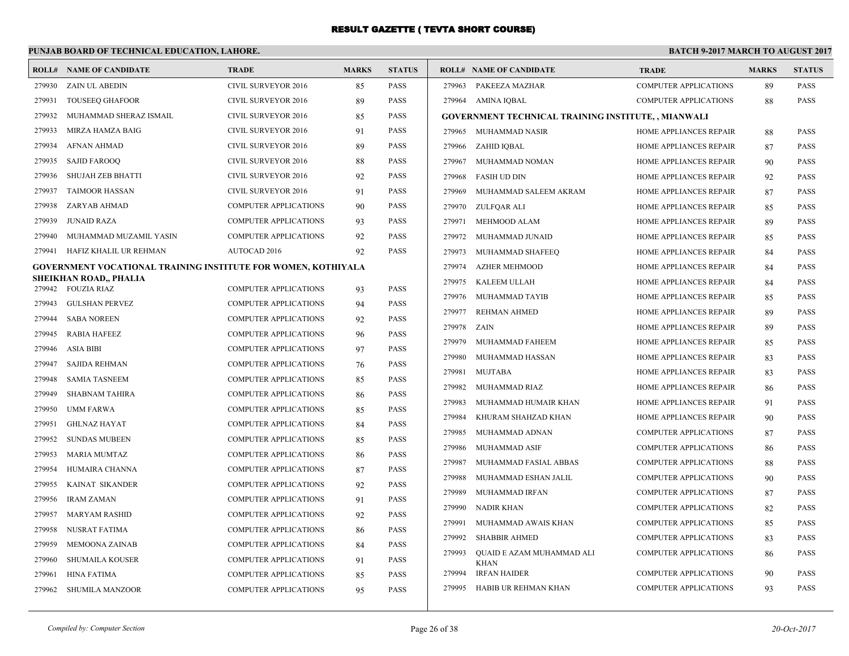#### **PUNJAB BOARD OF TECHNICAL EDUCATION, LAHORE. BATCH 9-2017 MARCH TO AUGUST 2017 ROLL# NAME OF CANDIDATE TRADE MARKS STATUS ROLL# NAME OF CANDIDATE TRADE MARKS STATUS** 279930 ZAIN UL ABEDIN CIVIL SURVEYOR 2016 85 PASS 279931 TOUSEEQ GHAFOOR CIVIL SURVEYOR 2016 89 PASS 279932 MUHAMMAD SHERAZ ISMAIL CIVIL SURVEYOR 2016 85 PASS 279933 MIRZA HAMZA BAIG CIVIL SURVEYOR 2016 91 PASS 279934 AFNAN AHMAD CIVIL SURVEYOR 2016 89 PASS 279935 SAJID FAROOQ CIVIL SURVEYOR 2016 88 PASS 279936 SHUJAH ZEB BHATTI CIVIL SURVEYOR 2016 92 PASS 279937 TAIMOOR HASSAN CIVIL SURVEYOR 2016 91 PASS 279938 ZARYAB AHMAD COMPUTER APPLICATIONS 90 PASS 279939 JUNAID RAZA COMPUTER APPLICATIONS 93 PASS 279940 MUHAMMAD MUZAMIL YASIN COMPUTER APPLICATIONS 92 PASS 279941 HAFIZ KHALIL UR REHMAN AUTOCAD 2016 92 PASS **GOVERNMENT VOCATIONAL TRAINING INSTITUTE FOR WOMEN, KOTHIYALA SHEIKHAN ROAD,, PHALIA** 279942 FOUZIA RIAZ COMPUTER APPLICATIONS 93 PASS 279943 GULSHAN PERVEZ COMPUTER APPLICATIONS 94 PASS 279944 SABA NOREEN COMPUTER APPLICATIONS 92 PASS 279945 RABIA HAFEEZ COMPUTER APPLICATIONS 96 PASS 279946 ASIA BIBI COMPUTER APPLICATIONS 97 PASS 279947 SAJIDA REHMAN COMPUTER APPLICATIONS 76 PASS 279948 SAMIA TASNEEM COMPUTER APPLICATIONS 85 PASS 279949 SHABNAM TAHIRA COMPUTER APPLICATIONS 86 PASS 279950 UMM FARWA COMPUTER APPLICATIONS 85 PASS 279951 GHLNAZ HAYAT COMPUTER APPLICATIONS 84 PASS 279952 SUNDAS MUBEEN COMPUTER APPLICATIONS 85 PASS 279953 MARIA MUMTAZ COMPUTER APPLICATIONS 86 PASS 279954 HUMAIRA CHANNA COMPUTER APPLICATIONS 87 PASS 279955 KAINAT SIKANDER COMPUTER APPLICATIONS 92 PASS 279956 IRAM ZAMAN COMPUTER APPLICATIONS 91 PASS 279957 MARYAM RASHID COMPUTER APPLICATIONS 92 PASS 279958 NUSRAT FATIMA COMPUTER APPLICATIONS 86 PASS 279959 MEMOONA ZAINAB COMPUTER APPLICATIONS 84 PASS 279960 SHUMAILA KOUSER COMPUTER APPLICATIONS 91 PASS 279961 HINA FATIMA COMPUTER APPLICATIONS 85 PASS 279963 PAKEEZA MAZHAR COMPUTER APPLICATIONS 89 PASS 279964 AMINA IQBAL COMPUTER APPLICATIONS 88 PASS **GOVERNMENT TECHNICAL TRAINING INSTITUTE, , MIANWALI** 279965 MUHAMMAD NASIR HOME APPLIANCES REPAIR 88 PASS 279966 ZAHID IQBAL HOME APPLIANCES REPAIR 87 PASS 279967 MUHAMMAD NOMAN HOME APPLIANCES REPAIR 90 PASS 279968 FASIH UD DIN HOME APPLIANCES REPAIR 92 PASS 279969 MUHAMMAD SALEEM AKRAM HOME APPLIANCES REPAIR 87 PASS 279970 ZULFQAR ALI HOME APPLIANCES REPAIR 85 PASS 279971 MEHMOOD ALAM HOME APPLIANCES REPAIR 89 PASS 279972 MUHAMMAD JUNAID HOME APPLIANCES REPAIR 85 PASS 279973 MUHAMMAD SHAFEEQ HOME APPLIANCES REPAIR 84 PASS 279974 AZHER MEHMOOD HOME APPLIANCES REPAIR 84 PASS 279975 KALEEM ULLAH HOME APPLIANCES REPAIR 84 PASS 279976 MUHAMMAD TAYIB HOME APPLIANCES REPAIR 85 PASS 279977 REHMAN AHMED HOME APPLIANCES REPAIR 89 PASS 279978 ZAIN HOME APPLIANCES REPAIR 89 PASS 279979 MUHAMMAD FAHEEM HOME APPLIANCES REPAIR 85 PASS 279980 MUHAMMAD HASSAN HOME APPLIANCES REPAIR 83 PASS 279981 MUJTABA HOME APPLIANCES REPAIR 83 PASS 279982 MUHAMMAD RIAZ HOME APPLIANCES REPAIR 86 PASS 279983 MUHAMMAD HUMAIR KHAN HOME APPLIANCES REPAIR 91 PASS 279984 KHURAM SHAHZAD KHAN HOME APPLIANCES REPAIR 90 PASS 279985 MUHAMMAD ADNAN COMPUTER APPLICATIONS 87 PASS 279986 MUHAMMAD ASIF COMPUTER APPLICATIONS 86 PASS 279987 MUHAMMAD FASIAL ABBAS COMPUTER APPLICATIONS 88 PASS 279988 MUHAMMAD ESHAN JALIL COMPUTER APPLICATIONS 90 PASS 279989 MUHAMMAD IRFAN COMPUTER APPLICATIONS 87 PASS 279990 NADIR KHAN COMPUTER APPLICATIONS 82 PASS 279991 MUHAMMAD AWAIS KHAN COMPUTER APPLICATIONS 85 PASS 279992 SHABBIR AHMED COMPUTER APPLICATIONS 83 PASS QUAID E AZAM MUHAMMAD ALI COMPUTER APPLICATIONS 86 PASS KHAN 279993 279994 IRFAN HAIDER COMPUTER APPLICATIONS 90 PASS 279995 HABIB UR REHMAN KHAN COMPUTER APPLICATIONS 93 PASS

279962 SHUMILA MANZOOR COMPUTER APPLICATIONS 95 PASS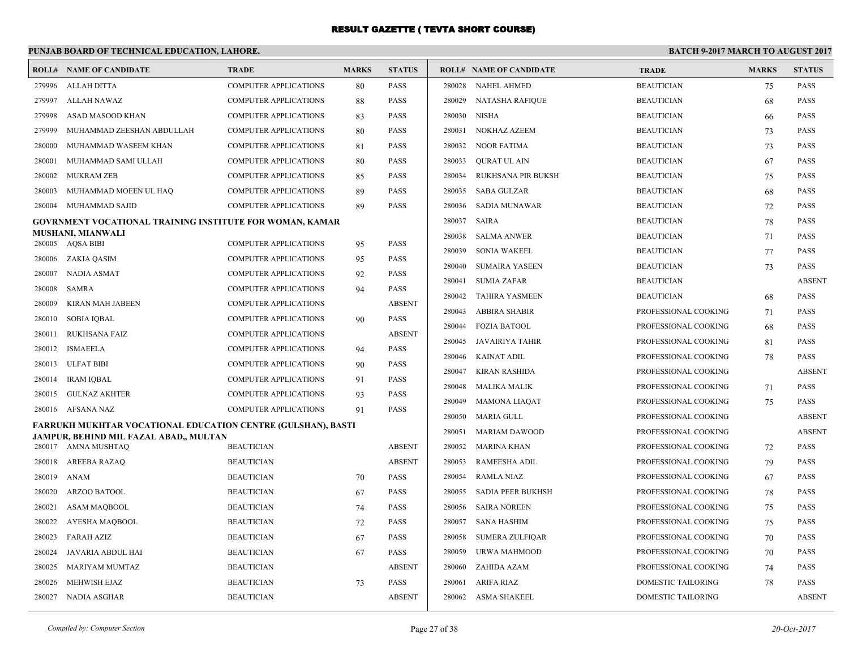|                  | PUNJAB BOARD OF TECHNICAL EDUCATION, LAHORE.                                                                  |                              |              |                              | <b>BATCH 9-2017 MARCH TO AUGUST 2017</b> |                                |                           |              |               |
|------------------|---------------------------------------------------------------------------------------------------------------|------------------------------|--------------|------------------------------|------------------------------------------|--------------------------------|---------------------------|--------------|---------------|
|                  | <b>ROLL# NAME OF CANDIDATE</b>                                                                                | <b>TRADE</b>                 | <b>MARKS</b> | <b>STATUS</b>                |                                          | <b>ROLL# NAME OF CANDIDATE</b> | <b>TRADE</b>              | <b>MARKS</b> | <b>STATUS</b> |
| 279996           | <b>ALLAH DITTA</b>                                                                                            | <b>COMPUTER APPLICATIONS</b> | 80           | <b>PASS</b>                  | 280028                                   | <b>NAHEL AHMED</b>             | <b>BEAUTICIAN</b>         | 75           | <b>PASS</b>   |
| 279997           | ALLAH NAWAZ                                                                                                   | <b>COMPUTER APPLICATIONS</b> | 88           | <b>PASS</b>                  | 280029                                   | <b>NATASHA RAFIQUE</b>         | <b>BEAUTICIAN</b>         | 68           | <b>PASS</b>   |
| 279998           | ASAD MASOOD KHAN                                                                                              | COMPUTER APPLICATIONS        | 83           | <b>PASS</b>                  | 280030                                   | NISHA                          | <b>BEAUTICIAN</b>         | 66           | <b>PASS</b>   |
| 279999           | MUHAMMAD ZEESHAN ABDULLAH                                                                                     | <b>COMPUTER APPLICATIONS</b> | 80           | <b>PASS</b>                  | 280031                                   | NOKHAZ AZEEM                   | <b>BEAUTICIAN</b>         | 73           | <b>PASS</b>   |
| 280000           | MUHAMMAD WASEEM KHAN                                                                                          | <b>COMPUTER APPLICATIONS</b> | 81           | <b>PASS</b>                  | 280032                                   | <b>NOOR FATIMA</b>             | <b>BEAUTICIAN</b>         | 73           | <b>PASS</b>   |
| 280001           | MUHAMMAD SAMI ULLAH                                                                                           | <b>COMPUTER APPLICATIONS</b> | 80           | <b>PASS</b>                  | 280033                                   | <b>OURAT UL AIN</b>            | <b>BEAUTICIAN</b>         | 67           | <b>PASS</b>   |
| 280002           | <b>MUKRAM ZEB</b>                                                                                             | <b>COMPUTER APPLICATIONS</b> | 85           | <b>PASS</b>                  | 280034                                   | RUKHSANA PIR BUKSH             | <b>BEAUTICIAN</b>         | 75           | <b>PASS</b>   |
| 280003           | MUHAMMAD MOEEN UL HAQ                                                                                         | <b>COMPUTER APPLICATIONS</b> | 89           | <b>PASS</b>                  | 280035                                   | <b>SABA GULZAR</b>             | <b>BEAUTICIAN</b>         | 68           | PASS          |
| 280004           | MUHAMMAD SAJID                                                                                                | <b>COMPUTER APPLICATIONS</b> | 89           | <b>PASS</b>                  | 280036                                   | <b>SADIA MUNAWAR</b>           | <b>BEAUTICIAN</b>         | 72           | PASS          |
|                  | GOVRNMENT VOCATIONAL TRAINING INSTITUTE FOR WOMAN, KAMAR                                                      |                              |              |                              | 280037                                   | SAIRA                          | <b>BEAUTICIAN</b>         | 78           | <b>PASS</b>   |
|                  | <b>MUSHANI, MIANWALI</b>                                                                                      |                              |              | PASS                         | 280038                                   | <b>SALMA ANWER</b>             | <b>BEAUTICIAN</b>         | 71           | <b>PASS</b>   |
|                  | 280005 AQSA BIBI                                                                                              | <b>COMPUTER APPLICATIONS</b> | 95           |                              | 280039                                   | <b>SONIA WAKEEL</b>            | <b>BEAUTICIAN</b>         | 77           | <b>PASS</b>   |
|                  | 280006 ZAKIA QASIM                                                                                            | <b>COMPUTER APPLICATIONS</b> | 95           | <b>PASS</b>                  | 280040                                   | <b>SUMAIRA YASEEN</b>          | <b>BEAUTICIAN</b>         | 73           | <b>PASS</b>   |
| 280007<br>280008 | NADIA ASMAT                                                                                                   | <b>COMPUTER APPLICATIONS</b> | 92           | <b>PASS</b>                  | 280041                                   | <b>SUMIA ZAFAR</b>             | <b>BEAUTICIAN</b>         |              | <b>ABSENT</b> |
| 280009           | SAMRA                                                                                                         | <b>COMPUTER APPLICATIONS</b> | 94           | <b>PASS</b><br><b>ABSENT</b> | 280042                                   | <b>TAHIRA YASMEEN</b>          | <b>BEAUTICIAN</b>         | 68           | <b>PASS</b>   |
|                  | KIRAN MAH JABEEN                                                                                              | <b>COMPUTER APPLICATIONS</b> |              | <b>PASS</b>                  | 280043                                   | <b>ABBIRA SHABIR</b>           | PROFESSIONAL COOKING      | 71           | <b>PASS</b>   |
| 280010           | <b>SOBIA IQBAL</b>                                                                                            | <b>COMPUTER APPLICATIONS</b> | 90           | <b>ABSENT</b>                | 280044                                   | <b>FOZIA BATOOL</b>            | PROFESSIONAL COOKING      | 68           | <b>PASS</b>   |
| 280011           | RUKHSANA FAIZ                                                                                                 | <b>COMPUTER APPLICATIONS</b> |              |                              | 280045                                   | JAVAIRIYA TAHIR                | PROFESSIONAL COOKING      | 81           | <b>PASS</b>   |
|                  | 280012 ISMAEELA                                                                                               | <b>COMPUTER APPLICATIONS</b> | 94           | <b>PASS</b>                  | 280046                                   | KAINAT ADIL                    | PROFESSIONAL COOKING      | 78           | <b>PASS</b>   |
|                  | 280013 ULFAT BIBI                                                                                             | <b>COMPUTER APPLICATIONS</b> | 90           | <b>PASS</b>                  | 280047                                   | <b>KIRAN RASHIDA</b>           | PROFESSIONAL COOKING      |              | <b>ABSENT</b> |
| 280014           | IRAM IQBAL                                                                                                    | <b>COMPUTER APPLICATIONS</b> | 91           | <b>PASS</b>                  | 280048                                   | <b>MALIKA MALIK</b>            | PROFESSIONAL COOKING      | 71           | <b>PASS</b>   |
|                  | 280015 GULNAZ AKHTER                                                                                          | <b>COMPUTER APPLICATIONS</b> | 93           | <b>PASS</b>                  | 280049                                   | <b>MAMONA LIAQAT</b>           | PROFESSIONAL COOKING      | 75           | <b>PASS</b>   |
|                  | 280016 AFSANA NAZ                                                                                             | <b>COMPUTER APPLICATIONS</b> | 91           | <b>PASS</b>                  | 280050                                   | MARIA GULL                     | PROFESSIONAL COOKING      |              | <b>ABSENT</b> |
|                  | <b>FARRUKH MUKHTAR VOCATIONAL EDUCATION CENTRE (GULSHAN), BASTI</b><br>JAMPUR, BEHIND MIL FAZAL ABAD,, MULTAN |                              |              |                              | 280051                                   | <b>MARIAM DAWOOD</b>           | PROFESSIONAL COOKING      |              | <b>ABSENT</b> |
|                  | 280017 AMNA MUSHTAO                                                                                           | <b>BEAUTICIAN</b>            |              | <b>ABSENT</b>                | 280052                                   | <b>MARINA KHAN</b>             | PROFESSIONAL COOKING      | 72           | <b>PASS</b>   |
| 280018           | AREEBA RAZAQ                                                                                                  | <b>BEAUTICIAN</b>            |              | <b>ABSENT</b>                | 280053                                   | <b>RAMEESHA ADIL</b>           | PROFESSIONAL COOKING      | 79           | <b>PASS</b>   |
| 280019           | ANAM                                                                                                          | <b>BEAUTICIAN</b>            | 70           | <b>PASS</b>                  | 280054                                   | <b>RAMLA NIAZ</b>              | PROFESSIONAL COOKING      | 67           | <b>PASS</b>   |
| 280020           | ARZOO BATOOL                                                                                                  | <b>BEAUTICIAN</b>            | 67           | <b>PASS</b>                  | 280055                                   | SADIA PEER BUKHSH              | PROFESSIONAL COOKING      | 78           | <b>PASS</b>   |
| 280021           | <b>ASAM MAQBOOL</b>                                                                                           | <b>BEAUTICIAN</b>            | 74           | <b>PASS</b>                  | 280056                                   | <b>SAIRA NOREEN</b>            | PROFESSIONAL COOKING      | 75           | <b>PASS</b>   |
| 280022           | AYESHA MAQBOOL                                                                                                | <b>BEAUTICIAN</b>            | 72           | <b>PASS</b>                  | 280057                                   | SANA HASHIM                    | PROFESSIONAL COOKING      | 75           | <b>PASS</b>   |
| 280023           | <b>FARAH AZIZ</b>                                                                                             | <b>BEAUTICIAN</b>            | 67           | <b>PASS</b>                  | 280058                                   | SUMERA ZULFIQAR                | PROFESSIONAL COOKING      | 70           | <b>PASS</b>   |
| 280024           | JAVARIA ABDUL HAI                                                                                             | <b>BEAUTICIAN</b>            | 67           | <b>PASS</b>                  | 280059                                   | URWA MAHMOOD                   | PROFESSIONAL COOKING      | 70           | PASS          |
| 280025           | <b>MARIYAM MUMTAZ</b>                                                                                         | <b>BEAUTICIAN</b>            |              | <b>ABSENT</b>                | 280060                                   | ZAHIDA AZAM                    | PROFESSIONAL COOKING      | 74           | <b>PASS</b>   |
| 280026           | MEHWISH EJAZ                                                                                                  | <b>BEAUTICIAN</b>            | 73           | <b>PASS</b>                  | 280061                                   | ARIFA RIAZ                     | DOMESTIC TAILORING        | 78           | <b>PASS</b>   |
|                  | 280027 NADIA ASGHAR                                                                                           | <b>BEAUTICIAN</b>            |              | <b>ABSENT</b>                |                                          | 280062 ASMA SHAKEEL            | <b>DOMESTIC TAILORING</b> |              | <b>ABSENT</b> |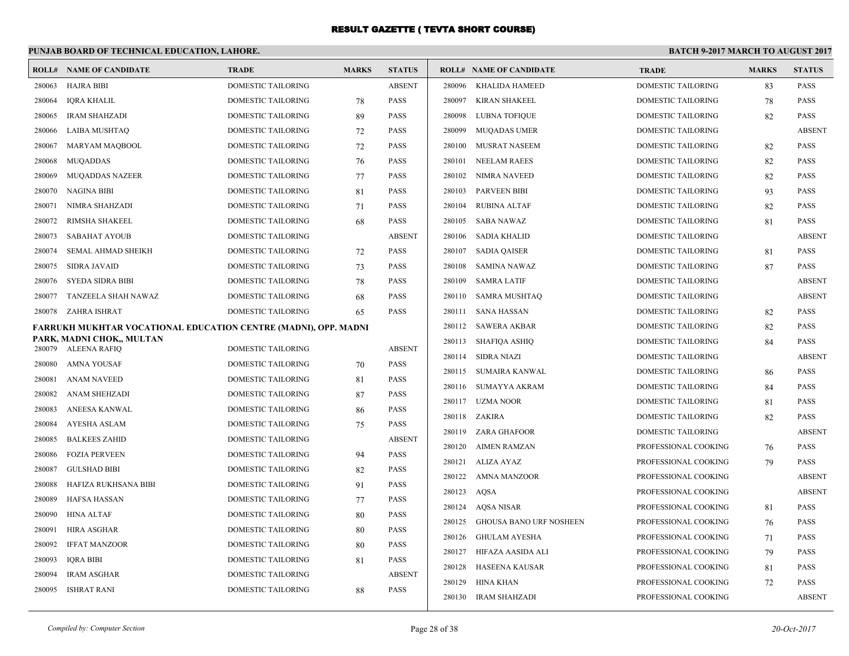|                  | PUNJAB BOARD OF TECHNICAL EDUCATION, LAHORE.                    |                           |              |               | <b>BATCH 9-2017 MARCH TO AUGUST 2017</b> |                                |                           |              |               |
|------------------|-----------------------------------------------------------------|---------------------------|--------------|---------------|------------------------------------------|--------------------------------|---------------------------|--------------|---------------|
|                  | <b>ROLL# NAME OF CANDIDATE</b>                                  | <b>TRADE</b>              | <b>MARKS</b> | <b>STATUS</b> |                                          | <b>ROLL# NAME OF CANDIDATE</b> | <b>TRADE</b>              | <b>MARKS</b> | <b>STATUS</b> |
| 280063           | HAJRA BIBI                                                      | <b>DOMESTIC TAILORING</b> |              | <b>ABSENT</b> | 280096                                   | KHALIDA HAMEED                 | <b>DOMESTIC TAILORING</b> | 83           | <b>PASS</b>   |
| 280064           | <b>IORA KHALIL</b>                                              | <b>DOMESTIC TAILORING</b> | 78           | <b>PASS</b>   | 280097                                   | KIRAN SHAKEEL                  | DOMESTIC TAILORING        | 78           | <b>PASS</b>   |
| 280065           | <b>IRAM SHAHZADI</b>                                            | <b>DOMESTIC TAILORING</b> | 89           | <b>PASS</b>   | 280098                                   | <b>LUBNA TOFIQUE</b>           | <b>DOMESTIC TAILORING</b> | 82           | <b>PASS</b>   |
| 280066           | LAIBA MUSHTAQ                                                   | DOMESTIC TAILORING        | 72           | <b>PASS</b>   | 280099                                   | <b>MUQADAS UMER</b>            | DOMESTIC TAILORING        |              | <b>ABSENT</b> |
| 280067           | MARYAM MAQBOOL                                                  | DOMESTIC TAILORING        | 72           | <b>PASS</b>   | 280100                                   | MUSRAT NASEEM                  | DOMESTIC TAILORING        | 82           | <b>PASS</b>   |
| 280068           | <b>MUQADDAS</b>                                                 | DOMESTIC TAILORING        | 76           | <b>PASS</b>   | 280101                                   | <b>NEELAM RAEES</b>            | DOMESTIC TAILORING        | 82           | <b>PASS</b>   |
| 280069           | <b>MUQADDAS NAZEER</b>                                          | DOMESTIC TAILORING        | 77           | <b>PASS</b>   | 280102                                   | NIMRA NAVEED                   | DOMESTIC TAILORING        | 82           | <b>PASS</b>   |
| 280070           | <b>NAGINA BIBI</b>                                              | DOMESTIC TAILORING        | 81           | <b>PASS</b>   | 280103                                   | <b>PARVEEN BIBI</b>            | DOMESTIC TAILORING        | 93           | <b>PASS</b>   |
| 280071           | NIMRA SHAHZADI                                                  | DOMESTIC TAILORING        | 71           | <b>PASS</b>   | 280104                                   | <b>RUBINA ALTAF</b>            | DOMESTIC TAILORING        | 82           | <b>PASS</b>   |
| 280072           | RIMSHA SHAKEEL                                                  | <b>DOMESTIC TAILORING</b> | 68           | <b>PASS</b>   | 280105                                   | SABA NAWAZ                     | <b>DOMESTIC TAILORING</b> | 81           | <b>PASS</b>   |
| 280073           | <b>SABAHAT AYOUB</b>                                            | <b>DOMESTIC TAILORING</b> |              | <b>ABSENT</b> | 280106                                   | <b>SADIA KHALID</b>            | <b>DOMESTIC TAILORING</b> |              | <b>ABSENT</b> |
| 280074           | SEMAL AHMAD SHEIKH                                              | DOMESTIC TAILORING        | 72           | <b>PASS</b>   | 280107                                   | <b>SADIA QAISER</b>            | DOMESTIC TAILORING        | 81           | <b>PASS</b>   |
| 280075           | SIDRA JAVAID                                                    | DOMESTIC TAILORING        | 73           | PASS          | 280108                                   | SAMINA NAWAZ                   | DOMESTIC TAILORING        | 87           | <b>PASS</b>   |
| 280076           | <b>SYEDA SIDRA BIBI</b>                                         | <b>DOMESTIC TAILORING</b> | 78           | <b>PASS</b>   | 280109                                   | <b>SAMRA LATIF</b>             | <b>DOMESTIC TAILORING</b> |              | <b>ABSENT</b> |
| 280077           | TANZEELA SHAH NAWAZ                                             | <b>DOMESTIC TAILORING</b> | 68           | <b>PASS</b>   | 280110                                   | SAMRA MUSHTAQ                  | <b>DOMESTIC TAILORING</b> |              | <b>ABSENT</b> |
| 280078           | ZAHRA ISHRAT                                                    | DOMESTIC TAILORING        | 65           | <b>PASS</b>   | 280111                                   | <b>SANA HASSAN</b>             | DOMESTIC TAILORING        | 82           | <b>PASS</b>   |
|                  | FARRUKH MUKHTAR VOCATIONAL EDUCATION CENTRE (MADNI), OPP. MADNI |                           |              |               |                                          | 280112 SAWERA AKBAR            | DOMESTIC TAILORING        | 82           | <b>PASS</b>   |
| 280079           | PARK, MADNI CHOK., MULTAN<br>ALEENA RAFIQ                       | DOMESTIC TAILORING        |              | <b>ABSENT</b> | 280113                                   | SHAFIQA ASHIQ                  | DOMESTIC TAILORING        | 84           | <b>PASS</b>   |
| 280080           | AMNA YOUSAF                                                     | DOMESTIC TAILORING        |              | PASS          | 280114                                   | <b>SIDRA NIAZI</b>             | DOMESTIC TAILORING        |              | <b>ABSENT</b> |
| 280081           | ANAM NAVEED                                                     | DOMESTIC TAILORING        | 70           | PASS          | 280115                                   | SUMAIRA KANWAL                 | DOMESTIC TAILORING        | 86           | PASS          |
|                  |                                                                 | <b>DOMESTIC TAILORING</b> | 81           | <b>PASS</b>   | 280116                                   | <b>SUMAYYA AKRAM</b>           | DOMESTIC TAILORING        | 84           | PASS          |
| 280082<br>280083 | ANAM SHEHZADI<br>ANEESA KANWAL                                  | <b>DOMESTIC TAILORING</b> | 87           | <b>PASS</b>   | 280117                                   | UZMA NOOR                      | DOMESTIC TAILORING        | 81           | <b>PASS</b>   |
| 280084           | <b>AYESHA ASLAM</b>                                             | <b>DOMESTIC TAILORING</b> | 86           | <b>PASS</b>   |                                          | 280118 ZAKIRA                  | DOMESTIC TAILORING        | 82           | <b>PASS</b>   |
| 280085           | <b>BALKEES ZAHID</b>                                            | DOMESTIC TAILORING        | 75           | <b>ABSENT</b> | 280119                                   | ZARA GHAFOOR                   | DOMESTIC TAILORING        |              | <b>ABSENT</b> |
|                  | <b>FOZIA PERVEEN</b>                                            | DOMESTIC TAILORING        |              | <b>PASS</b>   | 280120                                   | <b>AIMEN RAMZAN</b>            | PROFESSIONAL COOKING      | 76           | <b>PASS</b>   |
| 280086<br>280087 | <b>GULSHAD BIBI</b>                                             | DOMESTIC TAILORING        | 94           | <b>PASS</b>   | 280121                                   | ALIZA AYAZ                     | PROFESSIONAL COOKING      | 79           | <b>PASS</b>   |
| 280088           | HAFIZA RUKHSANA BIBI                                            | DOMESTIC TAILORING        | 82<br>91     | <b>PASS</b>   | 280122                                   | <b>AMNA MANZOOR</b>            | PROFESSIONAL COOKING      |              | <b>ABSENT</b> |
| 280089           | <b>HAFSA HASSAN</b>                                             | DOMESTIC TAILORING        |              | <b>PASS</b>   | 280123                                   | AOSA                           | PROFESSIONAL COOKING      |              | <b>ABSENT</b> |
| 280090           | <b>HINA ALTAF</b>                                               | DOMESTIC TAILORING        | 77<br>80     | <b>PASS</b>   | 280124                                   | <b>AQSA NISAR</b>              | PROFESSIONAL COOKING      | 81           | PASS          |
| 280091           | <b>HIRA ASGHAR</b>                                              | DOMESTIC TAILORING        | 80           | <b>PASS</b>   | 280125                                   | <b>GHOUSA BANO URF NOSHEEN</b> | PROFESSIONAL COOKING      | 76           | PASS          |
| 280092           | <b>IFFAT MANZOOR</b>                                            | <b>DOMESTIC TAILORING</b> | 80           | <b>PASS</b>   | 280126                                   | <b>GHULAM AYESHA</b>           | PROFESSIONAL COOKING      | 71           | <b>PASS</b>   |
| 280093           | <b>IQRA BIBI</b>                                                | DOMESTIC TAILORING        |              | PASS          | 280127                                   | HIFAZA AASIDA ALI              | PROFESSIONAL COOKING      | 79           | <b>PASS</b>   |
| 280094           | <b>IRAM ASGHAR</b>                                              | DOMESTIC TAILORING        | 81           | <b>ABSENT</b> | 280128                                   | <b>HASEENA KAUSAR</b>          | PROFESSIONAL COOKING      | 81           | <b>PASS</b>   |
| 280095           | <b>ISHRAT RANI</b>                                              | <b>DOMESTIC TAILORING</b> |              | <b>PASS</b>   | 280129                                   | HINA KHAN                      | PROFESSIONAL COOKING      | 72           | <b>PASS</b>   |
|                  |                                                                 |                           | 88           |               |                                          | 280130 IRAM SHAHZADI           | PROFESSIONAL COOKING      |              | <b>ABSENT</b> |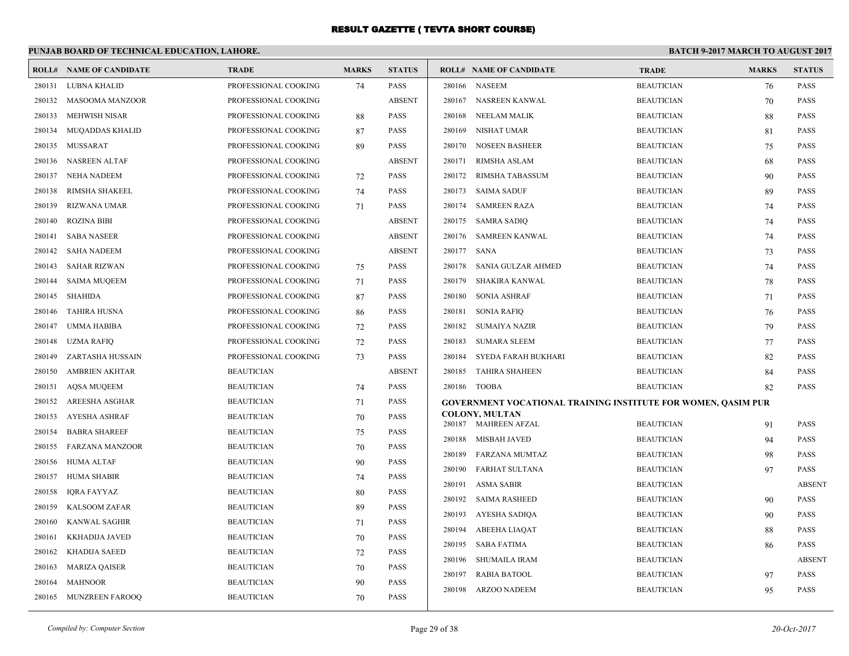|        | PUNJAB BOARD OF TECHNICAL EDUCATION, LAHORE. |                      |              |               | <b>BATCH 9-2017 MARCH TO AUGUST 2017</b> |                                                               |                                        |              |                            |
|--------|----------------------------------------------|----------------------|--------------|---------------|------------------------------------------|---------------------------------------------------------------|----------------------------------------|--------------|----------------------------|
|        | <b>ROLL# NAME OF CANDIDATE</b>               | <b>TRADE</b>         | <b>MARKS</b> | <b>STATUS</b> |                                          | <b>ROLL# NAME OF CANDIDATE</b>                                | <b>TRADE</b>                           | <b>MARKS</b> | <b>STATUS</b>              |
| 280131 | LUBNA KHALID                                 | PROFESSIONAL COOKING | 74           | <b>PASS</b>   | 280166                                   | <b>NASEEM</b>                                                 | <b>BEAUTICIAN</b>                      | 76           | <b>PASS</b>                |
| 280132 | MASOOMA MANZOOR                              | PROFESSIONAL COOKING |              | <b>ABSENT</b> | 280167                                   | NASREEN KANWAL                                                | <b>BEAUTICIAN</b>                      | 70           | <b>PASS</b>                |
| 280133 | <b>MEHWISH NISAR</b>                         | PROFESSIONAL COOKING | 88           | <b>PASS</b>   | 280168                                   | <b>NEELAM MALIK</b>                                           | <b>BEAUTICIAN</b>                      | 88           | <b>PASS</b>                |
| 280134 | <b>MUQADDAS KHALID</b>                       | PROFESSIONAL COOKING | 87           | <b>PASS</b>   | 280169                                   | NISHAT UMAR                                                   | <b>BEAUTICIAN</b>                      | 81           | <b>PASS</b>                |
| 280135 | MUSSARAT                                     | PROFESSIONAL COOKING | 89           | <b>PASS</b>   | 280170                                   | <b>NOSEEN BASHEER</b>                                         | <b>BEAUTICIAN</b>                      | 75           | <b>PASS</b>                |
| 280136 | <b>NASREEN ALTAF</b>                         | PROFESSIONAL COOKING |              | <b>ABSENT</b> | 280171                                   | <b>RIMSHA ASLAM</b>                                           | <b>BEAUTICIAN</b>                      | 68           | <b>PASS</b>                |
| 280137 | <b>NEHA NADEEM</b>                           | PROFESSIONAL COOKING | 72           | <b>PASS</b>   | 280172                                   | <b>RIMSHA TABASSUM</b>                                        | <b>BEAUTICIAN</b>                      | 90           | <b>PASS</b>                |
| 280138 | <b>RIMSHA SHAKEEL</b>                        | PROFESSIONAL COOKING | 74           | <b>PASS</b>   | 280173                                   | <b>SAIMA SADUF</b>                                            | <b>BEAUTICIAN</b>                      | 89           | <b>PASS</b>                |
| 280139 | <b>RIZWANA UMAR</b>                          | PROFESSIONAL COOKING | 71           | <b>PASS</b>   | 280174                                   | <b>SAMREEN RAZA</b>                                           | <b>BEAUTICIAN</b>                      | 74           | <b>PASS</b>                |
| 280140 | <b>ROZINA BIBI</b>                           | PROFESSIONAL COOKING |              | <b>ABSENT</b> |                                          | 280175 SAMRA SADIQ                                            | <b>BEAUTICIAN</b>                      | 74           | <b>PASS</b>                |
| 280141 | <b>SABA NASEER</b>                           | PROFESSIONAL COOKING |              | <b>ABSENT</b> | 280176                                   | SAMREEN KANWAL                                                | <b>BEAUTICIAN</b>                      | 74           | <b>PASS</b>                |
| 280142 | <b>SAHA NADEEM</b>                           | PROFESSIONAL COOKING |              | <b>ABSENT</b> | 280177                                   | SANA                                                          | <b>BEAUTICIAN</b>                      | 73           | <b>PASS</b>                |
| 280143 | <b>SAHAR RIZWAN</b>                          | PROFESSIONAL COOKING | 75           | <b>PASS</b>   | 280178                                   | SANIA GULZAR AHMED                                            | <b>BEAUTICIAN</b>                      | 74           | <b>PASS</b>                |
| 280144 | <b>SAIMA MUQEEM</b>                          | PROFESSIONAL COOKING | 71           | <b>PASS</b>   | 280179                                   | SHAKIRA KANWAL                                                | <b>BEAUTICIAN</b>                      | 78           | <b>PASS</b>                |
| 280145 | SHAHIDA                                      | PROFESSIONAL COOKING | 87           | <b>PASS</b>   | 280180                                   | SONIA ASHRAF                                                  | <b>BEAUTICIAN</b>                      | 71           | <b>PASS</b>                |
| 280146 | <b>TAHIRA HUSNA</b>                          | PROFESSIONAL COOKING | 86           | <b>PASS</b>   | 280181                                   | <b>SONIA RAFIO</b>                                            | <b>BEAUTICIAN</b>                      | 76           | <b>PASS</b>                |
| 280147 | <b>UMMA HABIBA</b>                           | PROFESSIONAL COOKING | 72           | <b>PASS</b>   | 280182                                   | <b>SUMAIYA NAZIR</b>                                          | <b>BEAUTICIAN</b>                      | 79           | <b>PASS</b>                |
| 280148 | <b>UZMA RAFIQ</b>                            | PROFESSIONAL COOKING | 72           | <b>PASS</b>   | 280183                                   | <b>SUMARA SLEEM</b>                                           | <b>BEAUTICIAN</b>                      | 77           | <b>PASS</b>                |
| 280149 | ZARTASHA HUSSAIN                             | PROFESSIONAL COOKING | 73           | <b>PASS</b>   | 280184                                   | SYEDA FARAH BUKHARI                                           | <b>BEAUTICIAN</b>                      | 82           | <b>PASS</b>                |
| 280150 | <b>AMBRIEN AKHTAR</b>                        | <b>BEAUTICIAN</b>    |              | <b>ABSENT</b> | 280185                                   | <b>TAHIRA SHAHEEN</b>                                         | <b>BEAUTICIAN</b>                      | 84           | <b>PASS</b>                |
| 280151 | <b>AQSA MUQEEM</b>                           | <b>BEAUTICIAN</b>    | 74           | <b>PASS</b>   |                                          | 280186 TOOBA                                                  | <b>BEAUTICIAN</b>                      | 82           | <b>PASS</b>                |
| 280152 | AREESHA ASGHAR                               | <b>BEAUTICIAN</b>    | 71           | <b>PASS</b>   |                                          | GOVERNMENT VOCATIONAL TRAINING INSTITUTE FOR WOMEN, QASIM PUR |                                        |              |                            |
| 280153 | AYESHA ASHRAF                                | <b>BEAUTICIAN</b>    | 70           | <b>PASS</b>   |                                          | <b>COLONY, MULTAN</b>                                         | <b>BEAUTICIAN</b>                      |              | <b>PASS</b>                |
| 280154 | <b>BABRA SHAREEF</b>                         | <b>BEAUTICIAN</b>    | 75           | <b>PASS</b>   |                                          | 280187 MAHREEN AFZAL<br><b>MISBAH JAVED</b>                   | <b>BEAUTICIAN</b>                      | 91           | <b>PASS</b>                |
| 280155 | <b>FARZANA MANZOOR</b>                       | <b>BEAUTICIAN</b>    | 70           | <b>PASS</b>   | 280188                                   |                                                               |                                        | 94           |                            |
| 280156 | HUMA ALTAF                                   | <b>BEAUTICIAN</b>    | 90           | <b>PASS</b>   | 280189<br>280190                         | <b>FARZANA MUMTAZ</b>                                         | <b>BEAUTICIAN</b>                      | 98           | <b>PASS</b><br><b>PASS</b> |
| 280157 | <b>HUMA SHABIR</b>                           | <b>BEAUTICIAN</b>    | 74           | <b>PASS</b>   |                                          | FARHAT SULTANA                                                | <b>BEAUTICIAN</b>                      | 97           |                            |
| 280158 | <b>IQRA FAYYAZ</b>                           | <b>BEAUTICIAN</b>    | 80           | <b>PASS</b>   | 280191                                   | <b>ASMA SABIR</b><br>280192 SAIMA RASHEED                     | <b>BEAUTICIAN</b><br><b>BEAUTICIAN</b> |              | <b>ABSENT</b>              |
| 280159 | <b>KALSOOM ZAFAR</b>                         | <b>BEAUTICIAN</b>    | 89           | <b>PASS</b>   |                                          |                                                               |                                        | 90           | <b>PASS</b>                |
| 280160 | KANWAL SAGHIR                                | <b>BEAUTICIAN</b>    | 71           | <b>PASS</b>   | 280193                                   | AYESHA SADIQA                                                 | <b>BEAUTICIAN</b>                      | 90           | <b>PASS</b>                |
| 280161 | <b>KKHADIJA JAVED</b>                        | <b>BEAUTICIAN</b>    | 70           | <b>PASS</b>   | 280194                                   | ABEEHA LIAQAT                                                 | <b>BEAUTICIAN</b>                      | 88           | <b>PASS</b>                |
| 280162 | <b>KHADIJA SAEED</b>                         | <b>BEAUTICIAN</b>    | 72           | <b>PASS</b>   | 280195                                   | <b>SABA FATIMA</b>                                            | <b>BEAUTICIAN</b>                      | 86           | <b>PASS</b>                |
| 280163 | <b>MARIZA QAISER</b>                         | <b>BEAUTICIAN</b>    | 70           | <b>PASS</b>   | 280196<br>280197                         | <b>SHUMAILA IRAM</b>                                          | <b>BEAUTICIAN</b>                      |              | <b>ABSENT</b>              |
| 280164 | <b>MAHNOOR</b>                               | <b>BEAUTICIAN</b>    | 90           | <b>PASS</b>   |                                          | <b>RABIA BATOOL</b>                                           | <b>BEAUTICIAN</b>                      | 97           | <b>PASS</b>                |
|        | 280165 MUNZREEN FAROOQ                       | <b>BEAUTICIAN</b>    | 70           | PASS          | 280198                                   | <b>ARZOO NADEEM</b>                                           | <b>BEAUTICIAN</b>                      | 95           | PASS                       |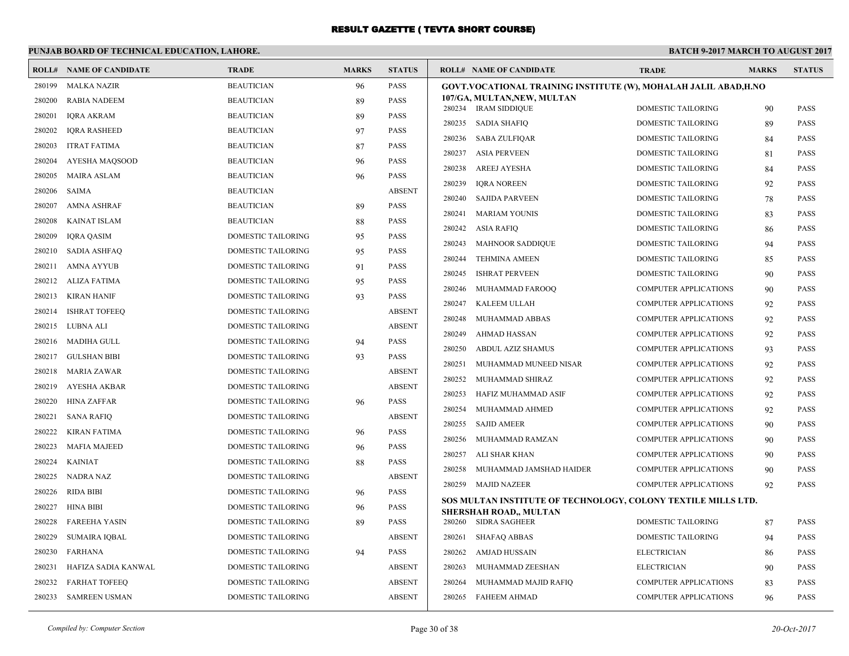#### **PUNJAB BOARD OF TECHNICAL EDUCATION, LAHORE. BATCH 9-2017 MARCH TO AUGUST 2017 ROLL# NAME OF CANDIDATE TRADE MARKS STATUS ROLL# NAME OF CANDIDATE TRADE MARKS STATUS** 280199 MALKA NAZIR BEAUTICIAN 96 PASS 280200 RABIA NADEEM BEAUTICIAN 89 PASS 280201 IQRA AKRAM BEAUTICIAN 89 PASS 280202 IQRA RASHEED BEAUTICIAN 97 PASS 280203 ITRAT FATIMA BEAUTICIAN 87 PASS 280204 AYESHA MAQSOOD BEAUTICIAN 96 PASS 280205 MAIRA ASLAM BEAUTICIAN 96 PASS 280206 SAIMA BEAUTICIAN ABSENT 280207 AMNA ASHRAF BEAUTICIAN 89 PASS 280208 KAINAT ISLAM BEAUTICIAN 88 PASS 280209 IQRA QASIM DOMESTIC TAILORING 95 PASS 280210 SADIA ASHFAQ DOMESTIC TAILORING 95 PASS 280211 AMNA AYYUB DOMESTIC TAILORING 91 PASS 280212 ALIZA FATIMA DOMESTIC TAILORING 95 PASS 280213 KIRAN HANIF DOMESTIC TAILORING 93 PASS 280214 ISHRAT TOFEEQ DOMESTIC TAILORING ABSENT 280215 LUBNA ALI DOMESTIC TAILORING ABSENT 280216 MADIHA GULL DOMESTIC TAILORING 94 PASS 280217 GULSHAN BIBI DOMESTIC TAILORING 93 PASS 280218 MARIA ZAWAR DOMESTIC TAILORING ABSENT 280219 AYESHA AKBAR DOMESTIC TAILORING ABSENT 280220 HINA ZAFFAR DOMESTIC TAILORING 96 PASS 280221 SANA RAFIQ DOMESTIC TAILORING ABSENT 280222 KIRAN FATIMA DOMESTIC TAILORING 96 PASS 280223 MAFIA MAJEED DOMESTIC TAILORING 96 PASS 280224 KAINIAT DOMESTIC TAILORING 88 PASS 280225 NADRA NAZ DOMESTIC TAILORING ABSENT 280226 RIDA BIBI DOMESTIC TAILORING 96 PASS 280227 HINA BIBI DOMESTIC TAILORING 96 PASS 280228 FAREEHA YASIN DOMESTIC TAILORING 89 PASS 280229 SUMAIRA IQBAL DOMESTIC TAILORING ABSENT 280230 FARHANA DOMESTIC TAILORING 94 PASS 280231 HAFIZA SADIA KANWAL DOMESTIC TAILORING ABSENT 280232 FARHAT TOFEEQ DOMESTIC TAILORING ABSENT 280233 SAMREEN USMAN DOMESTIC TAILORING ABSENT **GOVT.VOCATIONAL TRAINING INSTITUTE (W), MOHALAH JALIL ABAD,H.NO 107/GA, MULTAN,NEW, MULTAN** 280234 IRAM SIDDIQUE DOMESTIC TAILORING 90 PASS 280235 SADIA SHAFIQ DOMESTIC TAILORING 89 PASS 280236 SABA ZULFIQAR DOMESTIC TAILORING 84 PASS 280237 ASIA PERVEEN DOMESTIC TAILORING 81 PASS 280238 AREEJ AYESHA DOMESTIC TAILORING 84 PASS 280239 IQRA NOREEN DOMESTIC TAILORING 92 PASS 280240 SAJIDA PARVEEN DOMESTIC TAILORING 78 PASS 280241 MARIAM YOUNIS DOMESTIC TAILORING 83 PASS 280242 ASIA RAFIQ DOMESTIC TAILORING 86 PASS 280243 MAHNOOR SADDIQUE DOMESTIC TAILORING 94 PASS 280244 TEHMINA AMEEN DOMESTIC TAILORING 85 PASS 280245 ISHRAT PERVEEN DOMESTIC TAILORING 90 PASS 280246 MUHAMMAD FAROOQ COMPUTER APPLICATIONS 90 PASS 280247 KALEEM ULLAH COMPUTER APPLICATIONS 92 PASS 280248 MUHAMMAD ABBAS COMPUTER APPLICATIONS 92 PASS 280249 AHMAD HASSAN COMPUTER APPLICATIONS 92 PASS 280250 ABDUL AZIZ SHAMUS COMPUTER APPLICATIONS 93 PASS 280251 MUHAMMAD MUNEED NISAR COMPUTER APPLICATIONS 92 PASS 280252 MUHAMMAD SHIRAZ COMPUTER APPLICATIONS 92 PASS 280253 HAFIZ MUHAMMAD ASIF COMPUTER APPLICATIONS 92 PASS 280254 MUHAMMAD AHMED COMPUTER APPLICATIONS 92 PASS 280255 SAJID AMEER COMPUTER APPLICATIONS 90 PASS 280256 MUHAMMAD RAMZAN COMPUTER APPLICATIONS 90 PASS 280257 ALI SHAR KHAN COMPUTER APPLICATIONS 90 PASS 280258 MUHAMMAD JAMSHAD HAIDER COMPUTER APPLICATIONS 90 PASS 280259 MAJID NAZEER COMPUTER APPLICATIONS 92 PASS **SOS MULTAN INSTITUTE OF TECHNOLOGY, COLONY TEXTILE MILLS LTD. SHERSHAH ROAD,, MULTAN** 280260 SIDRA SAGHEER DOMESTIC TAILORING 87 PASS 280261 SHAFAQ ABBAS DOMESTIC TAILORING 94 PASS 280262 AMJAD HUSSAIN ELECTRICIAN 86 PASS 280263 MUHAMMAD ZEESHAN ELECTRICIAN 90 PASS 280264 MUHAMMAD MAJID RAFIQ COMPUTER APPLICATIONS 83 PASS 280265 FAHEEM AHMAD COMPUTER APPLICATIONS 96 PASS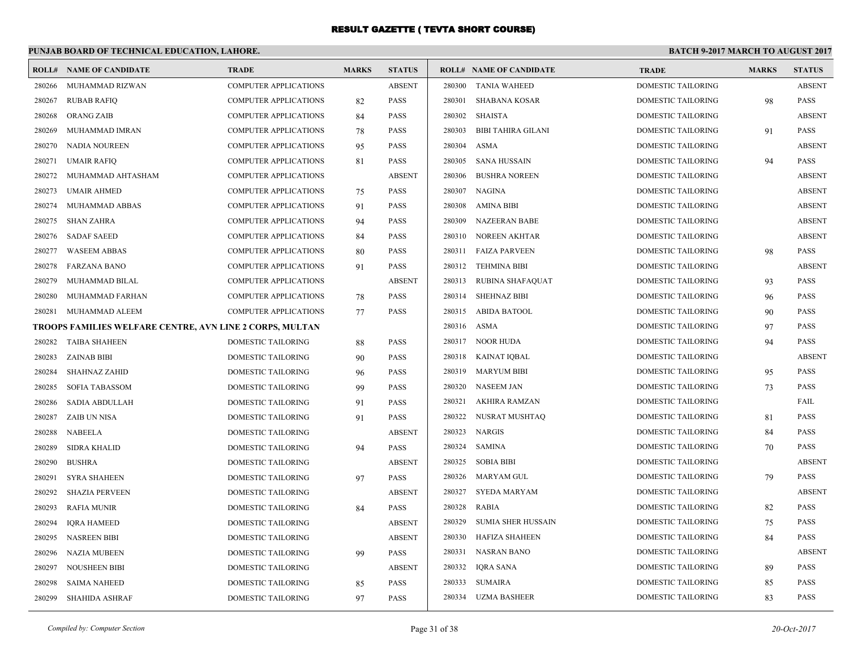#### **PUNJAB BOARD OF TECHNICAL EDUCATION, LAHORE. BATCH 9-2017 MARCH TO AUGUST 2017 ROLL# NAME OF CANDIDATE TRADE MARKS STATUS ROLL# NAME OF CANDIDATE TRADE MARKS STATUS** 280266 MUHAMMAD RIZWAN COMPUTER APPLICATIONS ABSENT 280267 RUBAB RAFIQ COMPUTER APPLICATIONS 82 PASS 280268 ORANG ZAIB COMPUTER APPLICATIONS 84 PASS 280269 MUHAMMAD IMRAN COMPUTER APPLICATIONS 78 PASS 280270 NADIA NOUREEN COMPUTER APPLICATIONS 95 PASS 280271 UMAIR RAFIQ COMPUTER APPLICATIONS 81 PASS 280272 MUHAMMAD AHTASHAM COMPUTER APPLICATIONS ABSENT 280273 UMAIR AHMED COMPUTER APPLICATIONS 75 PASS 280274 MUHAMMAD ABBAS COMPUTER APPLICATIONS 91 PASS 280275 SHAN ZAHRA COMPUTER APPLICATIONS 94 PASS 280276 SADAF SAEED COMPUTER APPLICATIONS 84 PASS 280277 WASEEM ABBAS COMPUTER APPLICATIONS 80 PASS 280278 FARZANA BANO COMPUTER APPLICATIONS 91 PASS 280279 MUHAMMAD BILAL COMPUTER APPLICATIONS ABSENT 280280 MUHAMMAD FARHAN COMPUTER APPLICATIONS 78 PASS 280281 MUHAMMAD ALEEM COMPUTER APPLICATIONS 77 PASS **TROOPS FAMILIES WELFARE CENTRE, AVN LINE 2 CORPS, MULTAN** 280282 TAIBA SHAHEEN DOMESTIC TAILORING 88 PASS 280283 ZAINAB BIBI DOMESTIC TAILORING 90 PASS 280284 SHAHNAZ ZAHID DOMESTIC TAILORING 96 PASS 280285 SOFIA TABASSOM DOMESTIC TAILORING 99 PASS 280286 SADIA ABDULLAH DOMESTIC TAILORING 91 PASS 280287 ZAIB UN NISA DOMESTIC TAILORING 91 PASS 280288 NABEELA DOMESTIC TAILORING ABSENT 280289 SIDRA KHALID DOMESTIC TAILORING 94 PASS 280290 BUSHRA DOMESTIC TAILORING ABSENT 280291 SYRA SHAHEEN DOMESTIC TAILORING 97 PASS 280292 SHAZIA PERVEEN DOMESTIC TAILORING ABSENT 280293 RAFIA MUNIR DOMESTIC TAILORING 84 PASS 280294 IQRA HAMEED DOMESTIC TAILORING ABSENT 280295 NASREEN BIBI DOMESTIC TAILORING ABSENT 280296 NAZIA MUBEEN DOMESTIC TAILORING 99 PASS 280297 NOUSHEEN BIBI DOMESTIC TAILORING ABSENT 280298 SAIMA NAHEED DOMESTIC TAILORING 85 PASS 280299 SHAHIDA ASHRAF DOMESTIC TAILORING 97 PASS 280300 TANIA WAHEED DOMESTIC TAILORING ABSENT 280301 SHABANA KOSAR DOMESTIC TAILORING 98 PASS 280302 SHAISTA DOMESTIC TAILORING ABSENT 280303 BIBI TAHIRA GILANI DOMESTIC TAILORING 91 PASS 280304 ASMA DOMESTIC TAILORING ABSENT 280305 SANA HUSSAIN DOMESTIC TAILORING 94 PASS 280306 BUSHRA NOREEN DOMESTIC TAILORING ABSENT 280307 NAGINA DOMESTIC TAILORING ABSENT 280308 AMINA BIBI DOMESTIC TAILORING ABSENT 280309 NAZEERAN BABE DOMESTIC TAILORING ABSENT 280310 NOREEN AKHTAR DOMESTIC TAILORING ABSENT 280311 FAIZA PARVEEN DOMESTIC TAILORING 98 PASS 280312 TEHMINA BIBI DOMESTIC TAILORING ABSENT 280313 RUBINA SHAFAQUAT DOMESTIC TAILORING 93 PASS 280314 SHEHNAZ BIBI DOMESTIC TAILORING 96 PASS 280315 ABIDA BATOOL DOMESTIC TAILORING 90 PASS 280316 ASMA DOMESTIC TAILORING 97 PASS 280317 NOOR HUDA DOMESTIC TAILORING 94 PASS 280318 KAINAT IQBAL DOMESTIC TAILORING ABSENT 280319 MARYUM BIBI DOMESTIC TAILORING 95 PASS 280320 NASEEM JAN DOMESTIC TAILORING 73 PASS 280321 AKHIRA RAMZAN DOMESTIC TAILORING FAIL 280322 NUSRAT MUSHTAQ DOMESTIC TAILORING 81 PASS 280323 NARGIS DOMESTIC TAILORING 84 PASS 280324 SAMINA DOMESTIC TAILORING 70 PASS 280325 SOBIA BIBI DOMESTIC TAILORING ABSENT 280326 MARYAM GUL DOMESTIC TAILORING 79 PASS 280327 SYEDA MARYAM DOMESTIC TAILORING ABSENT 280328 RABIA DOMESTIC TAILORING 82 PASS 280329 SUMIA SHER HUSSAIN DOMESTIC TAILORING 75 PASS 280330 HAFIZA SHAHEEN DOMESTIC TAILORING 84 PASS 280331 NASRAN BANO DOMESTIC TAILORING ABSENT 280332 IQRA SANA DOMESTIC TAILORING 89 PASS 280333 SUMAIRA DOMESTIC TAILORING 85 PASS 280334 UZMA BASHEER DOMESTIC TAILORING 83 PASS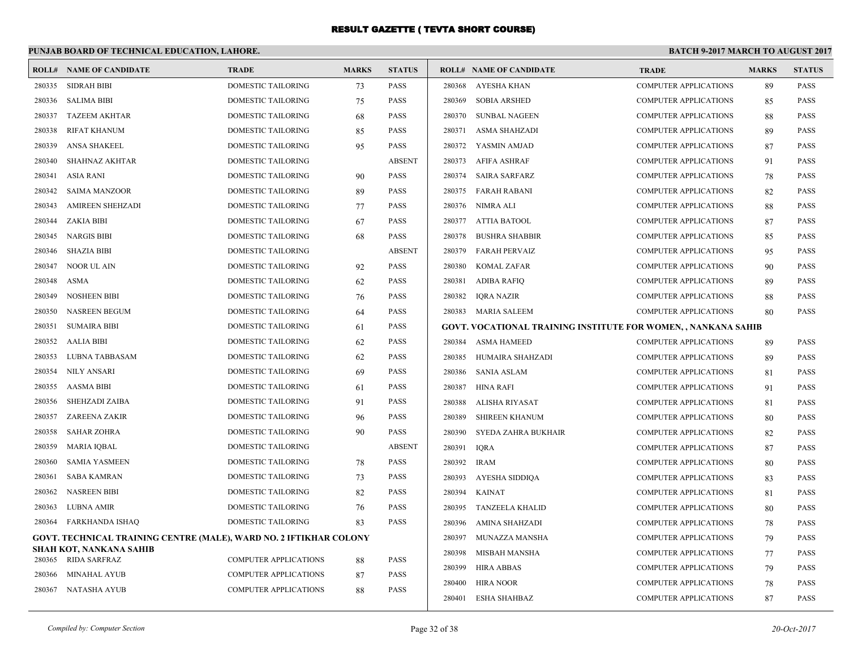#### **PUNJAB BOARD OF TECHNICAL EDUCATION, LAHORE. BATCH 9-2017 MARCH TO AUGUST 2017 ROLL# NAME OF CANDIDATE TRADE MARKS STATUS ROLL# NAME OF CANDIDATE TRADE MARKS STATUS** 280335 SIDRAH BIBI DOMESTIC TAILORING 73 PASS 280336 SALIMA BIBI DOMESTIC TAILORING 75 PASS 280337 TAZEEM AKHTAR DOMESTIC TAILORING 68 PASS 280338 RIFAT KHANUM DOMESTIC TAILORING 85 PASS 280339 ANSA SHAKEEL DOMESTIC TAILORING 95 PASS 280340 SHAHNAZ AKHTAR DOMESTIC TAILORING ABSENT 280341 ASIA RANI DOMESTIC TAILORING 90 PASS 280342 SAIMA MANZOOR DOMESTIC TAILORING 89 PASS 280343 AMIREEN SHEHZADI DOMESTIC TAILORING 77 PASS 280344 ZAKIA BIBI DOMESTIC TAILORING 67 PASS 280345 NARGIS BIBI DOMESTIC TAILORING 68 PASS 280346 SHAZIA BIBI DOMESTIC TAILORING ABSENT 280347 NOOR UL AIN DOMESTIC TAILORING 92 PASS 280348 ASMA DOMESTIC TAILORING 62 PASS 280349 NOSHEEN BIBI DOMESTIC TAILORING 76 PASS 280350 NASREEN BEGUM DOMESTIC TAILORING 64 PASS 280351 SUMAIRA BIBI DOMESTIC TAILORING 61 PASS 280352 AALIA BIBI DOMESTIC TAILORING 62 PASS 280353 LUBNA TABBASAM DOMESTIC TAILORING 62 PASS 280354 NILY ANSARI DOMESTIC TAILORING 69 PASS 280355 AASMA BIBI DOMESTIC TAILORING 61 PASS 280356 SHEHZADI ZAIBA DOMESTIC TAILORING 91 PASS 280357 ZAREENA ZAKIR DOMESTIC TAILORING 96 PASS 280358 SAHAR ZOHRA DOMESTIC TAILORING 90 PASS 280359 MARIA IQBAL DOMESTIC TAILORING ABSENT 280360 SAMIA YASMEEN DOMESTIC TAILORING 78 PASS 280361 SABA KAMRAN DOMESTIC TAILORING 73 PASS 280362 NASREEN BIBI DOMESTIC TAILORING 82 PASS 280363 LUBNA AMIR DOMESTIC TAILORING 76 PASS 280364 FARKHANDA ISHAQ DOMESTIC TAILORING 83 PASS **GOVT. TECHNICAL TRAINING CENTRE (MALE), WARD NO. 2 IFTIKHAR COLONY SHAH KOT, NANKANA SAHIB** 280365 RIDA SARFRAZ COMPUTER APPLICATIONS 88 PASS 280366 MINAHAL AYUB COMPUTER APPLICATIONS 87 PASS 280367 NATASHA AYUB COMPUTER APPLICATIONS 88 PASS 280368 AYESHA KHAN COMPUTER APPLICATIONS 89 PASS 280369 SOBIA ARSHED COMPUTER APPLICATIONS 85 PASS 280370 SUNBAL NAGEEN COMPUTER APPLICATIONS 88 PASS 280371 ASMA SHAHZADI COMPUTER APPLICATIONS 89 PASS 280372 YASMIN AMJAD COMPUTER APPLICATIONS 87 PASS 280373 AFIFA ASHRAF COMPUTER APPLICATIONS 91 PASS 280374 SAIRA SARFARZ COMPUTER APPLICATIONS 78 PASS 280375 FARAH RABANI COMPUTER APPLICATIONS 82 PASS 280376 NIMRA ALI COMPUTER APPLICATIONS 88 PASS 280377 ATTIA BATOOL COMPUTER APPLICATIONS 87 PASS 280378 BUSHRA SHABBIR COMPUTER APPLICATIONS 85 PASS 280379 FARAH PERVAIZ COMPUTER APPLICATIONS 95 PASS 280380 KOMAL ZAFAR COMPUTER APPLICATIONS 90 PASS 280381 ADIBA RAFIQ COMPUTER APPLICATIONS 89 PASS 280382 IQRA NAZIR COMPUTER APPLICATIONS 88 PASS 280383 MARIA SALEEM COMPUTER APPLICATIONS 80 PASS **GOVT. VOCATIONAL TRAINING INSTITUTE FOR WOMEN, , NANKANA SAHIB** 280384 ASMA HAMEED COMPUTER APPLICATIONS 89 PASS 280385 HUMAIRA SHAHZADI COMPUTER APPLICATIONS 89 PASS 280386 SANIA ASLAM COMPUTER APPLICATIONS 81 PASS 280387 HINA RAFI COMPUTER APPLICATIONS 91 PASS 280388 ALISHA RIYASAT COMPUTER APPLICATIONS 81 PASS 280389 SHIREEN KHANUM COMPUTER APPLICATIONS 80 PASS 280390 SYEDA ZAHRA BUKHAIR COMPUTER APPLICATIONS 82 PASS 280391 IQRA COMPUTER APPLICATIONS 87 PASS 280392 IRAM COMPUTER APPLICATIONS 80 PASS 280393 AYESHA SIDDIQA COMPUTER APPLICATIONS 83 PASS 280394 KAINAT COMPUTER APPLICATIONS 81 PASS 280395 TANZEELA KHALID COMPUTER APPLICATIONS 80 PASS 280396 AMINA SHAHZADI COMPUTER APPLICATIONS 78 PASS 280397 MUNAZZA MANSHA COMPUTER APPLICATIONS 79 PASS 280398 MISBAH MANSHA COMPUTER APPLICATIONS 77 PASS 280399 HIRA ABBAS COMPUTER APPLICATIONS 79 PASS 280400 HIRA NOOR COMPUTER APPLICATIONS 78 PASS 280401 ESHA SHAHBAZ COMPUTER APPLICATIONS 87 PASS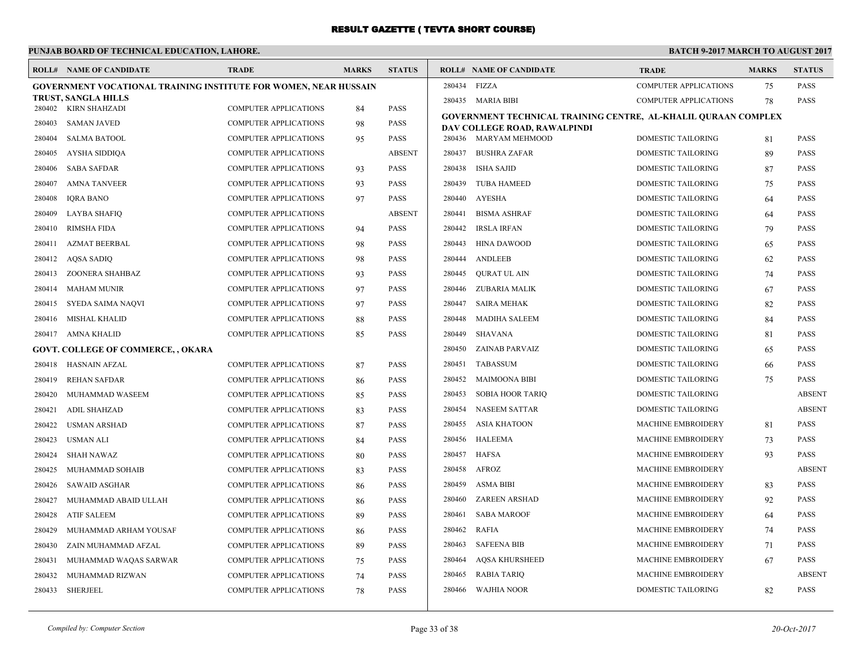#### **PUNJAB BOARD OF TECHNICAL EDUCATION, LAHORE. BATCH 9-2017 MARCH TO AUGUST 2017 ROLL# NAME OF CANDIDATE TRADE MARKS STATUS ROLL# NAME OF CANDIDATE TRADE MARKS STATUS GOVERNMENT VOCATIONAL TRAINING INSTITUTE FOR WOMEN, NEAR HUSSAIN TRUST, SANGLA HILLS** 280402 KIRN SHAHZADI COMPUTER APPLICATIONS 84 PASS 280403 SAMAN JAVED COMPUTER APPLICATIONS 98 PASS 280404 SALMA BATOOL COMPUTER APPLICATIONS 95 PASS 280405 AYSHA SIDDIQA COMPUTER APPLICATIONS ABSENT 280406 SABA SAFDAR COMPUTER APPLICATIONS 93 PASS 280407 AMNA TANVEER COMPUTER APPLICATIONS 93 PASS 280408 IQRA BANO COMPUTER APPLICATIONS 97 PASS 280409 LAYBA SHAFIQ COMPUTER APPLICATIONS ABSENT 280410 RIMSHA FIDA COMPUTER APPLICATIONS 94 PASS 280411 AZMAT BEERBAL COMPUTER APPLICATIONS 98 PASS 280412 AQSA SADIQ COMPUTER APPLICATIONS 98 PASS 280413 ZOONERA SHAHBAZ COMPUTER APPLICATIONS 93 PASS 280414 MAHAM MUNIR COMPUTER APPLICATIONS 97 PASS 280415 SYEDA SAIMA NAQVI COMPUTER APPLICATIONS 97 PASS 280416 MISHAL KHALID COMPUTER APPLICATIONS 88 PASS 280417 AMNA KHALID COMPUTER APPLICATIONS 85 PASS **GOVT. COLLEGE OF COMMERCE, , OKARA** 280418 HASNAIN AFZAL COMPUTER APPLICATIONS 87 PASS 280419 REHAN SAFDAR COMPUTER APPLICATIONS 86 PASS 280420 MUHAMMAD WASEEM COMPUTER APPLICATIONS 85 PASS 280421 ADIL SHAHZAD COMPUTER APPLICATIONS 83 PASS 280422 USMAN ARSHAD COMPUTER APPLICATIONS 87 PASS 280423 USMAN ALI COMPUTER APPLICATIONS 84 PASS 280424 SHAH NAWAZ COMPUTER APPLICATIONS 80 PASS 280425 MUHAMMAD SOHAIB COMPUTER APPLICATIONS 83 PASS 280426 SAWAID ASGHAR COMPUTER APPLICATIONS 86 PASS 280427 MUHAMMAD ABAID ULLAH COMPUTER APPLICATIONS 86 PASS 280428 ATIF SALEEM COMPUTER APPLICATIONS 89 PASS 280429 MUHAMMAD ARHAM YOUSAF COMPUTER APPLICATIONS 86 PASS 280430 ZAIN MUHAMMAD AFZAL COMPUTER APPLICATIONS 89 PASS 280431 MUHAMMAD WAQAS SARWAR COMPUTER APPLICATIONS 75 PASS 280432 MUHAMMAD RIZWAN COMPUTER APPLICATIONS 74 PASS 280433 SHERJEEL COMPUTER APPLICATIONS 78 PASS 280434 FIZZA COMPUTER APPLICATIONS 75 PASS 280435 MARIA BIBI COMPUTER APPLICATIONS 78 PASS **GOVERNMENT TECHNICAL TRAINING CENTRE, AL-KHALIL QURAAN COMPLEX DAV COLLEGE ROAD, RAWALPINDI** 280436 MARYAM MEHMOOD DOMESTIC TAILORING 81 PASS 280437 BUSHRA ZAFAR DOMESTIC TAILORING 89 PASS 280438 ISHA SAJID DOMESTIC TAILORING 87 PASS 280439 TUBA HAMEED DOMESTIC TAILORING 75 PASS 280440 AYESHA DOMESTIC TAILORING 64 PASS 280441 BISMA ASHRAF DOMESTIC TAILORING 64 PASS 280442 IRSLA IRFAN DOMESTIC TAILORING 79 PASS 280443 HINA DAWOOD DOMESTIC TAILORING 65 PASS 280444 ANDLEEB DOMESTIC TAILORING 62 PASS 280445 QURAT UL AIN DOMESTIC TAILORING 74 PASS 280446 ZUBARIA MALIK DOMESTIC TAILORING 67 PASS 280447 SAIRA MEHAK DOMESTIC TAILORING 82 PASS 280448 MADIHA SALEEM DOMESTIC TAILORING 84 PASS 280449 SHAVANA DOMESTIC TAILORING 81 PASS 280450 ZAINAB PARVAIZ DOMESTIC TAILORING 65 PASS 280451 TABASSUM DOMESTIC TAILORING 66 PASS 280452 MAIMOONA BIBI DOMESTIC TAILORING 75 PASS 280453 SOBIA HOOR TARIQ DOMESTIC TAILORING ABSENT 280454 NASEEM SATTAR DOMESTIC TAILORING ABSENT 280455 ASIA KHATOON MACHINE EMBROIDERY 81 PASS 280456 HALEEMA MACHINE EMBROIDERY 73 PASS 280457 HAFSA MACHINE EMBROIDERY 93 PASS 280458 AFROZ MACHINE EMBROIDERY ABSENT 280459 ASMA BIBI MACHINE EMBROIDERY 83 PASS 280460 ZAREEN ARSHAD MACHINE EMBROIDERY 92 PASS 280461 SABA MAROOF MACHINE EMBROIDERY 64 PASS 280462 RAFIA MACHINE EMBROIDERY 74 PASS 280463 SAFEENA BIB MACHINE EMBROIDERY 71 PASS 280464 AQSA KHURSHEED MACHINE EMBROIDERY 67 PASS 280465 RABIA TARIQ MACHINE EMBROIDERY ABSENT 280466 WAJHIA NOOR DOMESTIC TAILORING 82 PASS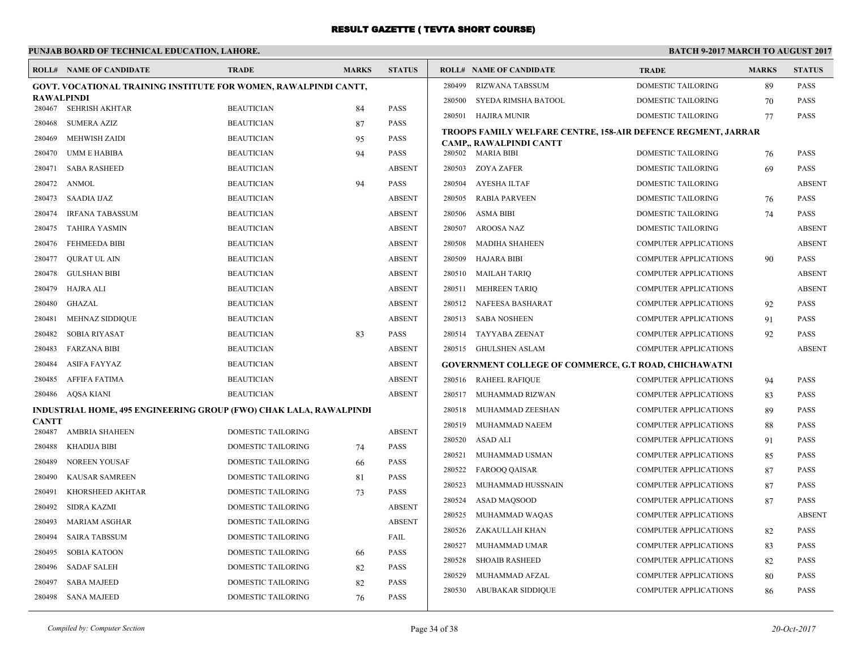|              | PUNJAB BOARD OF TECHNICAL EDUCATION, LAHORE.                       |                           |              |               | <b>BATCH 9-2017 MARCH TO AUGUST 2017</b> |                                                               |                              |              |               |
|--------------|--------------------------------------------------------------------|---------------------------|--------------|---------------|------------------------------------------|---------------------------------------------------------------|------------------------------|--------------|---------------|
|              | <b>ROLL# NAME OF CANDIDATE</b>                                     | <b>TRADE</b>              | <b>MARKS</b> | <b>STATUS</b> |                                          | <b>ROLL# NAME OF CANDIDATE</b>                                | <b>TRADE</b>                 | <b>MARKS</b> | <b>STATUS</b> |
|              | GOVT. VOCATIONAL TRAINING INSTITUTE FOR WOMEN, RAWALPINDI CANTT,   |                           |              |               | 280499                                   | <b>RIZWANA TABSSUM</b>                                        | DOMESTIC TAILORING           | 89           | <b>PASS</b>   |
| RAWALPINDI   | SEHRISH AKHTAR                                                     | <b>BEAUTICIAN</b>         |              | PASS          | 280500                                   | SYEDA RIMSHA BATOOL                                           | DOMESTIC TAILORING           | 70           | <b>PASS</b>   |
| 280467       |                                                                    | <b>BEAUTICIAN</b>         | 84           | <b>PASS</b>   | 280501                                   | HAJIRA MUNIR                                                  | DOMESTIC TAILORING           | 77           | <b>PASS</b>   |
| 280468       | <b>SUMERA AZIZ</b>                                                 |                           | 87           |               |                                          | TROOPS FAMILY WELFARE CENTRE, 158-AIR DEFENCE REGMENT, JARRAR |                              |              |               |
| 280469       | <b>MEHWISH ZAIDI</b>                                               | <b>BEAUTICIAN</b>         | 95           | PASS          |                                          | CAMP., RAWALPINDI CANTT                                       |                              |              |               |
| 280470       | <b>UMM E HABIBA</b>                                                | <b>BEAUTICIAN</b>         | 94           | <b>PASS</b>   |                                          | 280502 MARIA BIBI                                             | <b>DOMESTIC TAILORING</b>    | 76           | <b>PASS</b>   |
| 280471       | <b>SABA RASHEED</b>                                                | <b>BEAUTICIAN</b>         |              | <b>ABSENT</b> | 280503                                   | <b>ZOYA ZAFER</b>                                             | DOMESTIC TAILORING           | 69           | <b>PASS</b>   |
| 280472       | ANMOL                                                              | <b>BEAUTICIAN</b>         | 94           | <b>PASS</b>   | 280504                                   | AYESHA ILTAF                                                  | DOMESTIC TAILORING           |              | <b>ABSENT</b> |
| 280473       | SAADIA IJAZ                                                        | <b>BEAUTICIAN</b>         |              | <b>ABSENT</b> | 280505                                   | <b>RABIA PARVEEN</b>                                          | DOMESTIC TAILORING           | 76           | <b>PASS</b>   |
| 280474       | <b>IRFANA TABASSUM</b>                                             | <b>BEAUTICIAN</b>         |              | <b>ABSENT</b> | 280506                                   | <b>ASMA BIBI</b>                                              | <b>DOMESTIC TAILORING</b>    | 74           | <b>PASS</b>   |
| 280475       | <b>TAHIRA YASMIN</b>                                               | <b>BEAUTICIAN</b>         |              | <b>ABSENT</b> | 280507                                   | AROOSA NAZ                                                    | DOMESTIC TAILORING           |              | <b>ABSENT</b> |
| 280476       | <b>FEHMEEDA BIBI</b>                                               | <b>BEAUTICIAN</b>         |              | <b>ABSENT</b> | 280508                                   | MADIHA SHAHEEN                                                | <b>COMPUTER APPLICATIONS</b> |              | <b>ABSENT</b> |
| 280477       | <b>OURAT UL AIN</b>                                                | <b>BEAUTICIAN</b>         |              | <b>ABSENT</b> | 280509                                   | HAJARA BIBI                                                   | <b>COMPUTER APPLICATIONS</b> | 90           | <b>PASS</b>   |
| 280478       | <b>GULSHAN BIBI</b>                                                | <b>BEAUTICIAN</b>         |              | <b>ABSENT</b> | 280510                                   | <b>MAILAH TARIO</b>                                           | <b>COMPUTER APPLICATIONS</b> |              | <b>ABSENT</b> |
| 280479       | <b>HAJRA ALI</b>                                                   | <b>BEAUTICIAN</b>         |              | <b>ABSENT</b> | 280511                                   | <b>MEHREEN TARIQ</b>                                          | <b>COMPUTER APPLICATIONS</b> |              | <b>ABSENT</b> |
| 280480       | GHAZAL                                                             | <b>BEAUTICIAN</b>         |              | <b>ABSENT</b> |                                          | 280512 NAFEESA BASHARAT                                       | <b>COMPUTER APPLICATIONS</b> | 92           | <b>PASS</b>   |
| 280481       | MEHNAZ SIDDIQUE                                                    | <b>BEAUTICIAN</b>         |              | <b>ABSENT</b> | 280513                                   | <b>SABA NOSHEEN</b>                                           | <b>COMPUTER APPLICATIONS</b> | 91           | <b>PASS</b>   |
| 280482       | <b>SOBIA RIYASAT</b>                                               | <b>BEAUTICIAN</b>         | 83           | <b>PASS</b>   | 280514                                   | TAYYABA ZEENAT                                                | <b>COMPUTER APPLICATIONS</b> | 92           | <b>PASS</b>   |
| 280483       | <b>FARZANA BIBI</b>                                                | <b>BEAUTICIAN</b>         |              | <b>ABSENT</b> |                                          | 280515 GHULSHEN ASLAM                                         | <b>COMPUTER APPLICATIONS</b> |              | <b>ABSENT</b> |
| 280484       | <b>ASIFA FAYYAZ</b>                                                | <b>BEAUTICIAN</b>         |              | <b>ABSENT</b> |                                          | GOVERNMENT COLLEGE OF COMMERCE, G.T ROAD, CHICHAWATNI         |                              |              |               |
| 280485       | AFFIFA FATIMA                                                      | <b>BEAUTICIAN</b>         |              | <b>ABSENT</b> |                                          | 280516 RAHEEL RAFIQUE                                         | <b>COMPUTER APPLICATIONS</b> | 94           | <b>PASS</b>   |
| 280486       | AQSA KIANI                                                         | <b>BEAUTICIAN</b>         |              | <b>ABSENT</b> | 280517                                   | MUHAMMAD RIZWAN                                               | <b>COMPUTER APPLICATIONS</b> | 83           | <b>PASS</b>   |
|              | INDUSTRIAL HOME, 495 ENGINEERING GROUP (FWO) CHAK LALA, RAWALPINDI |                           |              |               | 280518                                   | MUHAMMAD ZEESHAN                                              | <b>COMPUTER APPLICATIONS</b> | 89           | <b>PASS</b>   |
| <b>CANTT</b> |                                                                    |                           |              |               | 280519                                   | MUHAMMAD NAEEM                                                | <b>COMPUTER APPLICATIONS</b> | 88           | <b>PASS</b>   |
| 280487       | <b>AMBRIA SHAHEEN</b>                                              | <b>DOMESTIC TAILORING</b> |              | <b>ABSENT</b> | 280520                                   | ASAD ALI                                                      | <b>COMPUTER APPLICATIONS</b> | 91           | <b>PASS</b>   |
| 280488       | <b>KHADIJA BIBI</b>                                                | DOMESTIC TAILORING        | 74           | PASS          | 280521                                   | MUHAMMAD USMAN                                                | <b>COMPUTER APPLICATIONS</b> | 85           | <b>PASS</b>   |
| 280489       | <b>NOREEN YOUSAF</b>                                               | DOMESTIC TAILORING        | 66           | <b>PASS</b>   | 280522                                   | <b>FAROOQ QAISAR</b>                                          | <b>COMPUTER APPLICATIONS</b> | 87           | PASS          |
| 280490       | <b>KAUSAR SAMREEN</b>                                              | DOMESTIC TAILORING        | 81           | <b>PASS</b>   | 280523                                   | MUHAMMAD HUSSNAIN                                             | COMPUTER APPLICATIONS        | 87           | <b>PASS</b>   |
| 280491       | KHORSHEED AKHTAR                                                   | DOMESTIC TAILORING        | 73           | <b>PASS</b>   | 280524                                   | ASAD MAQSOOD                                                  | COMPUTER APPLICATIONS        | 87           | <b>PASS</b>   |
| 280492       | <b>SIDRA KAZMI</b>                                                 | <b>DOMESTIC TAILORING</b> |              | <b>ABSENT</b> | 280525                                   | MUHAMMAD WAQAS                                                | <b>COMPUTER APPLICATIONS</b> |              | <b>ABSENT</b> |
| 280493       | <b>MARIAM ASGHAR</b>                                               | DOMESTIC TAILORING        |              | <b>ABSENT</b> | 280526                                   | ZAKAULLAH KHAN                                                | <b>COMPUTER APPLICATIONS</b> | 82           | PASS          |
| 280494       | <b>SAIRA TABSSUM</b>                                               | DOMESTIC TAILORING        |              | FAIL          | 280527                                   | MUHAMMAD UMAR                                                 | COMPUTER APPLICATIONS        | 83           | <b>PASS</b>   |
| 280495       | <b>SOBIA KATOON</b>                                                | <b>DOMESTIC TAILORING</b> | 66           | <b>PASS</b>   | 280528                                   | <b>SHOAIB RASHEED</b>                                         | COMPUTER APPLICATIONS        | 82           | <b>PASS</b>   |
| 280496       | <b>SADAF SALEH</b>                                                 | <b>DOMESTIC TAILORING</b> | 82           | <b>PASS</b>   | 280529                                   | MUHAMMAD AFZAL                                                | COMPUTER APPLICATIONS        | 80           | <b>PASS</b>   |
| 280497       | <b>SABA MAJEED</b>                                                 | DOMESTIC TAILORING        | 82           | PASS          | 280530                                   | <b>ABUBAKAR SIDDIQUE</b>                                      | <b>COMPUTER APPLICATIONS</b> | 86           | PASS          |
| 280498       | <b>SANA MAJEED</b>                                                 | DOMESTIC TAILORING        | 76           | <b>PASS</b>   |                                          |                                                               |                              |              |               |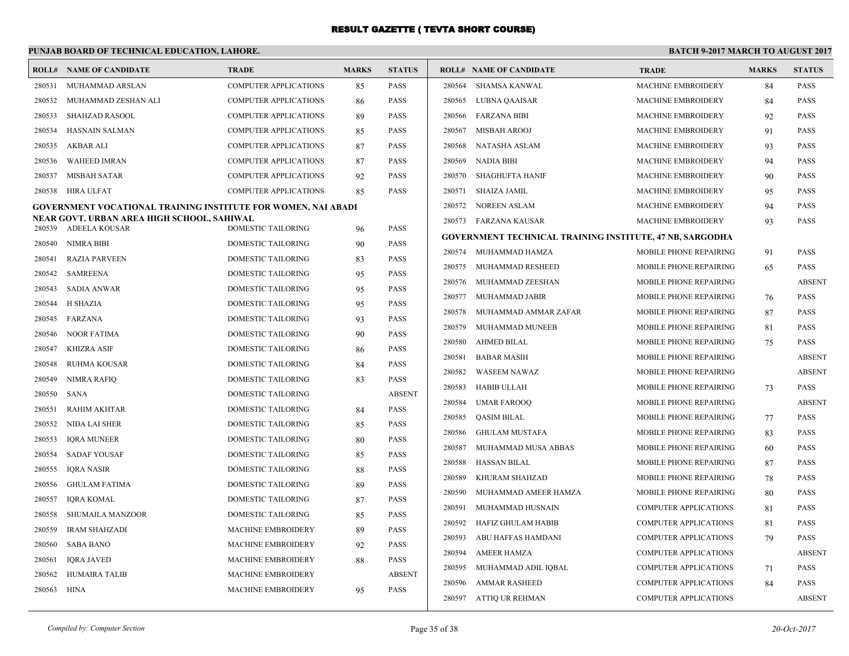# **PUNJAB BOARD OF TECHNICAL EDUCATION, LAHORE.**

|        | <b>ROLL# NAME OF CANDIDATE</b>                                       | <b>TRADE</b>                 | <b>MARKS</b> | <b>STATUS</b> |        | <b>ROLL# NAME OF CANDIDATE</b>                                  | <b>TRADE</b>                 | <b>MARKS</b> | <b>STATUS</b> |
|--------|----------------------------------------------------------------------|------------------------------|--------------|---------------|--------|-----------------------------------------------------------------|------------------------------|--------------|---------------|
| 280531 | MUHAMMAD ARSLAN                                                      | <b>COMPUTER APPLICATIONS</b> | 85           | <b>PASS</b>   | 280564 | <b>SHAMSA KANWAL</b>                                            | <b>MACHINE EMBROIDERY</b>    | 84           | PASS          |
| 280532 | MUHAMMAD ZESHAN ALI                                                  | <b>COMPUTER APPLICATIONS</b> | 86           | <b>PASS</b>   | 280565 | LUBNA QAAISAR                                                   | MACHINE EMBROIDERY           | 84           | <b>PASS</b>   |
| 280533 | <b>SHAHZAD RASOOL</b>                                                | COMPUTER APPLICATIONS        | 89           | <b>PASS</b>   |        | 280566 FARZANA BIBI                                             | MACHINE EMBROIDERY           | 92           | <b>PASS</b>   |
| 280534 | HASNAIN SALMAN                                                       | COMPUTER APPLICATIONS        | 85           | <b>PASS</b>   | 280567 | <b>MISBAH AROOJ</b>                                             | MACHINE EMBROIDERY           | 91           | PASS          |
| 280535 | AKBAR ALI                                                            | <b>COMPUTER APPLICATIONS</b> | 87           | <b>PASS</b>   | 280568 | <b>NATASHA ASLAM</b>                                            | <b>MACHINE EMBROIDERY</b>    | 93           | <b>PASS</b>   |
| 280536 | <b>WAHEED IMRAN</b>                                                  | COMPUTER APPLICATIONS        | 87           | <b>PASS</b>   | 280569 | <b>NADIA BIBI</b>                                               | <b>MACHINE EMBROIDERY</b>    | 94           | PASS          |
| 280537 | <b>MISBAH SATAR</b>                                                  | COMPUTER APPLICATIONS        | 92           | <b>PASS</b>   | 280570 | <b>SHAGHUFTA HANIF</b>                                          | MACHINE EMBROIDERY           | 90           | PASS          |
| 280538 | HIRA ULFAT                                                           | COMPUTER APPLICATIONS        | 85           | PASS          | 280571 | <b>SHAIZA JAMIL</b>                                             | MACHINE EMBROIDERY           | 95           | PASS          |
|        | <b>GOVERNMENT VOCATIONAL TRAINING INSTITUTE FOR WOMEN, NAI ABADI</b> |                              |              |               | 280572 | <b>NOREEN ASLAM</b>                                             | <b>MACHINE EMBROIDERY</b>    | 94           | <b>PASS</b>   |
|        | NEAR GOVT. URBAN AREA HIGH SCHOOL, SAHIWAL                           |                              |              |               |        | 280573 FARZANA KAUSAR                                           | <b>MACHINE EMBROIDERY</b>    | 93           | PASS          |
| 280539 | ADEELA KOUSAR                                                        | DOMESTIC TAILORING           | 96           | <b>PASS</b>   |        | <b>GOVERNMENT TECHNICAL TRAINING INSTITUTE, 47 NB, SARGODHA</b> |                              |              |               |
| 280540 | NIMRA BIBI                                                           | DOMESTIC TAILORING           | 90           | PASS          | 280574 | MUHAMMAD HAMZA                                                  | MOBILE PHONE REPAIRING       | 91           | PASS          |
| 280541 | <b>RAZIA PARVEEN</b>                                                 | <b>DOMESTIC TAILORING</b>    | 83           | <b>PASS</b>   | 280575 | MUHAMMAD RESHEED                                                | MOBILE PHONE REPAIRING       | 65           | PASS          |
| 280542 | SAMREENA                                                             | DOMESTIC TAILORING           | 95           | <b>PASS</b>   | 280576 | MUHAMMAD ZEESHAN                                                | MOBILE PHONE REPAIRING       |              | <b>ABSENT</b> |
| 280543 | <b>SADIA ANWAR</b>                                                   | DOMESTIC TAILORING           | 95           | PASS          | 280577 | MUHAMMAD JABIR                                                  | MOBILE PHONE REPAIRING       | 76           | <b>PASS</b>   |
| 280544 | H SHAZIA                                                             | <b>DOMESTIC TAILORING</b>    | 95           | <b>PASS</b>   | 280578 | MUHAMMAD AMMAR ZAFAR                                            | MOBILE PHONE REPAIRING       | 87           | PASS          |
| 280545 | FARZANA                                                              | <b>DOMESTIC TAILORING</b>    | 93           | <b>PASS</b>   | 280579 | MUHAMMAD MUNEEB                                                 | MOBILE PHONE REPAIRING       | 81           | PASS          |
| 280546 | <b>NOOR FATIMA</b>                                                   | DOMESTIC TAILORING           | 90           | <b>PASS</b>   | 280580 | <b>AHMED BILAL</b>                                              | MOBILE PHONE REPAIRING       | 75           | PASS          |
| 280547 | <b>KHIZRA ASIF</b>                                                   | DOMESTIC TAILORING           | 86           | PASS          | 280581 | <b>BABAR MASIH</b>                                              | MOBILE PHONE REPAIRING       |              | <b>ABSENT</b> |
| 280548 | RUHMA KOUSAR                                                         | DOMESTIC TAILORING           | 84           | <b>PASS</b>   | 280582 | <b>WASEEM NAWAZ</b>                                             | MOBILE PHONE REPAIRING       |              | <b>ABSENT</b> |
| 280549 | NIMRA RAFIO                                                          | <b>DOMESTIC TAILORING</b>    | 83           | <b>PASS</b>   | 280583 | <b>HABIB ULLAH</b>                                              | MOBILE PHONE REPAIRING       | 73           | PASS          |
| 280550 | <b>SANA</b>                                                          | DOMESTIC TAILORING           |              | <b>ABSENT</b> | 280584 | <b>UMAR FAROOQ</b>                                              | MOBILE PHONE REPAIRING       |              | <b>ABSENT</b> |
| 280551 | <b>RAHIM AKHTAR</b>                                                  | DOMESTIC TAILORING           | 84           | <b>PASS</b>   | 280585 | <b>OASIM BILAL</b>                                              | MOBILE PHONE REPAIRING       | 77           | PASS          |
| 280552 | NIDA LAI SHER                                                        | <b>DOMESTIC TAILORING</b>    | 85           | <b>PASS</b>   | 280586 | <b>GHULAM MUSTAFA</b>                                           | MOBILE PHONE REPAIRING       | 83           | PASS          |
| 280553 | <b>IQRA MUNEER</b>                                                   | DOMESTIC TAILORING           | 80           | <b>PASS</b>   | 280587 | MUHAMMAD MUSA ABBAS                                             | MOBILE PHONE REPAIRING       | 60           | PASS          |
| 280554 | <b>SADAF YOUSAF</b>                                                  | <b>DOMESTIC TAILORING</b>    | 85           | <b>PASS</b>   | 280588 | <b>HASSAN BILAL</b>                                             | MOBILE PHONE REPAIRING       | 87           | <b>PASS</b>   |
| 280555 | <b>IORA NASIR</b>                                                    | <b>DOMESTIC TAILORING</b>    | 88           | <b>PASS</b>   | 280589 | KHURAM SHAHZAD                                                  | MOBILE PHONE REPAIRING       | 78           | <b>PASS</b>   |
| 280556 | <b>GHULAM FATIMA</b>                                                 | DOMESTIC TAILORING           | 89           | <b>PASS</b>   | 280590 | MUHAMMAD AMEER HAMZA                                            | MOBILE PHONE REPAIRING       | 80           | <b>PASS</b>   |
| 280557 | <b>IQRA KOMAL</b>                                                    | DOMESTIC TAILORING           | 87           | PASS          | 280591 | MUHAMMAD HUSNAIN                                                | <b>COMPUTER APPLICATIONS</b> | 81           | PASS          |
| 280558 | <b>SHUMAILA MANZOOR</b>                                              | <b>DOMESTIC TAILORING</b>    | 85           | <b>PASS</b>   | 280592 | <b>HAFIZ GHULAM HABIB</b>                                       | <b>COMPUTER APPLICATIONS</b> | 81           | PASS          |
| 280559 | <b>IRAM SHAHZADI</b>                                                 | <b>MACHINE EMBROIDERY</b>    | 89           | <b>PASS</b>   | 280593 | ABU HAFFAS HAMDANI                                              | <b>COMPUTER APPLICATIONS</b> | 79           | PASS          |
| 280560 | <b>SABA BANO</b>                                                     | MACHINE EMBROIDERY           | 92           | PASS          | 280594 | <b>AMEER HAMZA</b>                                              | <b>COMPUTER APPLICATIONS</b> |              | <b>ABSENT</b> |
| 280561 | <b>IQRA JAVED</b>                                                    | <b>MACHINE EMBROIDERY</b>    | 88           | <b>PASS</b>   | 280595 | MUHAMMAD ADIL IQBAL                                             | <b>COMPUTER APPLICATIONS</b> | 71           | PASS          |
| 280562 | <b>HUMAIRA TALIB</b>                                                 | <b>MACHINE EMBROIDERY</b>    |              | <b>ABSENT</b> | 280596 | <b>AMMAR RASHEED</b>                                            | <b>COMPUTER APPLICATIONS</b> | 84           | PASS          |
| 280563 | HINA                                                                 | MACHINE EMBROIDERY           | 95           | PASS          |        | 280597 ATTIQ UR REHMAN                                          | <b>COMPUTER APPLICATIONS</b> |              | <b>ABSENT</b> |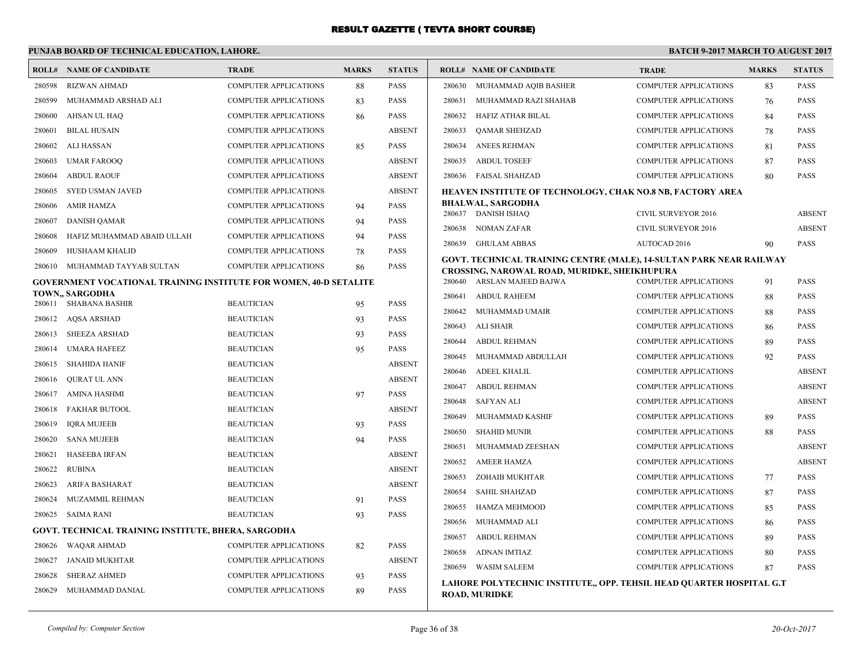#### **PUNJAB BOARD OF TECHNICAL EDUCATION, LAHORE. BATCH 9-2017 MARCH TO AUGUST 2017 ROLL# NAME OF CANDIDATE TRADE MARKS STATUS ROLL# NAME OF CANDIDATE TRADE MARKS STATUS** 280598 RIZWAN AHMAD COMPUTER APPLICATIONS 88 PASS 280599 MUHAMMAD ARSHAD ALI COMPUTER APPLICATIONS 83 PASS 280600 AHSAN UL HAQ COMPUTER APPLICATIONS 86 PASS 280601 BILAL HUSAIN COMPUTER APPLICATIONS ABSENT 280602 ALI HASSAN COMPUTER APPLICATIONS 85 PASS 280603 UMAR FAROOQ COMPUTER APPLICATIONS ABSENT 280604 ABDUL RAOUF COMPUTER APPLICATIONS ABSENT 280605 SYED USMAN JAVED COMPUTER APPLICATIONS ABSENT 280606 AMIR HAMZA COMPUTER APPLICATIONS 94 PASS 280607 DANISH QAMAR COMPUTER APPLICATIONS 94 PASS 280608 HAFIZ MUHAMMAD ABAID ULLAH COMPUTER APPLICATIONS 94 PASS 280609 HUSHAAM KHALID COMPUTER APPLICATIONS 78 PASS 280610 MUHAMMAD TAYYAB SULTAN COMPUTER APPLICATIONS 86 PASS **GOVERNMENT VOCATIONAL TRAINING INSTITUTE FOR WOMEN, 40-D SETALITE TOWN,, SARGODHA** 280611 SHABANA BASHIR BEAUTICIAN 95 PASS 280612 AQSA ARSHAD BEAUTICIAN 93 PASS 280613 SHEEZA ARSHAD BEAUTICIAN 93 PASS 280614 UMARA HAFEEZ BEAUTICIAN 95 PASS 280615 SHAHIDA HANIF BEAUTICIAN ABSENT 280616 QURAT UL ANN BEAUTICIAN ABSENT 280617 AMINA HASHMI BEAUTICIAN 97 PASS 280618 FAKHAR BUTOOL BEAUTICIAN ABSENT 280619 IQRA MUJEEB BEAUTICIAN 93 PASS 280620 SANA MUJEEB BEAUTICIAN 94 PASS 280621 HASEEBA IRFAN BEAUTICIAN ABSENT 280622 RUBINA BEAUTICIAN ABSENT 280623 ARIFA BASHARAT BEAUTICIAN ABSENT 280624 MUZAMMIL REHMAN BEAUTICIAN 91 PASS 280625 SAIMA RANI BEAUTICIAN 93 PASS **GOVT. TECHNICAL TRAINING INSTITUTE, BHERA, SARGODHA** 280626 WAQAR AHMAD COMPUTER APPLICATIONS 82 PASS 280627 JANAID MUKHTAR COMPUTER APPLICATIONS ABSENT 280628 SHERAZ AHMED COMPUTER APPLICATIONS 93 PASS 280629 MUHAMMAD DANIAL COMPUTER APPLICATIONS 89 PASS 280630 MUHAMMAD AQIB BASHER COMPUTER APPLICATIONS 83 PASS 280631 MUHAMMAD RAZI SHAHAB COMPUTER APPLICATIONS 76 PASS 280632 HAFIZ ATHAR BILAL COMPUTER APPLICATIONS 84 PASS 280633 QAMAR SHEHZAD COMPUTER APPLICATIONS 78 PASS 280634 ANEES REHMAN COMPUTER APPLICATIONS 81 PASS 280635 ABDUL TOSEEF COMPUTER APPLICATIONS 87 PASS 280636 FAISAL SHAHZAD COMPUTER APPLICATIONS 80 PASS **HEAVEN INSTITUTE OF TECHNOLOGY, CHAK NO.8 NB, FACTORY AREA BHALWAL, SARGODHA** 280637 DANISH ISHAQ CIVIL SURVEYOR 2016 ABSENT 280638 NOMAN ZAFAR CIVIL SURVEYOR 2016 ABSENT 280639 GHULAM ABBAS AUTOCAD 2016 90 PASS **GOVT. TECHNICAL TRAINING CENTRE (MALE), 14-SULTAN PARK NEAR RAILWAY CROSSING, NAROWAL ROAD, MURIDKE, SHEIKHUPURA** 280640 ARSLAN MAJEED BAJWA COMPUTER APPLICATIONS 91 PASS 280641 ABDUL RAHEEM COMPUTER APPLICATIONS 88 PASS 280642 MUHAMMAD UMAIR COMPUTER APPLICATIONS 88 PASS 280643 ALI SHAIR COMPUTER APPLICATIONS 86 PASS 280644 ABDUL REHMAN COMPUTER APPLICATIONS 89 PASS 280645 MUHAMMAD ABDULLAH COMPUTER APPLICATIONS 92 PASS 280646 ADEEL KHALIL COMPUTER APPLICATIONS ABSENT 280647 ABDUL REHMAN COMPUTER APPLICATIONS ABSENT 280648 SAFYAN ALI COMPUTER APPLICATIONS ABSENT 280649 MUHAMMAD KASHIF COMPUTER APPLICATIONS 89 PASS 280650 SHAHID MUNIR COMPUTER APPLICATIONS 88 PASS 280651 MUHAMMAD ZEESHAN COMPUTER APPLICATIONS ABSENT 280652 AMEER HAMZA COMPUTER APPLICATIONS ABSENT 280653 ZOHAIB MUKHTAR COMPUTER APPLICATIONS 77 PASS 280654 SAHIL SHAHZAD COMPUTER APPLICATIONS 87 PASS 280655 HAMZA MEHMOOD COMPUTER APPLICATIONS 85 PASS 280656 MUHAMMAD ALI COMPUTER APPLICATIONS 86 PASS 280657 ABDUL REHMAN COMPUTER APPLICATIONS 89 PASS 280658 ADNAN IMTIAZ COMPUTER APPLICATIONS 80 PASS 280659 WASIM SALEEM COMPUTER APPLICATIONS 87 PASS **LAHORE POLYTECHNIC INSTITUTE,, OPP. TEHSIL HEAD QUARTER HOSPITAL G.T ROAD, MURIDKE**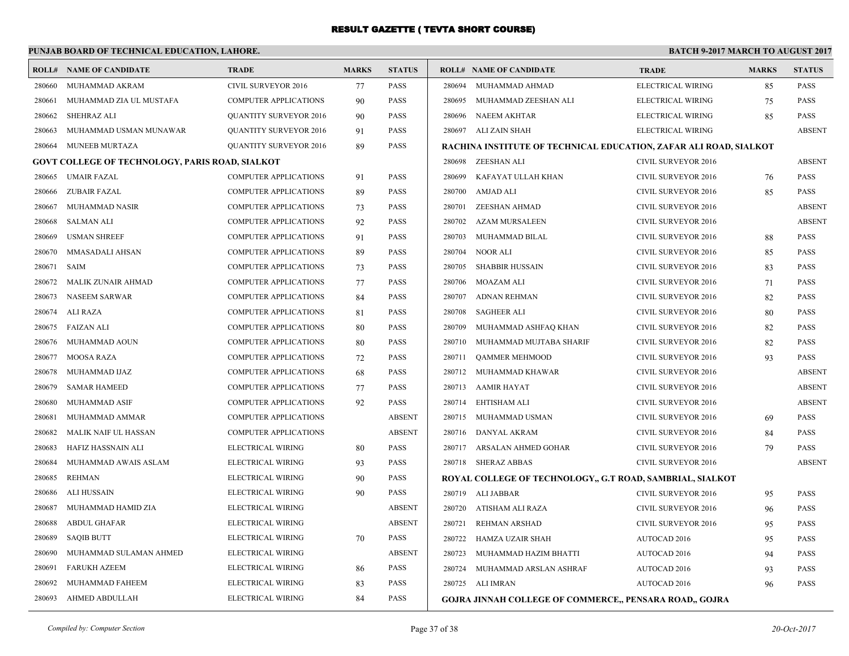# **PUNJAB BOARD OF TECHNICAL EDUCATION, LAHORE.**

|                                                        | <b>ROLL# NAME OF CANDIDATE</b> | <b>TRADE</b>                  | <b>MARKS</b> | <b>STATUS</b> | <b>ROLL# NAME OF CANDIDATE</b>                                    | <b>TRADE</b>               | <b>MARKS</b> | <b>STATUS</b> |
|--------------------------------------------------------|--------------------------------|-------------------------------|--------------|---------------|-------------------------------------------------------------------|----------------------------|--------------|---------------|
| 280660                                                 | MUHAMMAD AKRAM                 | CIVIL SURVEYOR 2016           | 77           | <b>PASS</b>   | 280694<br>MUHAMMAD AHMAD                                          | ELECTRICAL WIRING          | 85           | <b>PASS</b>   |
| 280661                                                 | MUHAMMAD ZIA UL MUSTAFA        | <b>COMPUTER APPLICATIONS</b>  | 90           | <b>PASS</b>   | 280695<br>MUHAMMAD ZEESHAN ALI                                    | ELECTRICAL WIRING          | 75           | <b>PASS</b>   |
| 280662                                                 | SHEHRAZ ALI                    | <b>QUANTITY SURVEYOR 2016</b> | 90           | <b>PASS</b>   | 280696<br>NAEEM AKHTAR                                            | ELECTRICAL WIRING          | 85           | <b>PASS</b>   |
| 280663                                                 | MUHAMMAD USMAN MUNAWAR         | <b>QUANTITY SURVEYOR 2016</b> | 91           | <b>PASS</b>   | 280697 ALI ZAIN SHAH                                              | ELECTRICAL WIRING          |              | <b>ABSENT</b> |
| 280664                                                 | MUNEEB MURTAZA                 | <b>QUANTITY SURVEYOR 2016</b> | 89           | <b>PASS</b>   | RACHINA INSTITUTE OF TECHNICAL EDUCATION, ZAFAR ALI ROAD, SIALKOT |                            |              |               |
| <b>GOVT COLLEGE OF TECHNOLOGY, PARIS ROAD, SIALKOT</b> |                                |                               |              |               | 280698 ZEESHAN ALI                                                | CIVIL SURVEYOR 2016        |              | <b>ABSENT</b> |
| 280665                                                 | <b>UMAIR FAZAL</b>             | COMPUTER APPLICATIONS         | 91           | <b>PASS</b>   | 280699<br>KAFAYAT ULLAH KHAN                                      | CIVIL SURVEYOR 2016        | 76           | <b>PASS</b>   |
| 280666                                                 | <b>ZUBAIR FAZAL</b>            | COMPUTER APPLICATIONS         | 89           | <b>PASS</b>   | 280700<br>AMJAD ALI                                               | CIVIL SURVEYOR 2016        | 85           | <b>PASS</b>   |
| 280667                                                 | MUHAMMAD NASIR                 | <b>COMPUTER APPLICATIONS</b>  | 73           | <b>PASS</b>   | 280701<br>ZEESHAN AHMAD                                           | <b>CIVIL SURVEYOR 2016</b> |              | <b>ABSENT</b> |
| 280668                                                 | <b>SALMAN ALI</b>              | COMPUTER APPLICATIONS         | 92           | <b>PASS</b>   | <b>AZAM MURSALEEN</b><br>280702                                   | CIVIL SURVEYOR 2016        |              | <b>ABSENT</b> |
| 280669                                                 | <b>USMAN SHREEF</b>            | <b>COMPUTER APPLICATIONS</b>  | 91           | <b>PASS</b>   | 280703<br>MUHAMMAD BILAL                                          | CIVIL SURVEYOR 2016        | 88           | <b>PASS</b>   |
| 280670                                                 | MMASADALI AHSAN                | <b>COMPUTER APPLICATIONS</b>  | 89           | <b>PASS</b>   | 280704<br><b>NOOR ALI</b>                                         | CIVIL SURVEYOR 2016        | 85           | PASS          |
| 280671                                                 | <b>SAIM</b>                    | COMPUTER APPLICATIONS         | 73           | <b>PASS</b>   | <b>SHABBIR HUSSAIN</b><br>280705                                  | CIVIL SURVEYOR 2016        | 83           | PASS          |
| 280672                                                 | <b>MALIK ZUNAIR AHMAD</b>      | <b>COMPUTER APPLICATIONS</b>  | 77           | <b>PASS</b>   | 280706<br><b>MOAZAM ALI</b>                                       | CIVIL SURVEYOR 2016        | 71           | <b>PASS</b>   |
| 280673                                                 | <b>NASEEM SARWAR</b>           | COMPUTER APPLICATIONS         | 84           | <b>PASS</b>   | 280707<br><b>ADNAN REHMAN</b>                                     | CIVIL SURVEYOR 2016        | 82           | PASS          |
| 280674                                                 | <b>ALI RAZA</b>                | <b>COMPUTER APPLICATIONS</b>  | 81           | <b>PASS</b>   | 280708<br><b>SAGHEER ALI</b>                                      | CIVIL SURVEYOR 2016        | 80           | <b>PASS</b>   |
| 280675                                                 | <b>FAIZAN ALI</b>              | COMPUTER APPLICATIONS         | 80           | <b>PASS</b>   | 280709<br>MUHAMMAD ASHFAQ KHAN                                    | CIVIL SURVEYOR 2016        | 82           | <b>PASS</b>   |
| 280676                                                 | MUHAMMAD AOUN                  | <b>COMPUTER APPLICATIONS</b>  | 80           | <b>PASS</b>   | 280710<br>MUHAMMAD MUJTABA SHARIF                                 | <b>CIVIL SURVEYOR 2016</b> | 82           | PASS          |
| 280677                                                 | <b>MOOSA RAZA</b>              | COMPUTER APPLICATIONS         | 72           | <b>PASS</b>   | 280711<br><b>QAMMER MEHMOOD</b>                                   | CIVIL SURVEYOR 2016        | 93           | <b>PASS</b>   |
| 280678                                                 | MUHAMMAD IJAZ                  | <b>COMPUTER APPLICATIONS</b>  | 68           | <b>PASS</b>   | 280712<br>MUHAMMAD KHAWAR                                         | CIVIL SURVEYOR 2016        |              | <b>ABSENT</b> |
| 280679                                                 | <b>SAMAR HAMEED</b>            | <b>COMPUTER APPLICATIONS</b>  | 77           | <b>PASS</b>   | 280713<br>AAMIR HAYAT                                             | <b>CIVIL SURVEYOR 2016</b> |              | <b>ABSENT</b> |
| 280680                                                 | <b>MUHAMMAD ASIF</b>           | <b>COMPUTER APPLICATIONS</b>  | 92           | <b>PASS</b>   | 280714<br>EHTISHAM ALI                                            | <b>CIVIL SURVEYOR 2016</b> |              | <b>ABSENT</b> |
| 280681                                                 | MUHAMMAD AMMAR                 | <b>COMPUTER APPLICATIONS</b>  |              | <b>ABSENT</b> | 280715 MUHAMMAD USMAN                                             | CIVIL SURVEYOR 2016        | 69           | <b>PASS</b>   |
| 280682                                                 | MALIK NAIF UL HASSAN           | COMPUTER APPLICATIONS         |              | <b>ABSENT</b> | 280716<br>DANYAL AKRAM                                            | CIVIL SURVEYOR 2016        | 84           | <b>PASS</b>   |
| 280683                                                 | HAFIZ HASSNAIN ALI             | ELECTRICAL WIRING             | 80           | <b>PASS</b>   | ARSALAN AHMED GOHAR<br>280717                                     | CIVIL SURVEYOR 2016        | 79           | <b>PASS</b>   |
| 280684                                                 | MUHAMMAD AWAIS ASLAM           | ELECTRICAL WIRING             | 93           | <b>PASS</b>   | 280718 SHERAZ ABBAS                                               | CIVIL SURVEYOR 2016        |              | <b>ABSENT</b> |
| 280685                                                 | <b>REHMAN</b>                  | ELECTRICAL WIRING             | 90           | <b>PASS</b>   | ROYAL COLLEGE OF TECHNOLOGY,, G.T ROAD, SAMBRIAL, SIALKOT         |                            |              |               |
| 280686                                                 | ALI HUSSAIN                    | ELECTRICAL WIRING             | 90           | <b>PASS</b>   | 280719 ALI JABBAR                                                 | CIVIL SURVEYOR 2016        | 95           | <b>PASS</b>   |
| 280687                                                 | MUHAMMAD HAMID ZIA             | ELECTRICAL WIRING             |              | <b>ABSENT</b> | 280720<br>ATISHAM ALI RAZA                                        | CIVIL SURVEYOR 2016        | 96           | <b>PASS</b>   |
| 280688                                                 | <b>ABDUL GHAFAR</b>            | ELECTRICAL WIRING             |              | <b>ABSENT</b> | 280721<br><b>REHMAN ARSHAD</b>                                    | CIVIL SURVEYOR 2016        | 95           | <b>PASS</b>   |
| 280689                                                 | <b>SAQIB BUTT</b>              | ELECTRICAL WIRING             | 70           | <b>PASS</b>   | 280722<br>HAMZA UZAIR SHAH                                        | AUTOCAD 2016               | 95           | <b>PASS</b>   |
| 280690                                                 | MUHAMMAD SULAMAN AHMED         | ELECTRICAL WIRING             |              | <b>ABSENT</b> | 280723<br>MUHAMMAD HAZIM BHATTI                                   | AUTOCAD 2016               | 94           | <b>PASS</b>   |
| 280691                                                 | <b>FARUKH AZEEM</b>            | ELECTRICAL WIRING             | 86           | <b>PASS</b>   | 280724<br>MUHAMMAD ARSLAN ASHRAF                                  | AUTOCAD 2016               | 93           | <b>PASS</b>   |
| 280692                                                 | MUHAMMAD FAHEEM                | ELECTRICAL WIRING             | 83           | <b>PASS</b>   | 280725 ALI IMRAN                                                  | AUTOCAD 2016               | 96           | <b>PASS</b>   |
| 280693                                                 | AHMED ABDULLAH                 | ELECTRICAL WIRING             | 84           | <b>PASS</b>   | <b>GOJRA JINNAH COLLEGE OF COMMERCE, PENSARA ROAD,, GOJRA</b>     |                            |              |               |